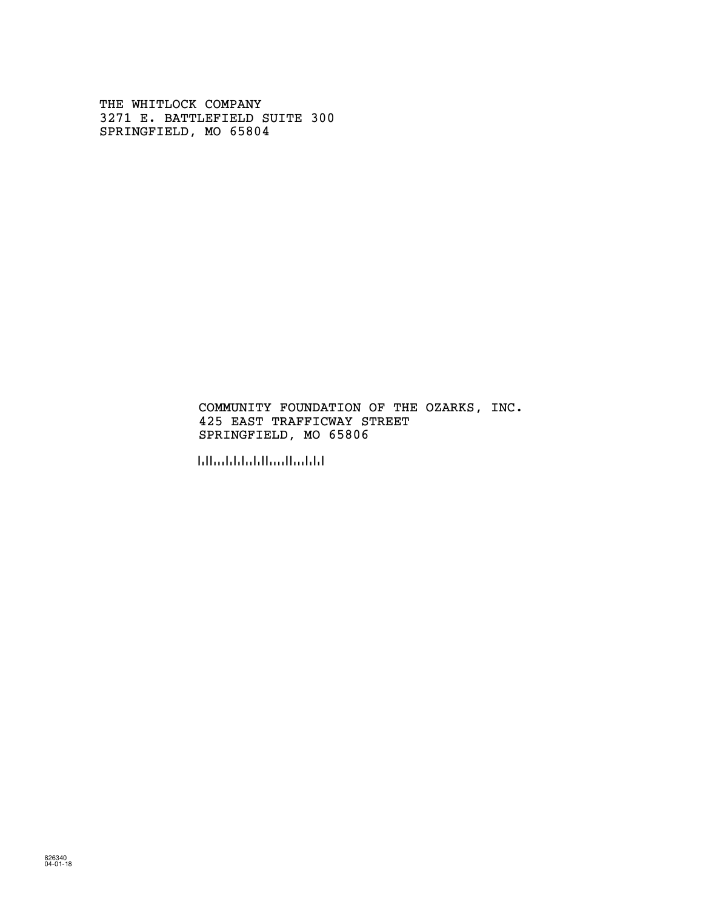THE WHITLOCK COMPANY 3271 E. BATTLEFIELD SUITE 300 SPRINGFIELD, MO 65804

## COMMUNITY FOUNDATION OF THE OZARKS, INC. 425 EAST TRAFFICWAY STREET SPRINGFIELD, MO 65806

!658065!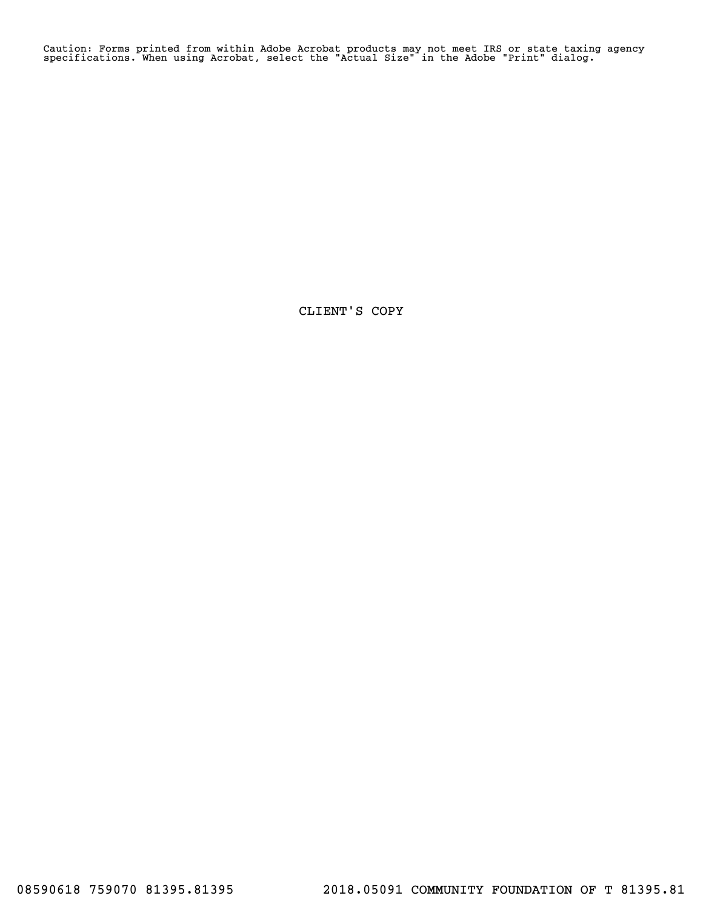Caution: Forms printed from within Adobe Acrobat products may not meet IRS or state taxing agency specifications. When using Acrobat, select the "Actual Size" in the Adobe "Print" dialog.

CLIENT'S COPY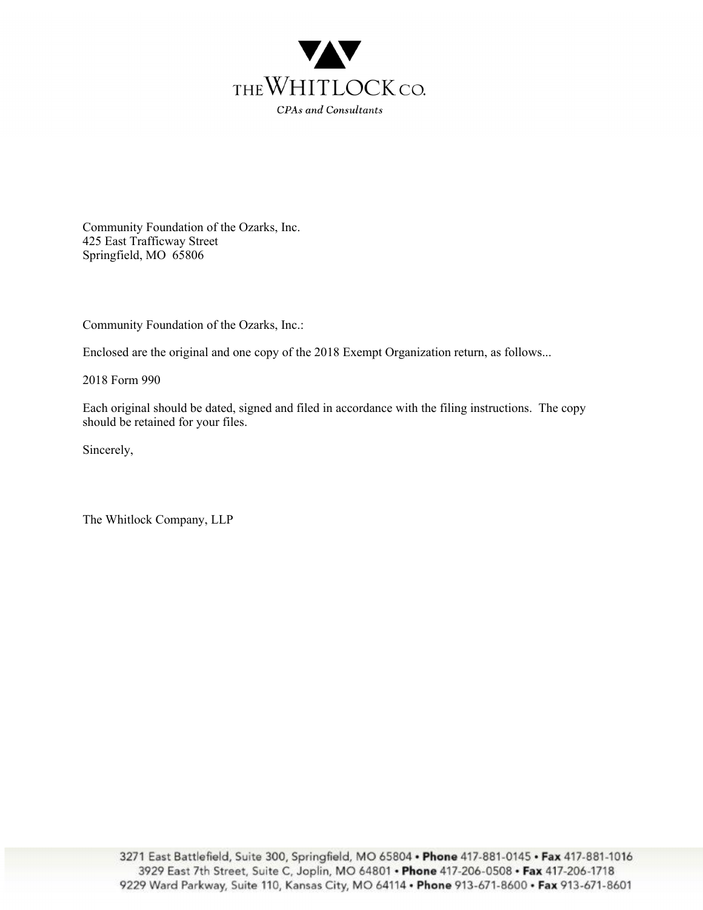

Community Foundation of the Ozarks, Inc. 425 East Trafficway Street Springfield, MO 65806

Community Foundation of the Ozarks, Inc.:

Enclosed are the original and one copy of the 2018 Exempt Organization return, as follows...

2018 Form 990

Each original should be dated, signed and filed in accordance with the filing instructions. The copy should be retained for your files.

Sincerely,

The Whitlock Company, LLP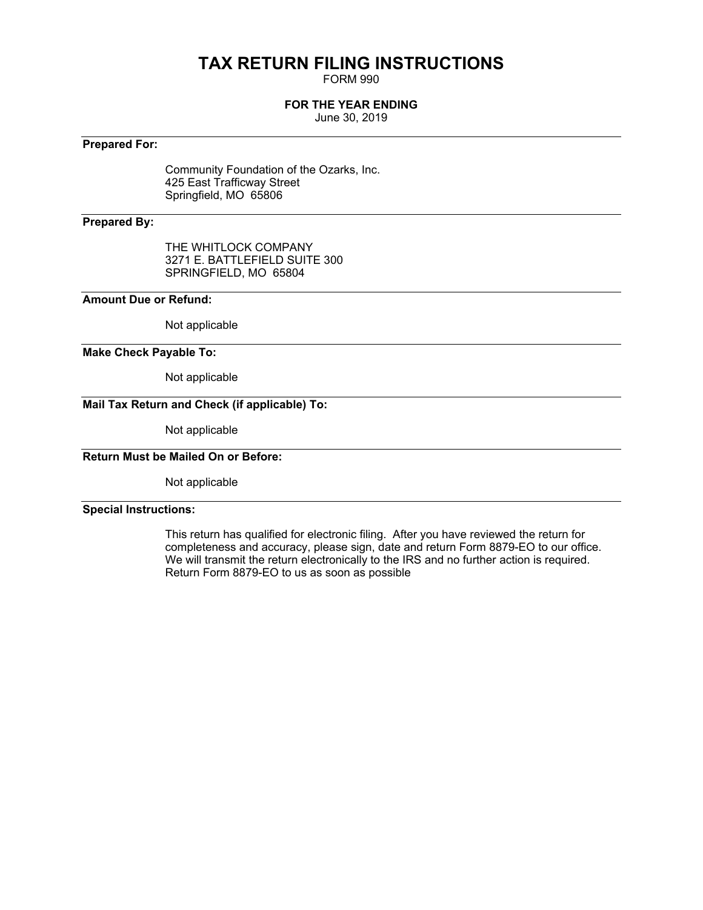# **TAX RETURN FILING INSTRUCTIONS**

FORM 990

#### **FOR THE YEAR ENDING**

June 30, 2019

### **Prepared For:**

Community Foundation of the Ozarks, Inc. 425 East Trafficway Street Springfield, MO 65806

## **Prepared By:**

THE WHITLOCK COMPANY 3271 E. BATTLEFIELD SUITE 300 SPRINGFIELD, MO 65804

#### **Amount Due or Refund:**

Not applicable

#### **Make Check Payable To:**

Not applicable

## **Mail Tax Return and Check (if applicable) To:**

Not applicable

#### **Return Must be Mailed On or Before:**

Not applicable

#### **Special Instructions:**

This return has qualified for electronic filing. After you have reviewed the return for completeness and accuracy, please sign, date and return Form 8879-EO to our office. We will transmit the return electronically to the IRS and no further action is required. Return Form 8879-EO to us as soon as possible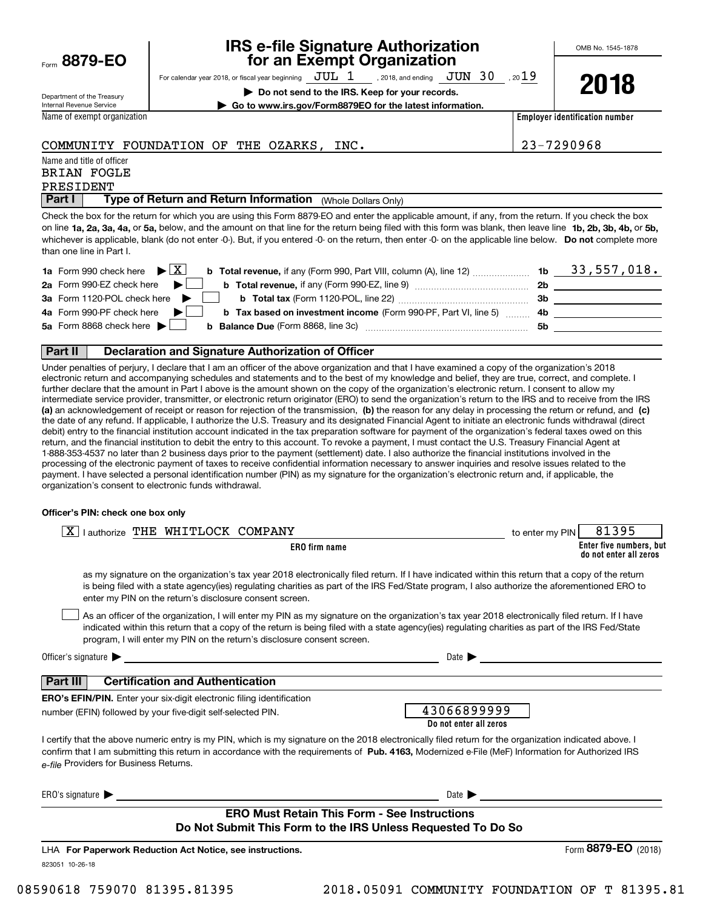|      | 8879-EO |  |  |
|------|---------|--|--|
| Form |         |  |  |

## **IRS e-file Signature Authorization for an Exempt Organization**

For calendar year 2018, or fiscal year beginning  $\rm\,JUL~$   $1$   $\rm\,$  , 2018, and ending  $\rm\,JUN~$   $30$   $\rm\,$  , 20 $19$ 

**| Do not send to the IRS. Keep for your records.**

**2018**

Department of the Treasury Internal Revenue Service

Name of exempt organization

**Employer identification number | Go to www.irs.gov/Form8879EO for the latest information.**

#### COMMUNITY FOUNDATION OF THE OZARKS, INC. 23-7290968

Name and title of officer

#### PRESIDENT BRIAN FOGLE

 (Whole Dollars Only) **Part I Type of Return and Return Information** 

on line **1a, 2a, 3a, 4a,** or **5a,** below, and the amount on that line for the return being filed with this form was blank, then leave line **1b, 2b, 3b, 4b,** or **5b,** whichever is applicable, blank (do not enter -0-). But, if you entered -0- on the return, then enter -0- on the applicable line below. **Do not** complete more Check the box for the return for which you are using this Form 8879-EO and enter the applicable amount, if any, from the return. If you check the box than one line in Part I.

| <b>1a</b> Form 990 check here $\blacktriangleright$ $\boxed{\text{X}}$<br><b>b Total revenue,</b> if any (Form 990, Part VIII, column (A), line 12) | 1b  | 33,557,018. |
|-----------------------------------------------------------------------------------------------------------------------------------------------------|-----|-------------|
| 2a Form 990-EZ check here $\blacktriangleright$<br>b Total revenue, if any (Form 990-EZ, line 9)                                                    | 2b  |             |
| 3a Form 1120-POL check here                                                                                                                         | 3b  |             |
| 4a Form 990-PF check here $\blacktriangleright$<br><b>b</b> Tax based on investment income (Form 990-PF, Part VI, line 5) <b>http://www.</b>        | -4b |             |
| 5a Form 8868 check here $\blacktriangleright$<br><b>b</b> Balance Due (Form 8868, line 3c)                                                          | 5b  |             |
|                                                                                                                                                     |     |             |

#### **Part II Declaration and Signature Authorization of Officer**

**(a)** an acknowledgement of receipt or reason for rejection of the transmission, (b) the reason for any delay in processing the return or refund, and (c) Under penalties of perjury, I declare that I am an officer of the above organization and that I have examined a copy of the organization's 2018 electronic return and accompanying schedules and statements and to the best of my knowledge and belief, they are true, correct, and complete. I further declare that the amount in Part I above is the amount shown on the copy of the organization's electronic return. I consent to allow my intermediate service provider, transmitter, or electronic return originator (ERO) to send the organization's return to the IRS and to receive from the IRS the date of any refund. If applicable, I authorize the U.S. Treasury and its designated Financial Agent to initiate an electronic funds withdrawal (direct debit) entry to the financial institution account indicated in the tax preparation software for payment of the organization's federal taxes owed on this return, and the financial institution to debit the entry to this account. To revoke a payment, I must contact the U.S. Treasury Financial Agent at 1-888-353-4537 no later than 2 business days prior to the payment (settlement) date. I also authorize the financial institutions involved in the processing of the electronic payment of taxes to receive confidential information necessary to answer inquiries and resolve issues related to the payment. I have selected a personal identification number (PIN) as my signature for the organization's electronic return and, if applicable, the organization's consent to electronic funds withdrawal.

#### **Officer's PIN: check one box only**

| lauthorize THE WHITLOCK COMPANY<br>X                                                                                                                                                                                                                                                                                                                                             | 81395<br>to enter my PIN                          |
|----------------------------------------------------------------------------------------------------------------------------------------------------------------------------------------------------------------------------------------------------------------------------------------------------------------------------------------------------------------------------------|---------------------------------------------------|
| ERO firm name                                                                                                                                                                                                                                                                                                                                                                    | Enter five numbers, but<br>do not enter all zeros |
| as my signature on the organization's tax year 2018 electronically filed return. If I have indicated within this return that a copy of the return<br>is being filed with a state agency(ies) regulating charities as part of the IRS Fed/State program, I also authorize the aforementioned ERO to<br>enter my PIN on the return's disclosure consent screen.                    |                                                   |
| As an officer of the organization, I will enter my PIN as my signature on the organization's tax year 2018 electronically filed return. If I have<br>indicated within this return that a copy of the return is being filed with a state agency(ies) regulating charities as part of the IRS Fed/State<br>program, I will enter my PIN on the return's disclosure consent screen. |                                                   |
| Officer's signature $\blacktriangleright$                                                                                                                                                                                                                                                                                                                                        | Date $\blacktriangleright$                        |
| <b>Certification and Authentication</b><br>Part III                                                                                                                                                                                                                                                                                                                              |                                                   |
| <b>ERO's EFIN/PIN.</b> Enter your six-digit electronic filing identification                                                                                                                                                                                                                                                                                                     |                                                   |
| number (EFIN) followed by your five-digit self-selected PIN.                                                                                                                                                                                                                                                                                                                     | 43066899999<br>Do not enter all zeros             |
| I certify that the above numeric entry is my PIN, which is my signature on the 2018 electronically filed return for the organization indicated above. I<br>confirm that I am submitting this return in accordance with the requirements of Pub. 4163, Modernized e-File (MeF) Information for Authorized IRS<br>e-file Providers for Business Returns.                           |                                                   |
| ERO's signature $\blacktriangleright$                                                                                                                                                                                                                                                                                                                                            | Date $\blacktriangleright$                        |
| <b>ERO Must Retain This Form - See Instructions</b>                                                                                                                                                                                                                                                                                                                              |                                                   |
| Do Not Submit This Form to the IRS Unless Requested To Do So                                                                                                                                                                                                                                                                                                                     |                                                   |
| LHA For Paperwork Reduction Act Notice, see instructions.                                                                                                                                                                                                                                                                                                                        | Form 8879-EO (2018)                               |
| 823051 10-26-18                                                                                                                                                                                                                                                                                                                                                                  |                                                   |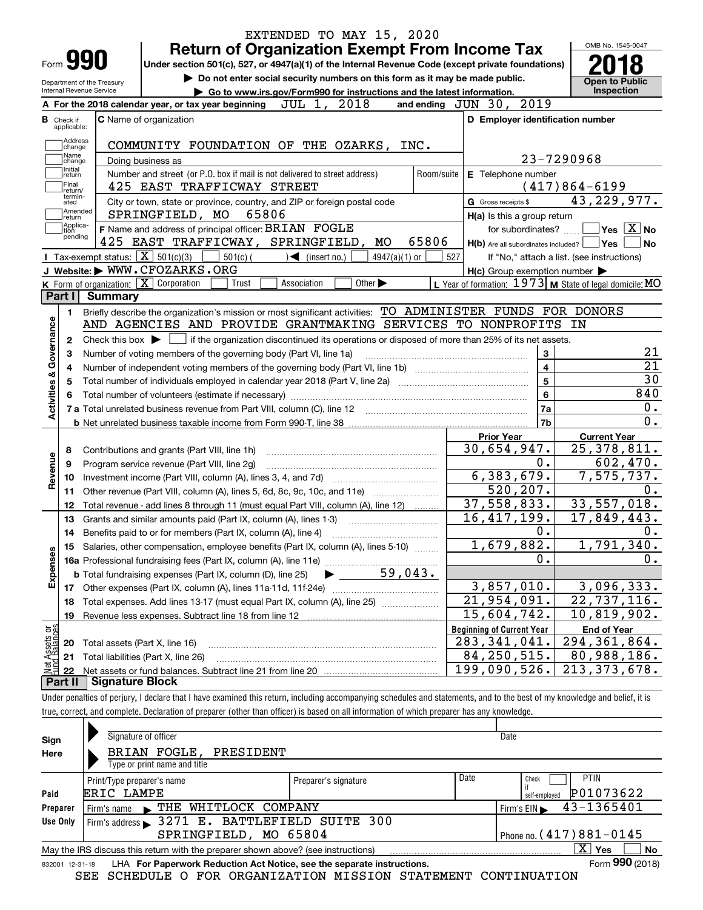| Form <b>990</b><br>Department of the Treasury<br>Internal Revenue Service<br><b>B</b> Check if<br>applicable:<br>Address<br>change<br>Name<br>change<br>Initial<br>return | Under section 501(c), 527, or 4947(a)(1) of the Internal Revenue Code (except private foundations)<br>Do not enter social security numbers on this form as it may be made public.<br>Go to www.irs.gov/Form990 for instructions and the latest information.<br>JUL 1, 2018<br>A For the 2018 calendar year, or tax year beginning<br><b>C</b> Name of organization |            | and ending JUN 30, 2019                             | <b>Open to Public</b><br><b>Inspection</b>                |
|---------------------------------------------------------------------------------------------------------------------------------------------------------------------------|--------------------------------------------------------------------------------------------------------------------------------------------------------------------------------------------------------------------------------------------------------------------------------------------------------------------------------------------------------------------|------------|-----------------------------------------------------|-----------------------------------------------------------|
|                                                                                                                                                                           |                                                                                                                                                                                                                                                                                                                                                                    |            |                                                     |                                                           |
|                                                                                                                                                                           |                                                                                                                                                                                                                                                                                                                                                                    |            |                                                     |                                                           |
|                                                                                                                                                                           |                                                                                                                                                                                                                                                                                                                                                                    |            |                                                     |                                                           |
|                                                                                                                                                                           |                                                                                                                                                                                                                                                                                                                                                                    |            |                                                     |                                                           |
|                                                                                                                                                                           |                                                                                                                                                                                                                                                                                                                                                                    |            | D Employer identification number                    |                                                           |
|                                                                                                                                                                           | COMMUNITY FOUNDATION OF THE OZARKS, INC.                                                                                                                                                                                                                                                                                                                           |            |                                                     |                                                           |
|                                                                                                                                                                           | Doing business as                                                                                                                                                                                                                                                                                                                                                  |            |                                                     | 23-7290968                                                |
| Final                                                                                                                                                                     | Number and street (or P.O. box if mail is not delivered to street address)<br>425 EAST TRAFFICWAY STREET                                                                                                                                                                                                                                                           | Room/suite | E Telephone number                                  | $(417)864-6199$                                           |
| lreturn/<br>termin-                                                                                                                                                       | City or town, state or province, country, and ZIP or foreign postal code                                                                                                                                                                                                                                                                                           |            | G Gross receipts \$                                 | 43, 229, 977.                                             |
| ated<br> Amended                                                                                                                                                          | SPRINGFIELD, MO<br>65806                                                                                                                                                                                                                                                                                                                                           |            | $H(a)$ is this a group return                       |                                                           |
| ∫return<br> Applica-<br>tion                                                                                                                                              | F Name and address of principal officer: BRIAN FOGLE                                                                                                                                                                                                                                                                                                               |            | for subordinates?                                   | $\sqrt{}$ Yes $\sqrt{}$ X $\sqrt{}$ No                    |
| pending                                                                                                                                                                   | 425 EAST TRAFFICWAY, SPRINGFIELD,<br>МO                                                                                                                                                                                                                                                                                                                            | 65806      | $H(b)$ Are all subordinates included? $\Box$ Yes    | ∣No                                                       |
|                                                                                                                                                                           | Tax-exempt status: $\boxed{\mathbf{X}}$ 501(c)(3) [<br>$501(c)$ (<br>$\sqrt{\frac{1}{1}}$ (insert no.)<br>$4947(a)(1)$ or                                                                                                                                                                                                                                          | 527        |                                                     | If "No," attach a list. (see instructions)                |
|                                                                                                                                                                           | J Website: WWW.CFOZARKS.ORG                                                                                                                                                                                                                                                                                                                                        |            | $H(c)$ Group exemption number $\blacktriangleright$ |                                                           |
|                                                                                                                                                                           | <b>K</b> Form of organization: $\boxed{\mathbf{X}}$ Corporation<br>Other $\blacktriangleright$<br>Trust<br>Association                                                                                                                                                                                                                                             |            |                                                     | L Year of formation: $1973$ M State of legal domicile: MO |
| Part I                                                                                                                                                                    | Summary                                                                                                                                                                                                                                                                                                                                                            |            |                                                     |                                                           |
| 1.                                                                                                                                                                        | Briefly describe the organization's mission or most significant activities: TO ADMINISTER FUNDS FOR DONORS                                                                                                                                                                                                                                                         |            |                                                     |                                                           |
|                                                                                                                                                                           | AND AGENCIES AND PROVIDE GRANTMAKING SERVICES TO NONPROFITS IN                                                                                                                                                                                                                                                                                                     |            |                                                     |                                                           |
| 2                                                                                                                                                                         | Check this box $\blacktriangleright \Box$ if the organization discontinued its operations or disposed of more than 25% of its net assets.                                                                                                                                                                                                                          |            |                                                     |                                                           |
| З                                                                                                                                                                         | Number of voting members of the governing body (Part VI, line 1a)                                                                                                                                                                                                                                                                                                  |            | 3                                                   |                                                           |
| 4                                                                                                                                                                         |                                                                                                                                                                                                                                                                                                                                                                    |            | $\overline{\mathbf{4}}$                             |                                                           |
| 5                                                                                                                                                                         |                                                                                                                                                                                                                                                                                                                                                                    |            | $\overline{5}$                                      |                                                           |
|                                                                                                                                                                           |                                                                                                                                                                                                                                                                                                                                                                    |            | 6                                                   | 840                                                       |
| Activities & Governance                                                                                                                                                   |                                                                                                                                                                                                                                                                                                                                                                    |            | 7a                                                  |                                                           |
|                                                                                                                                                                           |                                                                                                                                                                                                                                                                                                                                                                    |            | 7b                                                  |                                                           |
|                                                                                                                                                                           |                                                                                                                                                                                                                                                                                                                                                                    |            | <b>Prior Year</b>                                   | <b>Current Year</b>                                       |
| 8                                                                                                                                                                         | Contributions and grants (Part VIII, line 1h)                                                                                                                                                                                                                                                                                                                      |            | 30,654,947.                                         | $\overline{25,378,811}$ .                                 |
| 9                                                                                                                                                                         | Program service revenue (Part VIII, line 2g)                                                                                                                                                                                                                                                                                                                       |            | 0.                                                  | 602,470.                                                  |
| Revenue<br>10                                                                                                                                                             |                                                                                                                                                                                                                                                                                                                                                                    |            | 6, 383, 679.                                        | 7,575,737.                                                |
| 11                                                                                                                                                                        | Other revenue (Part VIII, column (A), lines 5, 6d, 8c, 9c, 10c, and 11e)                                                                                                                                                                                                                                                                                           |            | 520, 207.                                           |                                                           |
| 12                                                                                                                                                                        | Total revenue - add lines 8 through 11 (must equal Part VIII, column (A), line 12)                                                                                                                                                                                                                                                                                 |            | 37,558,833.                                         | 33,557,018.                                               |
| 13                                                                                                                                                                        | Grants and similar amounts paid (Part IX, column (A), lines 1-3)                                                                                                                                                                                                                                                                                                   |            | 16, 417, 199.                                       | 17,849,443.                                               |
| 14                                                                                                                                                                        |                                                                                                                                                                                                                                                                                                                                                                    |            | 0.                                                  |                                                           |
|                                                                                                                                                                           | 15 Salaries, other compensation, employee benefits (Part IX, column (A), lines 5-10)                                                                                                                                                                                                                                                                               |            | 1,679,882.                                          | 1,791,340.                                                |
|                                                                                                                                                                           |                                                                                                                                                                                                                                                                                                                                                                    |            | 0.                                                  |                                                           |
| Expenses                                                                                                                                                                  | 59,043.<br><b>b</b> Total fundraising expenses (Part IX, column (D), line 25)                                                                                                                                                                                                                                                                                      |            |                                                     |                                                           |
| 17                                                                                                                                                                        | Other expenses (Part IX, column (A), lines 11a-11d, 11f-24e)                                                                                                                                                                                                                                                                                                       |            | 3,857,010.                                          | 3,096,333.                                                |
| 18                                                                                                                                                                        | Total expenses. Add lines 13-17 (must equal Part IX, column (A), line 25)                                                                                                                                                                                                                                                                                          |            | $\overline{21,954,091}$ .                           | 22,737,116.                                               |
| 19                                                                                                                                                                        |                                                                                                                                                                                                                                                                                                                                                                    |            | 15,604,742.                                         | 10,819,902.                                               |
| t Assets or<br>d Balances                                                                                                                                                 |                                                                                                                                                                                                                                                                                                                                                                    |            | <b>Beginning of Current Year</b>                    | <b>End of Year</b>                                        |
| 20                                                                                                                                                                        | Total assets (Part X, line 16)                                                                                                                                                                                                                                                                                                                                     |            | 283, 341, 041.                                      | 294, 361, 864.                                            |
| 21                                                                                                                                                                        | Total liabilities (Part X, line 26)                                                                                                                                                                                                                                                                                                                                |            | 84, 250, 515.                                       | 80,988,186.                                               |
| Jet                                                                                                                                                                       |                                                                                                                                                                                                                                                                                                                                                                    |            | 199,090,526.                                        | 213, 373, 678.                                            |
| -22<br>Part II                                                                                                                                                            | <b>Signature Block</b>                                                                                                                                                                                                                                                                                                                                             |            |                                                     |                                                           |

| Sign            | Signature of officer                                                              |                      |      | Date                        |
|-----------------|-----------------------------------------------------------------------------------|----------------------|------|-----------------------------|
| Here            | BRIAN FOGLE, PRESIDENT                                                            |                      |      |                             |
|                 | Type or print name and title                                                      |                      |      |                             |
|                 | Print/Type preparer's name                                                        | Preparer's signature | Date | <b>PTIN</b><br>Check        |
| Paid            | <b>ERIC LAMPE</b>                                                                 |                      |      | P01073622<br>self-emploved  |
| Preparer        | THE WHITLOCK COMPANY<br>Firm's name                                               |                      |      | 43-1365401<br>Firm's $EIN$  |
| Use Only        | Firm's address > 3271 E. BATTLEFIELD SUITE 300                                    |                      |      |                             |
|                 | SPRINGFIELD, MO 65804                                                             |                      |      | Phone no. $(417)881 - 0145$ |
|                 | May the IRS discuss this return with the preparer shown above? (see instructions) |                      |      | $\mathbf{X}$<br>Yes<br>No   |
| 832001 12-31-18 | LHA For Paperwork Reduction Act Notice, see the separate instructions.            |                      |      | Form 990 (2018)             |

SEE SCHEDULE O FOR ORGANIZATION MISSION STATEMENT CONTINUATION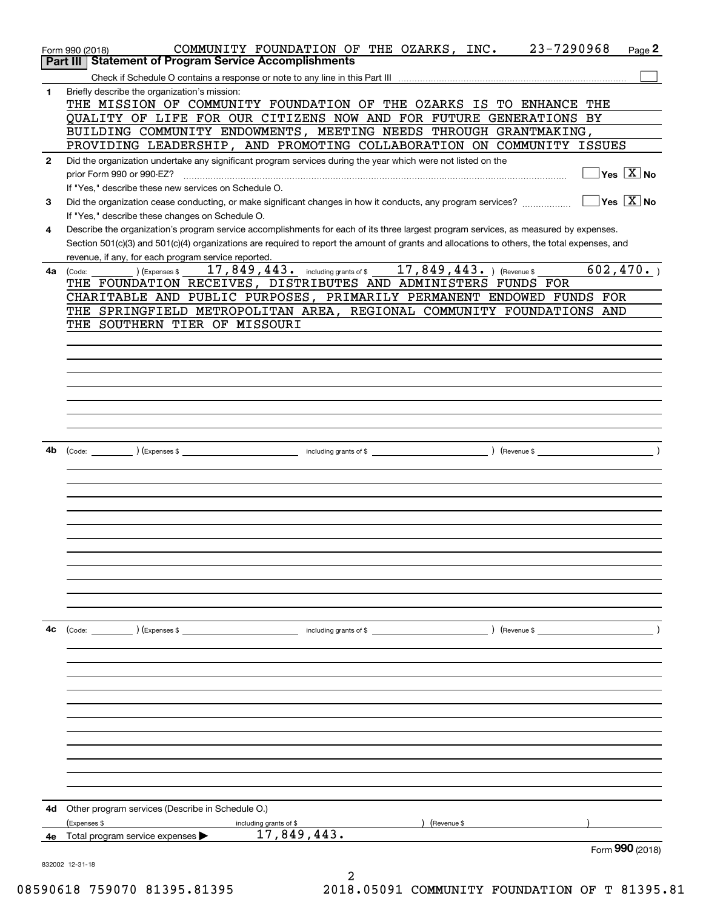|              | COMMUNITY FOUNDATION OF THE OZARKS, INC. 23-7290968<br>Form 990 (2018)<br>Part III   Statement of Program Service Accomplishments            | Page 2                                          |
|--------------|----------------------------------------------------------------------------------------------------------------------------------------------|-------------------------------------------------|
|              |                                                                                                                                              |                                                 |
| $\mathbf{1}$ | Briefly describe the organization's mission:                                                                                                 |                                                 |
|              | THE MISSION OF COMMUNITY FOUNDATION OF THE OZARKS IS TO ENHANCE THE                                                                          |                                                 |
|              | QUALITY OF LIFE FOR OUR CITIZENS NOW AND FOR FUTURE GENERATIONS BY                                                                           |                                                 |
|              | BUILDING COMMUNITY ENDOWMENTS, MEETING NEEDS THROUGH GRANTMAKING,                                                                            |                                                 |
|              | PROVIDING LEADERSHIP, AND PROMOTING COLLABORATION ON COMMUNITY ISSUES                                                                        |                                                 |
| $\mathbf{2}$ | Did the organization undertake any significant program services during the year which were not listed on the                                 |                                                 |
|              | prior Form 990 or 990-EZ?                                                                                                                    | $\sqrt{}$ Yes $\sqrt{}$ X $\sqrt{}$ No          |
|              | If "Yes." describe these new services on Schedule O.                                                                                         |                                                 |
| 3            | Did the organization cease conducting, or make significant changes in how it conducts, any program services?                                 | $\boxed{\phantom{1}}$ Yes $\boxed{\text{X}}$ No |
|              | If "Yes," describe these changes on Schedule O.                                                                                              |                                                 |
| 4            | Describe the organization's program service accomplishments for each of its three largest program services, as measured by expenses.         |                                                 |
|              | Section 501(c)(3) and 501(c)(4) organizations are required to report the amount of grants and allocations to others, the total expenses, and |                                                 |
|              | revenue, if any, for each program service reported.                                                                                          |                                                 |
| 4a           | $_{\rm \odot}$ ) (Expenses \$ $_{\rm \sim}$ 17, 849, 443. including grants of \$ $_{\rm \sim}$ 17, 849, 443. ) (Revenue \$<br>(Code:         | 602, 470.                                       |
|              | THE FOUNDATION RECEIVES, DISTRIBUTES AND ADMINISTERS FUNDS FOR                                                                               |                                                 |
|              | CHARITABLE AND PUBLIC PURPOSES, PRIMARILY PERMANENT ENDOWED FUNDS FOR                                                                        |                                                 |
|              | THE SPRINGFIELD METROPOLITAN AREA, REGIONAL COMMUNITY FOUNDATIONS AND                                                                        |                                                 |
|              | THE SOUTHERN TIER OF MISSOURI                                                                                                                |                                                 |
|              |                                                                                                                                              |                                                 |
|              |                                                                                                                                              |                                                 |
|              |                                                                                                                                              |                                                 |
|              |                                                                                                                                              |                                                 |
|              |                                                                                                                                              |                                                 |
|              |                                                                                                                                              |                                                 |
|              |                                                                                                                                              |                                                 |
|              |                                                                                                                                              |                                                 |
| 4b           |                                                                                                                                              |                                                 |
|              |                                                                                                                                              |                                                 |
|              |                                                                                                                                              |                                                 |
|              |                                                                                                                                              |                                                 |
|              |                                                                                                                                              |                                                 |
|              |                                                                                                                                              |                                                 |
|              |                                                                                                                                              |                                                 |
|              |                                                                                                                                              |                                                 |
|              |                                                                                                                                              |                                                 |
|              |                                                                                                                                              |                                                 |
|              |                                                                                                                                              |                                                 |
|              |                                                                                                                                              |                                                 |
|              |                                                                                                                                              |                                                 |
|              |                                                                                                                                              |                                                 |
| 4с           | (Code: ) (Expenses \$<br>(Revenue \$<br>including grants of \$                                                                               |                                                 |
|              |                                                                                                                                              |                                                 |
|              |                                                                                                                                              |                                                 |
|              |                                                                                                                                              |                                                 |
|              |                                                                                                                                              |                                                 |
|              |                                                                                                                                              |                                                 |
|              |                                                                                                                                              |                                                 |
|              |                                                                                                                                              |                                                 |
|              |                                                                                                                                              |                                                 |
|              |                                                                                                                                              |                                                 |
|              |                                                                                                                                              |                                                 |
|              |                                                                                                                                              |                                                 |
|              |                                                                                                                                              |                                                 |
| 4d           | Other program services (Describe in Schedule O.)                                                                                             |                                                 |
|              | (Expenses \$<br>including grants of \$<br>(Revenue \$                                                                                        |                                                 |
|              | 17,849,443.<br>4e Total program service expenses                                                                                             |                                                 |
|              |                                                                                                                                              | Form 990 (2018)                                 |
|              | 832002 12-31-18                                                                                                                              |                                                 |
|              |                                                                                                                                              |                                                 |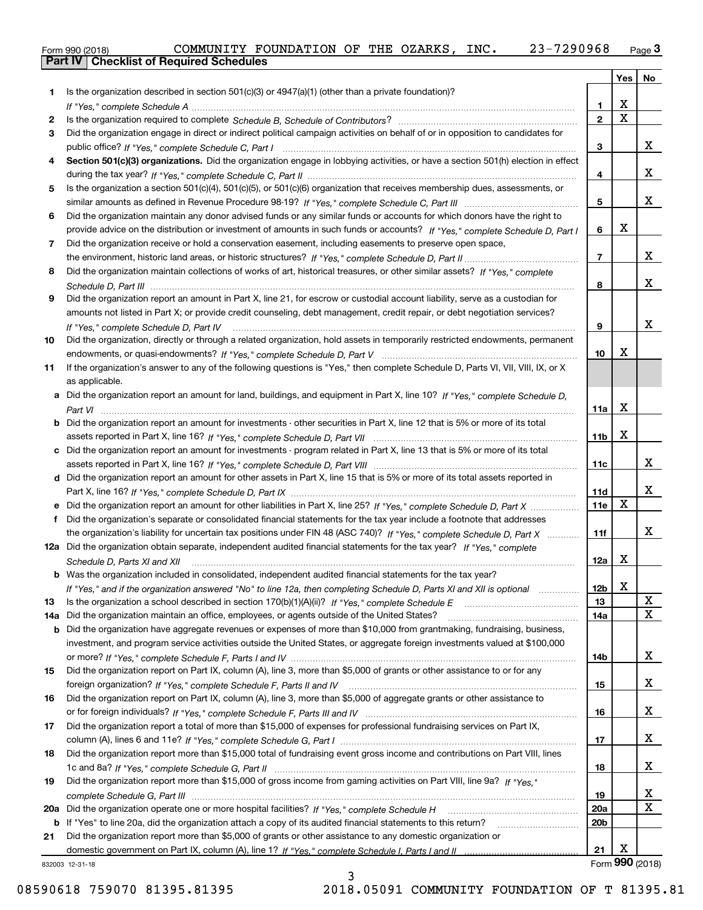|  | rm 990 (2018) |  |
|--|---------------|--|

| Is the organization described in section $501(c)(3)$ or $4947(a)(1)$ (other than a private foundation)?<br>1<br>х<br>1.<br>X<br>$\mathbf{2}$<br>2<br>Did the organization engage in direct or indirect political campaign activities on behalf of or in opposition to candidates for<br>3<br>x<br>3<br>Section 501(c)(3) organizations. Did the organization engage in lobbying activities, or have a section 501(h) election in effect<br>4<br>х<br>4<br>Is the organization a section 501(c)(4), 501(c)(5), or 501(c)(6) organization that receives membership dues, assessments, or<br>5<br>x<br>5<br>Did the organization maintain any donor advised funds or any similar funds or accounts for which donors have the right to<br>6<br>x<br>provide advice on the distribution or investment of amounts in such funds or accounts? If "Yes," complete Schedule D, Part I<br>6<br>Did the organization receive or hold a conservation easement, including easements to preserve open space,<br>7<br>x<br>7<br>Did the organization maintain collections of works of art, historical treasures, or other similar assets? If "Yes," complete<br>8<br>x<br>8<br>Did the organization report an amount in Part X, line 21, for escrow or custodial account liability, serve as a custodian for<br>9<br>amounts not listed in Part X; or provide credit counseling, debt management, credit repair, or debt negotiation services?<br>x<br>9<br>If "Yes," complete Schedule D, Part IV<br>Did the organization, directly or through a related organization, hold assets in temporarily restricted endowments, permanent<br>10<br>x<br>10<br>If the organization's answer to any of the following questions is "Yes," then complete Schedule D, Parts VI, VIII, VIII, IX, or X<br>11<br>as applicable.<br>a Did the organization report an amount for land, buildings, and equipment in Part X, line 10? If "Yes," complete Schedule D,<br>x<br>11a<br><b>b</b> Did the organization report an amount for investments - other securities in Part X, line 12 that is 5% or more of its total<br>x<br>11 <sub>b</sub><br>c Did the organization report an amount for investments - program related in Part X, line 13 that is 5% or more of its total<br>x<br>11c<br>d Did the organization report an amount for other assets in Part X, line 15 that is 5% or more of its total assets reported in<br>x<br>11d<br>X<br>11e<br>e Did the organization report an amount for other liabilities in Part X, line 25? If "Yes," complete Schedule D, Part X<br>Did the organization's separate or consolidated financial statements for the tax year include a footnote that addresses<br>f<br>x<br>the organization's liability for uncertain tax positions under FIN 48 (ASC 740)? If "Yes," complete Schedule D, Part X<br>11f<br>12a Did the organization obtain separate, independent audited financial statements for the tax year? If "Yes," complete<br>X<br>12a<br>Schedule D, Parts XI and XII<br><b>b</b> Was the organization included in consolidated, independent audited financial statements for the tax year?<br>12 <sub>b</sub><br>X<br>If "Yes," and if the organization answered "No" to line 12a, then completing Schedule D, Parts XI and XII is optional<br>х<br>13<br>13<br>$\mathbf X$<br>Did the organization maintain an office, employees, or agents outside of the United States?<br>14a<br>14a<br>Did the organization have aggregate revenues or expenses of more than \$10,000 from grantmaking, fundraising, business,<br>b<br>investment, and program service activities outside the United States, or aggregate foreign investments valued at \$100,000<br>x<br>14b<br>Did the organization report on Part IX, column (A), line 3, more than \$5,000 of grants or other assistance to or for any<br>15<br>x<br>15<br>Did the organization report on Part IX, column (A), line 3, more than \$5,000 of aggregate grants or other assistance to<br>16<br>x<br>16<br>Did the organization report a total of more than \$15,000 of expenses for professional fundraising services on Part IX,<br>17<br>x<br>17<br>Did the organization report more than \$15,000 total of fundraising event gross income and contributions on Part VIII, lines<br>18<br>x<br>18<br>Did the organization report more than \$15,000 of gross income from gaming activities on Part VIII, line 9a? If "Yes."<br>19<br>X<br>19<br>x<br>20a<br>20a<br>20 <sub>b</sub><br>b<br>Did the organization report more than \$5,000 of grants or other assistance to any domestic organization or<br>21<br>х<br>21<br>832003 12-31-18 |  | Yes | No |
|------------------------------------------------------------------------------------------------------------------------------------------------------------------------------------------------------------------------------------------------------------------------------------------------------------------------------------------------------------------------------------------------------------------------------------------------------------------------------------------------------------------------------------------------------------------------------------------------------------------------------------------------------------------------------------------------------------------------------------------------------------------------------------------------------------------------------------------------------------------------------------------------------------------------------------------------------------------------------------------------------------------------------------------------------------------------------------------------------------------------------------------------------------------------------------------------------------------------------------------------------------------------------------------------------------------------------------------------------------------------------------------------------------------------------------------------------------------------------------------------------------------------------------------------------------------------------------------------------------------------------------------------------------------------------------------------------------------------------------------------------------------------------------------------------------------------------------------------------------------------------------------------------------------------------------------------------------------------------------------------------------------------------------------------------------------------------------------------------------------------------------------------------------------------------------------------------------------------------------------------------------------------------------------------------------------------------------------------------------------------------------------------------------------------------------------------------------------------------------------------------------------------------------------------------------------------------------------------------------------------------------------------------------------------------------------------------------------------------------------------------------------------------------------------------------------------------------------------------------------------------------------------------------------------------------------------------------------------------------------------------------------------------------------------------------------------------------------------------------------------------------------------------------------------------------------------------------------------------------------------------------------------------------------------------------------------------------------------------------------------------------------------------------------------------------------------------------------------------------------------------------------------------------------------------------------------------------------------------------------------------------------------------------------------------------------------------------------------------------------------------------------------------------------------------------------------------------------------------------------------------------------------------------------------------------------------------------------------------------------------------------------------------------------------------------------------------------------------------------------------------------------------------------------------------------------------------------------------------------------------------------------------------------------------------------------------------------------------------------------------------------------------------------------------------------------------------------------------------------------------------------------------------------------------------------------------------------------------------------------------------|--|-----|----|
|                                                                                                                                                                                                                                                                                                                                                                                                                                                                                                                                                                                                                                                                                                                                                                                                                                                                                                                                                                                                                                                                                                                                                                                                                                                                                                                                                                                                                                                                                                                                                                                                                                                                                                                                                                                                                                                                                                                                                                                                                                                                                                                                                                                                                                                                                                                                                                                                                                                                                                                                                                                                                                                                                                                                                                                                                                                                                                                                                                                                                                                                                                                                                                                                                                                                                                                                                                                                                                                                                                                                                                                                                                                                                                                                                                                                                                                                                                                                                                                                                                                                                                                                                                                                                                                                                                                                                                                                                                                                                                                                                                                                                              |  |     |    |
|                                                                                                                                                                                                                                                                                                                                                                                                                                                                                                                                                                                                                                                                                                                                                                                                                                                                                                                                                                                                                                                                                                                                                                                                                                                                                                                                                                                                                                                                                                                                                                                                                                                                                                                                                                                                                                                                                                                                                                                                                                                                                                                                                                                                                                                                                                                                                                                                                                                                                                                                                                                                                                                                                                                                                                                                                                                                                                                                                                                                                                                                                                                                                                                                                                                                                                                                                                                                                                                                                                                                                                                                                                                                                                                                                                                                                                                                                                                                                                                                                                                                                                                                                                                                                                                                                                                                                                                                                                                                                                                                                                                                                              |  |     |    |
|                                                                                                                                                                                                                                                                                                                                                                                                                                                                                                                                                                                                                                                                                                                                                                                                                                                                                                                                                                                                                                                                                                                                                                                                                                                                                                                                                                                                                                                                                                                                                                                                                                                                                                                                                                                                                                                                                                                                                                                                                                                                                                                                                                                                                                                                                                                                                                                                                                                                                                                                                                                                                                                                                                                                                                                                                                                                                                                                                                                                                                                                                                                                                                                                                                                                                                                                                                                                                                                                                                                                                                                                                                                                                                                                                                                                                                                                                                                                                                                                                                                                                                                                                                                                                                                                                                                                                                                                                                                                                                                                                                                                                              |  |     |    |
|                                                                                                                                                                                                                                                                                                                                                                                                                                                                                                                                                                                                                                                                                                                                                                                                                                                                                                                                                                                                                                                                                                                                                                                                                                                                                                                                                                                                                                                                                                                                                                                                                                                                                                                                                                                                                                                                                                                                                                                                                                                                                                                                                                                                                                                                                                                                                                                                                                                                                                                                                                                                                                                                                                                                                                                                                                                                                                                                                                                                                                                                                                                                                                                                                                                                                                                                                                                                                                                                                                                                                                                                                                                                                                                                                                                                                                                                                                                                                                                                                                                                                                                                                                                                                                                                                                                                                                                                                                                                                                                                                                                                                              |  |     |    |
|                                                                                                                                                                                                                                                                                                                                                                                                                                                                                                                                                                                                                                                                                                                                                                                                                                                                                                                                                                                                                                                                                                                                                                                                                                                                                                                                                                                                                                                                                                                                                                                                                                                                                                                                                                                                                                                                                                                                                                                                                                                                                                                                                                                                                                                                                                                                                                                                                                                                                                                                                                                                                                                                                                                                                                                                                                                                                                                                                                                                                                                                                                                                                                                                                                                                                                                                                                                                                                                                                                                                                                                                                                                                                                                                                                                                                                                                                                                                                                                                                                                                                                                                                                                                                                                                                                                                                                                                                                                                                                                                                                                                                              |  |     |    |
|                                                                                                                                                                                                                                                                                                                                                                                                                                                                                                                                                                                                                                                                                                                                                                                                                                                                                                                                                                                                                                                                                                                                                                                                                                                                                                                                                                                                                                                                                                                                                                                                                                                                                                                                                                                                                                                                                                                                                                                                                                                                                                                                                                                                                                                                                                                                                                                                                                                                                                                                                                                                                                                                                                                                                                                                                                                                                                                                                                                                                                                                                                                                                                                                                                                                                                                                                                                                                                                                                                                                                                                                                                                                                                                                                                                                                                                                                                                                                                                                                                                                                                                                                                                                                                                                                                                                                                                                                                                                                                                                                                                                                              |  |     |    |
|                                                                                                                                                                                                                                                                                                                                                                                                                                                                                                                                                                                                                                                                                                                                                                                                                                                                                                                                                                                                                                                                                                                                                                                                                                                                                                                                                                                                                                                                                                                                                                                                                                                                                                                                                                                                                                                                                                                                                                                                                                                                                                                                                                                                                                                                                                                                                                                                                                                                                                                                                                                                                                                                                                                                                                                                                                                                                                                                                                                                                                                                                                                                                                                                                                                                                                                                                                                                                                                                                                                                                                                                                                                                                                                                                                                                                                                                                                                                                                                                                                                                                                                                                                                                                                                                                                                                                                                                                                                                                                                                                                                                                              |  |     |    |
|                                                                                                                                                                                                                                                                                                                                                                                                                                                                                                                                                                                                                                                                                                                                                                                                                                                                                                                                                                                                                                                                                                                                                                                                                                                                                                                                                                                                                                                                                                                                                                                                                                                                                                                                                                                                                                                                                                                                                                                                                                                                                                                                                                                                                                                                                                                                                                                                                                                                                                                                                                                                                                                                                                                                                                                                                                                                                                                                                                                                                                                                                                                                                                                                                                                                                                                                                                                                                                                                                                                                                                                                                                                                                                                                                                                                                                                                                                                                                                                                                                                                                                                                                                                                                                                                                                                                                                                                                                                                                                                                                                                                                              |  |     |    |
|                                                                                                                                                                                                                                                                                                                                                                                                                                                                                                                                                                                                                                                                                                                                                                                                                                                                                                                                                                                                                                                                                                                                                                                                                                                                                                                                                                                                                                                                                                                                                                                                                                                                                                                                                                                                                                                                                                                                                                                                                                                                                                                                                                                                                                                                                                                                                                                                                                                                                                                                                                                                                                                                                                                                                                                                                                                                                                                                                                                                                                                                                                                                                                                                                                                                                                                                                                                                                                                                                                                                                                                                                                                                                                                                                                                                                                                                                                                                                                                                                                                                                                                                                                                                                                                                                                                                                                                                                                                                                                                                                                                                                              |  |     |    |
|                                                                                                                                                                                                                                                                                                                                                                                                                                                                                                                                                                                                                                                                                                                                                                                                                                                                                                                                                                                                                                                                                                                                                                                                                                                                                                                                                                                                                                                                                                                                                                                                                                                                                                                                                                                                                                                                                                                                                                                                                                                                                                                                                                                                                                                                                                                                                                                                                                                                                                                                                                                                                                                                                                                                                                                                                                                                                                                                                                                                                                                                                                                                                                                                                                                                                                                                                                                                                                                                                                                                                                                                                                                                                                                                                                                                                                                                                                                                                                                                                                                                                                                                                                                                                                                                                                                                                                                                                                                                                                                                                                                                                              |  |     |    |
|                                                                                                                                                                                                                                                                                                                                                                                                                                                                                                                                                                                                                                                                                                                                                                                                                                                                                                                                                                                                                                                                                                                                                                                                                                                                                                                                                                                                                                                                                                                                                                                                                                                                                                                                                                                                                                                                                                                                                                                                                                                                                                                                                                                                                                                                                                                                                                                                                                                                                                                                                                                                                                                                                                                                                                                                                                                                                                                                                                                                                                                                                                                                                                                                                                                                                                                                                                                                                                                                                                                                                                                                                                                                                                                                                                                                                                                                                                                                                                                                                                                                                                                                                                                                                                                                                                                                                                                                                                                                                                                                                                                                                              |  |     |    |
|                                                                                                                                                                                                                                                                                                                                                                                                                                                                                                                                                                                                                                                                                                                                                                                                                                                                                                                                                                                                                                                                                                                                                                                                                                                                                                                                                                                                                                                                                                                                                                                                                                                                                                                                                                                                                                                                                                                                                                                                                                                                                                                                                                                                                                                                                                                                                                                                                                                                                                                                                                                                                                                                                                                                                                                                                                                                                                                                                                                                                                                                                                                                                                                                                                                                                                                                                                                                                                                                                                                                                                                                                                                                                                                                                                                                                                                                                                                                                                                                                                                                                                                                                                                                                                                                                                                                                                                                                                                                                                                                                                                                                              |  |     |    |
|                                                                                                                                                                                                                                                                                                                                                                                                                                                                                                                                                                                                                                                                                                                                                                                                                                                                                                                                                                                                                                                                                                                                                                                                                                                                                                                                                                                                                                                                                                                                                                                                                                                                                                                                                                                                                                                                                                                                                                                                                                                                                                                                                                                                                                                                                                                                                                                                                                                                                                                                                                                                                                                                                                                                                                                                                                                                                                                                                                                                                                                                                                                                                                                                                                                                                                                                                                                                                                                                                                                                                                                                                                                                                                                                                                                                                                                                                                                                                                                                                                                                                                                                                                                                                                                                                                                                                                                                                                                                                                                                                                                                                              |  |     |    |
|                                                                                                                                                                                                                                                                                                                                                                                                                                                                                                                                                                                                                                                                                                                                                                                                                                                                                                                                                                                                                                                                                                                                                                                                                                                                                                                                                                                                                                                                                                                                                                                                                                                                                                                                                                                                                                                                                                                                                                                                                                                                                                                                                                                                                                                                                                                                                                                                                                                                                                                                                                                                                                                                                                                                                                                                                                                                                                                                                                                                                                                                                                                                                                                                                                                                                                                                                                                                                                                                                                                                                                                                                                                                                                                                                                                                                                                                                                                                                                                                                                                                                                                                                                                                                                                                                                                                                                                                                                                                                                                                                                                                                              |  |     |    |
|                                                                                                                                                                                                                                                                                                                                                                                                                                                                                                                                                                                                                                                                                                                                                                                                                                                                                                                                                                                                                                                                                                                                                                                                                                                                                                                                                                                                                                                                                                                                                                                                                                                                                                                                                                                                                                                                                                                                                                                                                                                                                                                                                                                                                                                                                                                                                                                                                                                                                                                                                                                                                                                                                                                                                                                                                                                                                                                                                                                                                                                                                                                                                                                                                                                                                                                                                                                                                                                                                                                                                                                                                                                                                                                                                                                                                                                                                                                                                                                                                                                                                                                                                                                                                                                                                                                                                                                                                                                                                                                                                                                                                              |  |     |    |
|                                                                                                                                                                                                                                                                                                                                                                                                                                                                                                                                                                                                                                                                                                                                                                                                                                                                                                                                                                                                                                                                                                                                                                                                                                                                                                                                                                                                                                                                                                                                                                                                                                                                                                                                                                                                                                                                                                                                                                                                                                                                                                                                                                                                                                                                                                                                                                                                                                                                                                                                                                                                                                                                                                                                                                                                                                                                                                                                                                                                                                                                                                                                                                                                                                                                                                                                                                                                                                                                                                                                                                                                                                                                                                                                                                                                                                                                                                                                                                                                                                                                                                                                                                                                                                                                                                                                                                                                                                                                                                                                                                                                                              |  |     |    |
|                                                                                                                                                                                                                                                                                                                                                                                                                                                                                                                                                                                                                                                                                                                                                                                                                                                                                                                                                                                                                                                                                                                                                                                                                                                                                                                                                                                                                                                                                                                                                                                                                                                                                                                                                                                                                                                                                                                                                                                                                                                                                                                                                                                                                                                                                                                                                                                                                                                                                                                                                                                                                                                                                                                                                                                                                                                                                                                                                                                                                                                                                                                                                                                                                                                                                                                                                                                                                                                                                                                                                                                                                                                                                                                                                                                                                                                                                                                                                                                                                                                                                                                                                                                                                                                                                                                                                                                                                                                                                                                                                                                                                              |  |     |    |
|                                                                                                                                                                                                                                                                                                                                                                                                                                                                                                                                                                                                                                                                                                                                                                                                                                                                                                                                                                                                                                                                                                                                                                                                                                                                                                                                                                                                                                                                                                                                                                                                                                                                                                                                                                                                                                                                                                                                                                                                                                                                                                                                                                                                                                                                                                                                                                                                                                                                                                                                                                                                                                                                                                                                                                                                                                                                                                                                                                                                                                                                                                                                                                                                                                                                                                                                                                                                                                                                                                                                                                                                                                                                                                                                                                                                                                                                                                                                                                                                                                                                                                                                                                                                                                                                                                                                                                                                                                                                                                                                                                                                                              |  |     |    |
|                                                                                                                                                                                                                                                                                                                                                                                                                                                                                                                                                                                                                                                                                                                                                                                                                                                                                                                                                                                                                                                                                                                                                                                                                                                                                                                                                                                                                                                                                                                                                                                                                                                                                                                                                                                                                                                                                                                                                                                                                                                                                                                                                                                                                                                                                                                                                                                                                                                                                                                                                                                                                                                                                                                                                                                                                                                                                                                                                                                                                                                                                                                                                                                                                                                                                                                                                                                                                                                                                                                                                                                                                                                                                                                                                                                                                                                                                                                                                                                                                                                                                                                                                                                                                                                                                                                                                                                                                                                                                                                                                                                                                              |  |     |    |
|                                                                                                                                                                                                                                                                                                                                                                                                                                                                                                                                                                                                                                                                                                                                                                                                                                                                                                                                                                                                                                                                                                                                                                                                                                                                                                                                                                                                                                                                                                                                                                                                                                                                                                                                                                                                                                                                                                                                                                                                                                                                                                                                                                                                                                                                                                                                                                                                                                                                                                                                                                                                                                                                                                                                                                                                                                                                                                                                                                                                                                                                                                                                                                                                                                                                                                                                                                                                                                                                                                                                                                                                                                                                                                                                                                                                                                                                                                                                                                                                                                                                                                                                                                                                                                                                                                                                                                                                                                                                                                                                                                                                                              |  |     |    |
|                                                                                                                                                                                                                                                                                                                                                                                                                                                                                                                                                                                                                                                                                                                                                                                                                                                                                                                                                                                                                                                                                                                                                                                                                                                                                                                                                                                                                                                                                                                                                                                                                                                                                                                                                                                                                                                                                                                                                                                                                                                                                                                                                                                                                                                                                                                                                                                                                                                                                                                                                                                                                                                                                                                                                                                                                                                                                                                                                                                                                                                                                                                                                                                                                                                                                                                                                                                                                                                                                                                                                                                                                                                                                                                                                                                                                                                                                                                                                                                                                                                                                                                                                                                                                                                                                                                                                                                                                                                                                                                                                                                                                              |  |     |    |
|                                                                                                                                                                                                                                                                                                                                                                                                                                                                                                                                                                                                                                                                                                                                                                                                                                                                                                                                                                                                                                                                                                                                                                                                                                                                                                                                                                                                                                                                                                                                                                                                                                                                                                                                                                                                                                                                                                                                                                                                                                                                                                                                                                                                                                                                                                                                                                                                                                                                                                                                                                                                                                                                                                                                                                                                                                                                                                                                                                                                                                                                                                                                                                                                                                                                                                                                                                                                                                                                                                                                                                                                                                                                                                                                                                                                                                                                                                                                                                                                                                                                                                                                                                                                                                                                                                                                                                                                                                                                                                                                                                                                                              |  |     |    |
|                                                                                                                                                                                                                                                                                                                                                                                                                                                                                                                                                                                                                                                                                                                                                                                                                                                                                                                                                                                                                                                                                                                                                                                                                                                                                                                                                                                                                                                                                                                                                                                                                                                                                                                                                                                                                                                                                                                                                                                                                                                                                                                                                                                                                                                                                                                                                                                                                                                                                                                                                                                                                                                                                                                                                                                                                                                                                                                                                                                                                                                                                                                                                                                                                                                                                                                                                                                                                                                                                                                                                                                                                                                                                                                                                                                                                                                                                                                                                                                                                                                                                                                                                                                                                                                                                                                                                                                                                                                                                                                                                                                                                              |  |     |    |
|                                                                                                                                                                                                                                                                                                                                                                                                                                                                                                                                                                                                                                                                                                                                                                                                                                                                                                                                                                                                                                                                                                                                                                                                                                                                                                                                                                                                                                                                                                                                                                                                                                                                                                                                                                                                                                                                                                                                                                                                                                                                                                                                                                                                                                                                                                                                                                                                                                                                                                                                                                                                                                                                                                                                                                                                                                                                                                                                                                                                                                                                                                                                                                                                                                                                                                                                                                                                                                                                                                                                                                                                                                                                                                                                                                                                                                                                                                                                                                                                                                                                                                                                                                                                                                                                                                                                                                                                                                                                                                                                                                                                                              |  |     |    |
|                                                                                                                                                                                                                                                                                                                                                                                                                                                                                                                                                                                                                                                                                                                                                                                                                                                                                                                                                                                                                                                                                                                                                                                                                                                                                                                                                                                                                                                                                                                                                                                                                                                                                                                                                                                                                                                                                                                                                                                                                                                                                                                                                                                                                                                                                                                                                                                                                                                                                                                                                                                                                                                                                                                                                                                                                                                                                                                                                                                                                                                                                                                                                                                                                                                                                                                                                                                                                                                                                                                                                                                                                                                                                                                                                                                                                                                                                                                                                                                                                                                                                                                                                                                                                                                                                                                                                                                                                                                                                                                                                                                                                              |  |     |    |
|                                                                                                                                                                                                                                                                                                                                                                                                                                                                                                                                                                                                                                                                                                                                                                                                                                                                                                                                                                                                                                                                                                                                                                                                                                                                                                                                                                                                                                                                                                                                                                                                                                                                                                                                                                                                                                                                                                                                                                                                                                                                                                                                                                                                                                                                                                                                                                                                                                                                                                                                                                                                                                                                                                                                                                                                                                                                                                                                                                                                                                                                                                                                                                                                                                                                                                                                                                                                                                                                                                                                                                                                                                                                                                                                                                                                                                                                                                                                                                                                                                                                                                                                                                                                                                                                                                                                                                                                                                                                                                                                                                                                                              |  |     |    |
|                                                                                                                                                                                                                                                                                                                                                                                                                                                                                                                                                                                                                                                                                                                                                                                                                                                                                                                                                                                                                                                                                                                                                                                                                                                                                                                                                                                                                                                                                                                                                                                                                                                                                                                                                                                                                                                                                                                                                                                                                                                                                                                                                                                                                                                                                                                                                                                                                                                                                                                                                                                                                                                                                                                                                                                                                                                                                                                                                                                                                                                                                                                                                                                                                                                                                                                                                                                                                                                                                                                                                                                                                                                                                                                                                                                                                                                                                                                                                                                                                                                                                                                                                                                                                                                                                                                                                                                                                                                                                                                                                                                                                              |  |     |    |
|                                                                                                                                                                                                                                                                                                                                                                                                                                                                                                                                                                                                                                                                                                                                                                                                                                                                                                                                                                                                                                                                                                                                                                                                                                                                                                                                                                                                                                                                                                                                                                                                                                                                                                                                                                                                                                                                                                                                                                                                                                                                                                                                                                                                                                                                                                                                                                                                                                                                                                                                                                                                                                                                                                                                                                                                                                                                                                                                                                                                                                                                                                                                                                                                                                                                                                                                                                                                                                                                                                                                                                                                                                                                                                                                                                                                                                                                                                                                                                                                                                                                                                                                                                                                                                                                                                                                                                                                                                                                                                                                                                                                                              |  |     |    |
|                                                                                                                                                                                                                                                                                                                                                                                                                                                                                                                                                                                                                                                                                                                                                                                                                                                                                                                                                                                                                                                                                                                                                                                                                                                                                                                                                                                                                                                                                                                                                                                                                                                                                                                                                                                                                                                                                                                                                                                                                                                                                                                                                                                                                                                                                                                                                                                                                                                                                                                                                                                                                                                                                                                                                                                                                                                                                                                                                                                                                                                                                                                                                                                                                                                                                                                                                                                                                                                                                                                                                                                                                                                                                                                                                                                                                                                                                                                                                                                                                                                                                                                                                                                                                                                                                                                                                                                                                                                                                                                                                                                                                              |  |     |    |
|                                                                                                                                                                                                                                                                                                                                                                                                                                                                                                                                                                                                                                                                                                                                                                                                                                                                                                                                                                                                                                                                                                                                                                                                                                                                                                                                                                                                                                                                                                                                                                                                                                                                                                                                                                                                                                                                                                                                                                                                                                                                                                                                                                                                                                                                                                                                                                                                                                                                                                                                                                                                                                                                                                                                                                                                                                                                                                                                                                                                                                                                                                                                                                                                                                                                                                                                                                                                                                                                                                                                                                                                                                                                                                                                                                                                                                                                                                                                                                                                                                                                                                                                                                                                                                                                                                                                                                                                                                                                                                                                                                                                                              |  |     |    |
|                                                                                                                                                                                                                                                                                                                                                                                                                                                                                                                                                                                                                                                                                                                                                                                                                                                                                                                                                                                                                                                                                                                                                                                                                                                                                                                                                                                                                                                                                                                                                                                                                                                                                                                                                                                                                                                                                                                                                                                                                                                                                                                                                                                                                                                                                                                                                                                                                                                                                                                                                                                                                                                                                                                                                                                                                                                                                                                                                                                                                                                                                                                                                                                                                                                                                                                                                                                                                                                                                                                                                                                                                                                                                                                                                                                                                                                                                                                                                                                                                                                                                                                                                                                                                                                                                                                                                                                                                                                                                                                                                                                                                              |  |     |    |
|                                                                                                                                                                                                                                                                                                                                                                                                                                                                                                                                                                                                                                                                                                                                                                                                                                                                                                                                                                                                                                                                                                                                                                                                                                                                                                                                                                                                                                                                                                                                                                                                                                                                                                                                                                                                                                                                                                                                                                                                                                                                                                                                                                                                                                                                                                                                                                                                                                                                                                                                                                                                                                                                                                                                                                                                                                                                                                                                                                                                                                                                                                                                                                                                                                                                                                                                                                                                                                                                                                                                                                                                                                                                                                                                                                                                                                                                                                                                                                                                                                                                                                                                                                                                                                                                                                                                                                                                                                                                                                                                                                                                                              |  |     |    |
|                                                                                                                                                                                                                                                                                                                                                                                                                                                                                                                                                                                                                                                                                                                                                                                                                                                                                                                                                                                                                                                                                                                                                                                                                                                                                                                                                                                                                                                                                                                                                                                                                                                                                                                                                                                                                                                                                                                                                                                                                                                                                                                                                                                                                                                                                                                                                                                                                                                                                                                                                                                                                                                                                                                                                                                                                                                                                                                                                                                                                                                                                                                                                                                                                                                                                                                                                                                                                                                                                                                                                                                                                                                                                                                                                                                                                                                                                                                                                                                                                                                                                                                                                                                                                                                                                                                                                                                                                                                                                                                                                                                                                              |  |     |    |
|                                                                                                                                                                                                                                                                                                                                                                                                                                                                                                                                                                                                                                                                                                                                                                                                                                                                                                                                                                                                                                                                                                                                                                                                                                                                                                                                                                                                                                                                                                                                                                                                                                                                                                                                                                                                                                                                                                                                                                                                                                                                                                                                                                                                                                                                                                                                                                                                                                                                                                                                                                                                                                                                                                                                                                                                                                                                                                                                                                                                                                                                                                                                                                                                                                                                                                                                                                                                                                                                                                                                                                                                                                                                                                                                                                                                                                                                                                                                                                                                                                                                                                                                                                                                                                                                                                                                                                                                                                                                                                                                                                                                                              |  |     |    |
|                                                                                                                                                                                                                                                                                                                                                                                                                                                                                                                                                                                                                                                                                                                                                                                                                                                                                                                                                                                                                                                                                                                                                                                                                                                                                                                                                                                                                                                                                                                                                                                                                                                                                                                                                                                                                                                                                                                                                                                                                                                                                                                                                                                                                                                                                                                                                                                                                                                                                                                                                                                                                                                                                                                                                                                                                                                                                                                                                                                                                                                                                                                                                                                                                                                                                                                                                                                                                                                                                                                                                                                                                                                                                                                                                                                                                                                                                                                                                                                                                                                                                                                                                                                                                                                                                                                                                                                                                                                                                                                                                                                                                              |  |     |    |
|                                                                                                                                                                                                                                                                                                                                                                                                                                                                                                                                                                                                                                                                                                                                                                                                                                                                                                                                                                                                                                                                                                                                                                                                                                                                                                                                                                                                                                                                                                                                                                                                                                                                                                                                                                                                                                                                                                                                                                                                                                                                                                                                                                                                                                                                                                                                                                                                                                                                                                                                                                                                                                                                                                                                                                                                                                                                                                                                                                                                                                                                                                                                                                                                                                                                                                                                                                                                                                                                                                                                                                                                                                                                                                                                                                                                                                                                                                                                                                                                                                                                                                                                                                                                                                                                                                                                                                                                                                                                                                                                                                                                                              |  |     |    |
|                                                                                                                                                                                                                                                                                                                                                                                                                                                                                                                                                                                                                                                                                                                                                                                                                                                                                                                                                                                                                                                                                                                                                                                                                                                                                                                                                                                                                                                                                                                                                                                                                                                                                                                                                                                                                                                                                                                                                                                                                                                                                                                                                                                                                                                                                                                                                                                                                                                                                                                                                                                                                                                                                                                                                                                                                                                                                                                                                                                                                                                                                                                                                                                                                                                                                                                                                                                                                                                                                                                                                                                                                                                                                                                                                                                                                                                                                                                                                                                                                                                                                                                                                                                                                                                                                                                                                                                                                                                                                                                                                                                                                              |  |     |    |
|                                                                                                                                                                                                                                                                                                                                                                                                                                                                                                                                                                                                                                                                                                                                                                                                                                                                                                                                                                                                                                                                                                                                                                                                                                                                                                                                                                                                                                                                                                                                                                                                                                                                                                                                                                                                                                                                                                                                                                                                                                                                                                                                                                                                                                                                                                                                                                                                                                                                                                                                                                                                                                                                                                                                                                                                                                                                                                                                                                                                                                                                                                                                                                                                                                                                                                                                                                                                                                                                                                                                                                                                                                                                                                                                                                                                                                                                                                                                                                                                                                                                                                                                                                                                                                                                                                                                                                                                                                                                                                                                                                                                                              |  |     |    |
|                                                                                                                                                                                                                                                                                                                                                                                                                                                                                                                                                                                                                                                                                                                                                                                                                                                                                                                                                                                                                                                                                                                                                                                                                                                                                                                                                                                                                                                                                                                                                                                                                                                                                                                                                                                                                                                                                                                                                                                                                                                                                                                                                                                                                                                                                                                                                                                                                                                                                                                                                                                                                                                                                                                                                                                                                                                                                                                                                                                                                                                                                                                                                                                                                                                                                                                                                                                                                                                                                                                                                                                                                                                                                                                                                                                                                                                                                                                                                                                                                                                                                                                                                                                                                                                                                                                                                                                                                                                                                                                                                                                                                              |  |     |    |
|                                                                                                                                                                                                                                                                                                                                                                                                                                                                                                                                                                                                                                                                                                                                                                                                                                                                                                                                                                                                                                                                                                                                                                                                                                                                                                                                                                                                                                                                                                                                                                                                                                                                                                                                                                                                                                                                                                                                                                                                                                                                                                                                                                                                                                                                                                                                                                                                                                                                                                                                                                                                                                                                                                                                                                                                                                                                                                                                                                                                                                                                                                                                                                                                                                                                                                                                                                                                                                                                                                                                                                                                                                                                                                                                                                                                                                                                                                                                                                                                                                                                                                                                                                                                                                                                                                                                                                                                                                                                                                                                                                                                                              |  |     |    |
|                                                                                                                                                                                                                                                                                                                                                                                                                                                                                                                                                                                                                                                                                                                                                                                                                                                                                                                                                                                                                                                                                                                                                                                                                                                                                                                                                                                                                                                                                                                                                                                                                                                                                                                                                                                                                                                                                                                                                                                                                                                                                                                                                                                                                                                                                                                                                                                                                                                                                                                                                                                                                                                                                                                                                                                                                                                                                                                                                                                                                                                                                                                                                                                                                                                                                                                                                                                                                                                                                                                                                                                                                                                                                                                                                                                                                                                                                                                                                                                                                                                                                                                                                                                                                                                                                                                                                                                                                                                                                                                                                                                                                              |  |     |    |
|                                                                                                                                                                                                                                                                                                                                                                                                                                                                                                                                                                                                                                                                                                                                                                                                                                                                                                                                                                                                                                                                                                                                                                                                                                                                                                                                                                                                                                                                                                                                                                                                                                                                                                                                                                                                                                                                                                                                                                                                                                                                                                                                                                                                                                                                                                                                                                                                                                                                                                                                                                                                                                                                                                                                                                                                                                                                                                                                                                                                                                                                                                                                                                                                                                                                                                                                                                                                                                                                                                                                                                                                                                                                                                                                                                                                                                                                                                                                                                                                                                                                                                                                                                                                                                                                                                                                                                                                                                                                                                                                                                                                                              |  |     |    |
|                                                                                                                                                                                                                                                                                                                                                                                                                                                                                                                                                                                                                                                                                                                                                                                                                                                                                                                                                                                                                                                                                                                                                                                                                                                                                                                                                                                                                                                                                                                                                                                                                                                                                                                                                                                                                                                                                                                                                                                                                                                                                                                                                                                                                                                                                                                                                                                                                                                                                                                                                                                                                                                                                                                                                                                                                                                                                                                                                                                                                                                                                                                                                                                                                                                                                                                                                                                                                                                                                                                                                                                                                                                                                                                                                                                                                                                                                                                                                                                                                                                                                                                                                                                                                                                                                                                                                                                                                                                                                                                                                                                                                              |  |     |    |
|                                                                                                                                                                                                                                                                                                                                                                                                                                                                                                                                                                                                                                                                                                                                                                                                                                                                                                                                                                                                                                                                                                                                                                                                                                                                                                                                                                                                                                                                                                                                                                                                                                                                                                                                                                                                                                                                                                                                                                                                                                                                                                                                                                                                                                                                                                                                                                                                                                                                                                                                                                                                                                                                                                                                                                                                                                                                                                                                                                                                                                                                                                                                                                                                                                                                                                                                                                                                                                                                                                                                                                                                                                                                                                                                                                                                                                                                                                                                                                                                                                                                                                                                                                                                                                                                                                                                                                                                                                                                                                                                                                                                                              |  |     |    |
|                                                                                                                                                                                                                                                                                                                                                                                                                                                                                                                                                                                                                                                                                                                                                                                                                                                                                                                                                                                                                                                                                                                                                                                                                                                                                                                                                                                                                                                                                                                                                                                                                                                                                                                                                                                                                                                                                                                                                                                                                                                                                                                                                                                                                                                                                                                                                                                                                                                                                                                                                                                                                                                                                                                                                                                                                                                                                                                                                                                                                                                                                                                                                                                                                                                                                                                                                                                                                                                                                                                                                                                                                                                                                                                                                                                                                                                                                                                                                                                                                                                                                                                                                                                                                                                                                                                                                                                                                                                                                                                                                                                                                              |  |     |    |
|                                                                                                                                                                                                                                                                                                                                                                                                                                                                                                                                                                                                                                                                                                                                                                                                                                                                                                                                                                                                                                                                                                                                                                                                                                                                                                                                                                                                                                                                                                                                                                                                                                                                                                                                                                                                                                                                                                                                                                                                                                                                                                                                                                                                                                                                                                                                                                                                                                                                                                                                                                                                                                                                                                                                                                                                                                                                                                                                                                                                                                                                                                                                                                                                                                                                                                                                                                                                                                                                                                                                                                                                                                                                                                                                                                                                                                                                                                                                                                                                                                                                                                                                                                                                                                                                                                                                                                                                                                                                                                                                                                                                                              |  |     |    |
|                                                                                                                                                                                                                                                                                                                                                                                                                                                                                                                                                                                                                                                                                                                                                                                                                                                                                                                                                                                                                                                                                                                                                                                                                                                                                                                                                                                                                                                                                                                                                                                                                                                                                                                                                                                                                                                                                                                                                                                                                                                                                                                                                                                                                                                                                                                                                                                                                                                                                                                                                                                                                                                                                                                                                                                                                                                                                                                                                                                                                                                                                                                                                                                                                                                                                                                                                                                                                                                                                                                                                                                                                                                                                                                                                                                                                                                                                                                                                                                                                                                                                                                                                                                                                                                                                                                                                                                                                                                                                                                                                                                                                              |  |     |    |
|                                                                                                                                                                                                                                                                                                                                                                                                                                                                                                                                                                                                                                                                                                                                                                                                                                                                                                                                                                                                                                                                                                                                                                                                                                                                                                                                                                                                                                                                                                                                                                                                                                                                                                                                                                                                                                                                                                                                                                                                                                                                                                                                                                                                                                                                                                                                                                                                                                                                                                                                                                                                                                                                                                                                                                                                                                                                                                                                                                                                                                                                                                                                                                                                                                                                                                                                                                                                                                                                                                                                                                                                                                                                                                                                                                                                                                                                                                                                                                                                                                                                                                                                                                                                                                                                                                                                                                                                                                                                                                                                                                                                                              |  |     |    |
|                                                                                                                                                                                                                                                                                                                                                                                                                                                                                                                                                                                                                                                                                                                                                                                                                                                                                                                                                                                                                                                                                                                                                                                                                                                                                                                                                                                                                                                                                                                                                                                                                                                                                                                                                                                                                                                                                                                                                                                                                                                                                                                                                                                                                                                                                                                                                                                                                                                                                                                                                                                                                                                                                                                                                                                                                                                                                                                                                                                                                                                                                                                                                                                                                                                                                                                                                                                                                                                                                                                                                                                                                                                                                                                                                                                                                                                                                                                                                                                                                                                                                                                                                                                                                                                                                                                                                                                                                                                                                                                                                                                                                              |  |     |    |
|                                                                                                                                                                                                                                                                                                                                                                                                                                                                                                                                                                                                                                                                                                                                                                                                                                                                                                                                                                                                                                                                                                                                                                                                                                                                                                                                                                                                                                                                                                                                                                                                                                                                                                                                                                                                                                                                                                                                                                                                                                                                                                                                                                                                                                                                                                                                                                                                                                                                                                                                                                                                                                                                                                                                                                                                                                                                                                                                                                                                                                                                                                                                                                                                                                                                                                                                                                                                                                                                                                                                                                                                                                                                                                                                                                                                                                                                                                                                                                                                                                                                                                                                                                                                                                                                                                                                                                                                                                                                                                                                                                                                                              |  |     |    |
|                                                                                                                                                                                                                                                                                                                                                                                                                                                                                                                                                                                                                                                                                                                                                                                                                                                                                                                                                                                                                                                                                                                                                                                                                                                                                                                                                                                                                                                                                                                                                                                                                                                                                                                                                                                                                                                                                                                                                                                                                                                                                                                                                                                                                                                                                                                                                                                                                                                                                                                                                                                                                                                                                                                                                                                                                                                                                                                                                                                                                                                                                                                                                                                                                                                                                                                                                                                                                                                                                                                                                                                                                                                                                                                                                                                                                                                                                                                                                                                                                                                                                                                                                                                                                                                                                                                                                                                                                                                                                                                                                                                                                              |  |     |    |
|                                                                                                                                                                                                                                                                                                                                                                                                                                                                                                                                                                                                                                                                                                                                                                                                                                                                                                                                                                                                                                                                                                                                                                                                                                                                                                                                                                                                                                                                                                                                                                                                                                                                                                                                                                                                                                                                                                                                                                                                                                                                                                                                                                                                                                                                                                                                                                                                                                                                                                                                                                                                                                                                                                                                                                                                                                                                                                                                                                                                                                                                                                                                                                                                                                                                                                                                                                                                                                                                                                                                                                                                                                                                                                                                                                                                                                                                                                                                                                                                                                                                                                                                                                                                                                                                                                                                                                                                                                                                                                                                                                                                                              |  |     |    |
|                                                                                                                                                                                                                                                                                                                                                                                                                                                                                                                                                                                                                                                                                                                                                                                                                                                                                                                                                                                                                                                                                                                                                                                                                                                                                                                                                                                                                                                                                                                                                                                                                                                                                                                                                                                                                                                                                                                                                                                                                                                                                                                                                                                                                                                                                                                                                                                                                                                                                                                                                                                                                                                                                                                                                                                                                                                                                                                                                                                                                                                                                                                                                                                                                                                                                                                                                                                                                                                                                                                                                                                                                                                                                                                                                                                                                                                                                                                                                                                                                                                                                                                                                                                                                                                                                                                                                                                                                                                                                                                                                                                                                              |  |     |    |
| Form 990 (2018)                                                                                                                                                                                                                                                                                                                                                                                                                                                                                                                                                                                                                                                                                                                                                                                                                                                                                                                                                                                                                                                                                                                                                                                                                                                                                                                                                                                                                                                                                                                                                                                                                                                                                                                                                                                                                                                                                                                                                                                                                                                                                                                                                                                                                                                                                                                                                                                                                                                                                                                                                                                                                                                                                                                                                                                                                                                                                                                                                                                                                                                                                                                                                                                                                                                                                                                                                                                                                                                                                                                                                                                                                                                                                                                                                                                                                                                                                                                                                                                                                                                                                                                                                                                                                                                                                                                                                                                                                                                                                                                                                                                                              |  |     |    |
|                                                                                                                                                                                                                                                                                                                                                                                                                                                                                                                                                                                                                                                                                                                                                                                                                                                                                                                                                                                                                                                                                                                                                                                                                                                                                                                                                                                                                                                                                                                                                                                                                                                                                                                                                                                                                                                                                                                                                                                                                                                                                                                                                                                                                                                                                                                                                                                                                                                                                                                                                                                                                                                                                                                                                                                                                                                                                                                                                                                                                                                                                                                                                                                                                                                                                                                                                                                                                                                                                                                                                                                                                                                                                                                                                                                                                                                                                                                                                                                                                                                                                                                                                                                                                                                                                                                                                                                                                                                                                                                                                                                                                              |  |     |    |

3

832003 12-31-18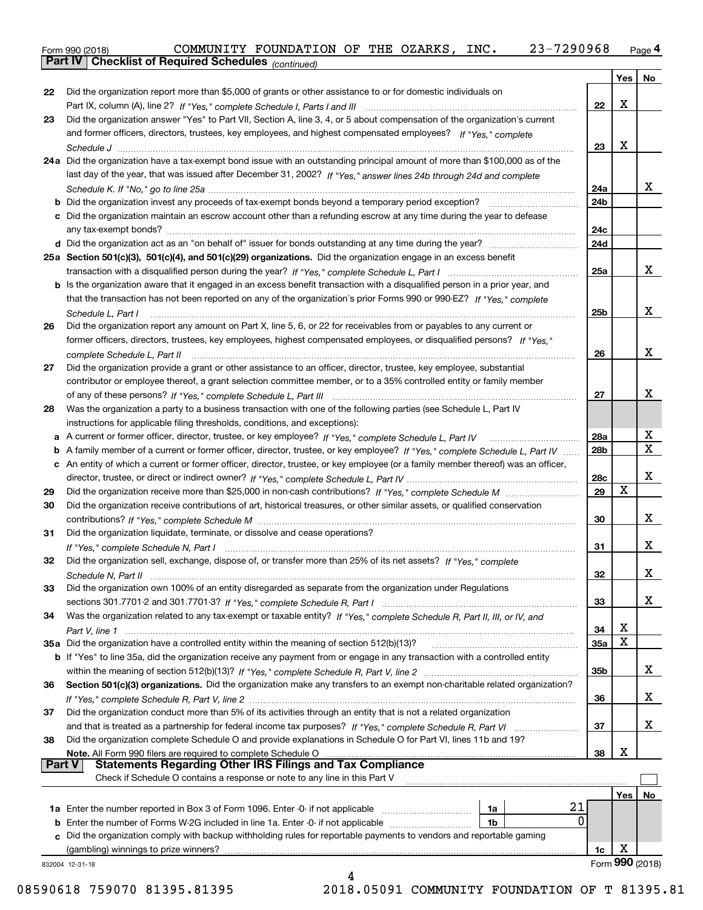Form 990 (2018) COMMUNITY FOUNDATION OF THE OZARKS, INC**.** 23-7290968 <sub>Page</sub> 4<br>**Part IV | Checklist of Required Schedules** <sub>(continued)</sub>

*(continued)*

|               |                                                                                                                                   |                 | Yes                  | No |
|---------------|-----------------------------------------------------------------------------------------------------------------------------------|-----------------|----------------------|----|
| 22            | Did the organization report more than \$5,000 of grants or other assistance to or for domestic individuals on                     |                 |                      |    |
|               |                                                                                                                                   | 22              | x                    |    |
| 23            | Did the organization answer "Yes" to Part VII, Section A, line 3, 4, or 5 about compensation of the organization's current        |                 |                      |    |
|               | and former officers, directors, trustees, key employees, and highest compensated employees? If "Yes," complete                    |                 |                      |    |
|               |                                                                                                                                   | 23              | x                    |    |
|               | 24a Did the organization have a tax-exempt bond issue with an outstanding principal amount of more than \$100,000 as of the       |                 |                      |    |
|               | last day of the year, that was issued after December 31, 2002? If "Yes," answer lines 24b through 24d and complete                |                 |                      |    |
|               |                                                                                                                                   | 24a             |                      | x  |
|               |                                                                                                                                   | 24b             |                      |    |
|               | c Did the organization maintain an escrow account other than a refunding escrow at any time during the year to defease            |                 |                      |    |
|               |                                                                                                                                   | 24c             |                      |    |
|               | d Did the organization act as an "on behalf of" issuer for bonds outstanding at any time during the year?                         | 24d             |                      |    |
|               | 25a Section 501(c)(3), 501(c)(4), and 501(c)(29) organizations. Did the organization engage in an excess benefit                  |                 |                      | x  |
|               | b Is the organization aware that it engaged in an excess benefit transaction with a disqualified person in a prior year, and      | 25a             |                      |    |
|               | that the transaction has not been reported on any of the organization's prior Forms 990 or 990-EZ? If "Yes," complete             |                 |                      |    |
|               | Schedule L, Part I                                                                                                                | 25b             |                      | x  |
| 26            | Did the organization report any amount on Part X, line 5, 6, or 22 for receivables from or payables to any current or             |                 |                      |    |
|               | former officers, directors, trustees, key employees, highest compensated employees, or disqualified persons? If "Yes."            |                 |                      |    |
|               | complete Schedule L, Part II                                                                                                      | 26              |                      | x  |
| 27            | Did the organization provide a grant or other assistance to an officer, director, trustee, key employee, substantial              |                 |                      |    |
|               | contributor or employee thereof, a grant selection committee member, or to a 35% controlled entity or family member               |                 |                      |    |
|               |                                                                                                                                   | 27              |                      | x  |
| 28            | Was the organization a party to a business transaction with one of the following parties (see Schedule L, Part IV                 |                 |                      |    |
|               | instructions for applicable filing thresholds, conditions, and exceptions):                                                       |                 |                      |    |
|               |                                                                                                                                   | 28a             |                      | х  |
| b             | A family member of a current or former officer, director, trustee, or key employee? If "Yes," complete Schedule L, Part IV        | 28 <sub>b</sub> |                      | х  |
|               | c An entity of which a current or former officer, director, trustee, or key employee (or a family member thereof) was an officer, |                 |                      |    |
|               |                                                                                                                                   | 28c             |                      | x  |
| 29            |                                                                                                                                   | 29              | х                    |    |
| 30            | Did the organization receive contributions of art, historical treasures, or other similar assets, or qualified conservation       |                 |                      |    |
|               |                                                                                                                                   | 30              |                      | x  |
| 31            | Did the organization liquidate, terminate, or dissolve and cease operations?                                                      |                 |                      |    |
|               |                                                                                                                                   | 31              |                      | X. |
| 32            | Did the organization sell, exchange, dispose of, or transfer more than 25% of its net assets? If "Yes," complete                  |                 |                      |    |
|               |                                                                                                                                   | 32              |                      | x  |
| 33            | Did the organization own 100% of an entity disregarded as separate from the organization under Regulations                        |                 |                      | x  |
| 34            |                                                                                                                                   | 33              |                      |    |
|               | Was the organization related to any tax-exempt or taxable entity? If "Yes," complete Schedule R, Part II, III, or IV, and         | 34              | x                    |    |
|               | 35a Did the organization have a controlled entity within the meaning of section 512(b)(13)?                                       | 35a             | x                    |    |
|               | b If "Yes" to line 35a, did the organization receive any payment from or engage in any transaction with a controlled entity       |                 |                      |    |
|               |                                                                                                                                   | 35b             |                      | х  |
| 36            | Section 501(c)(3) organizations. Did the organization make any transfers to an exempt non-charitable related organization?        |                 |                      |    |
|               |                                                                                                                                   | 36              |                      | х  |
| 37            | Did the organization conduct more than 5% of its activities through an entity that is not a related organization                  |                 |                      |    |
|               |                                                                                                                                   | 37              |                      | x  |
| 38            | Did the organization complete Schedule O and provide explanations in Schedule O for Part VI, lines 11b and 19?                    |                 |                      |    |
|               | Note. All Form 990 filers are required to complete Schedule O                                                                     | 38              | х                    |    |
| <b>Part V</b> | <b>Statements Regarding Other IRS Filings and Tax Compliance</b>                                                                  |                 |                      |    |
|               | Check if Schedule O contains a response or note to any line in this Part V                                                        |                 |                      |    |
|               |                                                                                                                                   |                 | Yes                  | No |
|               | 21<br>1a Enter the number reported in Box 3 of Form 1096. Enter -0- if not applicable<br>1a                                       |                 |                      |    |
| b             | 0<br>Enter the number of Forms W-2G included in line 1a. Enter -0- if not applicable<br>1b                                        |                 |                      |    |
|               | Did the organization comply with backup withholding rules for reportable payments to vendors and reportable gaming                |                 |                      |    |
|               | (gambling) winnings to prize winners?                                                                                             | 1c              | х<br>Form 990 (2018) |    |
|               | 832004 12-31-18<br>4                                                                                                              |                 |                      |    |
|               | OAC10 7EOA7A 019AE 019AE<br>2018 05001 COMMINITINY FOUNDATION OF H 81201                                                          |                 |                      |    |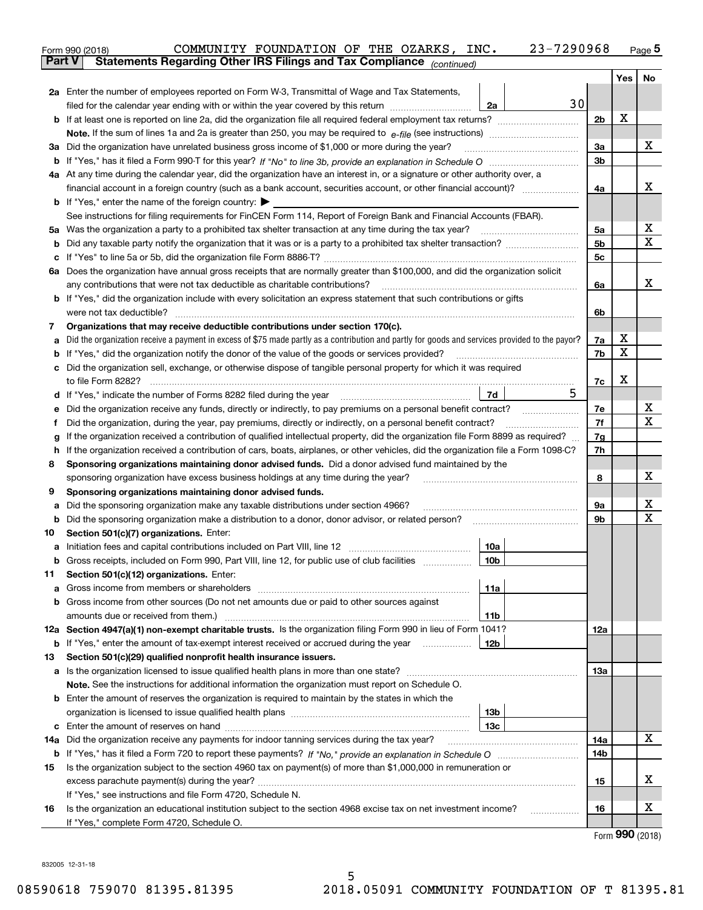|         | COMMUNITY FOUNDATION OF THE OZARKS, INC.<br>Form 990 (2018)                                                                                                                                                                                                            | 23-7290968 |                |     | Page 5 |
|---------|------------------------------------------------------------------------------------------------------------------------------------------------------------------------------------------------------------------------------------------------------------------------|------------|----------------|-----|--------|
| Part V  | Statements Regarding Other IRS Filings and Tax Compliance (continued)                                                                                                                                                                                                  |            |                |     |        |
|         |                                                                                                                                                                                                                                                                        |            |                | Yes | No     |
|         | 2a Enter the number of employees reported on Form W-3, Transmittal of Wage and Tax Statements,                                                                                                                                                                         |            |                |     |        |
|         | filed for the calendar year ending with or within the year covered by this return <i>manumumumum</i>                                                                                                                                                                   | 30<br>2a   |                |     |        |
|         |                                                                                                                                                                                                                                                                        |            | 2 <sub>b</sub> | X   |        |
|         |                                                                                                                                                                                                                                                                        |            |                |     |        |
|         | 3a Did the organization have unrelated business gross income of \$1,000 or more during the year?                                                                                                                                                                       |            | 3a             |     | х      |
|         |                                                                                                                                                                                                                                                                        |            | 3 <sub>b</sub> |     |        |
|         | 4a At any time during the calendar year, did the organization have an interest in, or a signature or other authority over, a                                                                                                                                           |            |                |     |        |
|         | financial account in a foreign country (such as a bank account, securities account, or other financial account)?                                                                                                                                                       |            | 4a             |     | X      |
|         | <b>b</b> If "Yes," enter the name of the foreign country: $\blacktriangleright$                                                                                                                                                                                        |            |                |     |        |
|         | See instructions for filing requirements for FinCEN Form 114, Report of Foreign Bank and Financial Accounts (FBAR).                                                                                                                                                    |            |                |     |        |
|         |                                                                                                                                                                                                                                                                        |            | 5a             |     | х      |
| b       |                                                                                                                                                                                                                                                                        |            | 5 <sub>b</sub> |     | х      |
| с       |                                                                                                                                                                                                                                                                        |            | 5 <sub>c</sub> |     |        |
|         | 6a Does the organization have annual gross receipts that are normally greater than \$100,000, and did the organization solicit                                                                                                                                         |            |                |     |        |
|         | any contributions that were not tax deductible as charitable contributions?                                                                                                                                                                                            |            | 6a             |     | х      |
|         | <b>b</b> If "Yes," did the organization include with every solicitation an express statement that such contributions or gifts                                                                                                                                          |            |                |     |        |
|         |                                                                                                                                                                                                                                                                        |            | 6b             |     |        |
| 7       | Organizations that may receive deductible contributions under section 170(c).                                                                                                                                                                                          |            |                |     |        |
| а       | Did the organization receive a payment in excess of \$75 made partly as a contribution and partly for goods and services provided to the payor?                                                                                                                        |            | 7a             | х   |        |
| b       | If "Yes," did the organization notify the donor of the value of the goods or services provided?                                                                                                                                                                        |            | 7b             | X   |        |
| c       | Did the organization sell, exchange, or otherwise dispose of tangible personal property for which it was required                                                                                                                                                      |            |                |     |        |
|         |                                                                                                                                                                                                                                                                        | 5          | 7c             | х   |        |
| d       |                                                                                                                                                                                                                                                                        | 7d         |                |     | х      |
| е       | Did the organization receive any funds, directly or indirectly, to pay premiums on a personal benefit contract?                                                                                                                                                        |            | 7е<br>7f       |     | х      |
| f       | Did the organization, during the year, pay premiums, directly or indirectly, on a personal benefit contract?                                                                                                                                                           |            |                |     |        |
| g       | If the organization received a contribution of qualified intellectual property, did the organization file Form 8899 as required?<br>If the organization received a contribution of cars, boats, airplanes, or other vehicles, did the organization file a Form 1098-C? |            | 7g<br>7h       |     |        |
| h.<br>8 | Sponsoring organizations maintaining donor advised funds. Did a donor advised fund maintained by the                                                                                                                                                                   |            |                |     |        |
|         | sponsoring organization have excess business holdings at any time during the year?                                                                                                                                                                                     |            | 8              |     | х      |
| 9       | Sponsoring organizations maintaining donor advised funds.                                                                                                                                                                                                              |            |                |     |        |
| а       | Did the sponsoring organization make any taxable distributions under section 4966?                                                                                                                                                                                     |            | 9a             |     | х      |
| b       | Did the sponsoring organization make a distribution to a donor, donor advisor, or related person?                                                                                                                                                                      |            | 9b             |     | X      |
| 10      | Section 501(c)(7) organizations. Enter:                                                                                                                                                                                                                                |            |                |     |        |
| а       |                                                                                                                                                                                                                                                                        | 10a        |                |     |        |
|         | Gross receipts, included on Form 990, Part VIII, line 12, for public use of club facilities                                                                                                                                                                            | 10b        |                |     |        |
| 11      | Section 501(c)(12) organizations. Enter:                                                                                                                                                                                                                               |            |                |     |        |
| а       | Gross income from members or shareholders                                                                                                                                                                                                                              | 11a        |                |     |        |
|         | b Gross income from other sources (Do not net amounts due or paid to other sources against                                                                                                                                                                             |            |                |     |        |
|         |                                                                                                                                                                                                                                                                        | 11b        |                |     |        |
|         | 12a Section 4947(a)(1) non-exempt charitable trusts. Is the organization filing Form 990 in lieu of Form 1041?                                                                                                                                                         |            | 12a            |     |        |
|         | <b>b</b> If "Yes," enter the amount of tax-exempt interest received or accrued during the year <i>manument</i>                                                                                                                                                         | 12b        |                |     |        |
| 13      | Section 501(c)(29) qualified nonprofit health insurance issuers.                                                                                                                                                                                                       |            |                |     |        |
|         | a Is the organization licensed to issue qualified health plans in more than one state?                                                                                                                                                                                 |            | 13а            |     |        |
|         | Note. See the instructions for additional information the organization must report on Schedule O.                                                                                                                                                                      |            |                |     |        |
|         | <b>b</b> Enter the amount of reserves the organization is required to maintain by the states in which the                                                                                                                                                              |            |                |     |        |
|         |                                                                                                                                                                                                                                                                        | 13b        |                |     |        |
| c       |                                                                                                                                                                                                                                                                        | 13с        |                |     |        |
|         | 14a Did the organization receive any payments for indoor tanning services during the tax year?                                                                                                                                                                         |            | 14a            |     | x      |
|         |                                                                                                                                                                                                                                                                        |            | 14b            |     |        |
| 15      | Is the organization subject to the section 4960 tax on payment(s) of more than \$1,000,000 in remuneration or                                                                                                                                                          |            |                |     |        |
|         |                                                                                                                                                                                                                                                                        |            | 15             |     | х      |
|         | If "Yes," see instructions and file Form 4720, Schedule N.                                                                                                                                                                                                             |            |                |     | х      |
| 16      | Is the organization an educational institution subject to the section 4968 excise tax on net investment income?                                                                                                                                                        |            | 16             |     |        |
|         | If "Yes," complete Form 4720, Schedule O.                                                                                                                                                                                                                              |            |                |     | QQQ    |

Form (2018) **990**

832005 12-31-18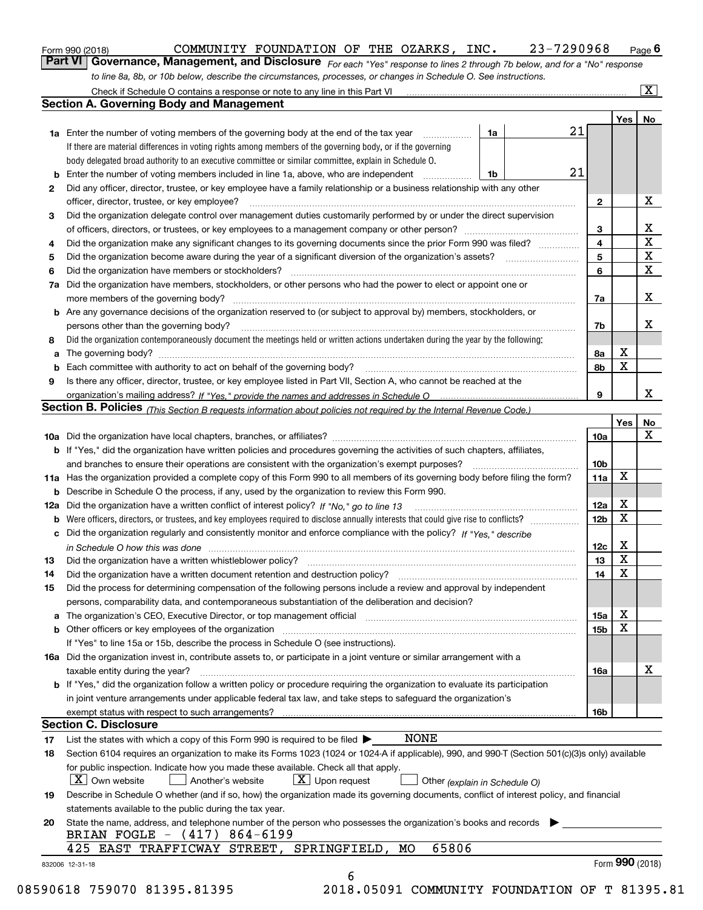| Form 990 (2018) |  |
|-----------------|--|
|                 |  |

orm 990 (2018) COMMUNITY FOUNDATION OF THE OZARKS , INC **.** 23–7290968 <sub>Page</sub> 6<br>**Part VI** | **Governance, Management, and Disclosure** <sub>For each "Yes" response to lines 2 through 7b below, and </sub> *to line 8a, 8b, or 10b below, describe the circumstances, processes, or changes in Schedule O. See instructions.*

|              |                                                                                                                                                                            |    |  |    |                 | Yes             | No                      |
|--------------|----------------------------------------------------------------------------------------------------------------------------------------------------------------------------|----|--|----|-----------------|-----------------|-------------------------|
|              | <b>1a</b> Enter the number of voting members of the governing body at the end of the tax year <i>manumum</i>                                                               | 1a |  | 21 |                 |                 |                         |
|              | If there are material differences in voting rights among members of the governing body, or if the governing                                                                |    |  |    |                 |                 |                         |
|              | body delegated broad authority to an executive committee or similar committee, explain in Schedule O.                                                                      |    |  |    |                 |                 |                         |
|              | <b>b</b> Enter the number of voting members included in line 1a, above, who are independent <i>manumum</i>                                                                 | 1b |  | 21 |                 |                 |                         |
| $\mathbf{2}$ | Did any officer, director, trustee, or key employee have a family relationship or a business relationship with any other                                                   |    |  |    |                 |                 |                         |
|              | officer, director, trustee, or key employee?                                                                                                                               |    |  |    | $\mathbf{2}$    |                 | X                       |
| 3            | Did the organization delegate control over management duties customarily performed by or under the direct supervision                                                      |    |  |    |                 |                 |                         |
|              |                                                                                                                                                                            |    |  |    | 3               |                 | X                       |
| 4            | Did the organization make any significant changes to its governing documents since the prior Form 990 was filed?                                                           |    |  |    | 4               |                 | $\overline{\mathbf{x}}$ |
| 5            |                                                                                                                                                                            |    |  |    | 5<br>6          |                 | $\mathbf X$             |
| 6            |                                                                                                                                                                            |    |  |    |                 |                 | $\mathbf X$             |
|              | 7a Did the organization have members, stockholders, or other persons who had the power to elect or appoint one or                                                          |    |  |    |                 |                 |                         |
|              |                                                                                                                                                                            |    |  |    | 7a              |                 | X                       |
|              | <b>b</b> Are any governance decisions of the organization reserved to (or subject to approval by) members, stockholders, or                                                |    |  |    |                 |                 |                         |
|              | persons other than the governing body?                                                                                                                                     |    |  |    | 7b              |                 | X                       |
| 8            | Did the organization contemporaneously document the meetings held or written actions undertaken during the year by the following:                                          |    |  |    |                 |                 |                         |
| a            |                                                                                                                                                                            |    |  |    | 8a              | X               |                         |
|              |                                                                                                                                                                            |    |  |    | 8b              | X               |                         |
| 9            | Is there any officer, director, trustee, or key employee listed in Part VII, Section A, who cannot be reached at the                                                       |    |  |    |                 |                 |                         |
|              |                                                                                                                                                                            |    |  |    | 9               |                 | x                       |
|              | Section B. Policies (This Section B requests information about policies not required by the Internal Revenue Code.)                                                        |    |  |    |                 |                 |                         |
|              |                                                                                                                                                                            |    |  |    |                 | Yes∣            | No                      |
|              |                                                                                                                                                                            |    |  |    | 10a             |                 | X                       |
|              | <b>b</b> If "Yes," did the organization have written policies and procedures governing the activities of such chapters, affiliates,                                        |    |  |    |                 |                 |                         |
|              |                                                                                                                                                                            |    |  |    | 10 <sub>b</sub> |                 |                         |
|              | 11a Has the organization provided a complete copy of this Form 990 to all members of its governing body before filing the form?                                            |    |  |    | 11a             | $\mathbf X$     |                         |
|              | <b>b</b> Describe in Schedule O the process, if any, used by the organization to review this Form 990.                                                                     |    |  |    |                 |                 |                         |
|              |                                                                                                                                                                            |    |  |    | 12a             | X               |                         |
| b            |                                                                                                                                                                            |    |  |    | 12b             | X               |                         |
|              | c Did the organization regularly and consistently monitor and enforce compliance with the policy? If "Yes," describe                                                       |    |  |    |                 |                 |                         |
|              | in Schedule O how this was done measured and contained a state of the state of the state of the state of the s                                                             |    |  |    | 12c             | X               |                         |
| 13           |                                                                                                                                                                            |    |  |    | 13              | X               |                         |
| 14           | Did the organization have a written document retention and destruction policy? manufactured and the organization have a written document retention and destruction policy? |    |  |    | 14              | $\mathbf X$     |                         |
| 15           | Did the process for determining compensation of the following persons include a review and approval by independent                                                         |    |  |    |                 |                 |                         |
|              | persons, comparability data, and contemporaneous substantiation of the deliberation and decision?                                                                          |    |  |    |                 |                 |                         |
|              | a The organization's CEO, Executive Director, or top management official manufactured content of the organization's CEO, Executive Director, or top management official    |    |  |    | 15a             | X               |                         |
|              | <b>b</b> Other officers or key employees of the organization                                                                                                               |    |  |    | 15 <sub>b</sub> | X               |                         |
|              | If "Yes" to line 15a or 15b, describe the process in Schedule O (see instructions).                                                                                        |    |  |    |                 |                 |                         |
|              | 16a Did the organization invest in, contribute assets to, or participate in a joint venture or similar arrangement with a                                                  |    |  |    |                 |                 |                         |
|              | taxable entity during the year?                                                                                                                                            |    |  |    | 16a             |                 | X                       |
|              | <b>b</b> If "Yes," did the organization follow a written policy or procedure requiring the organization to evaluate its participation                                      |    |  |    |                 |                 |                         |
|              | in joint venture arrangements under applicable federal tax law, and take steps to safeguard the organization's                                                             |    |  |    |                 |                 |                         |
|              | exempt status with respect to such arrangements?                                                                                                                           |    |  |    | 16b             |                 |                         |
|              | <b>Section C. Disclosure</b>                                                                                                                                               |    |  |    |                 |                 |                         |
| 17           | <b>NONE</b><br>List the states with which a copy of this Form 990 is required to be filed $\blacktriangleright$                                                            |    |  |    |                 |                 |                         |
| 18           | Section 6104 requires an organization to make its Forms 1023 (1024 or 1024-A if applicable), 990, and 990-T (Section 501(c)(3)s only) available                            |    |  |    |                 |                 |                         |
|              | for public inspection. Indicate how you made these available. Check all that apply.                                                                                        |    |  |    |                 |                 |                         |
|              | $X$ Upon request<br>$\lfloor X \rfloor$ Own website<br>Another's website<br>Other (explain in Schedule O)                                                                  |    |  |    |                 |                 |                         |
| 19           | Describe in Schedule O whether (and if so, how) the organization made its governing documents, conflict of interest policy, and financial                                  |    |  |    |                 |                 |                         |
|              | statements available to the public during the tax year.                                                                                                                    |    |  |    |                 |                 |                         |
| 20           | State the name, address, and telephone number of the person who possesses the organization's books and records                                                             |    |  |    |                 |                 |                         |
|              | BRIAN FOGLE - (417) 864-6199                                                                                                                                               |    |  |    |                 |                 |                         |
|              | 65806<br>425 EAST TRAFFICWAY STREET, SPRINGFIELD, MO                                                                                                                       |    |  |    |                 |                 |                         |
|              |                                                                                                                                                                            |    |  |    |                 | Form 990 (2018) |                         |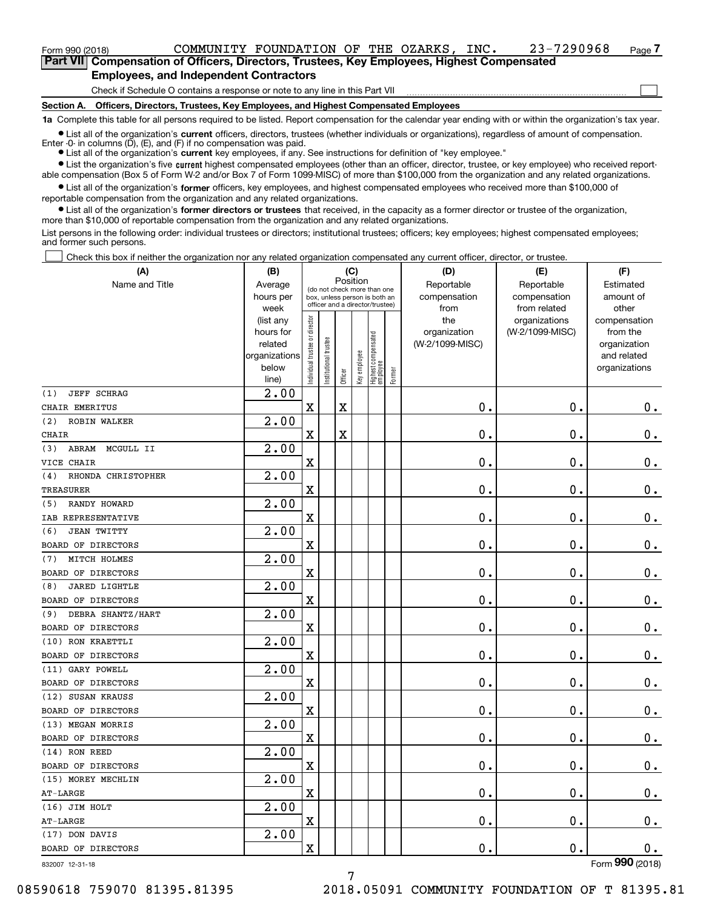$\mathcal{L}^{\text{max}}$ 

**7Part VII Compensation of Officers, Directors, Trustees, Key Employees, Highest Compensated Employees, and Independent Contractors**

Check if Schedule O contains a response or note to any line in this Part VII

**Section A. Officers, Directors, Trustees, Key Employees, and Highest Compensated Employees**

**1a**  Complete this table for all persons required to be listed. Report compensation for the calendar year ending with or within the organization's tax year.

**•** List all of the organization's current officers, directors, trustees (whether individuals or organizations), regardless of amount of compensation. Enter -0- in columns  $(D)$ ,  $(E)$ , and  $(F)$  if no compensation was paid.

● List all of the organization's **current** key employees, if any. See instructions for definition of "key employee."

**•** List the organization's five current highest compensated employees (other than an officer, director, trustee, or key employee) who received reportable compensation (Box 5 of Form W-2 and/or Box 7 of Form 1099-MISC) of more than \$100,000 from the organization and any related organizations.

 $\bullet$  List all of the organization's **former** officers, key employees, and highest compensated employees who received more than \$100,000 of reportable compensation from the organization and any related organizations.

**•** List all of the organization's former directors or trustees that received, in the capacity as a former director or trustee of the organization, more than \$10,000 of reportable compensation from the organization and any related organizations.

List persons in the following order: individual trustees or directors; institutional trustees; officers; key employees; highest compensated employees; and former such persons.

Check this box if neither the organization nor any related organization compensated any current officer, director, or trustee.  $\mathcal{L}^{\text{max}}$ 

| (A)                         | (B)               |                               |                                                                  | (C)         |              |                                  |        | (D)             | (E)                           | (F)                            |
|-----------------------------|-------------------|-------------------------------|------------------------------------------------------------------|-------------|--------------|----------------------------------|--------|-----------------|-------------------------------|--------------------------------|
| Name and Title              | Average           |                               | (do not check more than one                                      | Position    |              |                                  |        | Reportable      | Reportable                    | Estimated                      |
|                             | hours per         |                               | box, unless person is both an<br>officer and a director/trustee) |             |              |                                  |        | compensation    | compensation                  | amount of                      |
|                             | week<br>(list any |                               |                                                                  |             |              |                                  |        | from<br>the     | from related<br>organizations | other<br>compensation          |
|                             | hours for         |                               |                                                                  |             |              |                                  |        | organization    | (W-2/1099-MISC)               | from the                       |
|                             | related           |                               |                                                                  |             |              |                                  |        | (W-2/1099-MISC) |                               | organization                   |
|                             | organizations     |                               |                                                                  |             |              |                                  |        |                 |                               | and related                    |
|                             | below             | ndividual trustee or director | nstitutional trustee                                             | Officer     | key employee | Highest compensated<br> employee | Former |                 |                               | organizations                  |
| <b>JEFF SCHRAG</b><br>(1)   | line)<br>2.00     |                               |                                                                  |             |              |                                  |        |                 |                               |                                |
| CHAIR EMERITUS              |                   | X                             |                                                                  | X           |              |                                  |        | 0.              | 0.                            | $\mathbf 0$ .                  |
| (2)<br><b>ROBIN WALKER</b>  | 2.00              |                               |                                                                  |             |              |                                  |        |                 |                               |                                |
| CHAIR                       |                   | $\overline{\mathbf{X}}$       |                                                                  | $\mathbf X$ |              |                                  |        | 0.              | $\mathbf 0$ .                 | $\mathbf 0$ .                  |
| (3)<br>ABRAM<br>MCGULL II   | 2.00              |                               |                                                                  |             |              |                                  |        |                 |                               |                                |
| VICE CHAIR                  |                   | $\overline{\mathbf{X}}$       |                                                                  |             |              |                                  |        | 0.              | $\mathbf 0$ .                 | $\mathbf 0$ .                  |
| RHONDA CHRISTOPHER<br>(4)   | 2.00              |                               |                                                                  |             |              |                                  |        |                 |                               |                                |
| TREASURER                   |                   | $\overline{\text{X}}$         |                                                                  |             |              |                                  |        | 0.              | $\mathbf 0$ .                 | 0.                             |
| RANDY HOWARD<br>(5)         | 2.00              |                               |                                                                  |             |              |                                  |        |                 |                               |                                |
| IAB REPRESENTATIVE          |                   | X                             |                                                                  |             |              |                                  |        | 0.              | $\mathbf 0$ .                 | $\mathbf 0$ .                  |
| <b>JEAN TWITTY</b><br>(6)   | 2.00              |                               |                                                                  |             |              |                                  |        |                 |                               |                                |
| BOARD OF DIRECTORS          |                   | $\overline{\mathbf{X}}$       |                                                                  |             |              |                                  |        | 0.              | $\mathbf 0$ .                 | 0.                             |
| MITCH HOLMES<br>(7)         | 2.00              |                               |                                                                  |             |              |                                  |        |                 |                               |                                |
| BOARD OF DIRECTORS          |                   | $\overline{\mathbf{X}}$       |                                                                  |             |              |                                  |        | 0.              | $\mathbf 0$ .                 | $\mathbf 0$ .                  |
| <b>JARED LIGHTLE</b><br>(8) | 2.00              |                               |                                                                  |             |              |                                  |        |                 |                               |                                |
| BOARD OF DIRECTORS          |                   | $\overline{\mathbf{X}}$       |                                                                  |             |              |                                  |        | 0.              | $\mathbf 0$ .                 | $0_{.}$                        |
| DEBRA SHANTZ/HART<br>(9)    | 2.00              |                               |                                                                  |             |              |                                  |        |                 |                               |                                |
| BOARD OF DIRECTORS          |                   | X                             |                                                                  |             |              |                                  |        | 0.              | $\mathbf 0$ .                 | $\mathbf 0$ .                  |
| (10) RON KRAETTLI           | 2.00              |                               |                                                                  |             |              |                                  |        |                 |                               |                                |
| BOARD OF DIRECTORS          |                   | $\overline{\mathbf{X}}$       |                                                                  |             |              |                                  |        | $\mathbf 0$ .   | 0.                            | $\mathbf 0$ .                  |
| (11) GARY POWELL            | 2.00              |                               |                                                                  |             |              |                                  |        |                 |                               |                                |
| BOARD OF DIRECTORS          |                   | X                             |                                                                  |             |              |                                  |        | $\mathbf 0$ .   | 0.                            | $0_{.}$                        |
| (12) SUSAN KRAUSS           | 2.00              |                               |                                                                  |             |              |                                  |        |                 |                               |                                |
| BOARD OF DIRECTORS          |                   | $\overline{\mathbf{X}}$       |                                                                  |             |              |                                  |        | $\mathbf 0$ .   | $\mathbf 0$ .                 | $0_{.}$                        |
| (13) MEGAN MORRIS           | 2.00              |                               |                                                                  |             |              |                                  |        |                 |                               |                                |
| BOARD OF DIRECTORS          |                   | $\overline{\mathbf{X}}$       |                                                                  |             |              |                                  |        | $\mathbf 0$ .   | $\mathbf 0$ .                 | $\mathbf 0$ .                  |
| (14) RON REED               | 2.00              |                               |                                                                  |             |              |                                  |        |                 |                               |                                |
| BOARD OF DIRECTORS          |                   | X                             |                                                                  |             |              |                                  |        | 0.              | $\mathbf 0$ .                 | $\mathbf 0$ .                  |
| (15) MOREY MECHLIN          | 2.00              |                               |                                                                  |             |              |                                  |        |                 |                               |                                |
| <b>AT-LARGE</b>             |                   | X                             |                                                                  |             |              |                                  |        | $\mathbf 0$ .   | $\mathbf 0$ .                 | $\mathbf 0$ .                  |
| (16) JIM HOLT               | 2.00              |                               |                                                                  |             |              |                                  |        |                 |                               |                                |
| $AT-LARGE$                  |                   | $\overline{\mathbf{X}}$       |                                                                  |             |              |                                  |        | $\mathbf 0$ .   | $\mathbf 0$ .                 | $0$ .                          |
| (17) DON DAVIS              | 2.00              |                               |                                                                  |             |              |                                  |        |                 |                               |                                |
| BOARD OF DIRECTORS          |                   | $\overline{\mathbf{X}}$       |                                                                  |             |              |                                  |        | 0.              | $\mathbf{0}$ .                | 0.<br>$\overline{\phantom{0}}$ |

Form (2018) **990**

7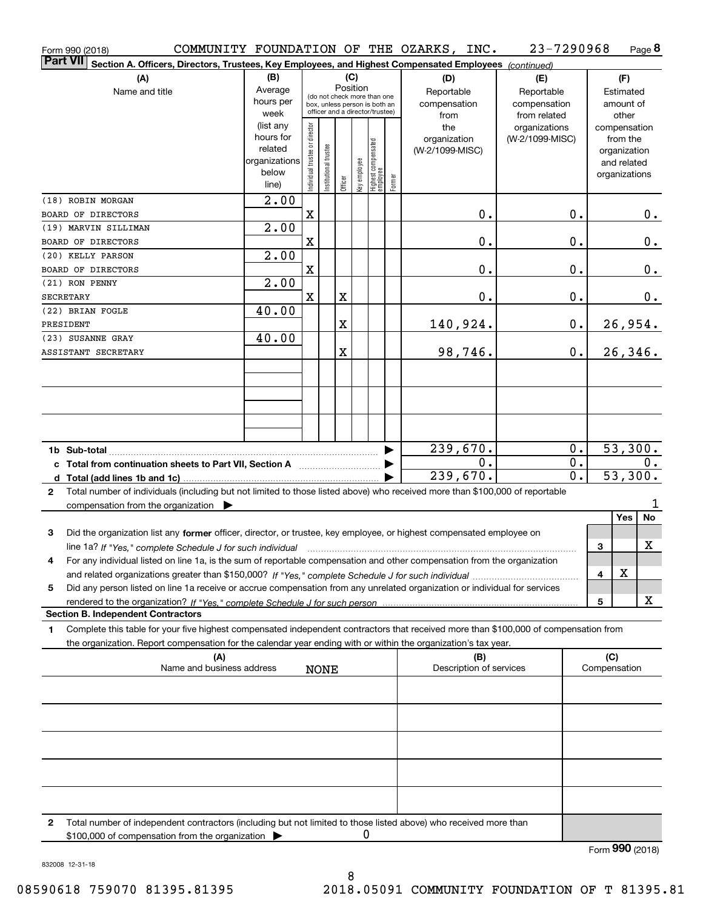|              | Form 990 (2018)                                                                                                                                                     |                   |                                |                      |         |              |                                                                  |        | COMMUNITY FOUNDATION OF THE OZARKS, INC. | 23-7290968                       |                             |              | Page 8                   |
|--------------|---------------------------------------------------------------------------------------------------------------------------------------------------------------------|-------------------|--------------------------------|----------------------|---------|--------------|------------------------------------------------------------------|--------|------------------------------------------|----------------------------------|-----------------------------|--------------|--------------------------|
| Part VII     | Section A. Officers, Directors, Trustees, Key Employees, and Highest Compensated Employees (continued)                                                              |                   |                                |                      |         |              |                                                                  |        |                                          |                                  |                             |              |                          |
|              | (A)                                                                                                                                                                 | (B)               |                                |                      |         | (C)          |                                                                  |        | (D)                                      | (E)                              |                             |              | (F)                      |
|              | Name and title                                                                                                                                                      | Average           |                                |                      |         | Position     | (do not check more than one                                      |        | Reportable                               | Reportable                       |                             |              | Estimated                |
|              |                                                                                                                                                                     | hours per         |                                |                      |         |              | box, unless person is both an<br>officer and a director/trustee) |        | compensation                             | compensation                     |                             |              | amount of                |
|              |                                                                                                                                                                     | week<br>(list any |                                |                      |         |              |                                                                  |        | from                                     | from related                     |                             |              | other                    |
|              |                                                                                                                                                                     | hours for         |                                |                      |         |              |                                                                  |        | the<br>organization                      | organizations<br>(W-2/1099-MISC) |                             |              | compensation<br>from the |
|              |                                                                                                                                                                     | related           |                                |                      |         |              |                                                                  |        | (W-2/1099-MISC)                          |                                  |                             |              | organization             |
|              |                                                                                                                                                                     | organizations     |                                |                      |         |              |                                                                  |        |                                          |                                  |                             |              | and related              |
|              |                                                                                                                                                                     | below             | Individual trustee or director | nstitutional trustee |         | key employee |                                                                  |        |                                          |                                  |                             |              | organizations            |
|              |                                                                                                                                                                     | line)             |                                |                      | Officer |              | Highest compensated<br>  employee                                | Former |                                          |                                  |                             |              |                          |
|              | (18) ROBIN MORGAN                                                                                                                                                   | 2.00              |                                |                      |         |              |                                                                  |        |                                          |                                  |                             |              |                          |
|              | BOARD OF DIRECTORS                                                                                                                                                  |                   | X                              |                      |         |              |                                                                  |        | 0.                                       |                                  | 0.                          |              | 0.                       |
|              | (19) MARVIN SILLIMAN                                                                                                                                                | 2.00              |                                |                      |         |              |                                                                  |        |                                          |                                  |                             |              |                          |
|              | BOARD OF DIRECTORS                                                                                                                                                  |                   | X                              |                      |         |              |                                                                  |        | 0.                                       |                                  | 0.                          |              | 0.                       |
|              | (20) KELLY PARSON                                                                                                                                                   | 2.00              |                                |                      |         |              |                                                                  |        |                                          |                                  |                             |              |                          |
|              | BOARD OF DIRECTORS                                                                                                                                                  |                   | $\mathbf X$                    |                      |         |              |                                                                  |        | 0.                                       |                                  | 0.                          |              | 0.                       |
|              | (21) RON PENNY                                                                                                                                                      | 2.00              |                                |                      |         |              |                                                                  |        |                                          |                                  |                             |              |                          |
|              | <b>SECRETARY</b>                                                                                                                                                    |                   | X                              |                      | X       |              |                                                                  |        | 0.                                       |                                  | 0.                          |              | 0.                       |
|              | (22) BRIAN FOGLE                                                                                                                                                    | 40.00             |                                |                      |         |              |                                                                  |        |                                          |                                  |                             |              |                          |
|              | PRESIDENT                                                                                                                                                           |                   |                                |                      | X       |              |                                                                  |        | 140,924.                                 |                                  | 0.                          |              | <u>26,954.</u>           |
|              | (23) SUSANNE GRAY                                                                                                                                                   | 40.00             |                                |                      |         |              |                                                                  |        |                                          |                                  |                             |              |                          |
|              | ASSISTANT SECRETARY                                                                                                                                                 |                   |                                |                      | Χ       |              |                                                                  |        | 98,746.                                  |                                  | 0.                          |              | 26, 346.                 |
|              |                                                                                                                                                                     |                   |                                |                      |         |              |                                                                  |        |                                          |                                  |                             |              |                          |
|              |                                                                                                                                                                     |                   |                                |                      |         |              |                                                                  |        |                                          |                                  |                             |              |                          |
|              |                                                                                                                                                                     |                   |                                |                      |         |              |                                                                  |        |                                          |                                  |                             |              |                          |
|              |                                                                                                                                                                     |                   |                                |                      |         |              |                                                                  |        |                                          |                                  |                             |              |                          |
|              |                                                                                                                                                                     |                   |                                |                      |         |              |                                                                  |        |                                          |                                  |                             |              |                          |
|              |                                                                                                                                                                     |                   |                                |                      |         |              |                                                                  |        | 239,670.                                 |                                  | 0.                          |              | 53,300.                  |
|              |                                                                                                                                                                     |                   |                                |                      |         |              |                                                                  |        | 0.                                       |                                  | 0.                          |              | 0.                       |
|              |                                                                                                                                                                     |                   |                                |                      |         |              |                                                                  |        | 239,670.                                 |                                  | $\overline{\mathfrak{o}}$ . |              | 53,300.                  |
| $\mathbf{2}$ | Total number of individuals (including but not limited to those listed above) who received more than \$100,000 of reportable                                        |                   |                                |                      |         |              |                                                                  |        |                                          |                                  |                             |              |                          |
|              | compensation from the organization $\blacktriangleright$                                                                                                            |                   |                                |                      |         |              |                                                                  |        |                                          |                                  |                             |              | 1                        |
|              |                                                                                                                                                                     |                   |                                |                      |         |              |                                                                  |        |                                          |                                  |                             |              | No<br>Yes                |
| 3            | Did the organization list any former officer, director, or trustee, key employee, or highest compensated employee on                                                |                   |                                |                      |         |              |                                                                  |        |                                          |                                  |                             |              |                          |
|              | line 1a? If "Yes," complete Schedule J for such individual manufactured contained and the 1a? If "Yes," complete Schedule J for such individual                     |                   |                                |                      |         |              |                                                                  |        |                                          |                                  |                             | 3            | X                        |
| 4            | For any individual listed on line 1a, is the sum of reportable compensation and other compensation from the organization                                            |                   |                                |                      |         |              |                                                                  |        |                                          |                                  |                             |              |                          |
|              |                                                                                                                                                                     |                   |                                |                      |         |              |                                                                  |        |                                          |                                  |                             | 4            | X                        |
| 5            | Did any person listed on line 1a receive or accrue compensation from any unrelated organization or individual for services                                          |                   |                                |                      |         |              |                                                                  |        |                                          |                                  |                             |              |                          |
|              |                                                                                                                                                                     |                   |                                |                      |         |              |                                                                  |        |                                          |                                  |                             | 5            | X                        |
|              | <b>Section B. Independent Contractors</b>                                                                                                                           |                   |                                |                      |         |              |                                                                  |        |                                          |                                  |                             |              |                          |
| 1            | Complete this table for your five highest compensated independent contractors that received more than \$100,000 of compensation from                                |                   |                                |                      |         |              |                                                                  |        |                                          |                                  |                             |              |                          |
|              | the organization. Report compensation for the calendar year ending with or within the organization's tax year.                                                      |                   |                                |                      |         |              |                                                                  |        |                                          |                                  |                             |              |                          |
|              | (A)                                                                                                                                                                 |                   |                                |                      |         |              |                                                                  |        | (B)                                      |                                  |                             | (C)          |                          |
|              | Name and business address                                                                                                                                           |                   |                                | <b>NONE</b>          |         |              |                                                                  |        | Description of services                  |                                  |                             | Compensation |                          |
|              |                                                                                                                                                                     |                   |                                |                      |         |              |                                                                  |        |                                          |                                  |                             |              |                          |
|              |                                                                                                                                                                     |                   |                                |                      |         |              |                                                                  |        |                                          |                                  |                             |              |                          |
|              |                                                                                                                                                                     |                   |                                |                      |         |              |                                                                  |        |                                          |                                  |                             |              |                          |
|              |                                                                                                                                                                     |                   |                                |                      |         |              |                                                                  |        |                                          |                                  |                             |              |                          |
|              |                                                                                                                                                                     |                   |                                |                      |         |              |                                                                  |        |                                          |                                  |                             |              |                          |
|              |                                                                                                                                                                     |                   |                                |                      |         |              |                                                                  |        |                                          |                                  |                             |              |                          |
|              |                                                                                                                                                                     |                   |                                |                      |         |              |                                                                  |        |                                          |                                  |                             |              |                          |
|              |                                                                                                                                                                     |                   |                                |                      |         |              |                                                                  |        |                                          |                                  |                             |              |                          |
|              |                                                                                                                                                                     |                   |                                |                      |         |              |                                                                  |        |                                          |                                  |                             |              |                          |
| $\mathbf{2}$ | Total number of independent contractors (including but not limited to those listed above) who received more than<br>\$100,000 of compensation from the organization |                   |                                |                      |         |              | 0                                                                |        |                                          |                                  |                             |              |                          |
|              |                                                                                                                                                                     |                   |                                |                      |         |              |                                                                  |        |                                          |                                  |                             |              | Form 990 (2018)          |

832008 12-31-18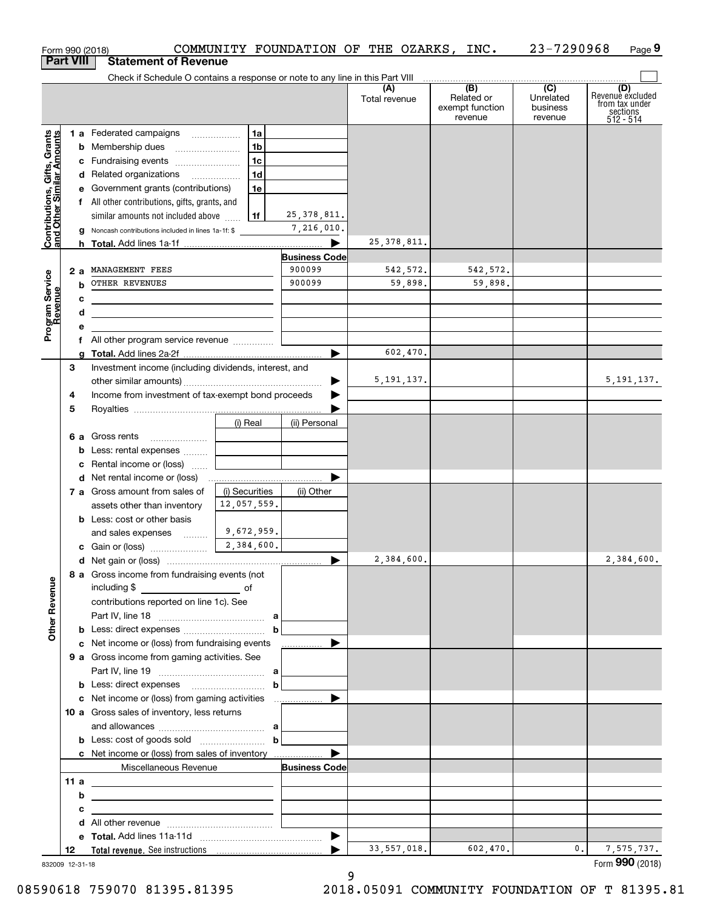| <b>Part VIII</b>                                          |   | Form 990 (2018)<br><b>Statement of Revenue</b>                                  |                |                            | COMMUNITY FOUNDATION OF THE OZARKS, | INC.                                            | 23-7290968                                         | Page 9                                                             |
|-----------------------------------------------------------|---|---------------------------------------------------------------------------------|----------------|----------------------------|-------------------------------------|-------------------------------------------------|----------------------------------------------------|--------------------------------------------------------------------|
|                                                           |   | Check if Schedule O contains a response or note to any line in this Part VIII   |                |                            |                                     |                                                 |                                                    |                                                                    |
|                                                           |   |                                                                                 |                |                            | (A)<br>Total revenue                | (B)<br>Related or<br>exempt function<br>revenue | $\overline{C}$<br>Unrelated<br>business<br>revenue | (D)<br>Revenuè excluded<br>from tax under<br>sections<br>512 - 514 |
|                                                           |   | 1 a Federated campaigns                                                         | 1a             |                            |                                     |                                                 |                                                    |                                                                    |
| Contributions, Gifts, Grants<br>and Other Similar Amounts |   | <b>b</b> Membership dues                                                        | 1b             |                            |                                     |                                                 |                                                    |                                                                    |
|                                                           |   | c Fundraising events                                                            | 1c             |                            |                                     |                                                 |                                                    |                                                                    |
|                                                           |   | d Related organizations                                                         | 1d             |                            |                                     |                                                 |                                                    |                                                                    |
|                                                           |   | e Government grants (contributions)                                             | 1e             |                            |                                     |                                                 |                                                    |                                                                    |
|                                                           |   | f All other contributions, gifts, grants, and                                   |                |                            |                                     |                                                 |                                                    |                                                                    |
|                                                           |   | similar amounts not included above                                              | 1f             | 25, 378, 811.              |                                     |                                                 |                                                    |                                                                    |
|                                                           |   | g Noncash contributions included in lines 1a-1f: \$                             |                | 7,216,010.                 |                                     |                                                 |                                                    |                                                                    |
|                                                           |   |                                                                                 |                | ▶                          | 25, 378, 811.                       |                                                 |                                                    |                                                                    |
|                                                           |   |                                                                                 |                | <b>Business Code</b>       |                                     |                                                 |                                                    |                                                                    |
| 2 a                                                       |   | MANAGEMENT FEES                                                                 |                | 900099                     | 542,572.                            | 542,572.                                        |                                                    |                                                                    |
| Program Service<br>Revenue                                | b | OTHER REVENUES                                                                  |                | 900099                     | 59,898.                             | 59,898.                                         |                                                    |                                                                    |
|                                                           | с |                                                                                 |                |                            |                                     |                                                 |                                                    |                                                                    |
|                                                           | d |                                                                                 |                |                            |                                     |                                                 |                                                    |                                                                    |
|                                                           | е |                                                                                 |                |                            |                                     |                                                 |                                                    |                                                                    |
|                                                           |   | f All other program service revenue                                             |                |                            |                                     |                                                 |                                                    |                                                                    |
|                                                           | a |                                                                                 |                |                            | 602,470.                            |                                                 |                                                    |                                                                    |
| 3                                                         |   | Investment income (including dividends, interest, and                           |                |                            |                                     |                                                 |                                                    | 5, 191, 137.                                                       |
|                                                           |   |                                                                                 |                | ▶                          | 5, 191, 137.                        |                                                 |                                                    |                                                                    |
| 4<br>5                                                    |   | Income from investment of tax-exempt bond proceeds                              |                |                            |                                     |                                                 |                                                    |                                                                    |
|                                                           |   |                                                                                 | (i) Real       | (ii) Personal              |                                     |                                                 |                                                    |                                                                    |
|                                                           |   | 6 a Gross rents                                                                 |                |                            |                                     |                                                 |                                                    |                                                                    |
|                                                           |   | <b>b</b> Less: rental expenses                                                  |                |                            |                                     |                                                 |                                                    |                                                                    |
|                                                           |   | c Rental income or (loss)                                                       |                |                            |                                     |                                                 |                                                    |                                                                    |
|                                                           |   |                                                                                 |                |                            |                                     |                                                 |                                                    |                                                                    |
|                                                           |   | 7 a Gross amount from sales of                                                  | (i) Securities | (ii) Other                 |                                     |                                                 |                                                    |                                                                    |
|                                                           |   | assets other than inventory                                                     | 12,057,559.    |                            |                                     |                                                 |                                                    |                                                                    |
|                                                           |   | <b>b</b> Less: cost or other basis                                              |                |                            |                                     |                                                 |                                                    |                                                                    |
|                                                           |   | and sales expenses                                                              | 9,672,959.     |                            |                                     |                                                 |                                                    |                                                                    |
|                                                           |   | c Gain or (loss)                                                                | 2,384,600.     |                            |                                     |                                                 |                                                    |                                                                    |
|                                                           |   |                                                                                 |                |                            | 2,384,600.                          |                                                 |                                                    | 2,384,600.                                                         |
| <b>Other Revenue</b>                                      |   | 8 a Gross income from fundraising events (not                                   |                |                            |                                     |                                                 |                                                    |                                                                    |
|                                                           |   | contributions reported on line 1c). See                                         |                |                            |                                     |                                                 |                                                    |                                                                    |
|                                                           |   |                                                                                 |                |                            |                                     |                                                 |                                                    |                                                                    |
|                                                           |   |                                                                                 | b              |                            |                                     |                                                 |                                                    |                                                                    |
|                                                           |   | c Net income or (loss) from fundraising events                                  |                | $\blacktriangleright$<br>. |                                     |                                                 |                                                    |                                                                    |
|                                                           |   | 9 a Gross income from gaming activities. See                                    |                |                            |                                     |                                                 |                                                    |                                                                    |
|                                                           |   |                                                                                 |                |                            |                                     |                                                 |                                                    |                                                                    |
|                                                           |   |                                                                                 | $\mathbf b$    |                            |                                     |                                                 |                                                    |                                                                    |
|                                                           |   |                                                                                 |                |                            |                                     |                                                 |                                                    |                                                                    |
|                                                           |   | 10 a Gross sales of inventory, less returns                                     |                |                            |                                     |                                                 |                                                    |                                                                    |
|                                                           |   |                                                                                 |                |                            |                                     |                                                 |                                                    |                                                                    |
|                                                           |   |                                                                                 |                |                            |                                     |                                                 |                                                    |                                                                    |
|                                                           |   | <b>c</b> Net income or (loss) from sales of inventory                           |                | ▶                          |                                     |                                                 |                                                    |                                                                    |
|                                                           |   | Miscellaneous Revenue                                                           |                | <b>Business Code</b>       |                                     |                                                 |                                                    |                                                                    |
| 11 a                                                      |   | the contract of the contract of the contract of the contract of the contract of |                |                            |                                     |                                                 |                                                    |                                                                    |
|                                                           | b | <u> 1989 - Johann Barn, mars et al. (b. 1989)</u>                               |                |                            |                                     |                                                 |                                                    |                                                                    |
|                                                           | с | the control of the control of the control of the control of the control of      |                |                            |                                     |                                                 |                                                    |                                                                    |
|                                                           |   |                                                                                 |                |                            |                                     |                                                 |                                                    |                                                                    |
|                                                           |   |                                                                                 |                |                            |                                     |                                                 |                                                    | 7,575,737.                                                         |
| 12                                                        |   |                                                                                 |                |                            | 33, 557, 018.                       | 602,470.                                        | 0.                                                 |                                                                    |

832009 12-31-18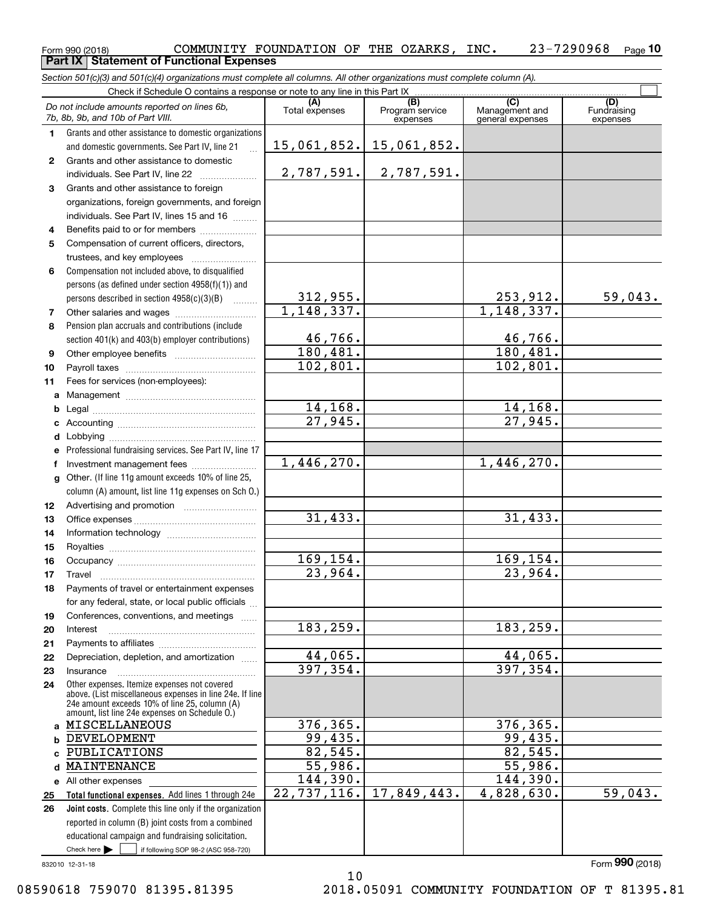#### $_{\rm Form}$   $_{990}$  (2018)  $_{\rm PQ}$  COMMUNITY FOUNDATION OF THE OZARKS, INC.  $_{\rm 23-7290968}$   $_{\rm Page}$ **10 Part IX Statement of Functional Expenses**

*Section 501(c)(3) and 501(c)(4) organizations must complete all columns. All other organizations must complete column (A).*

|              | Check if Schedule O contains a response or note to any line in this Part IX                       |                             |                                    |                                           |                                |  |  |
|--------------|---------------------------------------------------------------------------------------------------|-----------------------------|------------------------------------|-------------------------------------------|--------------------------------|--|--|
|              | Do not include amounts reported on lines 6b,<br>7b, 8b, 9b, and 10b of Part VIII.                 | (A)<br>Total expenses       | (B)<br>Program service<br>expenses | (C)<br>Management and<br>general expenses | (D)<br>Fundraising<br>expenses |  |  |
| 1.           | Grants and other assistance to domestic organizations                                             |                             |                                    |                                           |                                |  |  |
|              | and domestic governments. See Part IV, line 21                                                    |                             | $15,061,852.$ 15,061,852.          |                                           |                                |  |  |
| $\mathbf{2}$ | Grants and other assistance to domestic                                                           |                             |                                    |                                           |                                |  |  |
|              | individuals. See Part IV, line 22                                                                 | 2,787,591.                  | 2,787,591.                         |                                           |                                |  |  |
| 3            | Grants and other assistance to foreign                                                            |                             |                                    |                                           |                                |  |  |
|              | organizations, foreign governments, and foreign                                                   |                             |                                    |                                           |                                |  |  |
|              | individuals. See Part IV, lines 15 and 16                                                         |                             |                                    |                                           |                                |  |  |
| 4            | Benefits paid to or for members                                                                   |                             |                                    |                                           |                                |  |  |
| 5            | Compensation of current officers, directors,                                                      |                             |                                    |                                           |                                |  |  |
|              | trustees, and key employees                                                                       |                             |                                    |                                           |                                |  |  |
| 6            | Compensation not included above, to disqualified                                                  |                             |                                    |                                           |                                |  |  |
|              | persons (as defined under section 4958(f)(1)) and                                                 |                             |                                    |                                           |                                |  |  |
|              | persons described in section 4958(c)(3)(B)                                                        | $\frac{312,955}{1,148,337}$ |                                    | <u>253,912.</u>                           | 59,043.                        |  |  |
| 7            | Other salaries and wages                                                                          |                             |                                    | 1, 148, 337.                              |                                |  |  |
| 8            | Pension plan accruals and contributions (include                                                  |                             |                                    |                                           |                                |  |  |
|              | section 401(k) and 403(b) employer contributions)                                                 | 46,766.                     |                                    | 46,766.                                   |                                |  |  |
| 9            |                                                                                                   | 180,481.                    |                                    | 180,481.                                  |                                |  |  |
| 10           |                                                                                                   | 102, 801.                   |                                    | 102, 801.                                 |                                |  |  |
| 11           | Fees for services (non-employees):                                                                |                             |                                    |                                           |                                |  |  |
| a            |                                                                                                   |                             |                                    |                                           |                                |  |  |
| b            |                                                                                                   | $\frac{14,168.}{27,945.}$   |                                    | 14,168.                                   |                                |  |  |
| c            |                                                                                                   |                             |                                    | 27,945.                                   |                                |  |  |
| d            |                                                                                                   |                             |                                    |                                           |                                |  |  |
| e            | Professional fundraising services. See Part IV, line 17                                           |                             |                                    |                                           |                                |  |  |
| f            | Investment management fees                                                                        | 1,446,270.                  |                                    | 1,446,270.                                |                                |  |  |
| a            | Other. (If line 11g amount exceeds 10% of line 25,                                                |                             |                                    |                                           |                                |  |  |
|              | column (A) amount, list line 11g expenses on Sch O.)                                              |                             |                                    |                                           |                                |  |  |
| 12           |                                                                                                   |                             |                                    |                                           |                                |  |  |
| 13           |                                                                                                   | 31,433.                     |                                    | 31, 433.                                  |                                |  |  |
| 14           |                                                                                                   |                             |                                    |                                           |                                |  |  |
| 15           |                                                                                                   |                             |                                    |                                           |                                |  |  |
| 16           |                                                                                                   | <u>169,154.</u><br>23,964.  |                                    | 169,154.<br>23,964.                       |                                |  |  |
| 17           | Travel                                                                                            |                             |                                    |                                           |                                |  |  |
| 18           | Payments of travel or entertainment expenses<br>for any federal, state, or local public officials |                             |                                    |                                           |                                |  |  |
|              |                                                                                                   |                             |                                    |                                           |                                |  |  |
| 19<br>20     | Conferences, conventions, and meetings<br>Interest                                                | 183,259.                    |                                    | 183,259.                                  |                                |  |  |
| 21           |                                                                                                   |                             |                                    |                                           |                                |  |  |
| 22           | Depreciation, depletion, and amortization                                                         | 44,065.                     |                                    | 44,065.                                   |                                |  |  |
| 23           | Insurance                                                                                         | 397, 354.                   |                                    | 397, 354.                                 |                                |  |  |
| 24           | Other expenses. Itemize expenses not covered                                                      |                             |                                    |                                           |                                |  |  |
|              | above. (List miscellaneous expenses in line 24e. If line                                          |                             |                                    |                                           |                                |  |  |
|              | 24e amount exceeds 10% of line 25, column (A)<br>amount, list line 24e expenses on Schedule O.)   |                             |                                    |                                           |                                |  |  |
| a            | MISCELLANEOUS                                                                                     | 376, 365.                   |                                    | 376, 365.                                 |                                |  |  |
| b            | DEVELOPMENT                                                                                       | 99,435.                     |                                    | 99,435.                                   |                                |  |  |
|              | PUBLICATIONS                                                                                      | 82,545.                     |                                    | 82,545.                                   |                                |  |  |
| d            | MAINTENANCE                                                                                       | 55,986.                     |                                    | 55,986.                                   |                                |  |  |
| е            | All other expenses                                                                                | 144,390.                    |                                    | 144,390.                                  |                                |  |  |
| 25           | Total functional expenses. Add lines 1 through 24e                                                | 22,737,116.                 | 17,849,443.                        | 4,828,630.                                | 59,043.                        |  |  |
| 26           | Joint costs. Complete this line only if the organization                                          |                             |                                    |                                           |                                |  |  |
|              | reported in column (B) joint costs from a combined                                                |                             |                                    |                                           |                                |  |  |
|              | educational campaign and fundraising solicitation.                                                |                             |                                    |                                           |                                |  |  |
|              | Check here $\blacktriangleright$<br>if following SOP 98-2 (ASC 958-720)                           |                             |                                    |                                           |                                |  |  |

832010 12-31-18

Form (2018) **990**

10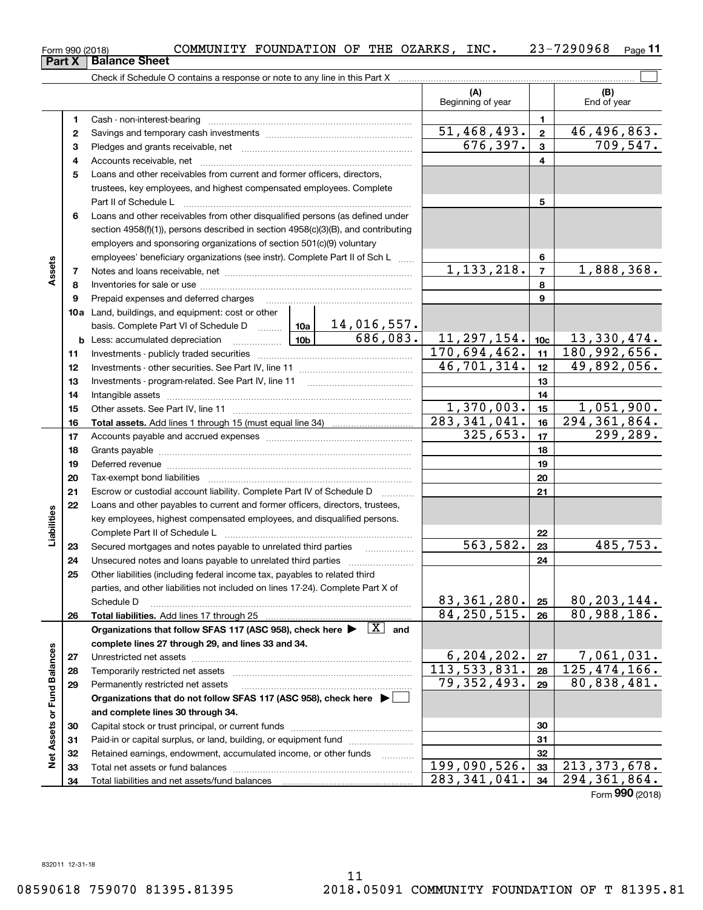|        |                           |                                                                                                                                                                                                                                                  |             |                          |                | 23-7290968         |
|--------|---------------------------|--------------------------------------------------------------------------------------------------------------------------------------------------------------------------------------------------------------------------------------------------|-------------|--------------------------|----------------|--------------------|
|        | Form 990 (2018)<br>Part X | COMMUNITY FOUNDATION OF THE OZARKS, INC.<br><b>Balance Sheet</b>                                                                                                                                                                                 |             |                          |                | Page 1             |
|        |                           |                                                                                                                                                                                                                                                  |             |                          |                |                    |
|        |                           |                                                                                                                                                                                                                                                  |             | (A)<br>Beginning of year |                | (B)<br>End of year |
|        |                           | Cash - non-interest-bearing                                                                                                                                                                                                                      |             |                          | 1.             |                    |
|        | 2                         |                                                                                                                                                                                                                                                  |             | 51,468,493.              | $\overline{2}$ | 46,496,863.        |
|        | 3                         |                                                                                                                                                                                                                                                  |             | 676,397.                 | 3              | 709,547.           |
|        | 4                         |                                                                                                                                                                                                                                                  |             |                          | 4              |                    |
|        | 5                         | Loans and other receivables from current and former officers, directors,<br>trustees, key employees, and highest compensated employees. Complete                                                                                                 |             |                          |                |                    |
|        |                           | Part II of Schedule L                                                                                                                                                                                                                            |             |                          | 5              |                    |
|        | 6                         | Loans and other receivables from other disqualified persons (as defined under<br>section $4958(f)(1)$ , persons described in section $4958(c)(3)(B)$ , and contributing<br>employers and sponsoring organizations of section 501(c)(9) voluntary |             |                          |                |                    |
|        |                           | employees' beneficiary organizations (see instr). Complete Part II of Sch L                                                                                                                                                                      |             |                          | 6              |                    |
| Assets | 7                         |                                                                                                                                                                                                                                                  |             | 1, 133, 218.             | $\overline{7}$ | 1,888,368.         |
|        | 8                         |                                                                                                                                                                                                                                                  |             |                          | 8              |                    |
|        | 9                         | Prepaid expenses and deferred charges [11] [11] [11] Prepaid expenses and deferred charges [11] [11] [11] [11]                                                                                                                                   |             |                          | 9              |                    |
|        | 10a                       | Land, buildings, and equipment: cost or other<br>basis. Complete Part VI of Schedule D  10a                                                                                                                                                      | 14,016,557. |                          |                |                    |
|        | b                         |                                                                                                                                                                                                                                                  | 686, 083.   | $11, 297, 154.$   10c    |                | 13,330,474.        |
|        | 11                        |                                                                                                                                                                                                                                                  |             | 170,694,462.             | 11             | 180,992,656.       |
|        | 12                        |                                                                                                                                                                                                                                                  |             | 46,701,314.              | 12             | 49,892,056.        |
|        | 13                        | Investments - program-related. See Part IV, line 11                                                                                                                                                                                              |             |                          | 13             |                    |

**Total assets.**  Add lines 1 through 15 (must equal line 34)

Accounts payable and accrued expenses ~~~~~~~~~~~~~~~~~~Grants payable ~~~~~~~~~~~~~~~~~~~~~~~~~~~~~~~ Deferred revenue ~~~~~~~~~~~~~~~~~~~~~~~~~~~~~~Tax-exempt bond liabilities …………………………………………………………… Escrow or custodial account liability. Complete Part IV of Schedule D  $\quad \, \ldots \ldots \ldots \,$ Loans and other payables to current and former officers, directors, trustees, key employees, highest compensated employees, and disqualified persons. Complete Part II of Schedule L <sub>…………………………………………………………</sub>

Other assets. See Part IV, line 11 ~~~~~~~~~~~~~~~~~~~~~~

**Total liabilities.**  Add lines 17 through 25 Organizations that follow SFAS 117 (ASC 958), check here  $\blacktriangleright$   $\boxed{\text{X}}$  and

Unrestricted net assets ~~~~~~~~~~~~~~~~~~~~~~~~~~~ Temporarily restricted net assets ~~~~~~~~~~~~~~~~~~~~~~

Unsecured notes and loans payable to unrelated third parties  $\ldots$ Other liabilities (including federal income tax, payables to related third parties, and other liabilities not included on lines 17-24). Complete Part X of Schedule D ~~~~~~~~~~~~~~~~~~~~~~~~~~~~~~~~

Secured mortgages and notes payable to unrelated third parties

**Organizations that do not follow SFAS 117 (ASC 958), check here** |

Capital stock or trust principal, or current funds ~~~~~~~~~~~~~~~ Paid-in or capital surplus, or land, building, or equipment fund will concurred. Retained earnings, endowment, accumulated income, or other funds www.com Total net assets or fund balances ~~~~~~~~~~~~~~~~~~~~~~

**complete lines 27 through 29, and lines 33 and 34.**

**and complete lines 30 through 34.**

Total liabilities and net assets/fund balances

Permanently restricted net assets

Intangible assets

**232425**

**Liabilities**

Liabilities

**26**

**272829**

**Net Assets or Fund Balances**

Net Assets or Fund Balances

 $1,370,003.$  15 1,051,900.  $\overline{283}, 341, 041.$   $\overline{16}$  294, 361, 864.

 $325,653.$  17 299,289.

**222324**

 $563,582. |23$  485,753.

**2526**

 $83,361,280. |25| 80,203,144.$ 84,250,515. 26 80,988,186.

> **272829**

 $6,204,202.$   $27$  7,061,031.  $113,533,831.$  28 125,474,166. 79,352,493. 80,838,481.

199,090,526. 213,373,678. 283,341,041. 294,361,864.

Form (2018) **990**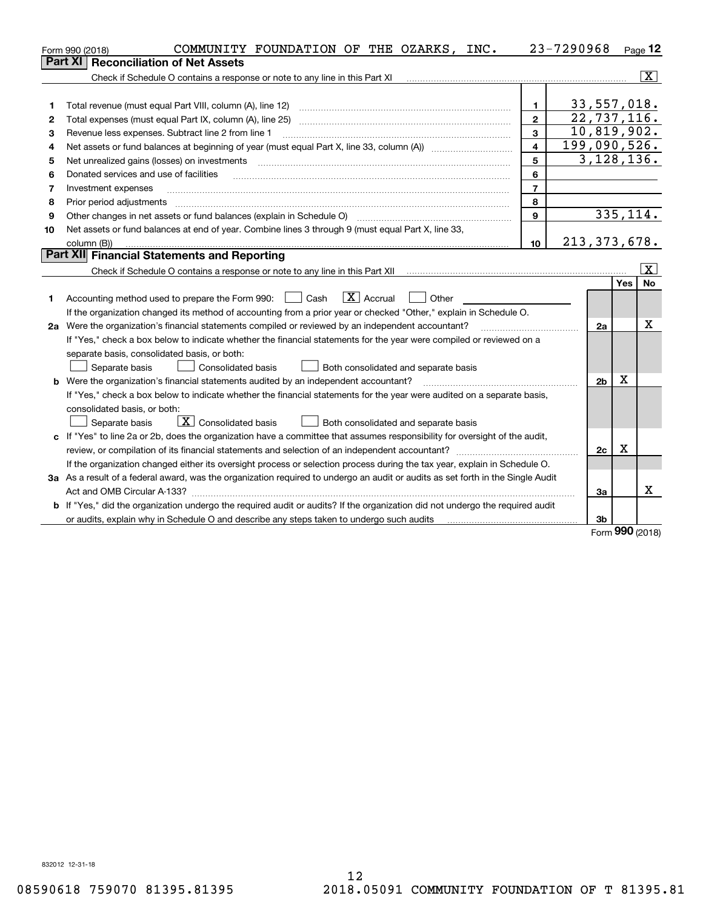|    | COMMUNITY FOUNDATION OF THE OZARKS, INC.<br>Form 990 (2018)                                                                     |                         | 23-7290968     |                |               | Page $12$               |
|----|---------------------------------------------------------------------------------------------------------------------------------|-------------------------|----------------|----------------|---------------|-------------------------|
|    | <b>Reconciliation of Net Assets</b><br>Part XI                                                                                  |                         |                |                |               |                         |
|    | Check if Schedule O contains a response or note to any line in this Part XI                                                     |                         |                |                |               | $\overline{\mathbf{X}}$ |
|    |                                                                                                                                 |                         |                |                |               |                         |
| 1  | Total revenue (must equal Part VIII, column (A), line 12)                                                                       | 1                       |                |                | 33,557,018.   |                         |
| 2  | Total expenses (must equal Part IX, column (A), line 25)                                                                        | $\overline{2}$          |                |                | 22, 737, 116. |                         |
| 3  | Revenue less expenses. Subtract line 2 from line 1                                                                              | 3                       |                |                | 10,819,902.   |                         |
| 4  |                                                                                                                                 | $\overline{\mathbf{4}}$ | 199,090,526.   |                |               |                         |
| 5  | Net unrealized gains (losses) on investments                                                                                    | 5                       |                |                | 3,128,136.    |                         |
| 6  | Donated services and use of facilities                                                                                          | 6                       |                |                |               |                         |
| 7  | Investment expenses                                                                                                             | $\overline{7}$          |                |                |               |                         |
| 8  | Prior period adjustments                                                                                                        | 8                       |                |                |               |                         |
| 9  | Other changes in net assets or fund balances (explain in Schedule O) [11] [2000] [2000] [2000] [2000] [2000] [                  | 9                       |                |                | 335, 114.     |                         |
| 10 | Net assets or fund balances at end of year. Combine lines 3 through 9 (must equal Part X, line 33,                              |                         |                |                |               |                         |
|    | column (B))                                                                                                                     | 10                      | 213, 373, 678. |                |               |                         |
|    | Part XII Financial Statements and Reporting                                                                                     |                         |                |                |               |                         |
|    |                                                                                                                                 |                         |                |                |               | x                       |
|    |                                                                                                                                 |                         |                |                | <b>Yes</b>    | No                      |
| 1  | $\boxed{\text{X}}$ Accrual<br>Accounting method used to prepare the Form 990: <u>I</u> Cash<br>Other                            |                         |                |                |               |                         |
|    | If the organization changed its method of accounting from a prior year or checked "Other," explain in Schedule O.               |                         |                |                |               |                         |
|    | 2a Were the organization's financial statements compiled or reviewed by an independent accountant?                              |                         |                | 2a             |               | x                       |
|    | If "Yes," check a box below to indicate whether the financial statements for the year were compiled or reviewed on a            |                         |                |                |               |                         |
|    | separate basis, consolidated basis, or both:                                                                                    |                         |                |                |               |                         |
|    | Separate basis<br>Consolidated basis<br>Both consolidated and separate basis                                                    |                         |                |                |               |                         |
|    | <b>b</b> Were the organization's financial statements audited by an independent accountant?                                     |                         |                | 2 <sub>b</sub> | x             |                         |
|    | If "Yes," check a box below to indicate whether the financial statements for the year were audited on a separate basis,         |                         |                |                |               |                         |
|    | consolidated basis, or both:                                                                                                    |                         |                |                |               |                         |
|    | $\boxed{\mathbf{X}}$ Consolidated basis<br>Both consolidated and separate basis<br>Separate basis                               |                         |                |                |               |                         |
|    | c If "Yes" to line 2a or 2b, does the organization have a committee that assumes responsibility for oversight of the audit,     |                         |                |                |               |                         |
|    | review, or compilation of its financial statements and selection of an independent accountant?                                  |                         |                | 2c             | $\mathbf X$   |                         |
|    | If the organization changed either its oversight process or selection process during the tax year, explain in Schedule O.       |                         |                |                |               |                         |
|    | 3a As a result of a federal award, was the organization required to undergo an audit or audits as set forth in the Single Audit |                         |                |                |               |                         |
|    |                                                                                                                                 |                         |                | За             |               | x                       |
|    | b If "Yes," did the organization undergo the required audit or audits? If the organization did not undergo the required audit   |                         |                |                |               |                         |
|    | or audits, explain why in Schedule O and describe any steps taken to undergo such audits                                        |                         |                | 3b             | റററ.          |                         |

Form (2018) **990**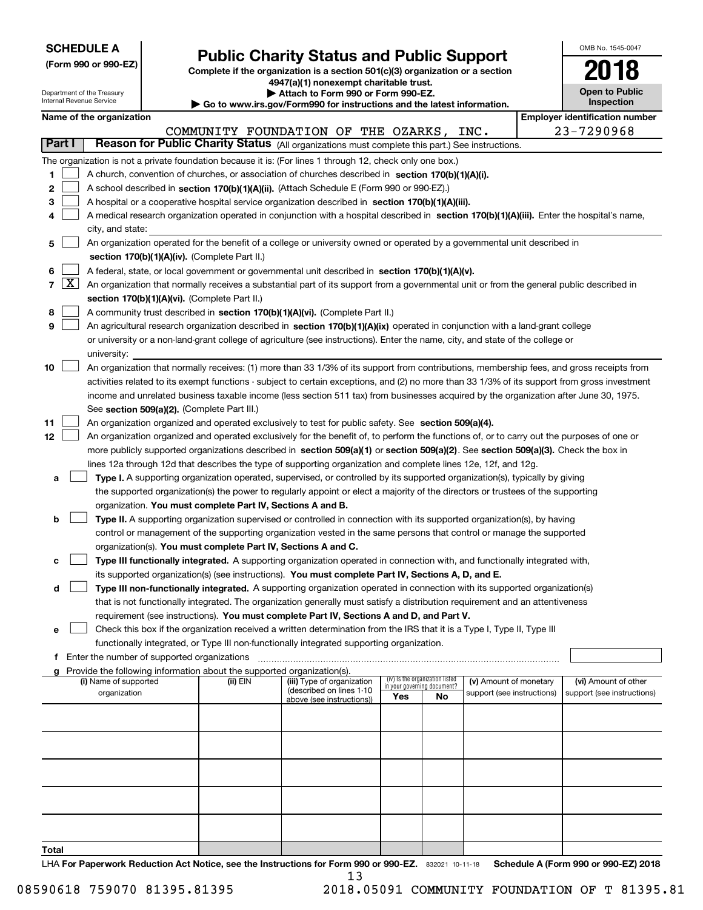| <b>SCHEDULE A</b> |
|-------------------|
|-------------------|

Department of the Treasury Internal Revenue Service

**9**

**10**

| (Form 990 or 990-EZ) |  |  |  |  |
|----------------------|--|--|--|--|
|----------------------|--|--|--|--|

## **Public Charity Status and Public Support**

**Complete if the organization is a section 501(c)(3) organization or a section 4947(a)(1) nonexempt charitable trust. | Attach to Form 990 or Form 990-EZ.** 

**| Go to www.irs.gov/Form990 for instructions and the latest information.**

| <b>Open to Public</b><br>Inspection |
|-------------------------------------|

OMB No. 1545-0047

|  | Name of the organization |
|--|--------------------------|
|--|--------------------------|

|                | Name of the organization                                                                                                                      | <b>Employer identification number</b> |
|----------------|-----------------------------------------------------------------------------------------------------------------------------------------------|---------------------------------------|
|                | COMMUNITY FOUNDATION OF THE OZARKS,<br>INC.                                                                                                   | $23 - 7290968$                        |
| Part I         | Reason for Public Charity Status (All organizations must complete this part.) See instructions.                                               |                                       |
|                | The organization is not a private foundation because it is: (For lines 1 through 12, check only one box.)                                     |                                       |
| 1 <sup>1</sup> | A church, convention of churches, or association of churches described in section 170(b)(1)(A)(i).                                            |                                       |
| 2 <sup>1</sup> | A school described in section 170(b)(1)(A)(ii). (Attach Schedule E (Form 990 or 990-EZ).)                                                     |                                       |
| 3 <sup>1</sup> | A hospital or a cooperative hospital service organization described in section 170(b)(1)(A)(iii).                                             |                                       |
|                | A product procedure consideration consideration with a benefitated associated in the control of the MAMAMINI. Fater the benefitation operator |                                       |

A medical research organization operated in conjunction with a hospital described in **section 170(b)(1)(A)(iii).** Enter the hospital's name, city, and state:  $\mathcal{L}^{\text{max}}$ 

|  | 5 An organization operated for the benefit of a college or university owned or operated by a governmental unit described in |
|--|-----------------------------------------------------------------------------------------------------------------------------|
|  | section 170(b)(1)(A)(iv). (Complete Part II.)                                                                               |

**6**A federal, state, or local government or governmental unit described in section 170(b)(1)(A)(v).  $\mathcal{L}^{\text{max}}$ 

- **7section 170(b)(1)(A)(vi).** (Complete Part II.) An organization that normally receives a substantial part of its support from a governmental unit or from the general public described in  $\boxed{\text{X}}$
- **8**A community trust described in **section 170(b)(1)(A)(vi).** (Complete Part II.)  $\mathcal{L}^{\text{max}}$

| An agricultural research organization described in section 170(b)(1)(A)(ix) operated in conjunction with a land-grant college  |
|--------------------------------------------------------------------------------------------------------------------------------|
| or university or a non-land-grant college of agriculture (see instructions). Enter the name, city, and state of the college or |
| university:                                                                                                                    |

|  | An organization that normally receives: (1) more than 33 1/3% of its support from contributions, membership fees, and gross receipts from     |
|--|-----------------------------------------------------------------------------------------------------------------------------------------------|
|  | activities related to its exempt functions - subject to certain exceptions, and (2) no more than 33 1/3% of its support from gross investment |
|  | income and unrelated business taxable income (less section 511 tax) from businesses acquired by the organization after June 30, 1975.         |
|  | See section 509(a)(2). (Complete Part III.)                                                                                                   |

- **11**An organization organized and operated exclusively to test for public safety. See section 509(a)(4).  $\mathcal{L}^{\text{max}}$
- **12**more publicly supported organizations described in s**ection 509(a)(1)** or section 509(a)(2). See section 509(a)(3). Check the box in An organization organized and operated exclusively for the benefit of, to perform the functions of, or to carry out the purposes of one or lines 12a through 12d that describes the type of supporting organization and complete lines 12e, 12f, and 12g.  $\mathcal{L}^{\text{max}}$ 
	- **aType I.** A supporting organization operated, supervised, or controlled by its supported organization(s), typically by giving organization. **You must complete Part IV, Sections A and B.** the supported organization(s) the power to regularly appoint or elect a majority of the directors or trustees of the supporting  $\mathcal{L}^{\text{max}}$
	- **bType II.** A supporting organization supervised or controlled in connection with its supported organization(s), by having organization(s). **You must complete Part IV, Sections A and C.** control or management of the supporting organization vested in the same persons that control or manage the supported  $\mathcal{L}^{\text{max}}$
	- **cType III functionally integrated.** A supporting organization operated in connection with, and functionally integrated with, its supported organization(s) (see instructions). **You must complete Part IV, Sections A, D, and E.**  $\mathcal{L}^{\text{max}}$

**dType III non-functionally integrated.** A supporting organization operated in connection with its supported organization(s) requirement (see instructions). **You must complete Part IV, Sections A and D, and Part V.** that is not functionally integrated. The organization generally must satisfy a distribution requirement and an attentiveness  $\mathcal{L}^{\text{max}}$ 

**e**Check this box if the organization received a written determination from the IRS that it is a Type I, Type II, Type III functionally integrated, or Type III non-functionally integrated supporting organization.  $\mathcal{L}^{\text{max}}$ 

**f**Enter the number of supported organizations ~~~~~~~~~~~~~~~~~~~~~~~~~~~~~~~~~~~~~

|                       | Provide the following information about the supported organization(s). |                                                       |                                                                |    |                            |                            |  |  |
|-----------------------|------------------------------------------------------------------------|-------------------------------------------------------|----------------------------------------------------------------|----|----------------------------|----------------------------|--|--|
| (i) Name of supported | (ii) EIN                                                               | (iii) Type of organization                            | (iv) Is the organization listed<br>in your governing document? |    | (v) Amount of monetary     | (vi) Amount of other       |  |  |
| organization          |                                                                        | (described on lines 1-10<br>above (see instructions)) | Yes                                                            | No | support (see instructions) | support (see instructions) |  |  |
|                       |                                                                        |                                                       |                                                                |    |                            |                            |  |  |
|                       |                                                                        |                                                       |                                                                |    |                            |                            |  |  |
|                       |                                                                        |                                                       |                                                                |    |                            |                            |  |  |
|                       |                                                                        |                                                       |                                                                |    |                            |                            |  |  |
|                       |                                                                        |                                                       |                                                                |    |                            |                            |  |  |
|                       |                                                                        |                                                       |                                                                |    |                            |                            |  |  |
|                       |                                                                        |                                                       |                                                                |    |                            |                            |  |  |
|                       |                                                                        |                                                       |                                                                |    |                            |                            |  |  |
|                       |                                                                        |                                                       |                                                                |    |                            |                            |  |  |
|                       |                                                                        |                                                       |                                                                |    |                            |                            |  |  |
|                       |                                                                        |                                                       |                                                                |    |                            |                            |  |  |
|                       |                                                                        |                                                       |                                                                |    |                            |                            |  |  |
|                       |                                                                        |                                                       |                                                                |    |                            |                            |  |  |
| Total                 |                                                                        |                                                       |                                                                |    |                            |                            |  |  |

LHA For Paperwork Reduction Act Notice, see the Instructions for Form 990 or 990-EZ. 832021 10-11-18 Schedule A (Form 990 or 990-EZ) 2018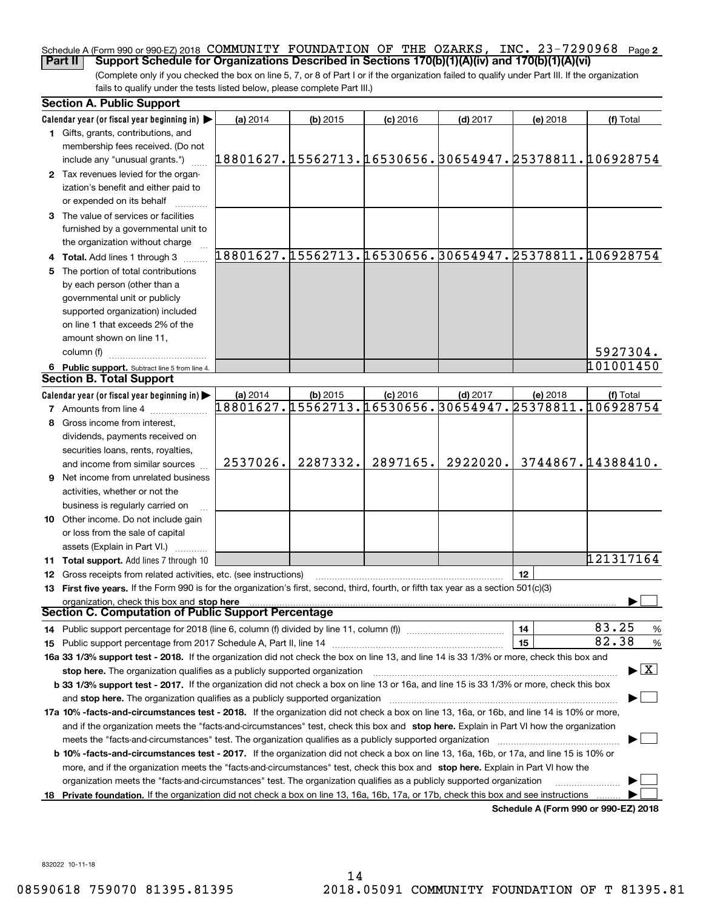#### Schedule A (Form 990 or 990-EZ) 2018 **COMMUNITY FOUNDATION OF THE OZARKS, INC. 23-7290968** Page **2 Part II Support Schedule for Organizations Described in Sections 170(b)(1)(A)(iv) and 170(b)(1)(A)(vi)**

(Complete only if you checked the box on line 5, 7, or 8 of Part I or if the organization failed to qualify under Part III. If the organization fails to qualify under the tests listed below, please complete Part III.)

|    | <b>Section A. Public Support</b>                                                                                                                                                                                               |                                                        |            |            |            |                                      |                                          |
|----|--------------------------------------------------------------------------------------------------------------------------------------------------------------------------------------------------------------------------------|--------------------------------------------------------|------------|------------|------------|--------------------------------------|------------------------------------------|
|    | Calendar year (or fiscal year beginning in) $\blacktriangleright$                                                                                                                                                              | (a) 2014                                               | $(b)$ 2015 | $(c)$ 2016 | $(d)$ 2017 | (e) 2018                             | (f) Total                                |
|    | <b>1</b> Gifts, grants, contributions, and                                                                                                                                                                                     |                                                        |            |            |            |                                      |                                          |
|    | membership fees received. (Do not                                                                                                                                                                                              |                                                        |            |            |            |                                      |                                          |
|    | include any "unusual grants.")                                                                                                                                                                                                 | 18801627.15562713.16530656.30654947.25378811.106928754 |            |            |            |                                      |                                          |
|    | 2 Tax revenues levied for the organ-                                                                                                                                                                                           |                                                        |            |            |            |                                      |                                          |
|    | ization's benefit and either paid to                                                                                                                                                                                           |                                                        |            |            |            |                                      |                                          |
|    | or expended on its behalf                                                                                                                                                                                                      |                                                        |            |            |            |                                      |                                          |
|    | 3 The value of services or facilities                                                                                                                                                                                          |                                                        |            |            |            |                                      |                                          |
|    | furnished by a governmental unit to                                                                                                                                                                                            |                                                        |            |            |            |                                      |                                          |
|    | the organization without charge                                                                                                                                                                                                |                                                        |            |            |            |                                      |                                          |
|    | 4 Total. Add lines 1 through 3                                                                                                                                                                                                 | 18801627.15562713.16530656.30654947.25378811.106928754 |            |            |            |                                      |                                          |
|    | 5 The portion of total contributions                                                                                                                                                                                           |                                                        |            |            |            |                                      |                                          |
|    | by each person (other than a                                                                                                                                                                                                   |                                                        |            |            |            |                                      |                                          |
|    | governmental unit or publicly                                                                                                                                                                                                  |                                                        |            |            |            |                                      |                                          |
|    | supported organization) included                                                                                                                                                                                               |                                                        |            |            |            |                                      |                                          |
|    | on line 1 that exceeds 2% of the                                                                                                                                                                                               |                                                        |            |            |            |                                      |                                          |
|    | amount shown on line 11,                                                                                                                                                                                                       |                                                        |            |            |            |                                      |                                          |
|    | column (f)                                                                                                                                                                                                                     |                                                        |            |            |            |                                      | 5927304.                                 |
|    | 6 Public support. Subtract line 5 from line 4.                                                                                                                                                                                 |                                                        |            |            |            |                                      | 101001450                                |
|    | <b>Section B. Total Support</b>                                                                                                                                                                                                |                                                        |            |            |            |                                      |                                          |
|    | Calendar year (or fiscal year beginning in)                                                                                                                                                                                    | (a) 2014                                               |            |            | $(d)$ 2017 |                                      | (f) Total                                |
|    | <b>7</b> Amounts from line 4                                                                                                                                                                                                   | 18801627.15562713.16530656.30654947.25378811.106928754 | $(b)$ 2015 | $(c)$ 2016 |            | (e) 2018                             |                                          |
|    |                                                                                                                                                                                                                                |                                                        |            |            |            |                                      |                                          |
|    | 8 Gross income from interest,                                                                                                                                                                                                  |                                                        |            |            |            |                                      |                                          |
|    | dividends, payments received on                                                                                                                                                                                                |                                                        |            |            |            |                                      |                                          |
|    | securities loans, rents, royalties,                                                                                                                                                                                            | 2537026.                                               | 2287332.   | 2897165.   | 2922020.   |                                      | 3744867.14388410.                        |
|    | and income from similar sources                                                                                                                                                                                                |                                                        |            |            |            |                                      |                                          |
|    | <b>9</b> Net income from unrelated business                                                                                                                                                                                    |                                                        |            |            |            |                                      |                                          |
|    | activities, whether or not the                                                                                                                                                                                                 |                                                        |            |            |            |                                      |                                          |
|    | business is regularly carried on                                                                                                                                                                                               |                                                        |            |            |            |                                      |                                          |
|    | <b>10</b> Other income. Do not include gain                                                                                                                                                                                    |                                                        |            |            |            |                                      |                                          |
|    | or loss from the sale of capital                                                                                                                                                                                               |                                                        |            |            |            |                                      |                                          |
|    | assets (Explain in Part VI.)                                                                                                                                                                                                   |                                                        |            |            |            |                                      |                                          |
|    | <b>11 Total support.</b> Add lines 7 through 10                                                                                                                                                                                |                                                        |            |            |            |                                      | 121317164                                |
|    | 12 Gross receipts from related activities, etc. (see instructions)                                                                                                                                                             |                                                        |            |            |            | 12                                   |                                          |
|    | 13 First five years. If the Form 990 is for the organization's first, second, third, fourth, or fifth tax year as a section 501(c)(3)                                                                                          |                                                        |            |            |            |                                      |                                          |
|    | organization, check this box and stop here                                                                                                                                                                                     |                                                        |            |            |            |                                      |                                          |
|    | Section C. Computation of Public Support Percentage                                                                                                                                                                            |                                                        |            |            |            |                                      |                                          |
|    | 14 Public support percentage for 2018 (line 6, column (f) divided by line 11, column (f) <i>mummumumum</i>                                                                                                                     |                                                        |            |            |            | 14                                   | 83.25<br>%                               |
|    | 15 Public support percentage from 2017 Schedule A, Part II, line 14 [11] [11] manument continuum manument of Public support percentage from 2017 Schedule A, Part II, line 14 [11] manument continuum manument of Public suppo |                                                        |            |            |            | 15                                   | 82.38<br>$\%$                            |
|    | 16a 33 1/3% support test - 2018. If the organization did not check the box on line 13, and line 14 is 33 1/3% or more, check this box and                                                                                      |                                                        |            |            |            |                                      |                                          |
|    | stop here. The organization qualifies as a publicly supported organization                                                                                                                                                     |                                                        |            |            |            |                                      | $\blacktriangleright$ $\boxed{\text{X}}$ |
|    | b 33 1/3% support test - 2017. If the organization did not check a box on line 13 or 16a, and line 15 is 33 1/3% or more, check this box                                                                                       |                                                        |            |            |            |                                      |                                          |
|    | and stop here. The organization qualifies as a publicly supported organization                                                                                                                                                 |                                                        |            |            |            |                                      |                                          |
|    | 17a 10% -facts-and-circumstances test - 2018. If the organization did not check a box on line 13, 16a, or 16b, and line 14 is 10% or more,                                                                                     |                                                        |            |            |            |                                      |                                          |
|    | and if the organization meets the "facts-and-circumstances" test, check this box and stop here. Explain in Part VI how the organization                                                                                        |                                                        |            |            |            |                                      |                                          |
|    | meets the "facts-and-circumstances" test. The organization qualifies as a publicly supported organization                                                                                                                      |                                                        |            |            |            |                                      |                                          |
|    | b 10% -facts-and-circumstances test - 2017. If the organization did not check a box on line 13, 16a, 16b, or 17a, and line 15 is 10% or                                                                                        |                                                        |            |            |            |                                      |                                          |
|    | more, and if the organization meets the "facts-and-circumstances" test, check this box and stop here. Explain in Part VI how the                                                                                               |                                                        |            |            |            |                                      |                                          |
|    | organization meets the "facts-and-circumstances" test. The organization qualifies as a publicly supported organization                                                                                                         |                                                        |            |            |            |                                      |                                          |
| 18 | Private foundation. If the organization did not check a box on line 13, 16a, 16b, 17a, or 17b, check this box and see instructions                                                                                             |                                                        |            |            |            |                                      |                                          |
|    |                                                                                                                                                                                                                                |                                                        |            |            |            | Schedule A (Form 990 or 990-F7) 2018 |                                          |

**Schedule A (Form 990 or 990-EZ) 2018**

832022 10-11-18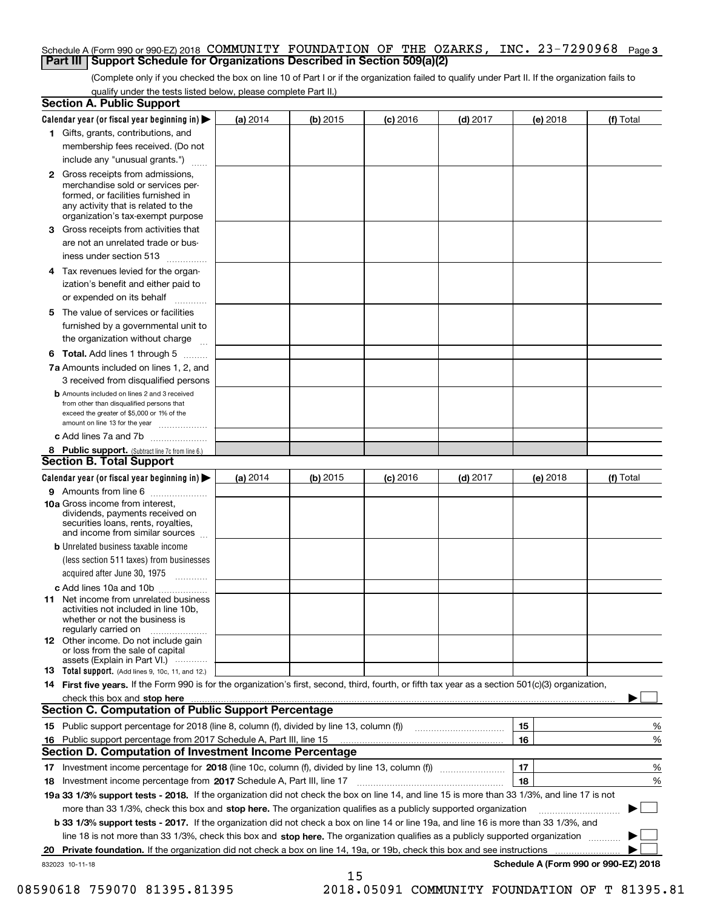#### **3** Schedule A (Form 990 or 990-EZ) 2018 Page COMMUNITY FOUNDATION OF THE OZARKS, INC. 23-7290968 **Part III Support Schedule for Organizations Described in Section 509(a)(2)**

(Complete only if you checked the box on line 10 of Part I or if the organization failed to qualify under Part II. If the organization fails to qualify under the tests listed below, please complete Part II.)

|    | <b>Section A. Public Support</b>                                                                                                                                                                                                                      |            |            |            |            |          |                                      |
|----|-------------------------------------------------------------------------------------------------------------------------------------------------------------------------------------------------------------------------------------------------------|------------|------------|------------|------------|----------|--------------------------------------|
|    | Calendar year (or fiscal year beginning in) $\blacktriangleright$                                                                                                                                                                                     | (a) 2014   | $(b)$ 2015 | $(c)$ 2016 | $(d)$ 2017 | (e) 2018 | (f) Total                            |
|    | 1 Gifts, grants, contributions, and                                                                                                                                                                                                                   |            |            |            |            |          |                                      |
|    | membership fees received. (Do not                                                                                                                                                                                                                     |            |            |            |            |          |                                      |
|    | include any "unusual grants.")                                                                                                                                                                                                                        |            |            |            |            |          |                                      |
|    | 2 Gross receipts from admissions,<br>merchandise sold or services per-<br>formed, or facilities furnished in<br>any activity that is related to the<br>organization's tax-exempt purpose                                                              |            |            |            |            |          |                                      |
|    | 3 Gross receipts from activities that<br>are not an unrelated trade or bus-                                                                                                                                                                           |            |            |            |            |          |                                      |
|    | iness under section 513                                                                                                                                                                                                                               |            |            |            |            |          |                                      |
|    | 4 Tax revenues levied for the organ-                                                                                                                                                                                                                  |            |            |            |            |          |                                      |
|    | ization's benefit and either paid to<br>or expended on its behalf<br>.                                                                                                                                                                                |            |            |            |            |          |                                      |
|    | 5 The value of services or facilities                                                                                                                                                                                                                 |            |            |            |            |          |                                      |
|    | furnished by a governmental unit to                                                                                                                                                                                                                   |            |            |            |            |          |                                      |
|    | the organization without charge                                                                                                                                                                                                                       |            |            |            |            |          |                                      |
|    | <b>6 Total.</b> Add lines 1 through 5                                                                                                                                                                                                                 |            |            |            |            |          |                                      |
|    | 7a Amounts included on lines 1, 2, and<br>3 received from disqualified persons                                                                                                                                                                        |            |            |            |            |          |                                      |
|    | <b>b</b> Amounts included on lines 2 and 3 received<br>from other than disqualified persons that<br>exceed the greater of \$5,000 or 1% of the<br>amount on line 13 for the year                                                                      |            |            |            |            |          |                                      |
|    | c Add lines 7a and 7b                                                                                                                                                                                                                                 |            |            |            |            |          |                                      |
|    | 8 Public support. (Subtract line 7c from line 6.)                                                                                                                                                                                                     |            |            |            |            |          |                                      |
|    | <b>Section B. Total Support</b>                                                                                                                                                                                                                       |            |            |            |            |          |                                      |
|    | Calendar year (or fiscal year beginning in) $\blacktriangleright$                                                                                                                                                                                     | (a) $2014$ | $(b)$ 2015 | $(c)$ 2016 | $(d)$ 2017 | (e) 2018 | (f) Total                            |
|    | 9 Amounts from line 6                                                                                                                                                                                                                                 |            |            |            |            |          |                                      |
|    | 10a Gross income from interest,<br>dividends, payments received on<br>securities loans, rents, royalties,<br>and income from similar sources                                                                                                          |            |            |            |            |          |                                      |
|    | <b>b</b> Unrelated business taxable income<br>(less section 511 taxes) from businesses                                                                                                                                                                |            |            |            |            |          |                                      |
|    | acquired after June 30, 1975                                                                                                                                                                                                                          |            |            |            |            |          |                                      |
|    | c Add lines 10a and 10b<br>11 Net income from unrelated business<br>activities not included in line 10b,<br>whether or not the business is<br>regularly carried on                                                                                    |            |            |            |            |          |                                      |
|    | 12 Other income. Do not include gain<br>or loss from the sale of capital<br>assets (Explain in Part VI.)                                                                                                                                              |            |            |            |            |          |                                      |
|    | <b>13</b> Total support. (Add lines 9, 10c, 11, and 12.)                                                                                                                                                                                              |            |            |            |            |          |                                      |
|    | 14 First five years. If the Form 990 is for the organization's first, second, third, fourth, or fifth tax year as a section 501(c)(3) organization,                                                                                                   |            |            |            |            |          |                                      |
|    | check this box and stop here <i>machine and content and stop</i> here <i>manufacture and stop</i> here <i>manufacture</i> and <b>stop here</b> <i>manufacture manufacture and stop</i> here <i>manufacture manufacture manufacture manufacture ma</i> |            |            |            |            |          |                                      |
|    | Section C. Computation of Public Support Percentage                                                                                                                                                                                                   |            |            |            |            |          |                                      |
|    | 15 Public support percentage for 2018 (line 8, column (f), divided by line 13, column (f))                                                                                                                                                            |            |            |            |            | 15       | %                                    |
|    | 16 Public support percentage from 2017 Schedule A, Part III, line 15                                                                                                                                                                                  |            |            |            |            | 16       | %                                    |
|    | <b>Section D. Computation of Investment Income Percentage</b>                                                                                                                                                                                         |            |            |            |            |          |                                      |
|    | 17 Investment income percentage for 2018 (line 10c, column (f), divided by line 13, column (f))                                                                                                                                                       |            |            |            |            | 17       | %                                    |
|    | <b>18</b> Investment income percentage from <b>2017</b> Schedule A, Part III, line 17                                                                                                                                                                 |            |            |            |            | 18       | %                                    |
|    | 19a 33 1/3% support tests - 2018. If the organization did not check the box on line 14, and line 15 is more than 33 1/3%, and line 17 is not                                                                                                          |            |            |            |            |          |                                      |
|    | more than 33 1/3%, check this box and stop here. The organization qualifies as a publicly supported organization                                                                                                                                      |            |            |            |            |          | ▶                                    |
|    | b 33 1/3% support tests - 2017. If the organization did not check a box on line 14 or line 19a, and line 16 is more than 33 1/3%, and                                                                                                                 |            |            |            |            |          |                                      |
|    | line 18 is not more than 33 1/3%, check this box and stop here. The organization qualifies as a publicly supported organization                                                                                                                       |            |            |            |            |          |                                      |
| 20 | <b>Private foundation.</b> If the organization did not check a box on line 14, 19a, or 19b, check this box and see instructions                                                                                                                       |            |            |            |            |          |                                      |
|    | 832023 10-11-18                                                                                                                                                                                                                                       |            | 15         |            |            |          | Schedule A (Form 990 or 990-EZ) 2018 |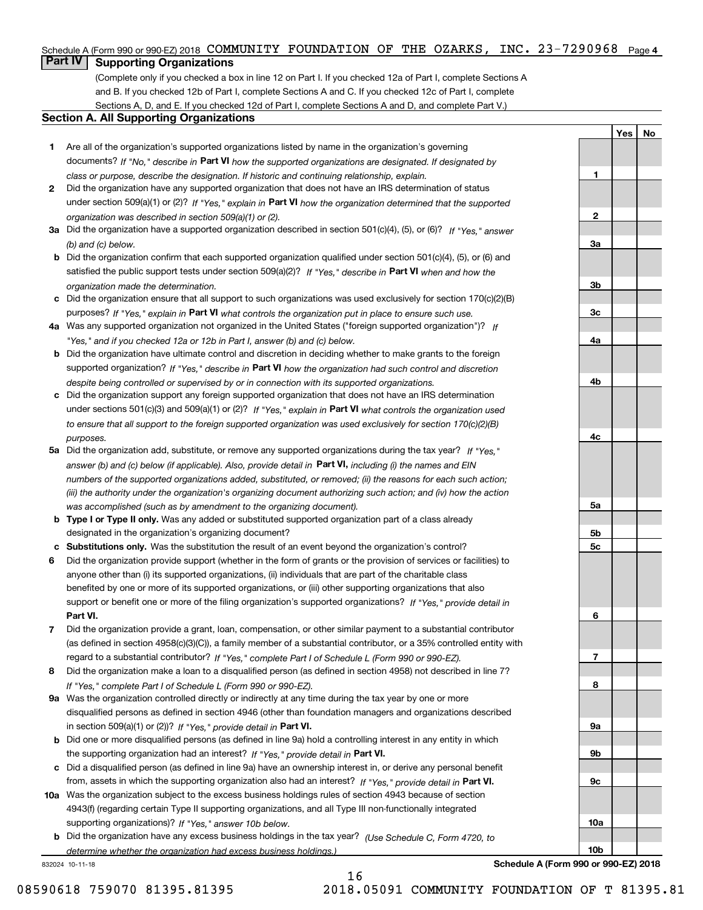#### Schedule A (Form 990 or 990-EZ) 2018  $\,$  COMMUNITY  $\,$  FOUNDATION OF THE OZARKS ,  $\,$  INC  $\,$   $\,$  23-7290968  $\,$  Page 4  $\,$

## **Part IV Supporting Organizations**

(Complete only if you checked a box in line 12 on Part I. If you checked 12a of Part I, complete Sections A and B. If you checked 12b of Part I, complete Sections A and C. If you checked 12c of Part I, complete Sections A, D, and E. If you checked 12d of Part I, complete Sections A and D, and complete Part V.)

#### **Section A. All Supporting Organizations**

- **1** Are all of the organization's supported organizations listed by name in the organization's governing documents? If "No," describe in **Part VI** how the supported organizations are designated. If designated by *class or purpose, describe the designation. If historic and continuing relationship, explain.*
- **2** Did the organization have any supported organization that does not have an IRS determination of status under section 509(a)(1) or (2)? If "Yes," explain in Part VI how the organization determined that the supported *organization was described in section 509(a)(1) or (2).*
- **3a** Did the organization have a supported organization described in section 501(c)(4), (5), or (6)? If "Yes," answer *(b) and (c) below.*
- **b** Did the organization confirm that each supported organization qualified under section 501(c)(4), (5), or (6) and satisfied the public support tests under section 509(a)(2)? If "Yes," describe in **Part VI** when and how the *organization made the determination.*
- **c**Did the organization ensure that all support to such organizations was used exclusively for section 170(c)(2)(B) purposes? If "Yes," explain in **Part VI** what controls the organization put in place to ensure such use.
- **4a***If* Was any supported organization not organized in the United States ("foreign supported organization")? *"Yes," and if you checked 12a or 12b in Part I, answer (b) and (c) below.*
- **b** Did the organization have ultimate control and discretion in deciding whether to make grants to the foreign supported organization? If "Yes," describe in **Part VI** how the organization had such control and discretion *despite being controlled or supervised by or in connection with its supported organizations.*
- **c** Did the organization support any foreign supported organization that does not have an IRS determination under sections 501(c)(3) and 509(a)(1) or (2)? If "Yes," explain in **Part VI** what controls the organization used *to ensure that all support to the foreign supported organization was used exclusively for section 170(c)(2)(B) purposes.*
- **5a** Did the organization add, substitute, or remove any supported organizations during the tax year? If "Yes," answer (b) and (c) below (if applicable). Also, provide detail in **Part VI,** including (i) the names and EIN *numbers of the supported organizations added, substituted, or removed; (ii) the reasons for each such action; (iii) the authority under the organization's organizing document authorizing such action; and (iv) how the action was accomplished (such as by amendment to the organizing document).*
- **b** Type I or Type II only. Was any added or substituted supported organization part of a class already designated in the organization's organizing document?
- **cSubstitutions only.**  Was the substitution the result of an event beyond the organization's control?
- **6** Did the organization provide support (whether in the form of grants or the provision of services or facilities) to **Part VI.** *If "Yes," provide detail in* support or benefit one or more of the filing organization's supported organizations? anyone other than (i) its supported organizations, (ii) individuals that are part of the charitable class benefited by one or more of its supported organizations, or (iii) other supporting organizations that also
- **7**Did the organization provide a grant, loan, compensation, or other similar payment to a substantial contributor *If "Yes," complete Part I of Schedule L (Form 990 or 990-EZ).* regard to a substantial contributor? (as defined in section 4958(c)(3)(C)), a family member of a substantial contributor, or a 35% controlled entity with
- **8** Did the organization make a loan to a disqualified person (as defined in section 4958) not described in line 7? *If "Yes," complete Part I of Schedule L (Form 990 or 990-EZ).*
- **9a** Was the organization controlled directly or indirectly at any time during the tax year by one or more in section 509(a)(1) or (2))? If "Yes," *provide detail in* <code>Part VI.</code> disqualified persons as defined in section 4946 (other than foundation managers and organizations described
- **b** Did one or more disqualified persons (as defined in line 9a) hold a controlling interest in any entity in which the supporting organization had an interest? If "Yes," provide detail in P**art VI**.
- **c**Did a disqualified person (as defined in line 9a) have an ownership interest in, or derive any personal benefit from, assets in which the supporting organization also had an interest? If "Yes," provide detail in P**art VI.**
- **10a** Was the organization subject to the excess business holdings rules of section 4943 because of section supporting organizations)? If "Yes," answer 10b below. 4943(f) (regarding certain Type II supporting organizations, and all Type III non-functionally integrated
- **b** Did the organization have any excess business holdings in the tax year? (Use Schedule C, Form 4720, to *determine whether the organization had excess business holdings.)*

16

832024 10-11-18

**Schedule A (Form 990 or 990-EZ) 2018**

**YesNo**

**1**

**2**

**3a**

**3b**

**3c**

**4a**

**4b**

**4c**

**5a**

**5b5c**

**6**

**7**

**8**

**9a**

**9b**

**9c**

**10a**

**10b**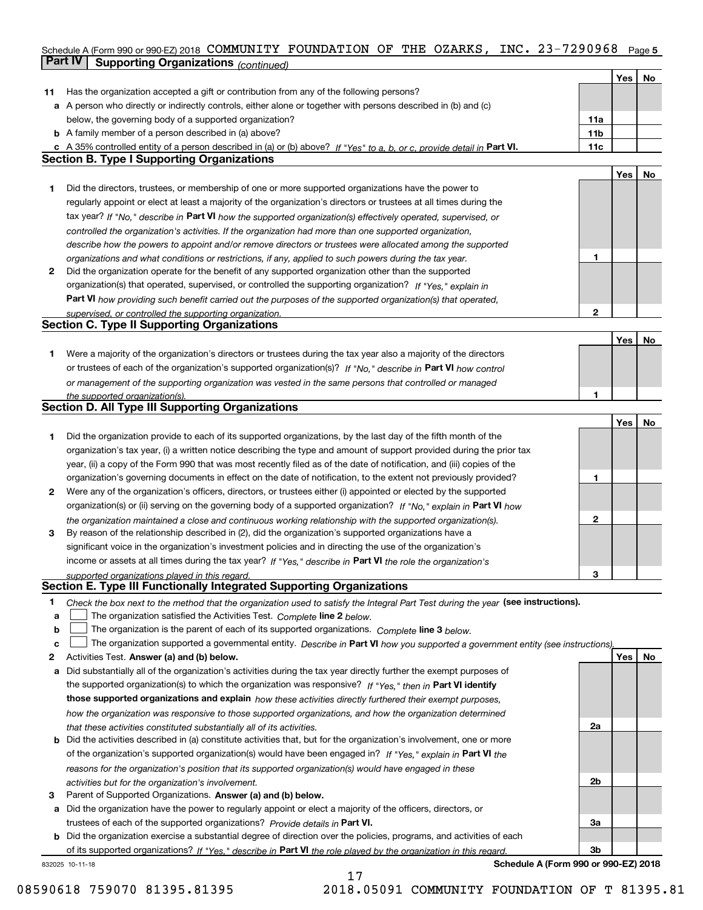#### **5** Schedule A (Form 990 or 990-EZ) 2018 Page COMMUNITY FOUNDATION OF THE OZARKS, INC. 23-7290968 **Part IV Supporting Organizations** *(continued)*

|    |                                                                                                                                                                                                               |                 | Yes        | No |
|----|---------------------------------------------------------------------------------------------------------------------------------------------------------------------------------------------------------------|-----------------|------------|----|
| 11 | Has the organization accepted a gift or contribution from any of the following persons?                                                                                                                       |                 |            |    |
|    | a A person who directly or indirectly controls, either alone or together with persons described in (b) and (c)                                                                                                |                 |            |    |
|    | below, the governing body of a supported organization?                                                                                                                                                        | 11a             |            |    |
|    | <b>b</b> A family member of a person described in (a) above?                                                                                                                                                  | 11 <sub>b</sub> |            |    |
|    | c A 35% controlled entity of a person described in (a) or (b) above? If "Yes" to a, b, or c, provide detail in Part VI.                                                                                       | 11c             |            |    |
|    | <b>Section B. Type I Supporting Organizations</b>                                                                                                                                                             |                 |            |    |
|    |                                                                                                                                                                                                               |                 | Yes        | No |
| 1  | Did the directors, trustees, or membership of one or more supported organizations have the power to                                                                                                           |                 |            |    |
|    | regularly appoint or elect at least a majority of the organization's directors or trustees at all times during the                                                                                            |                 |            |    |
|    | tax year? If "No," describe in Part VI how the supported organization(s) effectively operated, supervised, or                                                                                                 |                 |            |    |
|    | controlled the organization's activities. If the organization had more than one supported organization,                                                                                                       |                 |            |    |
|    |                                                                                                                                                                                                               |                 |            |    |
|    | describe how the powers to appoint and/or remove directors or trustees were allocated among the supported                                                                                                     | 1               |            |    |
| 2  | organizations and what conditions or restrictions, if any, applied to such powers during the tax year.<br>Did the organization operate for the benefit of any supported organization other than the supported |                 |            |    |
|    | organization(s) that operated, supervised, or controlled the supporting organization? If "Yes," explain in                                                                                                    |                 |            |    |
|    |                                                                                                                                                                                                               |                 |            |    |
|    | Part VI how providing such benefit carried out the purposes of the supported organization(s) that operated,                                                                                                   | $\mathbf{2}$    |            |    |
|    | supervised, or controlled the supporting organization.<br><b>Section C. Type II Supporting Organizations</b>                                                                                                  |                 |            |    |
|    |                                                                                                                                                                                                               |                 |            |    |
|    |                                                                                                                                                                                                               |                 | Yes        | No |
| 1. | Were a majority of the organization's directors or trustees during the tax year also a majority of the directors                                                                                              |                 |            |    |
|    | or trustees of each of the organization's supported organization(s)? If "No," describe in Part VI how control                                                                                                 |                 |            |    |
|    | or management of the supporting organization was vested in the same persons that controlled or managed                                                                                                        |                 |            |    |
|    | the supported organization(s).                                                                                                                                                                                | 1               |            |    |
|    | <b>Section D. All Type III Supporting Organizations</b>                                                                                                                                                       |                 |            |    |
|    |                                                                                                                                                                                                               |                 | Yes        | No |
| 1  | Did the organization provide to each of its supported organizations, by the last day of the fifth month of the                                                                                                |                 |            |    |
|    | organization's tax year, (i) a written notice describing the type and amount of support provided during the prior tax                                                                                         |                 |            |    |
|    | year, (ii) a copy of the Form 990 that was most recently filed as of the date of notification, and (iii) copies of the                                                                                        |                 |            |    |
|    | organization's governing documents in effect on the date of notification, to the extent not previously provided?                                                                                              | 1               |            |    |
| 2  | Were any of the organization's officers, directors, or trustees either (i) appointed or elected by the supported                                                                                              |                 |            |    |
|    | organization(s) or (ii) serving on the governing body of a supported organization? If "No," explain in Part VI how                                                                                            |                 |            |    |
|    | the organization maintained a close and continuous working relationship with the supported organization(s).                                                                                                   | $\mathbf{2}$    |            |    |
| 3  | By reason of the relationship described in (2), did the organization's supported organizations have a                                                                                                         |                 |            |    |
|    | significant voice in the organization's investment policies and in directing the use of the organization's                                                                                                    |                 |            |    |
|    | income or assets at all times during the tax year? If "Yes," describe in Part VI the role the organization's                                                                                                  |                 |            |    |
|    | supported organizations played in this regard.                                                                                                                                                                | 3               |            |    |
|    | Section E. Type III Functionally Integrated Supporting Organizations                                                                                                                                          |                 |            |    |
| 1  | Check the box next to the method that the organization used to satisfy the Integral Part Test during the year (see instructions).                                                                             |                 |            |    |
| а  | The organization satisfied the Activities Test. Complete line 2 below.                                                                                                                                        |                 |            |    |
| b  | The organization is the parent of each of its supported organizations. Complete line 3 below.                                                                                                                 |                 |            |    |
| с  | The organization supported a governmental entity. Describe in Part VI how you supported a government entity (see instructions),                                                                               |                 |            |    |
| 2  | Activities Test. Answer (a) and (b) below.                                                                                                                                                                    |                 | <b>Yes</b> | No |
| а  | Did substantially all of the organization's activities during the tax year directly further the exempt purposes of                                                                                            |                 |            |    |
|    | the supported organization(s) to which the organization was responsive? If "Yes." then in Part VI identify                                                                                                    |                 |            |    |
|    | those supported organizations and explain how these activities directly furthered their exempt purposes,                                                                                                      |                 |            |    |
|    | how the organization was responsive to those supported organizations, and how the organization determined                                                                                                     |                 |            |    |
|    | that these activities constituted substantially all of its activities.                                                                                                                                        | 2a              |            |    |
|    | <b>b</b> Did the activities described in (a) constitute activities that, but for the organization's involvement, one or more                                                                                  |                 |            |    |
|    | of the organization's supported organization(s) would have been engaged in? If "Yes," explain in Part VI the                                                                                                  |                 |            |    |
|    | reasons for the organization's position that its supported organization(s) would have engaged in these                                                                                                        |                 |            |    |
|    |                                                                                                                                                                                                               | 2b              |            |    |
| 3  | activities but for the organization's involvement.<br>Parent of Supported Organizations. Answer (a) and (b) below.                                                                                            |                 |            |    |
|    |                                                                                                                                                                                                               |                 |            |    |
|    | a Did the organization have the power to regularly appoint or elect a majority of the officers, directors, or                                                                                                 |                 |            |    |
|    | trustees of each of the supported organizations? Provide details in Part VI.                                                                                                                                  | За              |            |    |
|    | <b>b</b> Did the organization exercise a substantial degree of direction over the policies, programs, and activities of each                                                                                  |                 |            |    |
|    | of its supported organizations? If "Yes." describe in Part VI the role played by the organization in this regard.                                                                                             | 3b              |            |    |
|    | Schedule A (Form 990 or 990-EZ) 2018<br>832025 10-11-18                                                                                                                                                       |                 |            |    |

17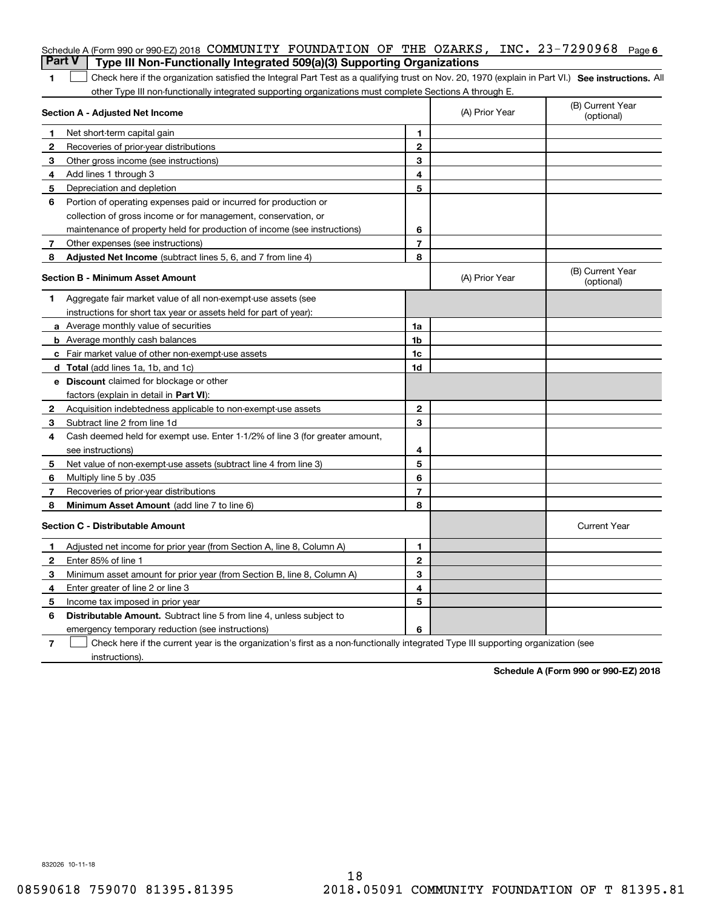| <b>Part V</b>  | Schedule A (Form 990 or 990-EZ) 2018 COMMUNITY FOUNDATION OF THE OZARKS, INC. $23-7290968$<br>Type III Non-Functionally Integrated 509(a)(3) Supporting Organizations |                |                | Page 6                         |
|----------------|-----------------------------------------------------------------------------------------------------------------------------------------------------------------------|----------------|----------------|--------------------------------|
| 1              | Check here if the organization satisfied the Integral Part Test as a qualifying trust on Nov. 20, 1970 (explain in Part VI.) See instructions. All                    |                |                |                                |
|                | other Type III non-functionally integrated supporting organizations must complete Sections A through E.                                                               |                |                |                                |
|                | Section A - Adjusted Net Income                                                                                                                                       |                | (A) Prior Year | (B) Current Year<br>(optional) |
| 1              | Net short-term capital gain                                                                                                                                           | 1              |                |                                |
| $\overline{2}$ | Recoveries of prior-year distributions                                                                                                                                | $\mathbf{2}$   |                |                                |
| З              | Other gross income (see instructions)                                                                                                                                 | 3              |                |                                |
| 4              | Add lines 1 through 3                                                                                                                                                 | 4              |                |                                |
| 5              | Depreciation and depletion                                                                                                                                            | 5              |                |                                |
| 6              | Portion of operating expenses paid or incurred for production or                                                                                                      |                |                |                                |
|                | collection of gross income or for management, conservation, or                                                                                                        |                |                |                                |
|                | maintenance of property held for production of income (see instructions)                                                                                              | 6              |                |                                |
| 7              | Other expenses (see instructions)                                                                                                                                     | $\overline{7}$ |                |                                |
| 8              | Adjusted Net Income (subtract lines 5, 6, and 7 from line 4)                                                                                                          | 8              |                |                                |
|                | <b>Section B - Minimum Asset Amount</b>                                                                                                                               |                | (A) Prior Year | (B) Current Year<br>(optional) |
| 1              | Aggregate fair market value of all non-exempt-use assets (see                                                                                                         |                |                |                                |
|                | instructions for short tax year or assets held for part of year):                                                                                                     |                |                |                                |
|                | <b>a</b> Average monthly value of securities                                                                                                                          | 1a             |                |                                |
|                | <b>b</b> Average monthly cash balances                                                                                                                                | 1b             |                |                                |
|                | <b>c</b> Fair market value of other non-exempt-use assets                                                                                                             | 1c             |                |                                |
|                | <b>d</b> Total (add lines 1a, 1b, and 1c)                                                                                                                             | 1d             |                |                                |
|                | <b>e</b> Discount claimed for blockage or other                                                                                                                       |                |                |                                |
|                | factors (explain in detail in Part VI):                                                                                                                               |                |                |                                |
| 2              | Acquisition indebtedness applicable to non-exempt-use assets                                                                                                          | $\mathbf{2}$   |                |                                |
| 3              | Subtract line 2 from line 1d                                                                                                                                          | 3              |                |                                |
| 4              | Cash deemed held for exempt use. Enter 1-1/2% of line 3 (for greater amount,                                                                                          |                |                |                                |
|                | see instructions)                                                                                                                                                     | 4              |                |                                |
| 5              | Net value of non-exempt-use assets (subtract line 4 from line 3)                                                                                                      | 5              |                |                                |
| 6              | Multiply line 5 by .035                                                                                                                                               | 6              |                |                                |
| 7              | Recoveries of prior-year distributions                                                                                                                                | $\overline{7}$ |                |                                |
| 8              | Minimum Asset Amount (add line 7 to line 6)                                                                                                                           | 8              |                |                                |
|                | <b>Section C - Distributable Amount</b>                                                                                                                               |                |                | <b>Current Year</b>            |
|                | Adjusted net income for prior year (from Section A, line 8, Column A)                                                                                                 | 1              |                |                                |
| 2              | Enter 85% of line 1                                                                                                                                                   | 2              |                |                                |
| З              | Minimum asset amount for prior year (from Section B, line 8, Column A)                                                                                                | 3              |                |                                |
| 4              | Enter greater of line 2 or line 3                                                                                                                                     | 4              |                |                                |
| 5              | Income tax imposed in prior year                                                                                                                                      | 5              |                |                                |
| 6              | <b>Distributable Amount.</b> Subtract line 5 from line 4, unless subject to                                                                                           |                |                |                                |
|                | emergency temporary reduction (see instructions)                                                                                                                      | 6              |                |                                |
| 7              | Check here if the current year is the organization's first as a non-functionally integrated Type III supporting organization (see                                     |                |                |                                |

instructions).

**Schedule A (Form 990 or 990-EZ) 2018**

832026 10-11-18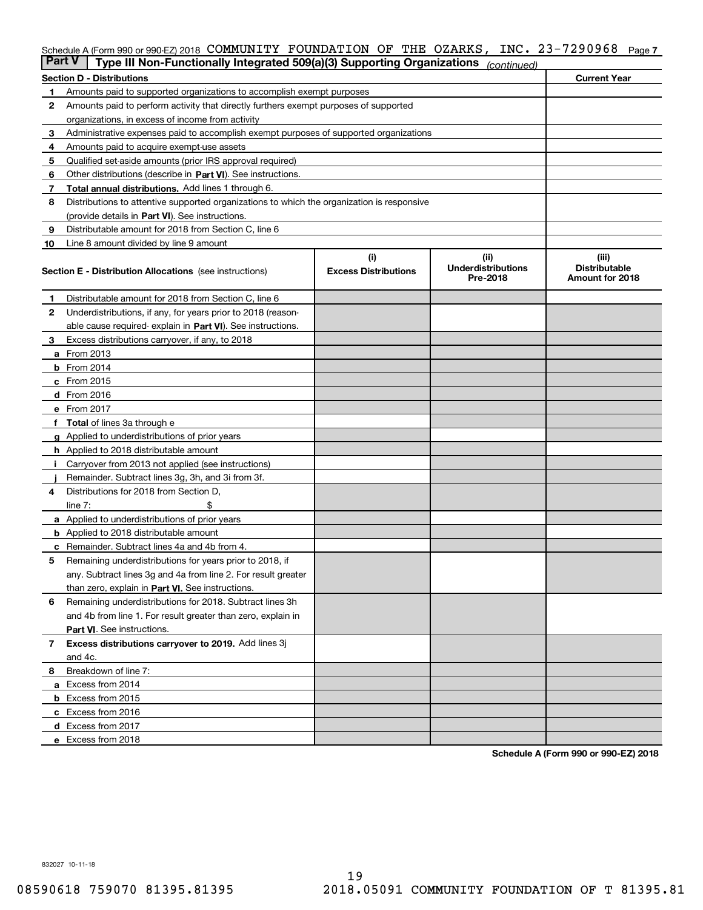#### Schedule A (Form 990 or 990-EZ) 2018 **COMMUNITY FOUNDATION OF THE OZARKS, INC. 23-7290968** Page **7**

| <b>Part V</b> | Type III Non-Functionally Integrated 509(a)(3) Supporting Organizations                    |                                    | (continued)                                    |                                                  |
|---------------|--------------------------------------------------------------------------------------------|------------------------------------|------------------------------------------------|--------------------------------------------------|
|               | <b>Section D - Distributions</b>                                                           |                                    |                                                | <b>Current Year</b>                              |
| 1             | Amounts paid to supported organizations to accomplish exempt purposes                      |                                    |                                                |                                                  |
| 2             | Amounts paid to perform activity that directly furthers exempt purposes of supported       |                                    |                                                |                                                  |
|               | organizations, in excess of income from activity                                           |                                    |                                                |                                                  |
| 3             | Administrative expenses paid to accomplish exempt purposes of supported organizations      |                                    |                                                |                                                  |
| 4             | Amounts paid to acquire exempt-use assets                                                  |                                    |                                                |                                                  |
| 5             | Qualified set-aside amounts (prior IRS approval required)                                  |                                    |                                                |                                                  |
| 6             | Other distributions (describe in Part VI). See instructions.                               |                                    |                                                |                                                  |
| 7             | <b>Total annual distributions.</b> Add lines 1 through 6.                                  |                                    |                                                |                                                  |
| 8             | Distributions to attentive supported organizations to which the organization is responsive |                                    |                                                |                                                  |
|               | (provide details in Part VI). See instructions.                                            |                                    |                                                |                                                  |
| 9             | Distributable amount for 2018 from Section C, line 6                                       |                                    |                                                |                                                  |
| 10            | Line 8 amount divided by line 9 amount                                                     |                                    |                                                |                                                  |
|               | <b>Section E - Distribution Allocations</b> (see instructions)                             | (i)<br><b>Excess Distributions</b> | (iii)<br><b>Underdistributions</b><br>Pre-2018 | (iii)<br><b>Distributable</b><br>Amount for 2018 |
| 1             | Distributable amount for 2018 from Section C, line 6                                       |                                    |                                                |                                                  |
| 2             | Underdistributions, if any, for years prior to 2018 (reason-                               |                                    |                                                |                                                  |
|               | able cause required- explain in Part VI). See instructions.                                |                                    |                                                |                                                  |
| З             | Excess distributions carryover, if any, to 2018                                            |                                    |                                                |                                                  |
|               | <b>a</b> From 2013                                                                         |                                    |                                                |                                                  |
|               | <b>b</b> From 2014                                                                         |                                    |                                                |                                                  |
|               | $c$ From 2015                                                                              |                                    |                                                |                                                  |
|               | d From 2016                                                                                |                                    |                                                |                                                  |
|               | e From 2017                                                                                |                                    |                                                |                                                  |
|               | Total of lines 3a through e                                                                |                                    |                                                |                                                  |
| g             | Applied to underdistributions of prior years                                               |                                    |                                                |                                                  |
|               | <b>h</b> Applied to 2018 distributable amount                                              |                                    |                                                |                                                  |
|               | Carryover from 2013 not applied (see instructions)                                         |                                    |                                                |                                                  |
|               | Remainder. Subtract lines 3g, 3h, and 3i from 3f.                                          |                                    |                                                |                                                  |
| 4             | Distributions for 2018 from Section D,                                                     |                                    |                                                |                                                  |
|               | line $7:$                                                                                  |                                    |                                                |                                                  |
|               | <b>a</b> Applied to underdistributions of prior years                                      |                                    |                                                |                                                  |
|               | <b>b</b> Applied to 2018 distributable amount                                              |                                    |                                                |                                                  |
|               | c Remainder. Subtract lines 4a and 4b from 4.                                              |                                    |                                                |                                                  |
| 5             | Remaining underdistributions for years prior to 2018, if                                   |                                    |                                                |                                                  |
|               | any. Subtract lines 3g and 4a from line 2. For result greater                              |                                    |                                                |                                                  |
|               | than zero, explain in Part VI. See instructions.                                           |                                    |                                                |                                                  |
| 6             | Remaining underdistributions for 2018. Subtract lines 3h                                   |                                    |                                                |                                                  |
|               | and 4b from line 1. For result greater than zero, explain in                               |                                    |                                                |                                                  |
|               | Part VI. See instructions.                                                                 |                                    |                                                |                                                  |
| 7             | Excess distributions carryover to 2019. Add lines 3j                                       |                                    |                                                |                                                  |
|               | and 4c.                                                                                    |                                    |                                                |                                                  |
| 8             | Breakdown of line 7:                                                                       |                                    |                                                |                                                  |
|               | a Excess from 2014                                                                         |                                    |                                                |                                                  |
|               | <b>b</b> Excess from 2015                                                                  |                                    |                                                |                                                  |
|               | c Excess from 2016                                                                         |                                    |                                                |                                                  |
|               | d Excess from 2017                                                                         |                                    |                                                |                                                  |
|               | e Excess from 2018                                                                         |                                    |                                                |                                                  |

**Schedule A (Form 990 or 990-EZ) 2018**

832027 10-11-18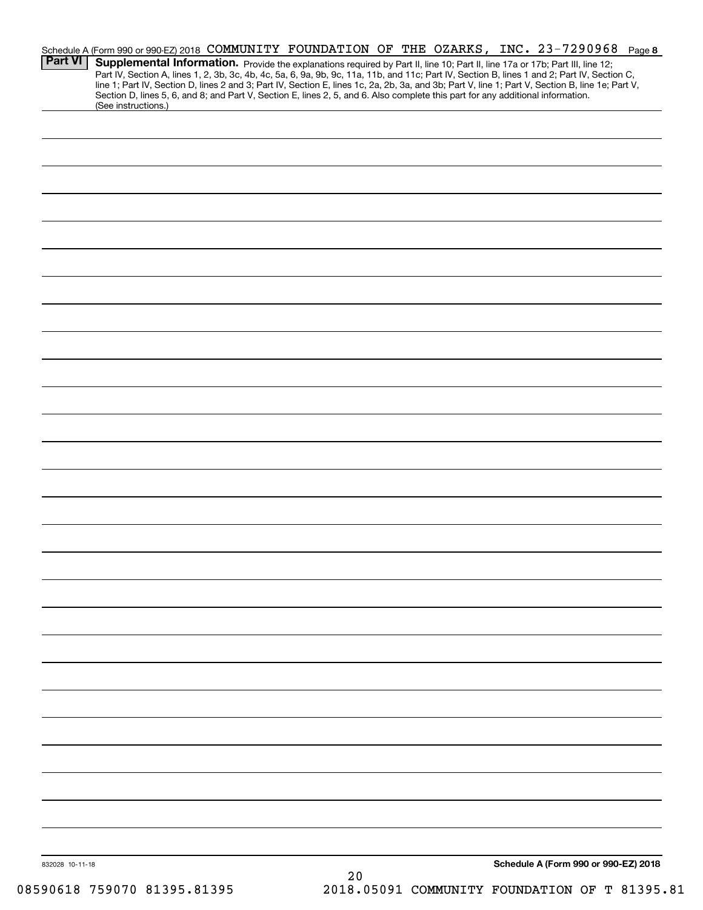| <b>Part VI</b>  |                     | Supplemental Information. Provide the explanations required by Part II, line 10; Part II, line 17a or 17b; Part III, line 12;<br>Part IV, Section A, lines 1, 2, 3b, 3c, 4b, 4c, 5a, 6, 9a, 9b, 9c, 11a, 11b, and 11c; Part IV, Section B, lines 1 and 2; Part IV, Section C,<br>line 1; Part IV, Section D, lines 2 and 3; Part IV, Section E, lines 1c, 2a, 2b, 3a, and 3b; Part V, line 1; Part V, Section B, line 1e; Part V, | Schedule A (Form 990 or 990-EZ) 2018 COMMUNITY FOUNDATION OF THE OZARKS, INC. 23-7290968 Page 8 |
|-----------------|---------------------|-----------------------------------------------------------------------------------------------------------------------------------------------------------------------------------------------------------------------------------------------------------------------------------------------------------------------------------------------------------------------------------------------------------------------------------|-------------------------------------------------------------------------------------------------|
|                 | (See instructions.) | Section D, lines 5, 6, and 8; and Part V, Section E, lines 2, 5, and 6. Also complete this part for any additional information.                                                                                                                                                                                                                                                                                                   |                                                                                                 |
|                 |                     |                                                                                                                                                                                                                                                                                                                                                                                                                                   |                                                                                                 |
|                 |                     |                                                                                                                                                                                                                                                                                                                                                                                                                                   |                                                                                                 |
|                 |                     |                                                                                                                                                                                                                                                                                                                                                                                                                                   |                                                                                                 |
|                 |                     |                                                                                                                                                                                                                                                                                                                                                                                                                                   |                                                                                                 |
|                 |                     |                                                                                                                                                                                                                                                                                                                                                                                                                                   |                                                                                                 |
|                 |                     |                                                                                                                                                                                                                                                                                                                                                                                                                                   |                                                                                                 |
|                 |                     |                                                                                                                                                                                                                                                                                                                                                                                                                                   |                                                                                                 |
|                 |                     |                                                                                                                                                                                                                                                                                                                                                                                                                                   |                                                                                                 |
|                 |                     |                                                                                                                                                                                                                                                                                                                                                                                                                                   |                                                                                                 |
|                 |                     |                                                                                                                                                                                                                                                                                                                                                                                                                                   |                                                                                                 |
|                 |                     |                                                                                                                                                                                                                                                                                                                                                                                                                                   |                                                                                                 |
|                 |                     |                                                                                                                                                                                                                                                                                                                                                                                                                                   |                                                                                                 |
|                 |                     |                                                                                                                                                                                                                                                                                                                                                                                                                                   |                                                                                                 |
|                 |                     |                                                                                                                                                                                                                                                                                                                                                                                                                                   |                                                                                                 |
|                 |                     |                                                                                                                                                                                                                                                                                                                                                                                                                                   |                                                                                                 |
|                 |                     |                                                                                                                                                                                                                                                                                                                                                                                                                                   |                                                                                                 |
|                 |                     |                                                                                                                                                                                                                                                                                                                                                                                                                                   |                                                                                                 |
|                 |                     |                                                                                                                                                                                                                                                                                                                                                                                                                                   |                                                                                                 |
|                 |                     |                                                                                                                                                                                                                                                                                                                                                                                                                                   |                                                                                                 |
|                 |                     |                                                                                                                                                                                                                                                                                                                                                                                                                                   |                                                                                                 |
|                 |                     |                                                                                                                                                                                                                                                                                                                                                                                                                                   |                                                                                                 |
|                 |                     |                                                                                                                                                                                                                                                                                                                                                                                                                                   |                                                                                                 |
|                 |                     |                                                                                                                                                                                                                                                                                                                                                                                                                                   |                                                                                                 |
|                 |                     |                                                                                                                                                                                                                                                                                                                                                                                                                                   |                                                                                                 |
|                 |                     |                                                                                                                                                                                                                                                                                                                                                                                                                                   |                                                                                                 |
|                 |                     |                                                                                                                                                                                                                                                                                                                                                                                                                                   |                                                                                                 |
|                 |                     |                                                                                                                                                                                                                                                                                                                                                                                                                                   |                                                                                                 |
|                 |                     |                                                                                                                                                                                                                                                                                                                                                                                                                                   |                                                                                                 |
|                 |                     |                                                                                                                                                                                                                                                                                                                                                                                                                                   |                                                                                                 |
|                 |                     |                                                                                                                                                                                                                                                                                                                                                                                                                                   |                                                                                                 |
|                 |                     |                                                                                                                                                                                                                                                                                                                                                                                                                                   |                                                                                                 |
|                 |                     |                                                                                                                                                                                                                                                                                                                                                                                                                                   |                                                                                                 |
|                 |                     |                                                                                                                                                                                                                                                                                                                                                                                                                                   |                                                                                                 |
|                 |                     |                                                                                                                                                                                                                                                                                                                                                                                                                                   |                                                                                                 |
|                 |                     |                                                                                                                                                                                                                                                                                                                                                                                                                                   |                                                                                                 |
|                 |                     |                                                                                                                                                                                                                                                                                                                                                                                                                                   |                                                                                                 |
| 832028 10-11-18 |                     | 20                                                                                                                                                                                                                                                                                                                                                                                                                                | Schedule A (Form 990 or 990-EZ) 2018                                                            |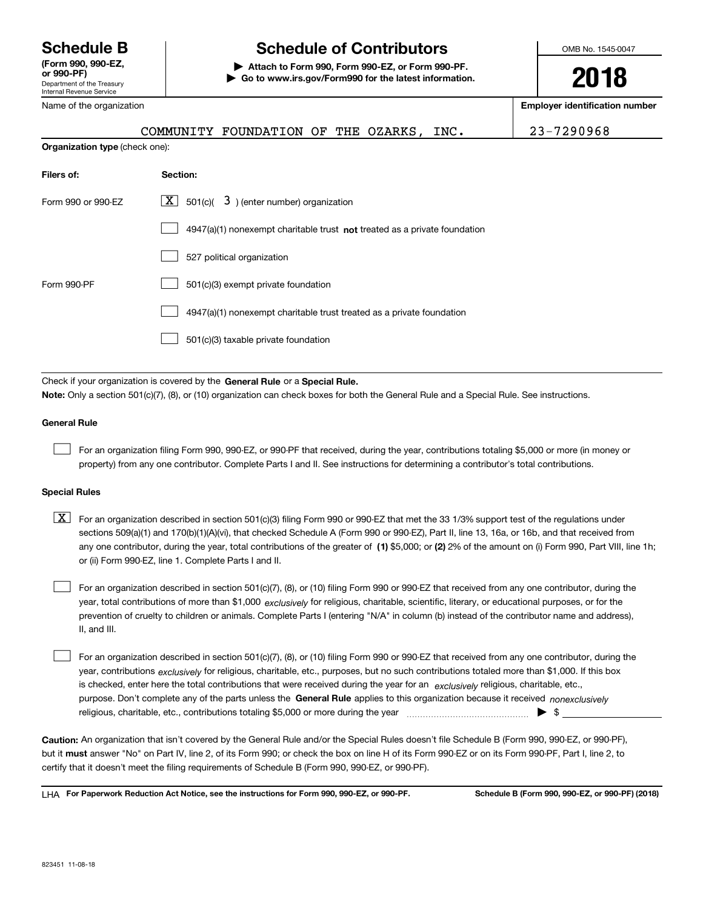Department of the Treasury Internal Revenue Service **(Form 990, 990-EZ, or 990-PF)** Name of the organization

**Organization type** (check one):

# **Schedule B Schedule of Contributors**

**| Attach to Form 990, Form 990-EZ, or Form 990-PF. | Go to www.irs.gov/Form990 for the latest information.** OMB No. 1545-0047

**2018**

**Employer identification number**

|  | COMMUNITY FOUNDATION OF THE OZARKS, INC. |  |  |  |
|--|------------------------------------------|--|--|--|
|  |                                          |  |  |  |

23-7290968

| Filers of:         | Section:                                                                  |
|--------------------|---------------------------------------------------------------------------|
| Form 990 or 990-FZ | $\lfloor x \rfloor$ 501(c)( 3) (enter number) organization                |
|                    | 4947(a)(1) nonexempt charitable trust not treated as a private foundation |
|                    | 527 political organization                                                |
| Form 990-PF        | 501(c)(3) exempt private foundation                                       |
|                    | 4947(a)(1) nonexempt charitable trust treated as a private foundation     |
|                    | 501(c)(3) taxable private foundation                                      |

Check if your organization is covered by the **General Rule** or a **Special Rule. Note:**  Only a section 501(c)(7), (8), or (10) organization can check boxes for both the General Rule and a Special Rule. See instructions.

#### **General Rule**

 $\mathcal{L}^{\text{max}}$ 

For an organization filing Form 990, 990-EZ, or 990-PF that received, during the year, contributions totaling \$5,000 or more (in money or property) from any one contributor. Complete Parts I and II. See instructions for determining a contributor's total contributions.

#### **Special Rules**

any one contributor, during the year, total contributions of the greater of  $\,$  (1) \$5,000; or **(2)** 2% of the amount on (i) Form 990, Part VIII, line 1h;  $\boxed{\textbf{X}}$  For an organization described in section 501(c)(3) filing Form 990 or 990-EZ that met the 33 1/3% support test of the regulations under sections 509(a)(1) and 170(b)(1)(A)(vi), that checked Schedule A (Form 990 or 990-EZ), Part II, line 13, 16a, or 16b, and that received from or (ii) Form 990-EZ, line 1. Complete Parts I and II.

year, total contributions of more than \$1,000 *exclusively* for religious, charitable, scientific, literary, or educational purposes, or for the For an organization described in section 501(c)(7), (8), or (10) filing Form 990 or 990-EZ that received from any one contributor, during the prevention of cruelty to children or animals. Complete Parts I (entering "N/A" in column (b) instead of the contributor name and address), II, and III.  $\mathcal{L}^{\text{max}}$ 

purpose. Don't complete any of the parts unless the **General Rule** applies to this organization because it received *nonexclusively* year, contributions <sub>exclusively</sub> for religious, charitable, etc., purposes, but no such contributions totaled more than \$1,000. If this box is checked, enter here the total contributions that were received during the year for an  $\;$ exclusively religious, charitable, etc., For an organization described in section 501(c)(7), (8), or (10) filing Form 990 or 990-EZ that received from any one contributor, during the religious, charitable, etc., contributions totaling \$5,000 or more during the year  $\Box$ — $\Box$   $\Box$  $\mathcal{L}^{\text{max}}$ 

**Caution:**  An organization that isn't covered by the General Rule and/or the Special Rules doesn't file Schedule B (Form 990, 990-EZ, or 990-PF),  **must** but it answer "No" on Part IV, line 2, of its Form 990; or check the box on line H of its Form 990-EZ or on its Form 990-PF, Part I, line 2, to certify that it doesn't meet the filing requirements of Schedule B (Form 990, 990-EZ, or 990-PF).

**For Paperwork Reduction Act Notice, see the instructions for Form 990, 990-EZ, or 990-PF. Schedule B (Form 990, 990-EZ, or 990-PF) (2018)** LHA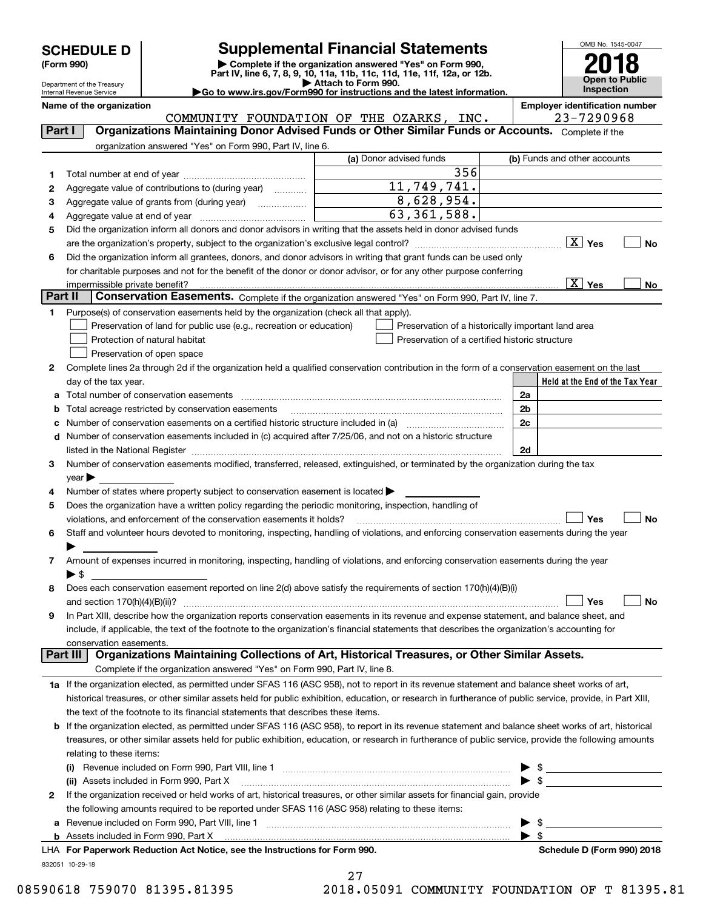|  | <b>SCHEDULE D</b> |  |  |  |
|--|-------------------|--|--|--|
|--|-------------------|--|--|--|

| (Form 990) |  |
|------------|--|
|------------|--|

## **SCHEDULE D Supplemental Financial Statements**

(Form 990)<br>
Pepartment of the Treasury<br>
Department of the Treasury<br>
Department of the Treasury<br>
Department of the Treasury<br> **Co to www.irs.gov/Form990 for instructions and the latest information.**<br> **Co to www.irs.gov/Form9** 



Department of the Treasury Internal Revenue Service

|         | Name of the organization                                                                                                                                  | COMMUNITY FOUNDATION OF THE OZARKS, INC.           | <b>Employer identification number</b><br>23-7290968 |
|---------|-----------------------------------------------------------------------------------------------------------------------------------------------------------|----------------------------------------------------|-----------------------------------------------------|
| Part I  | Organizations Maintaining Donor Advised Funds or Other Similar Funds or Accounts. Complete if the                                                         |                                                    |                                                     |
|         | organization answered "Yes" on Form 990, Part IV, line 6.                                                                                                 |                                                    |                                                     |
|         |                                                                                                                                                           | (a) Donor advised funds                            | (b) Funds and other accounts                        |
|         |                                                                                                                                                           | 356                                                |                                                     |
| 1.      |                                                                                                                                                           | 11,749,741.                                        |                                                     |
| 2       | Aggregate value of contributions to (during year)                                                                                                         | 8,628,954.                                         |                                                     |
| з       | Aggregate value of grants from (during year)                                                                                                              | 63, 361, 588.                                      |                                                     |
| 4       |                                                                                                                                                           |                                                    |                                                     |
| 5       | Did the organization inform all donors and donor advisors in writing that the assets held in donor advised funds                                          |                                                    |                                                     |
|         |                                                                                                                                                           |                                                    | $\boxed{\text{X}}$ Yes<br>No                        |
| 6       | Did the organization inform all grantees, donors, and donor advisors in writing that grant funds can be used only                                         |                                                    |                                                     |
|         | for charitable purposes and not for the benefit of the donor or donor advisor, or for any other purpose conferring                                        |                                                    |                                                     |
|         | impermissible private benefit?                                                                                                                            |                                                    | $\boxed{\text{X}}$ Yes<br>No                        |
| Part II | Conservation Easements. Complete if the organization answered "Yes" on Form 990, Part IV, line 7.                                                         |                                                    |                                                     |
| 1       | Purpose(s) of conservation easements held by the organization (check all that apply).                                                                     |                                                    |                                                     |
|         | Preservation of land for public use (e.g., recreation or education)                                                                                       | Preservation of a historically important land area |                                                     |
|         | Protection of natural habitat                                                                                                                             | Preservation of a certified historic structure     |                                                     |
|         | Preservation of open space                                                                                                                                |                                                    |                                                     |
| 2       | Complete lines 2a through 2d if the organization held a qualified conservation contribution in the form of a conservation easement on the last            |                                                    |                                                     |
|         | day of the tax year.                                                                                                                                      |                                                    | Held at the End of the Tax Year                     |
| а       | Total number of conservation easements                                                                                                                    |                                                    | 2a                                                  |
| b       | Total acreage restricted by conservation easements                                                                                                        |                                                    | 2 <sub>b</sub>                                      |
| c       |                                                                                                                                                           |                                                    | 2c                                                  |
| d       | Number of conservation easements included in (c) acquired after 7/25/06, and not on a historic structure                                                  |                                                    |                                                     |
|         |                                                                                                                                                           |                                                    | 2d                                                  |
| 3       | Number of conservation easements modified, transferred, released, extinguished, or terminated by the organization during the tax                          |                                                    |                                                     |
|         | $\mathsf{year}$                                                                                                                                           |                                                    |                                                     |
| 4       | Number of states where property subject to conservation easement is located >                                                                             |                                                    |                                                     |
| 5       | Does the organization have a written policy regarding the periodic monitoring, inspection, handling of                                                    |                                                    |                                                     |
|         | violations, and enforcement of the conservation easements it holds?                                                                                       |                                                    | <b>No</b><br>Yes                                    |
| 6       | Staff and volunteer hours devoted to monitoring, inspecting, handling of violations, and enforcing conservation easements during the year                 |                                                    |                                                     |
|         |                                                                                                                                                           |                                                    |                                                     |
| 7.      | Amount of expenses incurred in monitoring, inspecting, handling of violations, and enforcing conservation easements during the year                       |                                                    |                                                     |
|         | $\blacktriangleright$ \$                                                                                                                                  |                                                    |                                                     |
| 8       | Does each conservation easement reported on line 2(d) above satisfy the requirements of section 170(h)(4)(B)(i)                                           |                                                    |                                                     |
|         |                                                                                                                                                           |                                                    | Yes<br>No                                           |
|         | In Part XIII, describe how the organization reports conservation easements in its revenue and expense statement, and balance sheet, and                   |                                                    |                                                     |
|         | include, if applicable, the text of the footnote to the organization's financial statements that describes the organization's accounting for              |                                                    |                                                     |
|         | conservation easements.                                                                                                                                   |                                                    |                                                     |
|         | Organizations Maintaining Collections of Art, Historical Treasures, or Other Similar Assets.<br>Part III                                                  |                                                    |                                                     |
|         | Complete if the organization answered "Yes" on Form 990, Part IV, line 8.                                                                                 |                                                    |                                                     |
|         | 1a If the organization elected, as permitted under SFAS 116 (ASC 958), not to report in its revenue statement and balance sheet works of art,             |                                                    |                                                     |
|         | historical treasures, or other similar assets held for public exhibition, education, or research in furtherance of public service, provide, in Part XIII, |                                                    |                                                     |
|         | the text of the footnote to its financial statements that describes these items.                                                                          |                                                    |                                                     |
| b       | If the organization elected, as permitted under SFAS 116 (ASC 958), to report in its revenue statement and balance sheet works of art, historical         |                                                    |                                                     |
|         | treasures, or other similar assets held for public exhibition, education, or research in furtherance of public service, provide the following amounts     |                                                    |                                                     |
|         | relating to these items:                                                                                                                                  |                                                    |                                                     |
|         |                                                                                                                                                           |                                                    | $\frac{1}{2}$                                       |
|         | (ii) Assets included in Form 990, Part X                                                                                                                  |                                                    | $\blacktriangleright$ \$                            |
| 2       | If the organization received or held works of art, historical treasures, or other similar assets for financial gain, provide                              |                                                    |                                                     |
|         | the following amounts required to be reported under SFAS 116 (ASC 958) relating to these items:                                                           |                                                    |                                                     |
|         |                                                                                                                                                           |                                                    | - \$                                                |
|         |                                                                                                                                                           |                                                    | $\blacktriangleright$ \$                            |
|         |                                                                                                                                                           |                                                    |                                                     |

832051 10-29-18 **For Paperwork Reduction Act Notice, see the Instructions for Form 990. Schedule D (Form 990) 2018** LHA

27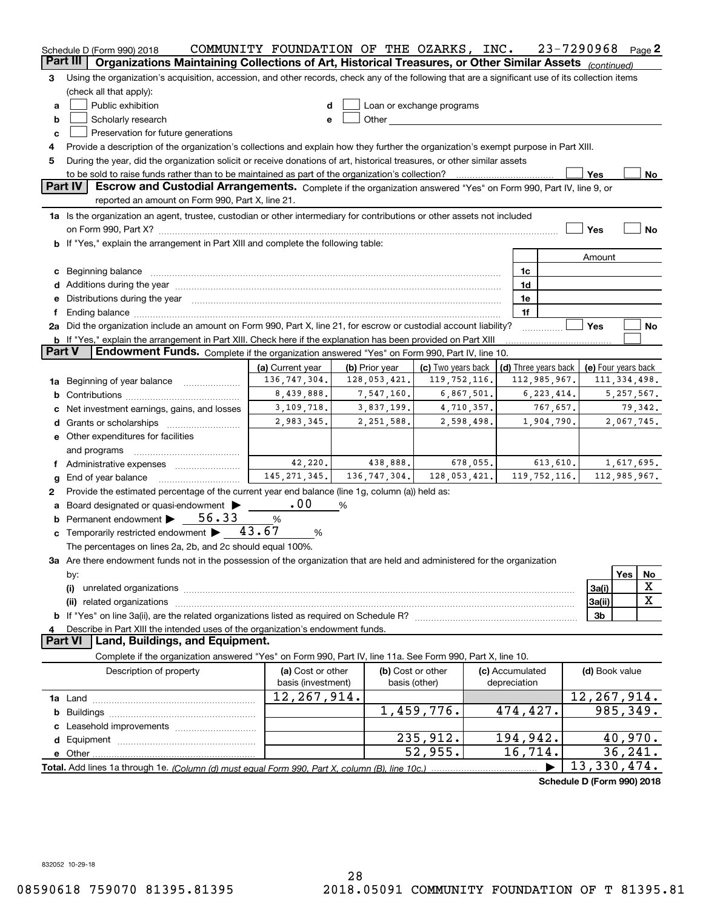|               | Schedule D (Form 990) 2018                                                                                                                                                                                                                                                                                                                           | COMMUNITY FOUNDATION OF THE OZARKS, INC. |                                |                                                                                                                                                                                                                               |  |                      |                | $23 - 7290968$ Page 2      |                        |         |  |  |
|---------------|------------------------------------------------------------------------------------------------------------------------------------------------------------------------------------------------------------------------------------------------------------------------------------------------------------------------------------------------------|------------------------------------------|--------------------------------|-------------------------------------------------------------------------------------------------------------------------------------------------------------------------------------------------------------------------------|--|----------------------|----------------|----------------------------|------------------------|---------|--|--|
| Part III      | Organizations Maintaining Collections of Art, Historical Treasures, or Other Similar Assets (continued)                                                                                                                                                                                                                                              |                                          |                                |                                                                                                                                                                                                                               |  |                      |                |                            |                        |         |  |  |
| 3             | Using the organization's acquisition, accession, and other records, check any of the following that are a significant use of its collection items                                                                                                                                                                                                    |                                          |                                |                                                                                                                                                                                                                               |  |                      |                |                            |                        |         |  |  |
|               | (check all that apply):                                                                                                                                                                                                                                                                                                                              |                                          |                                |                                                                                                                                                                                                                               |  |                      |                |                            |                        |         |  |  |
| a             | Public exhibition                                                                                                                                                                                                                                                                                                                                    |                                          |                                | Loan or exchange programs                                                                                                                                                                                                     |  |                      |                |                            |                        |         |  |  |
| b             | Scholarly research                                                                                                                                                                                                                                                                                                                                   | е                                        |                                | Other and the contract of the contract of the contract of the contract of the contract of the contract of the contract of the contract of the contract of the contract of the contract of the contract of the contract of the |  |                      |                |                            |                        |         |  |  |
| c             | Preservation for future generations                                                                                                                                                                                                                                                                                                                  |                                          |                                |                                                                                                                                                                                                                               |  |                      |                |                            |                        |         |  |  |
| 4             | Provide a description of the organization's collections and explain how they further the organization's exempt purpose in Part XIII.                                                                                                                                                                                                                 |                                          |                                |                                                                                                                                                                                                                               |  |                      |                |                            |                        |         |  |  |
| 5             | During the year, did the organization solicit or receive donations of art, historical treasures, or other similar assets                                                                                                                                                                                                                             |                                          |                                |                                                                                                                                                                                                                               |  |                      |                |                            |                        |         |  |  |
|               |                                                                                                                                                                                                                                                                                                                                                      |                                          |                                |                                                                                                                                                                                                                               |  |                      |                | Yes                        |                        | No      |  |  |
|               | Part IV<br>Escrow and Custodial Arrangements. Complete if the organization answered "Yes" on Form 990, Part IV, line 9, or                                                                                                                                                                                                                           |                                          |                                |                                                                                                                                                                                                                               |  |                      |                |                            |                        |         |  |  |
|               | reported an amount on Form 990, Part X, line 21.                                                                                                                                                                                                                                                                                                     |                                          |                                |                                                                                                                                                                                                                               |  |                      |                |                            |                        |         |  |  |
|               | 1a Is the organization an agent, trustee, custodian or other intermediary for contributions or other assets not included                                                                                                                                                                                                                             |                                          |                                |                                                                                                                                                                                                                               |  |                      |                |                            |                        |         |  |  |
|               |                                                                                                                                                                                                                                                                                                                                                      |                                          |                                |                                                                                                                                                                                                                               |  |                      |                | Yes                        |                        | No      |  |  |
|               | b If "Yes," explain the arrangement in Part XIII and complete the following table:                                                                                                                                                                                                                                                                   |                                          |                                |                                                                                                                                                                                                                               |  |                      |                |                            |                        |         |  |  |
|               |                                                                                                                                                                                                                                                                                                                                                      |                                          |                                |                                                                                                                                                                                                                               |  |                      |                | Amount                     |                        |         |  |  |
|               |                                                                                                                                                                                                                                                                                                                                                      |                                          |                                |                                                                                                                                                                                                                               |  | 1c                   |                |                            |                        |         |  |  |
| c             | Beginning balance <b>contract to the contract of the contract of the contract of the contract of the contract of t</b>                                                                                                                                                                                                                               |                                          |                                |                                                                                                                                                                                                                               |  | 1d                   |                |                            |                        |         |  |  |
| d             | Additions during the year manufactured and an account of the state of the state of the state of the state of the state of the state of the state of the state of the state of the state of the state of the state of the state                                                                                                                       |                                          |                                |                                                                                                                                                                                                                               |  | 1e                   |                |                            |                        |         |  |  |
| е             | Distributions during the year manufactured and continuum and contained and the year manufactured and contained                                                                                                                                                                                                                                       |                                          |                                |                                                                                                                                                                                                                               |  | 1f                   |                |                            |                        |         |  |  |
| f             | Ending balance manufactured and all and all and all and all and all and all and all and all and all and all and and all and all and all and all and all and all and all and all and all and all and all and all and all and al<br>2a Did the organization include an amount on Form 990, Part X, line 21, for escrow or custodial account liability? |                                          |                                |                                                                                                                                                                                                                               |  |                      |                | Yes                        |                        |         |  |  |
|               |                                                                                                                                                                                                                                                                                                                                                      |                                          |                                |                                                                                                                                                                                                                               |  |                      |                |                            |                        | No      |  |  |
| <b>Part V</b> | <b>b</b> If "Yes," explain the arrangement in Part XIII. Check here if the explanation has been provided on Part XIII<br>Endowment Funds. Complete if the organization answered "Yes" on Form 990, Part IV, line 10.                                                                                                                                 |                                          |                                |                                                                                                                                                                                                                               |  |                      |                |                            |                        |         |  |  |
|               |                                                                                                                                                                                                                                                                                                                                                      |                                          |                                | (c) Two years back                                                                                                                                                                                                            |  |                      |                |                            |                        |         |  |  |
|               |                                                                                                                                                                                                                                                                                                                                                      | (a) Current year<br>136, 747, 304.       | (b) Prior year<br>128,053,421. | 119, 752, 116.                                                                                                                                                                                                                |  | (d) Three years back | 112,985,967.   | (e) Four years back        | 111, 334, 498.         |         |  |  |
| 1a            | Beginning of year balance                                                                                                                                                                                                                                                                                                                            | 8,439,888.                               | 7,547,160.                     | 6,867,501.                                                                                                                                                                                                                    |  |                      | 6, 223, 414.   |                            | 5, 257, 567.           |         |  |  |
| b             |                                                                                                                                                                                                                                                                                                                                                      |                                          |                                |                                                                                                                                                                                                                               |  |                      |                |                            |                        |         |  |  |
|               | Net investment earnings, gains, and losses                                                                                                                                                                                                                                                                                                           | 3,109,718.                               | 3,837,199.                     | 4,710,357.                                                                                                                                                                                                                    |  |                      | 767,657.       |                            |                        | 79,342. |  |  |
| d             |                                                                                                                                                                                                                                                                                                                                                      | 2,983,345.                               | 2,251,588.                     | 2,598,498.                                                                                                                                                                                                                    |  |                      | 1,904,790.     |                            | 2,067,745.             |         |  |  |
|               | e Other expenditures for facilities                                                                                                                                                                                                                                                                                                                  |                                          |                                |                                                                                                                                                                                                                               |  |                      |                |                            |                        |         |  |  |
|               | and programs                                                                                                                                                                                                                                                                                                                                         |                                          |                                |                                                                                                                                                                                                                               |  |                      |                |                            |                        |         |  |  |
|               | f Administrative expenses <i></i>                                                                                                                                                                                                                                                                                                                    | 42,220.                                  | 438,888.                       | 678,055.                                                                                                                                                                                                                      |  |                      | 613,610.       |                            | 1,617,695.             |         |  |  |
| g             | End of year balance                                                                                                                                                                                                                                                                                                                                  | 145, 271, 345.                           | 136, 747, 304.                 | 128,053,421.                                                                                                                                                                                                                  |  |                      | 119, 752, 116. |                            | 112,985,967.           |         |  |  |
| 2             | Provide the estimated percentage of the current year end balance (line 1g, column (a)) held as:                                                                                                                                                                                                                                                      |                                          |                                |                                                                                                                                                                                                                               |  |                      |                |                            |                        |         |  |  |
| а             | Board designated or quasi-endowment >                                                                                                                                                                                                                                                                                                                | .00                                      | %                              |                                                                                                                                                                                                                               |  |                      |                |                            |                        |         |  |  |
| b             | Permanent endowment > 56.33                                                                                                                                                                                                                                                                                                                          | $\%$                                     |                                |                                                                                                                                                                                                                               |  |                      |                |                            |                        |         |  |  |
| c             | Temporarily restricted endowment $\blacktriangleright$ 43.67                                                                                                                                                                                                                                                                                         | %                                        |                                |                                                                                                                                                                                                                               |  |                      |                |                            |                        |         |  |  |
|               | The percentages on lines 2a, 2b, and 2c should equal 100%.                                                                                                                                                                                                                                                                                           |                                          |                                |                                                                                                                                                                                                                               |  |                      |                |                            |                        |         |  |  |
|               | 3a Are there endowment funds not in the possession of the organization that are held and administered for the organization                                                                                                                                                                                                                           |                                          |                                |                                                                                                                                                                                                                               |  |                      |                |                            |                        |         |  |  |
|               | by:                                                                                                                                                                                                                                                                                                                                                  |                                          |                                |                                                                                                                                                                                                                               |  |                      |                |                            | Yes                    | No      |  |  |
|               | (i)                                                                                                                                                                                                                                                                                                                                                  |                                          |                                |                                                                                                                                                                                                                               |  |                      |                | 3a(i)                      |                        | х       |  |  |
|               | related organizations<br>(ii)                                                                                                                                                                                                                                                                                                                        |                                          |                                |                                                                                                                                                                                                                               |  |                      |                | 3a(ii)                     |                        | X       |  |  |
|               |                                                                                                                                                                                                                                                                                                                                                      |                                          |                                |                                                                                                                                                                                                                               |  |                      |                | 3 <sub>b</sub>             |                        |         |  |  |
|               | Describe in Part XIII the intended uses of the organization's endowment funds.                                                                                                                                                                                                                                                                       |                                          |                                |                                                                                                                                                                                                                               |  |                      |                |                            |                        |         |  |  |
|               | <b>Part VI</b><br>Land, Buildings, and Equipment.                                                                                                                                                                                                                                                                                                    |                                          |                                |                                                                                                                                                                                                                               |  |                      |                |                            |                        |         |  |  |
|               | Complete if the organization answered "Yes" on Form 990, Part IV, line 11a. See Form 990, Part X, line 10.                                                                                                                                                                                                                                           |                                          |                                |                                                                                                                                                                                                                               |  |                      |                |                            |                        |         |  |  |
|               | Description of property                                                                                                                                                                                                                                                                                                                              | (a) Cost or other                        |                                | (b) Cost or other                                                                                                                                                                                                             |  | (c) Accumulated      |                | (d) Book value             |                        |         |  |  |
|               |                                                                                                                                                                                                                                                                                                                                                      | basis (investment)                       |                                | basis (other)                                                                                                                                                                                                                 |  | depreciation         |                |                            |                        |         |  |  |
|               |                                                                                                                                                                                                                                                                                                                                                      | 12, 267, 914.                            |                                |                                                                                                                                                                                                                               |  |                      |                | 12, 267, 914.              |                        |         |  |  |
| b             |                                                                                                                                                                                                                                                                                                                                                      |                                          |                                | 1,459,776.                                                                                                                                                                                                                    |  | 474,427.             |                |                            | $\overline{985,349}$ . |         |  |  |
|               |                                                                                                                                                                                                                                                                                                                                                      |                                          |                                |                                                                                                                                                                                                                               |  |                      |                |                            |                        |         |  |  |
|               |                                                                                                                                                                                                                                                                                                                                                      |                                          |                                | 235,912.                                                                                                                                                                                                                      |  | 194,942.             |                |                            | 40,970.                |         |  |  |
|               |                                                                                                                                                                                                                                                                                                                                                      |                                          |                                | 52,955.                                                                                                                                                                                                                       |  | 16,714.              |                |                            | 36,241.                |         |  |  |
|               | Total. Add lines 1a through 1e. (Column (d) must equal Form 990. Part X, column (B), line 10c.)                                                                                                                                                                                                                                                      |                                          |                                |                                                                                                                                                                                                                               |  |                      |                | 13,330,474.                |                        |         |  |  |
|               |                                                                                                                                                                                                                                                                                                                                                      |                                          |                                |                                                                                                                                                                                                                               |  |                      |                | Schedule D (Form 990) 2018 |                        |         |  |  |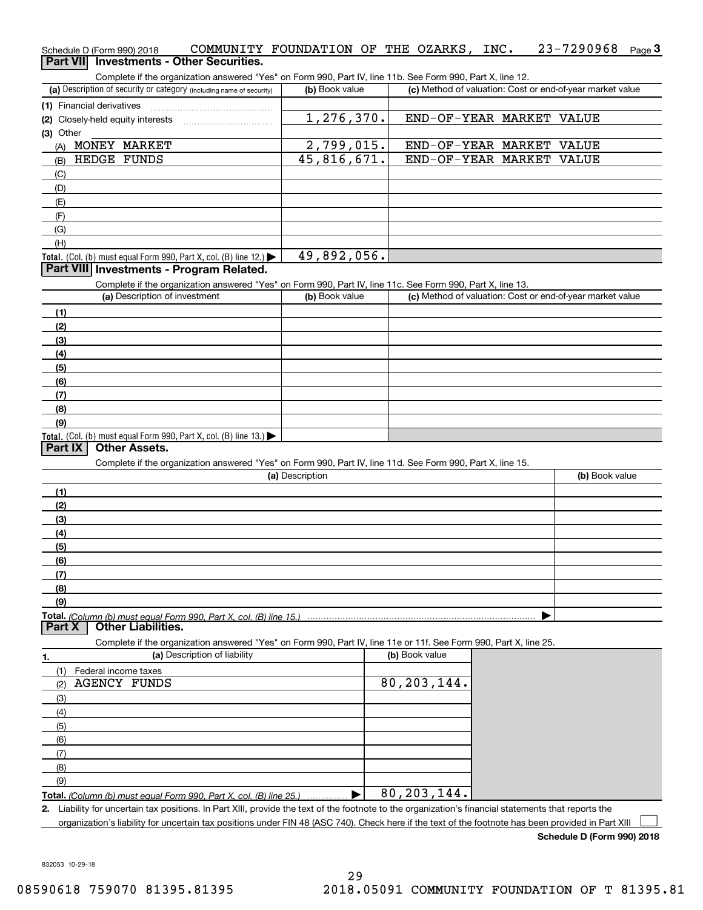| Schedule D (Form 990) 2018                                                                                                                                                         |                 | COMMUNITY FOUNDATION OF THE OZARKS, | INC. | 23-7290968<br>$Page$ <sup>3</sup>                         |
|------------------------------------------------------------------------------------------------------------------------------------------------------------------------------------|-----------------|-------------------------------------|------|-----------------------------------------------------------|
| Part VII Investments - Other Securities.                                                                                                                                           |                 |                                     |      |                                                           |
| Complete if the organization answered "Yes" on Form 990, Part IV, line 11b. See Form 990, Part X, line 12.<br>(a) Description of security or category (including name of security) | (b) Book value  |                                     |      | (c) Method of valuation: Cost or end-of-year market value |
|                                                                                                                                                                                    |                 |                                     |      |                                                           |
| (1) Financial derivatives                                                                                                                                                          | 1, 276, 370.    | END-OF-YEAR MARKET VALUE            |      |                                                           |
| (2)<br>(3) Other                                                                                                                                                                   |                 |                                     |      |                                                           |
| (A) MONEY MARKET                                                                                                                                                                   | 2,799,015.      | END-OF-YEAR MARKET VALUE            |      |                                                           |
| HEDGE FUNDS<br>(B)                                                                                                                                                                 | 45,816,671.     | END-OF-YEAR MARKET                  |      | VALUE                                                     |
| (C)                                                                                                                                                                                |                 |                                     |      |                                                           |
| (D)                                                                                                                                                                                |                 |                                     |      |                                                           |
| (E)                                                                                                                                                                                |                 |                                     |      |                                                           |
| (F)                                                                                                                                                                                |                 |                                     |      |                                                           |
| (G)                                                                                                                                                                                |                 |                                     |      |                                                           |
| (H)                                                                                                                                                                                |                 |                                     |      |                                                           |
| Total. (Col. (b) must equal Form 990, Part X, col. (B) line 12.)                                                                                                                   | 49,892,056.     |                                     |      |                                                           |
| Part VIII Investments - Program Related.                                                                                                                                           |                 |                                     |      |                                                           |
| Complete if the organization answered "Yes" on Form 990, Part IV, line 11c. See Form 990, Part X, line 13.                                                                         |                 |                                     |      |                                                           |
| (a) Description of investment                                                                                                                                                      | (b) Book value  |                                     |      | (c) Method of valuation: Cost or end-of-year market value |
| (1)                                                                                                                                                                                |                 |                                     |      |                                                           |
| (2)                                                                                                                                                                                |                 |                                     |      |                                                           |
| (3)                                                                                                                                                                                |                 |                                     |      |                                                           |
| (4)                                                                                                                                                                                |                 |                                     |      |                                                           |
| (5)                                                                                                                                                                                |                 |                                     |      |                                                           |
| (6)<br>(7)                                                                                                                                                                         |                 |                                     |      |                                                           |
| (8)                                                                                                                                                                                |                 |                                     |      |                                                           |
| (9)                                                                                                                                                                                |                 |                                     |      |                                                           |
| Total. (Col. (b) must equal Form 990, Part X, col. (B) line 13.)                                                                                                                   |                 |                                     |      |                                                           |
| <b>Other Assets.</b><br>Part IX                                                                                                                                                    |                 |                                     |      |                                                           |
| Complete if the organization answered "Yes" on Form 990, Part IV, line 11d. See Form 990, Part X, line 15.                                                                         |                 |                                     |      |                                                           |
|                                                                                                                                                                                    | (a) Description |                                     |      | (b) Book value                                            |
| (1)                                                                                                                                                                                |                 |                                     |      |                                                           |
| (2)                                                                                                                                                                                |                 |                                     |      |                                                           |
| (3)                                                                                                                                                                                |                 |                                     |      |                                                           |
| (4)                                                                                                                                                                                |                 |                                     |      |                                                           |
| (5)                                                                                                                                                                                |                 |                                     |      |                                                           |
| (6)                                                                                                                                                                                |                 |                                     |      |                                                           |
| (7)                                                                                                                                                                                |                 |                                     |      |                                                           |
| (8)                                                                                                                                                                                |                 |                                     |      |                                                           |
| (9)                                                                                                                                                                                |                 |                                     |      |                                                           |
| <b>Total.</b> (Column (b) must equal Form 990. Part X, col. (B) line 15.)<br><b>Other Liabilities.</b><br>Part X                                                                   |                 |                                     |      |                                                           |
| Complete if the organization answered "Yes" on Form 990, Part IV, line 11e or 11f. See Form 990, Part X, line 25.                                                                  |                 |                                     |      |                                                           |
| (a) Description of liability<br>1.                                                                                                                                                 |                 | (b) Book value                      |      |                                                           |
| Federal income taxes<br>(1)                                                                                                                                                        |                 |                                     |      |                                                           |
| <b>AGENCY FUNDS</b><br>(2)                                                                                                                                                         |                 | 80, 203, 144.                       |      |                                                           |
| (3)                                                                                                                                                                                |                 |                                     |      |                                                           |
| (4)                                                                                                                                                                                |                 |                                     |      |                                                           |
| (5)                                                                                                                                                                                |                 |                                     |      |                                                           |
| (6)                                                                                                                                                                                |                 |                                     |      |                                                           |
| (7)                                                                                                                                                                                |                 |                                     |      |                                                           |
| (8)                                                                                                                                                                                |                 |                                     |      |                                                           |
| (9)                                                                                                                                                                                |                 |                                     |      |                                                           |
| Total. (Column (b) must equal Form 990. Part X, col. (B) line 25.)                                                                                                                 |                 | 80, 203, 144.                       |      |                                                           |
| Liability for uncertain tax positions. In Part XIII, provide the text of the footnote to the organization's financial statements that reports the<br>2.                            |                 |                                     |      |                                                           |
| organization's liability for uncertain tax positions under FIN 48 (ASC 740). Check here if the text of the footnote has been provided in Part XIII                                 |                 |                                     |      |                                                           |

**Schedule D (Form 990) 2018**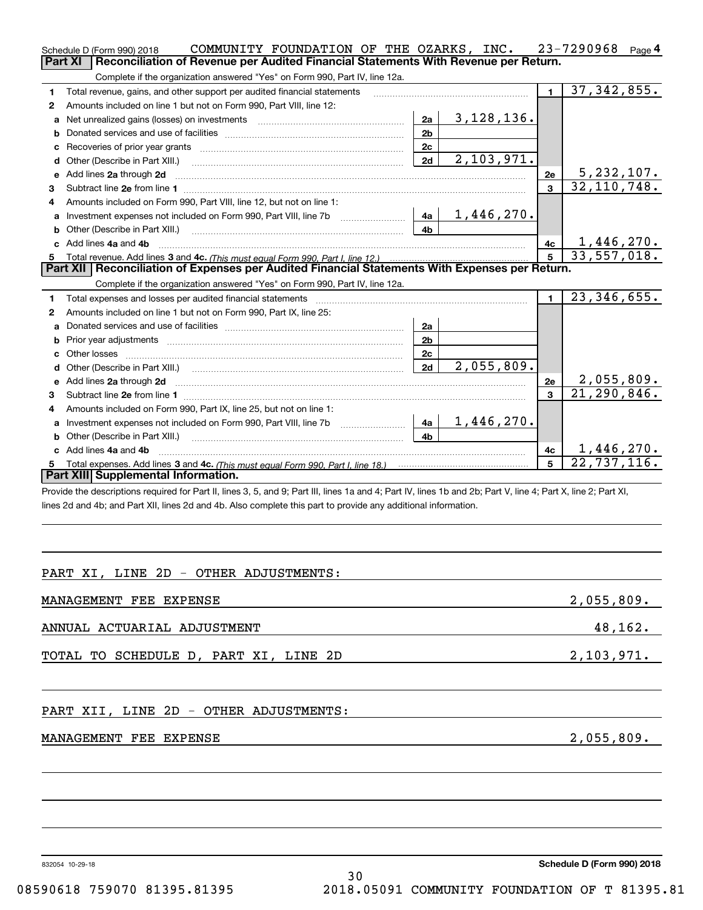|   | COMMUNITY FOUNDATION OF THE OZARKS, INC.<br>Schedule D (Form 990) 2018                                                                                                                                                                                                           |                |                   |                | 23-7290968<br>Page 4              |
|---|----------------------------------------------------------------------------------------------------------------------------------------------------------------------------------------------------------------------------------------------------------------------------------|----------------|-------------------|----------------|-----------------------------------|
|   | Reconciliation of Revenue per Audited Financial Statements With Revenue per Return.<br>Part XI                                                                                                                                                                                   |                |                   |                |                                   |
|   | Complete if the organization answered "Yes" on Form 990, Part IV, line 12a.                                                                                                                                                                                                      |                |                   |                |                                   |
| 1 | Total revenue, gains, and other support per audited financial statements                                                                                                                                                                                                         |                |                   | $\blacksquare$ | 37, 342, 855.                     |
| 2 | Amounts included on line 1 but not on Form 990, Part VIII, line 12:                                                                                                                                                                                                              |                |                   |                |                                   |
| a | Net unrealized gains (losses) on investments [11] matter contracts and all of the unrealized saints (losses) on investments [11] matter contracts and the unrealized state.                                                                                                      | 2a             | 3,128,136.        |                |                                   |
| b |                                                                                                                                                                                                                                                                                  | 2 <sub>b</sub> |                   |                |                                   |
| с |                                                                                                                                                                                                                                                                                  | 2c             |                   |                |                                   |
|   | d Other (Describe in Part XIII.)                                                                                                                                                                                                                                                 | 2d             | 2,103,971.        |                |                                   |
| е | Add lines 2a through 2d                                                                                                                                                                                                                                                          |                |                   | 2e             | $\frac{5,232,107}{32,110,748}$    |
| З |                                                                                                                                                                                                                                                                                  |                |                   | 3              |                                   |
| 4 | Amounts included on Form 990, Part VIII, line 12, but not on line 1:                                                                                                                                                                                                             |                |                   |                |                                   |
|   | a Investment expenses not included on Form 990, Part VIII, line 7b                                                                                                                                                                                                               | 4a             | <u>1,446,270.</u> |                |                                   |
|   |                                                                                                                                                                                                                                                                                  | 4b             |                   |                |                                   |
|   | c Add lines 4a and 4b                                                                                                                                                                                                                                                            |                |                   | 4c             | $\frac{1,446,270.}{33,557,018.}$  |
| 5 |                                                                                                                                                                                                                                                                                  |                |                   | 5              |                                   |
|   | Part XII   Reconciliation of Expenses per Audited Financial Statements With Expenses per Return.                                                                                                                                                                                 |                |                   |                |                                   |
|   | Complete if the organization answered "Yes" on Form 990, Part IV, line 12a.                                                                                                                                                                                                      |                |                   |                |                                   |
| 1 |                                                                                                                                                                                                                                                                                  |                |                   | $\blacksquare$ | $\overline{23,346,655}$ .         |
| 2 | Amounts included on line 1 but not on Form 990, Part IX, line 25:                                                                                                                                                                                                                |                |                   |                |                                   |
| a |                                                                                                                                                                                                                                                                                  | 2a             |                   |                |                                   |
| b |                                                                                                                                                                                                                                                                                  | 2 <sub>b</sub> |                   |                |                                   |
| c |                                                                                                                                                                                                                                                                                  | 2c             | 2,055,809.        |                |                                   |
|   |                                                                                                                                                                                                                                                                                  | 2d             |                   |                |                                   |
|   | e Add lines 2a through 2d                                                                                                                                                                                                                                                        |                |                   | 2e             | <u>2,055,809.</u><br>21, 290, 846 |
| 3 |                                                                                                                                                                                                                                                                                  |                |                   | 3              |                                   |
| 4 | Amounts included on Form 990, Part IX, line 25, but not on line 1:                                                                                                                                                                                                               |                |                   |                |                                   |
|   | a Investment expenses not included on Form 990, Part VIII, line 7b                                                                                                                                                                                                               | 4a             | <u>1,446,270.</u> |                |                                   |
|   |                                                                                                                                                                                                                                                                                  | 4b             |                   |                |                                   |
|   | c Add lines 4a and 4b                                                                                                                                                                                                                                                            |                |                   | 4c<br>5        | 1,446,270.<br>22,737,116.         |
| 5 | Part XIII Supplemental Information.                                                                                                                                                                                                                                              |                |                   |                |                                   |
|   |                                                                                                                                                                                                                                                                                  |                |                   |                |                                   |
|   | Provide the descriptions required for Part II, lines 3, 5, and 9; Part III, lines 1a and 4; Part IV, lines 1b and 2b; Part V, line 4; Part X, line 2; Part XI,<br>lines 2d and 4b; and Part XII, lines 2d and 4b. Also complete this part to provide any additional information. |                |                   |                |                                   |
|   |                                                                                                                                                                                                                                                                                  |                |                   |                |                                   |
|   | PART XI, LINE 2D - OTHER ADJUSTMENTS:                                                                                                                                                                                                                                            |                |                   |                |                                   |
|   | MANAGEMENT FEE EXPENSE                                                                                                                                                                                                                                                           |                |                   |                | 2,055,809.                        |
|   | ANNUAL ACTUARIAL ADJUSTMENT                                                                                                                                                                                                                                                      |                |                   |                | 48,162.                           |
|   | TOTAL TO SCHEDULE D, PART XI, LINE 2D                                                                                                                                                                                                                                            |                | 2,103,971.        |                |                                   |
|   | PART XII, LINE 2D - OTHER ADJUSTMENTS:                                                                                                                                                                                                                                           |                |                   |                |                                   |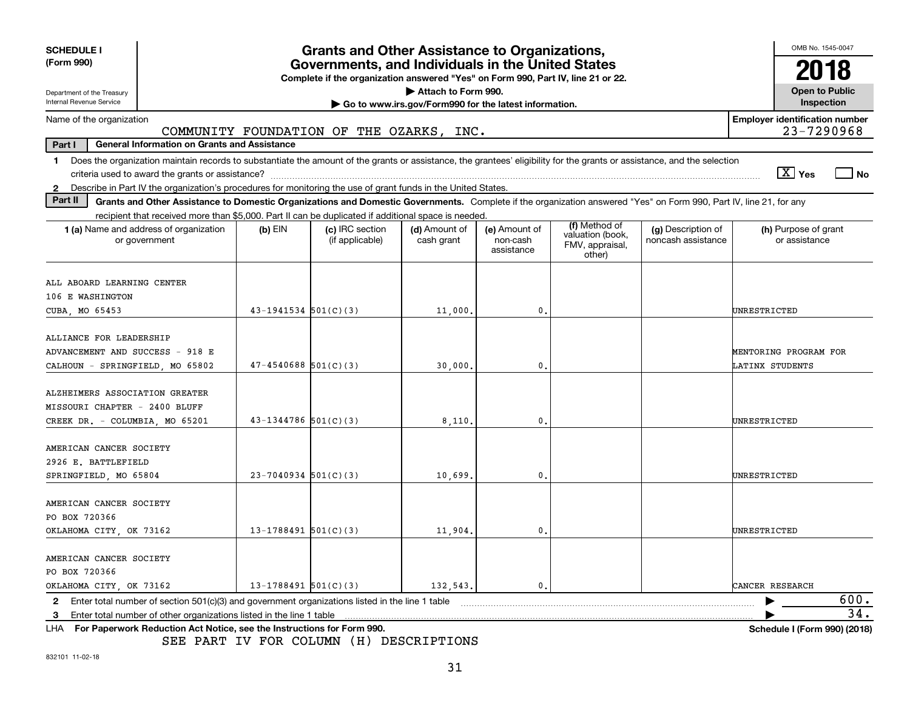| <b>SCHEDULE I</b><br>(Form 990)                                                                                                                                                                                                                                                                                |                            | OMB No. 1545-0047<br>2018                                                        |                                                                              |                                         |                                                                |                                          |                                          |
|----------------------------------------------------------------------------------------------------------------------------------------------------------------------------------------------------------------------------------------------------------------------------------------------------------------|----------------------------|----------------------------------------------------------------------------------|------------------------------------------------------------------------------|-----------------------------------------|----------------------------------------------------------------|------------------------------------------|------------------------------------------|
| Department of the Treasury<br>Internal Revenue Service                                                                                                                                                                                                                                                         |                            | Complete if the organization answered "Yes" on Form 990, Part IV, line 21 or 22. | Attach to Form 990.<br>Go to www.irs.gov/Form990 for the latest information. |                                         |                                                                |                                          | <b>Open to Public</b><br>Inspection      |
| Name of the organization                                                                                                                                                                                                                                                                                       |                            |                                                                                  |                                                                              |                                         |                                                                |                                          | <b>Employer identification number</b>    |
|                                                                                                                                                                                                                                                                                                                |                            | COMMUNITY FOUNDATION OF THE OZARKS, INC.                                         |                                                                              |                                         |                                                                |                                          | 23-7290968                               |
| <b>General Information on Grants and Assistance</b><br>Part I                                                                                                                                                                                                                                                  |                            |                                                                                  |                                                                              |                                         |                                                                |                                          |                                          |
| Does the organization maintain records to substantiate the amount of the grants or assistance, the grantees' eligibility for the grants or assistance, and the selection<br>1.                                                                                                                                 |                            |                                                                                  |                                                                              |                                         |                                                                |                                          | $\boxed{\text{X}}$ Yes<br>l No           |
| Describe in Part IV the organization's procedures for monitoring the use of grant funds in the United States.<br>$\mathbf{2}$<br>Part II<br>Grants and Other Assistance to Domestic Organizations and Domestic Governments. Complete if the organization answered "Yes" on Form 990, Part IV, line 21, for any |                            |                                                                                  |                                                                              |                                         |                                                                |                                          |                                          |
| recipient that received more than \$5,000. Part II can be duplicated if additional space is needed.                                                                                                                                                                                                            |                            |                                                                                  |                                                                              |                                         |                                                                |                                          |                                          |
| 1 (a) Name and address of organization<br>or government                                                                                                                                                                                                                                                        | $(b)$ EIN                  | (c) IRC section<br>(if applicable)                                               | (d) Amount of<br>cash grant                                                  | (e) Amount of<br>non-cash<br>assistance | (f) Method of<br>valuation (book,<br>FMV, appraisal,<br>other) | (g) Description of<br>noncash assistance | (h) Purpose of grant<br>or assistance    |
| ALL ABOARD LEARNING CENTER<br>106 E WASHINGTON                                                                                                                                                                                                                                                                 |                            |                                                                                  |                                                                              |                                         |                                                                |                                          |                                          |
| CUBA, MO 65453                                                                                                                                                                                                                                                                                                 | $43 - 1941534$ $501(C)(3)$ |                                                                                  | 11,000                                                                       | $\mathbf{0}$                            |                                                                |                                          | UNRESTRICTED                             |
| ALLIANCE FOR LEADERSHIP<br>ADVANCEMENT AND SUCCESS - 918 E<br>CALHOUN - SPRINGFIELD, MO 65802                                                                                                                                                                                                                  | $47 - 4540688$ 501(C)(3)   |                                                                                  | 30,000                                                                       | 0.                                      |                                                                |                                          | MENTORING PROGRAM FOR<br>LATINX STUDENTS |
| ALZHEIMERS ASSOCIATION GREATER<br>MISSOURI CHAPTER - 2400 BLUFF<br>CREEK DR. - COLUMBIA, MO 65201                                                                                                                                                                                                              | $43 - 1344786$ 501(C)(3)   |                                                                                  | 8,110                                                                        | 0                                       |                                                                |                                          | UNRESTRICTED                             |
| AMERICAN CANCER SOCIETY<br>2926 E. BATTLEFIELD<br>SPRINGFIELD, MO 65804                                                                                                                                                                                                                                        | $23 - 7040934$ $501(C)(3)$ |                                                                                  | 10,699                                                                       | $\mathbf{0}$                            |                                                                |                                          | UNRESTRICTED                             |
| AMERICAN CANCER SOCIETY<br>PO BOX 720366<br>OKLAHOMA CITY, OK 73162                                                                                                                                                                                                                                            | $13 - 1788491$ 501(C)(3)   |                                                                                  | 11,904                                                                       | $\mathbf{0}$                            |                                                                |                                          | UNRESTRICTED                             |
| AMERICAN CANCER SOCIETY<br>PO BOX 720366                                                                                                                                                                                                                                                                       |                            |                                                                                  |                                                                              |                                         |                                                                |                                          |                                          |
| OKLAHOMA CITY, OK 73162                                                                                                                                                                                                                                                                                        | $13 - 1788491$ 501(C)(3)   |                                                                                  | 132,543.                                                                     | $\mathbf{0}$ .                          |                                                                |                                          | CANCER RESEARCH                          |
| Enter total number of section 501(c)(3) and government organizations listed in the line 1 table<br>$\mathbf{2}$                                                                                                                                                                                                |                            |                                                                                  |                                                                              |                                         |                                                                |                                          | 600.                                     |
| Enter total number of other organizations listed in the line 1 table<br>-3                                                                                                                                                                                                                                     |                            |                                                                                  |                                                                              |                                         |                                                                |                                          | 34.                                      |
| For Paperwork Reduction Act Notice, see the Instructions for Form 990.<br>LHA                                                                                                                                                                                                                                  |                            |                                                                                  |                                                                              |                                         |                                                                |                                          | Schedule I (Form 990) (2018)             |

SEE PART IV FOR COLUMN (H) DESCRIPTIONS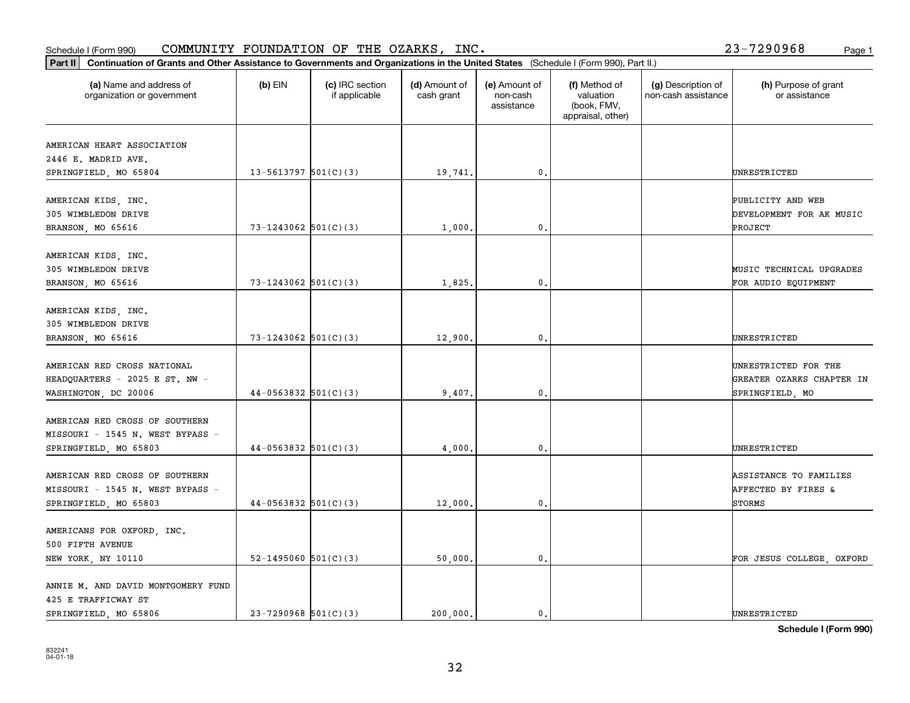## 832241 04-01-18

**Schedule I (Form 990)**

| (a) Name and address of<br>organization or government              | $(b)$ EIN                  | (c) IRC section<br>if applicable | (d) Amount of<br>cash grant | (e) Amount of<br>non-cash<br>assistance | (f) Method of<br>valuation<br>(book, FMV,<br>appraisal, other) | (g) Description of<br>non-cash assistance | (h) Purpose of grant<br>or assistance |
|--------------------------------------------------------------------|----------------------------|----------------------------------|-----------------------------|-----------------------------------------|----------------------------------------------------------------|-------------------------------------------|---------------------------------------|
| AMERICAN HEART ASSOCIATION                                         |                            |                                  |                             |                                         |                                                                |                                           |                                       |
| 2446 E. MADRID AVE.                                                |                            |                                  |                             |                                         |                                                                |                                           |                                       |
| SPRINGFIELD, MO 65804                                              | $13 - 5613797$ $501(C)(3)$ |                                  | 19,741.                     | 0.                                      |                                                                |                                           | UNRESTRICTED                          |
| AMERICAN KIDS, INC.                                                |                            |                                  |                             |                                         |                                                                |                                           | PUBLICITY AND WEB                     |
| 305 WIMBLEDON DRIVE                                                |                            |                                  |                             |                                         |                                                                |                                           | DEVELOPMENT FOR AK MUSIC              |
| BRANSON, MO 65616                                                  | $73 - 1243062$ 501(C)(3)   |                                  | 1,000.                      | $\mathbf{0}$ .                          |                                                                |                                           | PROJECT                               |
| AMERICAN KIDS, INC.                                                |                            |                                  |                             |                                         |                                                                |                                           |                                       |
| 305 WIMBLEDON DRIVE                                                |                            |                                  |                             |                                         |                                                                |                                           | MUSIC TECHNICAL UPGRADES              |
| BRANSON, MO 65616                                                  | $73 - 1243062$ 501(C)(3)   |                                  | 1,825.                      | 0.                                      |                                                                |                                           | FOR AUDIO EQUIPMENT                   |
| AMERICAN KIDS, INC.<br>305 WIMBLEDON DRIVE                         |                            |                                  |                             |                                         |                                                                |                                           |                                       |
| BRANSON, MO 65616                                                  | $73 - 1243062$ 501(C)(3)   |                                  | 12,900.                     | 0.                                      |                                                                |                                           | UNRESTRICTED                          |
|                                                                    |                            |                                  |                             |                                         |                                                                |                                           |                                       |
| AMERICAN RED CROSS NATIONAL                                        |                            |                                  |                             |                                         |                                                                |                                           | UNRESTRICTED FOR THE                  |
| HEADQUARTERS - 2025 E ST. NW -                                     |                            |                                  |                             |                                         |                                                                |                                           | GREATER OZARKS CHAPTER IN             |
| WASHINGTON, DC 20006                                               | $44-0563832$ 501(C)(3)     |                                  | 9,407.                      | 0.                                      |                                                                |                                           | SPRINGFIELD, MO                       |
| AMERICAN RED CROSS OF SOUTHERN<br>MISSOURI - 1545 N. WEST BYPASS - |                            |                                  |                             |                                         |                                                                |                                           |                                       |
| SPRINGFIELD, MO 65803                                              | $44-0563832$ 501(C)(3)     |                                  | 4,000.                      | 0.                                      |                                                                |                                           | UNRESTRICTED                          |
| AMERICAN RED CROSS OF SOUTHERN                                     |                            |                                  |                             |                                         |                                                                |                                           | ASSISTANCE TO FAMILIES                |
| MISSOURI - 1545 N. WEST BYPASS -                                   |                            |                                  |                             |                                         |                                                                |                                           | AFFECTED BY FIRES &                   |
| SPRINGFIELD, MO 65803                                              | $44-0563832$ 501(C)(3)     |                                  | 12,000.                     | $\mathbf{0}$ .                          |                                                                |                                           | <b>STORMS</b>                         |
| AMERICANS FOR OXFORD, INC.<br>500 FIFTH AVENUE                     |                            |                                  |                             |                                         |                                                                |                                           |                                       |
| NEW YORK, NY 10110                                                 | 52-1495060 $501(C)(3)$     |                                  | 50,000.                     | $\mathbf{0}$ .                          |                                                                |                                           | FOR JESUS COLLEGE OXFORD              |
| ANNIE M. AND DAVID MONTGOMERY FUND<br>425 E TRAFFICWAY ST          |                            |                                  |                             |                                         |                                                                |                                           |                                       |
| SPRINGFIELD, MO 65806                                              | $23-7290968$ $501(C)(3)$   |                                  | 200,000.                    | 0.                                      |                                                                |                                           | UNRESTRICTED                          |

**Part II Continuation of Grants and Other Assistance to Governments and Organizations in the United States**  (Schedule I (Form 990), Part II.)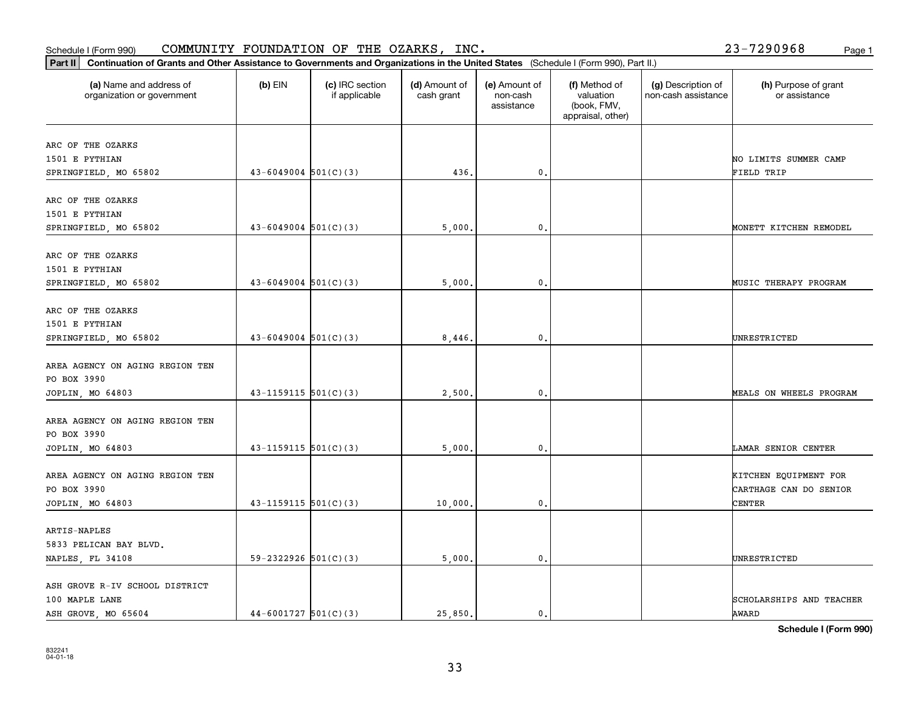## 832241 04-01-18

| F(1/(N) | <b>DE OEN</b> |  |
|---------|---------------|--|

**Schedule I (Form 990)**

| (a) Name and address of<br>organization or government                   | $(b)$ EIN                  | (c) IRC section<br>if applicable | (d) Amount of<br>cash grant | (e) Amount of<br>non-cash<br>assistance | (f) Method of<br>valuation<br>(book, FMV,<br>appraisal, other) | (g) Description of<br>non-cash assistance | (h) Purpose of grant<br>or assistance           |
|-------------------------------------------------------------------------|----------------------------|----------------------------------|-----------------------------|-----------------------------------------|----------------------------------------------------------------|-------------------------------------------|-------------------------------------------------|
| ARC OF THE OZARKS                                                       |                            |                                  |                             |                                         |                                                                |                                           |                                                 |
| 1501 E PYTHIAN                                                          |                            |                                  |                             |                                         |                                                                |                                           | NO LIMITS SUMMER CAMP                           |
| SPRINGFIELD, MO 65802                                                   | $43 - 6049004$ 501(C)(3)   |                                  | 436.                        | 0.                                      |                                                                |                                           | FIELD TRIP                                      |
| ARC OF THE OZARKS                                                       |                            |                                  |                             |                                         |                                                                |                                           |                                                 |
| 1501 E PYTHIAN                                                          |                            |                                  |                             |                                         |                                                                |                                           |                                                 |
| SPRINGFIELD, MO 65802                                                   | $43 - 6049004$ 501(C)(3)   |                                  | 5,000.                      | $\mathbf{0}$ .                          |                                                                |                                           | MONETT KITCHEN REMODEL                          |
| ARC OF THE OZARKS                                                       |                            |                                  |                             |                                         |                                                                |                                           |                                                 |
| 1501 E PYTHIAN                                                          |                            |                                  |                             |                                         |                                                                |                                           |                                                 |
| SPRINGFIELD, MO 65802                                                   | $43 - 6049004$ 501(C)(3)   |                                  | 5,000.                      | $\mathbf{0}$                            |                                                                |                                           | <b>MUSIC THERAPY PROGRAM</b>                    |
| ARC OF THE OZARKS<br>1501 E PYTHIAN                                     |                            |                                  |                             |                                         |                                                                |                                           |                                                 |
| SPRINGFIELD, MO 65802                                                   | $43 - 6049004$ 501(C)(3)   |                                  | 8,446.                      | $\mathbf{0}$ .                          |                                                                |                                           | UNRESTRICTED                                    |
| AREA AGENCY ON AGING REGION TEN<br>PO BOX 3990                          |                            |                                  |                             |                                         |                                                                |                                           |                                                 |
| JOPLIN, MO 64803                                                        | $43 - 1159115$ $501(C)(3)$ |                                  | 2,500.                      | $\mathfrak o$ .                         |                                                                |                                           | MEALS ON WHEELS PROGRAM                         |
| AREA AGENCY ON AGING REGION TEN<br>PO BOX 3990                          |                            |                                  |                             |                                         |                                                                |                                           |                                                 |
| JOPLIN, MO 64803                                                        | $43 - 1159115$ $501(C)(3)$ |                                  | 5,000.                      | $\mathbf{0}$ .                          |                                                                |                                           | LAMAR SENIOR CENTER                             |
| AREA AGENCY ON AGING REGION TEN<br>PO BOX 3990                          |                            |                                  |                             |                                         |                                                                |                                           | KITCHEN EQUIPMENT FOR<br>CARTHAGE CAN DO SENIOR |
| JOPLIN, MO 64803                                                        | $43 - 1159115$ 501(C)(3)   |                                  | 10,000.                     | $\mathfrak{o}$ .                        |                                                                |                                           | CENTER                                          |
| <b>ARTIS-NAPLES</b><br>5833 PELICAN BAY BLVD.                           |                            |                                  |                             |                                         |                                                                |                                           |                                                 |
| NAPLES, FL 34108                                                        | $59 - 2322926$ $501(C)(3)$ |                                  | 5,000,                      | $\mathfrak{o}$ .                        |                                                                |                                           | UNRESTRICTED                                    |
| ASH GROVE R-IV SCHOOL DISTRICT<br>100 MAPLE LANE<br>ASH GROVE, MO 65604 | $44-6001727$ 501(C)(3)     |                                  | 25,850.                     | $\mathbf{0}$ .                          |                                                                |                                           | SCHOLARSHIPS AND TEACHER<br>AWARD               |

#### Schedule I (Form 990)  ${\tt COMMUNITY}$  <code>FOUNDATION OF THE OZARKS, INC</code> .  $23-7290968$  Page 1

**Part II Continuation of Grants and Other Assistance to Governments and Organizations in the United States**  (Schedule I (Form 990), Part II.)

33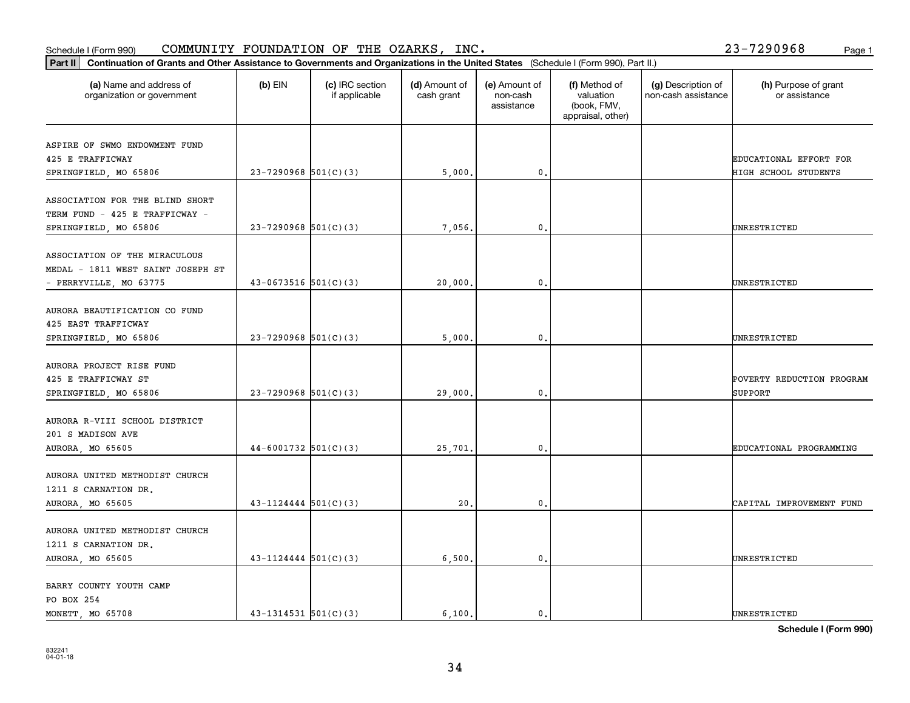#### Schedule I (Form 990) COMMUNITY FOUNDATION OF THE OZARKS, INC。 Page 1 COMMUNITY FOUNDATION OF THE OZARKS, INC. 23-7290968

| Part II   Continuation of Grants and Other Assistance to Governments and Organizations in the United States (Schedule I (Form 990), Part II.) |                            |                                  |                             |                                         |                                                                |                                           |                                       |
|-----------------------------------------------------------------------------------------------------------------------------------------------|----------------------------|----------------------------------|-----------------------------|-----------------------------------------|----------------------------------------------------------------|-------------------------------------------|---------------------------------------|
| (a) Name and address of<br>organization or government                                                                                         | $(b)$ EIN                  | (c) IRC section<br>if applicable | (d) Amount of<br>cash grant | (e) Amount of<br>non-cash<br>assistance | (f) Method of<br>valuation<br>(book, FMV,<br>appraisal, other) | (g) Description of<br>non-cash assistance | (h) Purpose of grant<br>or assistance |
|                                                                                                                                               |                            |                                  |                             |                                         |                                                                |                                           |                                       |
| ASPIRE OF SWMO ENDOWMENT FUND<br>425 E TRAFFICWAY                                                                                             |                            |                                  |                             |                                         |                                                                |                                           | EDUCATIONAL EFFORT FOR                |
| SPRINGFIELD, MO 65806                                                                                                                         | $23 - 7290968$ 501(C)(3)   |                                  | 5,000.                      | 0.                                      |                                                                |                                           | HIGH SCHOOL STUDENTS                  |
|                                                                                                                                               |                            |                                  |                             |                                         |                                                                |                                           |                                       |
| ASSOCIATION FOR THE BLIND SHORT                                                                                                               |                            |                                  |                             |                                         |                                                                |                                           |                                       |
| TERM FUND - 425 E TRAFFICWAY -                                                                                                                |                            |                                  |                             |                                         |                                                                |                                           |                                       |
| SPRINGFIELD, MO 65806                                                                                                                         | $23 - 7290968$ 501(C)(3)   |                                  | 7,056.                      | 0.                                      |                                                                |                                           | UNRESTRICTED                          |
|                                                                                                                                               |                            |                                  |                             |                                         |                                                                |                                           |                                       |
| ASSOCIATION OF THE MIRACULOUS<br>MEDAL - 1811 WEST SAINT JOSEPH ST                                                                            |                            |                                  |                             |                                         |                                                                |                                           |                                       |
| - PERRYVILLE, MO 63775                                                                                                                        | $43-0673516$ 501(C)(3)     |                                  | 20,000                      | $\mathbf{0}$ .                          |                                                                |                                           | UNRESTRICTED                          |
|                                                                                                                                               |                            |                                  |                             |                                         |                                                                |                                           |                                       |
| AURORA BEAUTIFICATION CO FUND                                                                                                                 |                            |                                  |                             |                                         |                                                                |                                           |                                       |
| 425 EAST TRAFFICWAY                                                                                                                           |                            |                                  |                             |                                         |                                                                |                                           |                                       |
| SPRINGFIELD, MO 65806                                                                                                                         | $23 - 7290968$ 501(C)(3)   |                                  | 5,000                       | 0.                                      |                                                                |                                           | UNRESTRICTED                          |
|                                                                                                                                               |                            |                                  |                             |                                         |                                                                |                                           |                                       |
| AURORA PROJECT RISE FUND                                                                                                                      |                            |                                  |                             |                                         |                                                                |                                           |                                       |
| 425 E TRAFFICWAY ST                                                                                                                           |                            |                                  |                             |                                         |                                                                |                                           | POVERTY REDUCTION PROGRAM             |
| SPRINGFIELD, MO 65806                                                                                                                         | $23 - 7290968$ 501(C)(3)   |                                  | 29,000.                     | 0.                                      |                                                                |                                           | <b>SUPPORT</b>                        |
|                                                                                                                                               |                            |                                  |                             |                                         |                                                                |                                           |                                       |
| AURORA R-VIII SCHOOL DISTRICT                                                                                                                 |                            |                                  |                             |                                         |                                                                |                                           |                                       |
| 201 S MADISON AVE<br>AURORA, MO 65605                                                                                                         | $44-6001732$ 501(C)(3)     |                                  | 25,701                      | $\mathbf{0}$ .                          |                                                                |                                           | EDUCATIONAL PROGRAMMING               |
|                                                                                                                                               |                            |                                  |                             |                                         |                                                                |                                           |                                       |
| AURORA UNITED METHODIST CHURCH                                                                                                                |                            |                                  |                             |                                         |                                                                |                                           |                                       |
| 1211 S CARNATION DR.                                                                                                                          |                            |                                  |                             |                                         |                                                                |                                           |                                       |
| AURORA, MO 65605                                                                                                                              | $43 - 1124444$ $501(C)(3)$ |                                  | 20.                         | $\mathbf{0}$ .                          |                                                                |                                           | CAPITAL IMPROVEMENT FUND              |
|                                                                                                                                               |                            |                                  |                             |                                         |                                                                |                                           |                                       |
| AURORA UNITED METHODIST CHURCH                                                                                                                |                            |                                  |                             |                                         |                                                                |                                           |                                       |
| 1211 S CARNATION DR.                                                                                                                          |                            |                                  |                             |                                         |                                                                |                                           |                                       |
| AURORA, MO 65605                                                                                                                              | $43 - 1124444$ $501(C)(3)$ |                                  | 6,500.                      | $\mathfrak o$ .                         |                                                                |                                           | UNRESTRICTED                          |
|                                                                                                                                               |                            |                                  |                             |                                         |                                                                |                                           |                                       |
| BARRY COUNTY YOUTH CAMP<br>PO BOX 254                                                                                                         |                            |                                  |                             |                                         |                                                                |                                           |                                       |
| MONETT, MO 65708                                                                                                                              | $43 - 1314531$ $501(C)(3)$ |                                  | 6.100.                      | $\mathbf{0}$ .                          |                                                                |                                           | <b>UNRESTRICTED</b>                   |
|                                                                                                                                               |                            |                                  |                             |                                         |                                                                |                                           |                                       |

**Schedule I (Form 990)**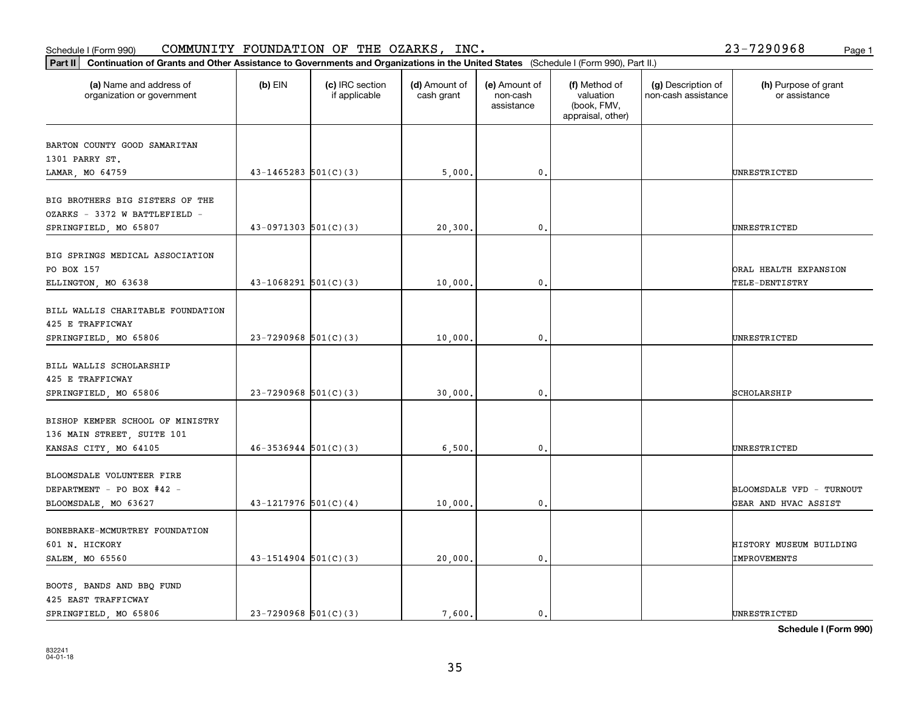#### Schedule I (Form 990)  ${\tt COMMUNITY}$  <code>FOUNDATION OF THE OZARKS, INC</code> .  $23-7290968$  Page 1

| Part II   Continuation of Grants and Other Assistance to Governments and Organizations in the United States (Schedule I (Form 990), Part II.) |                            |                                  |                             |                                         |                                                                |                                           |                                       |
|-----------------------------------------------------------------------------------------------------------------------------------------------|----------------------------|----------------------------------|-----------------------------|-----------------------------------------|----------------------------------------------------------------|-------------------------------------------|---------------------------------------|
| (a) Name and address of<br>organization or government                                                                                         | $(b)$ EIN                  | (c) IRC section<br>if applicable | (d) Amount of<br>cash grant | (e) Amount of<br>non-cash<br>assistance | (f) Method of<br>valuation<br>(book, FMV,<br>appraisal, other) | (g) Description of<br>non-cash assistance | (h) Purpose of grant<br>or assistance |
| BARTON COUNTY GOOD SAMARITAN                                                                                                                  |                            |                                  |                             |                                         |                                                                |                                           |                                       |
| 1301 PARRY ST.                                                                                                                                |                            |                                  |                             |                                         |                                                                |                                           |                                       |
| LAMAR, MO 64759                                                                                                                               | $43 - 1465283$ 501(C)(3)   |                                  | 5,000.                      | 0.                                      |                                                                |                                           | UNRESTRICTED                          |
|                                                                                                                                               |                            |                                  |                             |                                         |                                                                |                                           |                                       |
| BIG BROTHERS BIG SISTERS OF THE                                                                                                               |                            |                                  |                             |                                         |                                                                |                                           |                                       |
| OZARKS - 3372 W BATTLEFIELD -                                                                                                                 |                            |                                  |                             |                                         |                                                                |                                           |                                       |
| SPRINGFIELD, MO 65807                                                                                                                         | $43-0971303$ 501(C)(3)     |                                  | 20,300                      | 0.                                      |                                                                |                                           | UNRESTRICTED                          |
| BIG SPRINGS MEDICAL ASSOCIATION                                                                                                               |                            |                                  |                             |                                         |                                                                |                                           |                                       |
| PO BOX 157                                                                                                                                    |                            |                                  |                             |                                         |                                                                |                                           | ORAL HEALTH EXPANSION                 |
| ELLINGTON, MO 63638                                                                                                                           | $43 - 1068291$ 501(C)(3)   |                                  | 10,000,                     | $\mathbf{0}$ .                          |                                                                |                                           | <b>TELE-DENTISTRY</b>                 |
|                                                                                                                                               |                            |                                  |                             |                                         |                                                                |                                           |                                       |
| BILL WALLIS CHARITABLE FOUNDATION                                                                                                             |                            |                                  |                             |                                         |                                                                |                                           |                                       |
| 425 E TRAFFICWAY                                                                                                                              |                            |                                  |                             |                                         |                                                                |                                           |                                       |
| SPRINGFIELD, MO 65806                                                                                                                         | $23 - 7290968$ 501(C)(3)   |                                  | 10,000                      | 0.                                      |                                                                |                                           | UNRESTRICTED                          |
|                                                                                                                                               |                            |                                  |                             |                                         |                                                                |                                           |                                       |
| BILL WALLIS SCHOLARSHIP                                                                                                                       |                            |                                  |                             |                                         |                                                                |                                           |                                       |
| 425 E TRAFFICWAY                                                                                                                              |                            |                                  |                             |                                         |                                                                |                                           |                                       |
| SPRINGFIELD, MO 65806                                                                                                                         | $23 - 7290968$ 501(C)(3)   |                                  | 30,000                      | 0.                                      |                                                                |                                           | SCHOLARSHIP                           |
|                                                                                                                                               |                            |                                  |                             |                                         |                                                                |                                           |                                       |
| BISHOP KEMPER SCHOOL OF MINISTRY                                                                                                              |                            |                                  |                             |                                         |                                                                |                                           |                                       |
| 136 MAIN STREET, SUITE 101                                                                                                                    |                            |                                  |                             |                                         |                                                                |                                           |                                       |
| KANSAS CITY, MO 64105                                                                                                                         | $46 - 3536944$ $501(C)(3)$ |                                  | 6,500                       | 0.                                      |                                                                |                                           | UNRESTRICTED                          |
|                                                                                                                                               |                            |                                  |                             |                                         |                                                                |                                           |                                       |
| BLOOMSDALE VOLUNTEER FIRE                                                                                                                     |                            |                                  |                             |                                         |                                                                |                                           |                                       |
| DEPARTMENT - PO BOX #42 -                                                                                                                     |                            |                                  |                             |                                         |                                                                |                                           | BLOOMSDALE VFD - TURNOUT              |
| BLOOMSDALE, MO 63627                                                                                                                          | $43 - 1217976$ 501(C)(4)   |                                  | 10,000                      | $\mathfrak{o}$ .                        |                                                                |                                           | GEAR AND HVAC ASSIST                  |
| BONEBRAKE-MCMURTREY FOUNDATION                                                                                                                |                            |                                  |                             |                                         |                                                                |                                           |                                       |
| 601 N. HICKORY                                                                                                                                |                            |                                  |                             |                                         |                                                                |                                           | HISTORY MUSEUM BUILDING               |
| SALEM, MO 65560                                                                                                                               | $43 - 1514904$ 501(C)(3)   |                                  | 20,000.                     | $\mathbf{0}$ .                          |                                                                |                                           | IMPROVEMENTS                          |
|                                                                                                                                               |                            |                                  |                             |                                         |                                                                |                                           |                                       |
| BOOTS, BANDS AND BBQ FUND                                                                                                                     |                            |                                  |                             |                                         |                                                                |                                           |                                       |
| 425 EAST TRAFFICWAY                                                                                                                           |                            |                                  |                             |                                         |                                                                |                                           |                                       |
| SPRINGFIELD, MO 65806                                                                                                                         | $23 - 7290968$ 501(C)(3)   |                                  | 7.600.                      | 0.                                      |                                                                |                                           | UNRESTRICTED                          |

**Schedule I (Form 990)**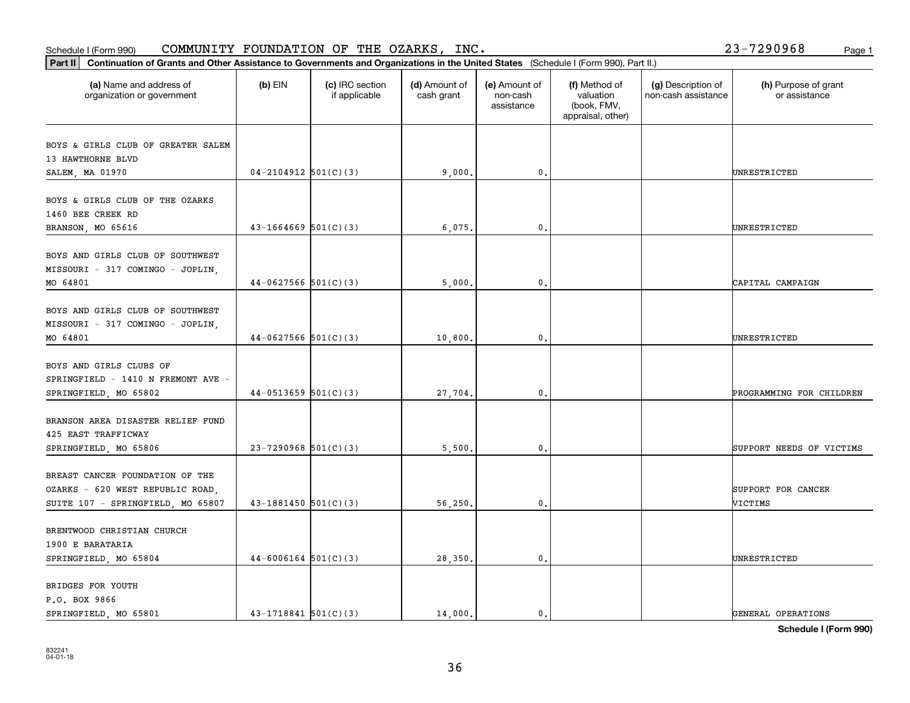#### **Part III Continuation of Grants and Other Assistance to Governments and Organization of Grants and Other Assistance to Governments and Organization of Grants and Other Assistance to Governments and Organization** Schedule I (Form 990)  ${\tt COMMUNITY}$  <code>FOUNDATION OF THE OZARKS, INC</code> .  $23-7290968$  Page 1

| Continuation of Grants and Other Assistance to Governments and Organizations in the United States (Schedule I (Form 990), Part II.)<br>Part II |                          |                                  |                             |                                         |                                                                |                                           |                                       |  |
|------------------------------------------------------------------------------------------------------------------------------------------------|--------------------------|----------------------------------|-----------------------------|-----------------------------------------|----------------------------------------------------------------|-------------------------------------------|---------------------------------------|--|
| (a) Name and address of<br>organization or government                                                                                          | $(b)$ EIN                | (c) IRC section<br>if applicable | (d) Amount of<br>cash grant | (e) Amount of<br>non-cash<br>assistance | (f) Method of<br>valuation<br>(book, FMV,<br>appraisal, other) | (g) Description of<br>non-cash assistance | (h) Purpose of grant<br>or assistance |  |
| BOYS & GIRLS CLUB OF GREATER SALEM<br>13 HAWTHORNE BLVD<br>SALEM, MA 01970                                                                     | $04 - 2104912$ 501(C)(3) |                                  | 9,000.                      | $\mathfrak o$ .                         |                                                                |                                           | UNRESTRICTED                          |  |
| BOYS & GIRLS CLUB OF THE OZARKS<br>1460 BEE CREEK RD<br>BRANSON, MO 65616                                                                      | $43 - 1664669$ 501(C)(3) |                                  | 6,075.                      | $\mathfrak{o}$ .                        |                                                                |                                           | UNRESTRICTED                          |  |
| BOYS AND GIRLS CLUB OF SOUTHWEST<br>MISSOURI - 317 COMINGO - JOPLIN,<br>MO 64801                                                               | $44-0627566$ 501(C)(3)   |                                  | 5,000                       | 0                                       |                                                                |                                           | CAPITAL CAMPAIGN                      |  |
| BOYS AND GIRLS CLUB OF SOUTHWEST<br>MISSOURI - 317 COMINGO - JOPLIN,<br>MO 64801                                                               | $44-0627566$ 501(C)(3)   |                                  | 10,800.                     | $\mathfrak o$ .                         |                                                                |                                           | UNRESTRICTED                          |  |
| BOYS AND GIRLS CLUBS OF<br>SPRINGFIELD - 1410 N FREMONT AVE -<br>SPRINGFIELD, MO 65802                                                         | $44-0513659$ 501(C)(3)   |                                  | 27,704.                     | $\mathfrak{o}$ .                        |                                                                |                                           | PROGRAMMING FOR CHILDREN              |  |
| BRANSON AREA DISASTER RELIEF FUND<br>425 EAST TRAFFICWAY<br>SPRINGFIELD, MO 65806                                                              | $23 - 7290968$ 501(C)(3) |                                  | 5,500.                      | 0                                       |                                                                |                                           | SUPPORT NEEDS OF VICTIMS              |  |
| BREAST CANCER FOUNDATION OF THE<br>OZARKS - 620 WEST REPUBLIC ROAD,<br>SUITE 107 - SPRINGFIELD, MO 65807                                       | $43 - 1881450$ 501(C)(3) |                                  | 56,250                      | $\mathfrak o$ .                         |                                                                |                                           | SUPPORT FOR CANCER<br>VICTIMS         |  |
| BRENTWOOD CHRISTIAN CHURCH<br>1900 E BARATARIA<br>SPRINGFIELD, MO 65804                                                                        | $44-6006164$ 501(C)(3)   |                                  | 28,350.                     | $\mathbf{0}$ .                          |                                                                |                                           | UNRESTRICTED                          |  |
| BRIDGES FOR YOUTH<br>P.O. BOX 9866<br>SPRINGFIELD, MO 65801                                                                                    | $43 - 1718841$ 501(C)(3) |                                  | 14,000.                     | $\mathfrak{o}$ .                        |                                                                |                                           | GENERAL OPERATIONS                    |  |

**Schedule I (Form 990)**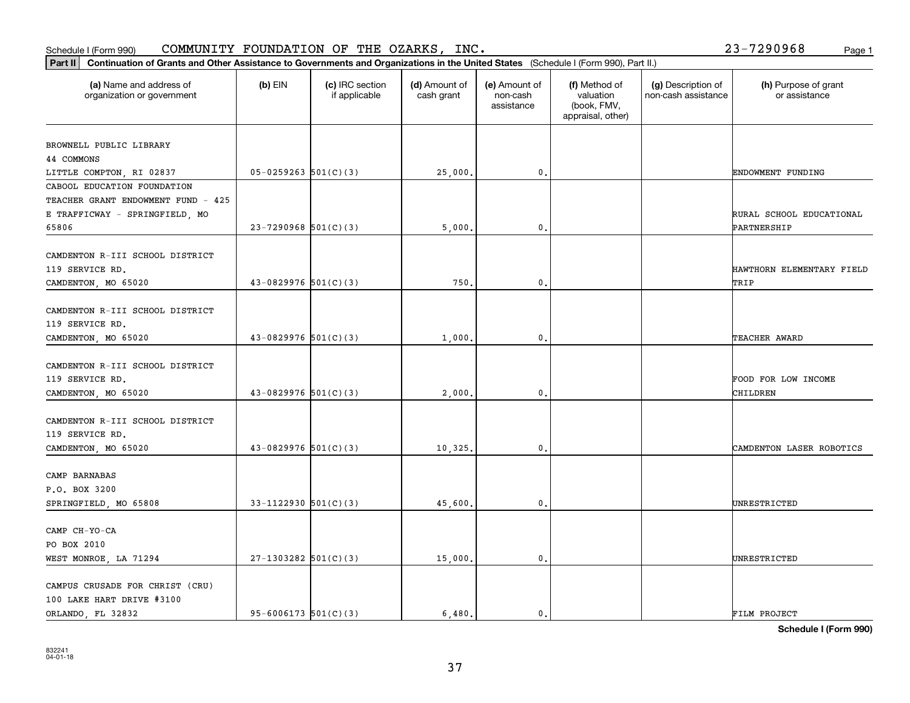#### Schedule I (Form 990) COMMUNITY FOUNDATION OF THE OZARKS, INC。 Page 1 COMMUNITY FOUNDATION OF THE OZARKS, INC. 23-7290968

| Part II   Continuation of Grants and Other Assistance to Governments and Organizations in the United States (Schedule I (Form 990), Part II.) |                            |                                  |                             |                                         |                                                                |                                           |                                       |
|-----------------------------------------------------------------------------------------------------------------------------------------------|----------------------------|----------------------------------|-----------------------------|-----------------------------------------|----------------------------------------------------------------|-------------------------------------------|---------------------------------------|
| (a) Name and address of<br>organization or government                                                                                         | $(b)$ EIN                  | (c) IRC section<br>if applicable | (d) Amount of<br>cash grant | (e) Amount of<br>non-cash<br>assistance | (f) Method of<br>valuation<br>(book, FMV,<br>appraisal, other) | (g) Description of<br>non-cash assistance | (h) Purpose of grant<br>or assistance |
|                                                                                                                                               |                            |                                  |                             |                                         |                                                                |                                           |                                       |
| BROWNELL PUBLIC LIBRARY<br>44 COMMONS                                                                                                         |                            |                                  |                             |                                         |                                                                |                                           |                                       |
| LITTLE COMPTON, RI 02837                                                                                                                      | $05-0259263$ $501(C)(3)$   |                                  | 25,000.                     | 0.                                      |                                                                |                                           | ENDOWMENT FUNDING                     |
| CABOOL EDUCATION FOUNDATION                                                                                                                   |                            |                                  |                             |                                         |                                                                |                                           |                                       |
| TEACHER GRANT ENDOWMENT FUND - 425                                                                                                            |                            |                                  |                             |                                         |                                                                |                                           |                                       |
| E TRAFFICWAY - SPRINGFIELD, MO                                                                                                                |                            |                                  |                             |                                         |                                                                |                                           | RURAL SCHOOL EDUCATIONAL              |
| 65806                                                                                                                                         | $23 - 7290968$ 501(C)(3)   |                                  | 5,000                       | 0.                                      |                                                                |                                           | PARTNERSHIP                           |
|                                                                                                                                               |                            |                                  |                             |                                         |                                                                |                                           |                                       |
| CAMDENTON R-III SCHOOL DISTRICT                                                                                                               |                            |                                  |                             |                                         |                                                                |                                           |                                       |
| 119 SERVICE RD.                                                                                                                               | $43 - 0829976$ 501(C)(3)   |                                  | 750.                        | $\mathbf{0}$ .                          |                                                                |                                           | HAWTHORN ELEMENTARY FIELD<br>TRIP     |
| CAMDENTON, MO 65020                                                                                                                           |                            |                                  |                             |                                         |                                                                |                                           |                                       |
| CAMDENTON R-III SCHOOL DISTRICT                                                                                                               |                            |                                  |                             |                                         |                                                                |                                           |                                       |
| 119 SERVICE RD.                                                                                                                               |                            |                                  |                             |                                         |                                                                |                                           |                                       |
| CAMDENTON, MO 65020                                                                                                                           | $43-0829976$ 501(C)(3)     |                                  | 1,000                       | 0.                                      |                                                                |                                           | TEACHER AWARD                         |
|                                                                                                                                               |                            |                                  |                             |                                         |                                                                |                                           |                                       |
| CAMDENTON R-III SCHOOL DISTRICT                                                                                                               |                            |                                  |                             |                                         |                                                                |                                           |                                       |
| 119 SERVICE RD.                                                                                                                               |                            |                                  |                             |                                         |                                                                |                                           | FOOD FOR LOW INCOME                   |
| CAMDENTON, MO 65020                                                                                                                           | $43-0829976$ 501(C)(3)     |                                  | 2,000                       | 0.                                      |                                                                |                                           | CHILDREN                              |
|                                                                                                                                               |                            |                                  |                             |                                         |                                                                |                                           |                                       |
| CAMDENTON R-III SCHOOL DISTRICT                                                                                                               |                            |                                  |                             |                                         |                                                                |                                           |                                       |
| 119 SERVICE RD.<br>CAMDENTON, MO 65020                                                                                                        | $43-0829976$ 501(C)(3)     |                                  | 10,325.                     | 0.                                      |                                                                |                                           | CAMDENTON LASER ROBOTICS              |
|                                                                                                                                               |                            |                                  |                             |                                         |                                                                |                                           |                                       |
| CAMP BARNABAS                                                                                                                                 |                            |                                  |                             |                                         |                                                                |                                           |                                       |
| P.O. BOX 3200                                                                                                                                 |                            |                                  |                             |                                         |                                                                |                                           |                                       |
| SPRINGFIELD, MO 65808                                                                                                                         | $33 - 1122930$ 501(C)(3)   |                                  | 45,600                      | $\mathfrak{o}$ .                        |                                                                |                                           | UNRESTRICTED                          |
|                                                                                                                                               |                            |                                  |                             |                                         |                                                                |                                           |                                       |
| CAMP CH-YO-CA                                                                                                                                 |                            |                                  |                             |                                         |                                                                |                                           |                                       |
| PO BOX 2010                                                                                                                                   |                            |                                  |                             |                                         |                                                                |                                           |                                       |
| WEST MONROE, LA 71294                                                                                                                         | $27-1303282$ 501(C)(3)     |                                  | 15,000.                     | $\mathbf{0}$ .                          |                                                                |                                           | UNRESTRICTED                          |
| CAMPUS CRUSADE FOR CHRIST (CRU)                                                                                                               |                            |                                  |                             |                                         |                                                                |                                           |                                       |
| 100 LAKE HART DRIVE #3100                                                                                                                     |                            |                                  |                             |                                         |                                                                |                                           |                                       |
| ORLANDO, FL 32832                                                                                                                             | $95 - 6006173$ $501(C)(3)$ |                                  | 6.480.                      | $\mathbf{0}$ .                          |                                                                |                                           | FILM PROJECT                          |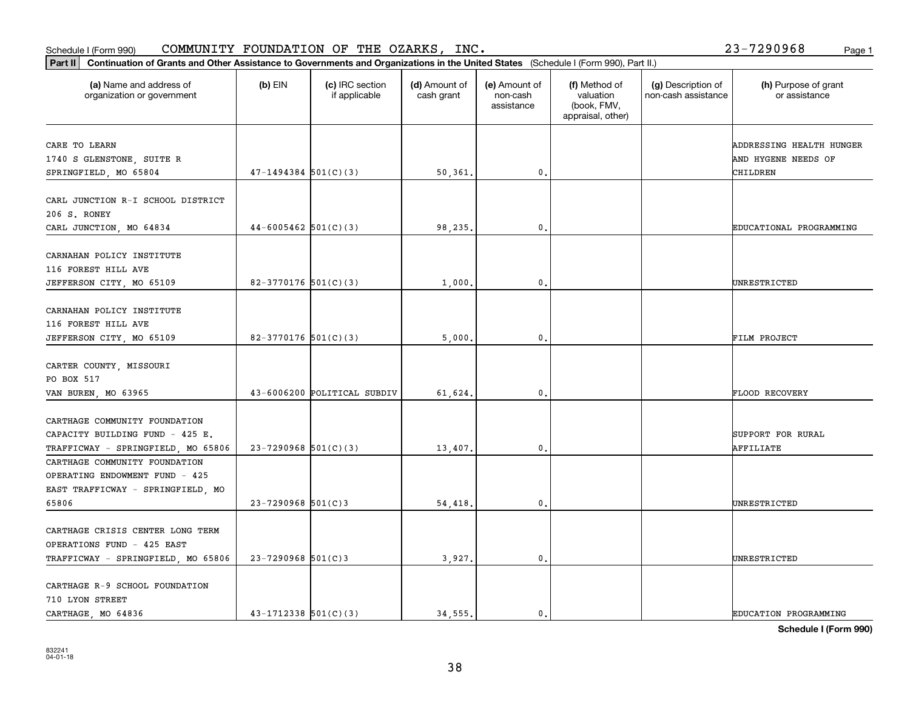|                                                                                                               | Part II   Continuation of Grants and Other Assistance to Governments and Organizations in the United States (Schedule I (Form 990), Part II.) |                                  |                             |                                         |                                                                |                                           |                                                 |  |  |
|---------------------------------------------------------------------------------------------------------------|-----------------------------------------------------------------------------------------------------------------------------------------------|----------------------------------|-----------------------------|-----------------------------------------|----------------------------------------------------------------|-------------------------------------------|-------------------------------------------------|--|--|
| (a) Name and address of<br>organization or government                                                         | $(b)$ EIN                                                                                                                                     | (c) IRC section<br>if applicable | (d) Amount of<br>cash grant | (e) Amount of<br>non-cash<br>assistance | (f) Method of<br>valuation<br>(book, FMV,<br>appraisal, other) | (g) Description of<br>non-cash assistance | (h) Purpose of grant<br>or assistance           |  |  |
| CARE TO LEARN<br>1740 S GLENSTONE, SUITE R                                                                    |                                                                                                                                               |                                  |                             |                                         |                                                                |                                           | ADDRESSING HEALTH HUNGER<br>AND HYGENE NEEDS OF |  |  |
| SPRINGFIELD, MO 65804                                                                                         | $47 - 1494384$ 501(C)(3)                                                                                                                      |                                  | 50,361.                     | $\mathbf{0}$ .                          |                                                                |                                           | CHILDREN                                        |  |  |
| CARL JUNCTION R-I SCHOOL DISTRICT<br>206 S. RONEY                                                             |                                                                                                                                               |                                  |                             |                                         |                                                                |                                           |                                                 |  |  |
| CARL JUNCTION, MO 64834                                                                                       | $44-6005462$ 501(C)(3)                                                                                                                        |                                  | 98,235.                     | 0.                                      |                                                                |                                           | EDUCATIONAL PROGRAMMING                         |  |  |
| CARNAHAN POLICY INSTITUTE<br>116 FOREST HILL AVE<br>JEFFERSON CITY, MO 65109                                  | $82-3770176$ 501(C)(3)                                                                                                                        |                                  | 1,000.                      | 0.                                      |                                                                |                                           | UNRESTRICTED                                    |  |  |
| CARNAHAN POLICY INSTITUTE<br>116 FOREST HILL AVE<br>JEFFERSON CITY, MO 65109                                  | 82-3770176 $501(C)(3)$                                                                                                                        |                                  | 5,000.                      | 0.                                      |                                                                |                                           | FILM PROJECT                                    |  |  |
| CARTER COUNTY, MISSOURI<br>PO BOX 517<br>VAN BUREN, MO 63965                                                  |                                                                                                                                               | 43-6006200 POLITICAL SUBDIV      | 61,624.                     | $\mathfrak{o}$ .                        |                                                                |                                           | FLOOD RECOVERY                                  |  |  |
|                                                                                                               |                                                                                                                                               |                                  |                             |                                         |                                                                |                                           |                                                 |  |  |
| CARTHAGE COMMUNITY FOUNDATION<br>CAPACITY BUILDING FUND - 425 E.<br>TRAFFICWAY - SPRINGFIELD, MO 65806        | $23 - 7290968$ 501(C)(3)                                                                                                                      |                                  | 13,407.                     | $\mathfrak{o}$ .                        |                                                                |                                           | SUPPORT FOR RURAL<br>AFFILIATE                  |  |  |
| CARTHAGE COMMUNITY FOUNDATION<br>OPERATING ENDOWMENT FUND - 425<br>EAST TRAFFICWAY - SPRINGFIELD, MO<br>65806 | $23 - 7290968$ 501(C)3                                                                                                                        |                                  |                             | $\mathbf{0}$ .                          |                                                                |                                           | UNRESTRICTED                                    |  |  |
| CARTHAGE CRISIS CENTER LONG TERM<br>OPERATIONS FUND - 425 EAST                                                |                                                                                                                                               |                                  | 54,418.                     |                                         |                                                                |                                           |                                                 |  |  |
| TRAFFICWAY - SPRINGFIELD, MO 65806                                                                            | $23 - 7290968$ 501(C)3                                                                                                                        |                                  | 3,927.                      | 0.                                      |                                                                |                                           | UNRESTRICTED                                    |  |  |
| CARTHAGE R-9 SCHOOL FOUNDATION<br>710 LYON STREET<br>CARTHAGE, MO 64836                                       | $43 - 1712338$ $501(C)(3)$                                                                                                                    |                                  | 34, 555.                    | $\mathbf{0}$ .                          |                                                                |                                           | EDUCATION PROGRAMMING                           |  |  |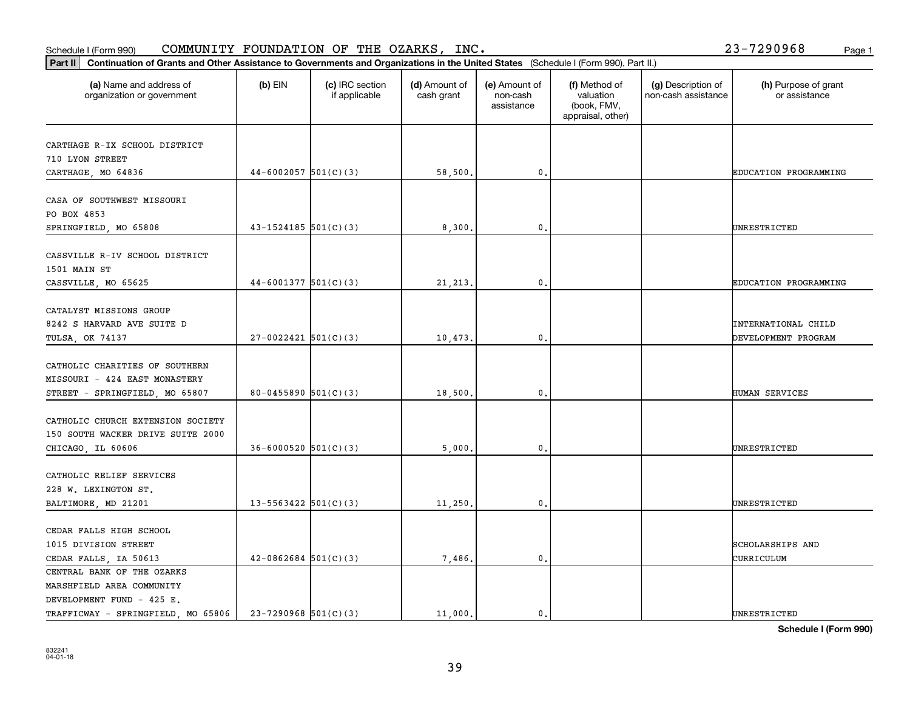# organization or government

|                                                |                            |          |                | appraisal, other) |                       |
|------------------------------------------------|----------------------------|----------|----------------|-------------------|-----------------------|
| CARTHAGE R-IX SCHOOL DISTRICT                  |                            |          |                |                   |                       |
| 710 LYON STREET                                |                            |          |                |                   |                       |
| CARTHAGE, MO 64836                             | $44-6002057$ 501(C)(3)     | 58,500.  | 0.             |                   | EDUCATION PROGRAMMING |
|                                                |                            |          |                |                   |                       |
| CASA OF SOUTHWEST MISSOURI                     |                            |          |                |                   |                       |
| PO BOX 4853                                    |                            |          |                |                   |                       |
| SPRINGFIELD, MO 65808                          | $43 - 1524185$ 501(C)(3)   | 8,300.   | 0.             |                   | UNRESTRICTED          |
|                                                |                            |          |                |                   |                       |
| CASSVILLE R-IV SCHOOL DISTRICT<br>1501 MAIN ST |                            |          |                |                   |                       |
|                                                | $44-6001377$ 501(C)(3)     |          | 0.             |                   | EDUCATION PROGRAMMING |
| CASSVILLE, MO 65625                            |                            | 21, 213. |                |                   |                       |
| CATALYST MISSIONS GROUP                        |                            |          |                |                   |                       |
| 8242 S HARVARD AVE SUITE D                     |                            |          |                |                   | INTERNATIONAL CHILD   |
| TULSA, OK 74137                                | $27-0022421$ 501(C)(3)     | 10,473.  | 0.             |                   | DEVELOPMENT PROGRAM   |
|                                                |                            |          |                |                   |                       |
| CATHOLIC CHARITIES OF SOUTHERN                 |                            |          |                |                   |                       |
| MISSOURI - 424 EAST MONASTERY                  |                            |          |                |                   |                       |
| STREET - SPRINGFIELD, MO 65807                 | $80 - 0455890$ 501(C)(3)   | 18,500.  | 0.             |                   | HUMAN SERVICES        |
|                                                |                            |          |                |                   |                       |
| CATHOLIC CHURCH EXTENSION SOCIETY              |                            |          |                |                   |                       |
| 150 SOUTH WACKER DRIVE SUITE 2000              |                            |          |                |                   |                       |
| CHICAGO, IL 60606                              | $36 - 6000520$ 501(C)(3)   | 5,000.   | 0.             |                   | UNRESTRICTED          |
| CATHOLIC RELIEF SERVICES                       |                            |          |                |                   |                       |
| 228 W. LEXINGTON ST.                           |                            |          |                |                   |                       |
| BALTIMORE, MD 21201                            | $13 - 5563422$ $501(C)(3)$ | 11,250.  | 0.             |                   | UNRESTRICTED          |
|                                                |                            |          |                |                   |                       |
| CEDAR FALLS HIGH SCHOOL                        |                            |          |                |                   |                       |
| 1015 DIVISION STREET                           |                            |          |                |                   | SCHOLARSHIPS AND      |
| CEDAR FALLS, IA 50613                          | $42 - 0862684$ 501(C)(3)   | 7,486.   | 0.             |                   | CURRICULUM            |
| CENTRAL BANK OF THE OZARKS                     |                            |          |                |                   |                       |
| MARSHFIELD AREA COMMUNITY                      |                            |          |                |                   |                       |
| DEVELOPMENT FUND - 425 E.                      |                            |          |                |                   |                       |
| TRAFFICWAY - SPRINGFIELD, MO 65806             | $23 - 7290968$ 501(C)(3)   | 11,000.  | $\mathbf{0}$ . |                   | UNRESTRICTED          |

**Part II Continuation of Grants and Other Assistance to Governments and Organizations in the United States**  (Schedule I (Form 990), Part II.)

if applicable

 $(b)$  EIN  $(c)$  IRC section

**(a) (b) (c) (d) (e) (f) (g) (h)** Name and address of

(d) Amount of cash grant

(e) Amount of non-cashassistance

(f) Method of valuation (book, FMV,

(g) Description of non-cash assistance

**Schedule I (Form 990)**

Schedule I (Form 990)  ${\tt COMMUNITY}$  <code>FOUNDATION OF THE OZARKS, INC</code> .  $23-7290968$  Page 1

(h) Purpose of grant or assistance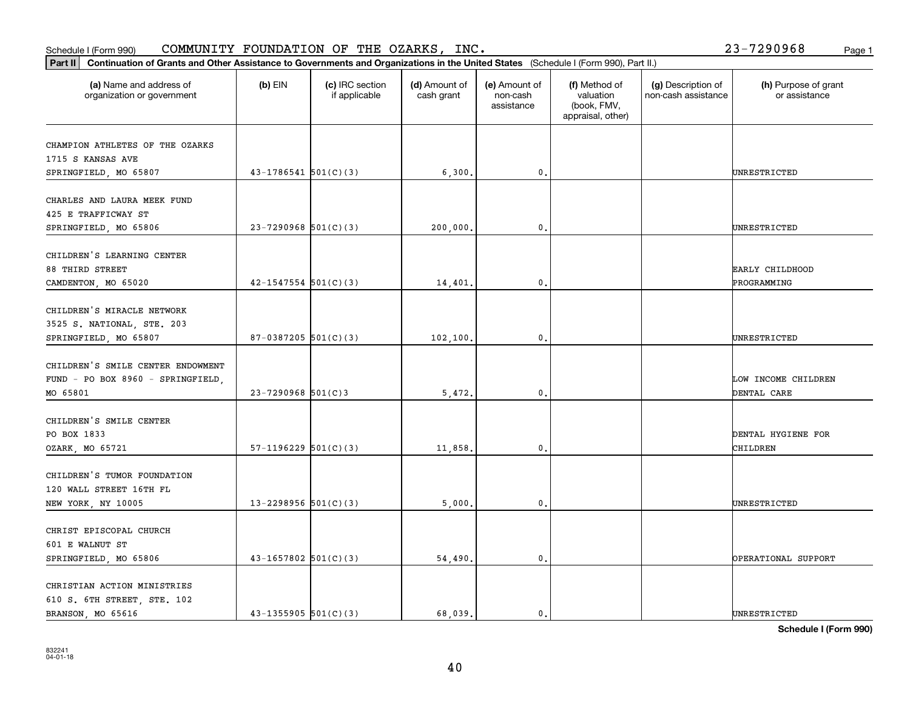| Continuation of Grants and Other Assistance to Governments and Organizations in the United States (Schedule I (Form 990), Part II.)<br>Part II |                            |                                  |                             |                                         |                                                                |                                           |                                       |
|------------------------------------------------------------------------------------------------------------------------------------------------|----------------------------|----------------------------------|-----------------------------|-----------------------------------------|----------------------------------------------------------------|-------------------------------------------|---------------------------------------|
| (a) Name and address of<br>organization or government                                                                                          | $(b)$ EIN                  | (c) IRC section<br>if applicable | (d) Amount of<br>cash grant | (e) Amount of<br>non-cash<br>assistance | (f) Method of<br>valuation<br>(book, FMV,<br>appraisal, other) | (g) Description of<br>non-cash assistance | (h) Purpose of grant<br>or assistance |
| CHAMPION ATHLETES OF THE OZARKS<br>1715 S KANSAS AVE<br>SPRINGFIELD, MO 65807                                                                  | $43 - 1786541$ 501(C)(3)   |                                  | 6,300.                      | 0.                                      |                                                                |                                           | UNRESTRICTED                          |
| CHARLES AND LAURA MEEK FUND<br>425 E TRAFFICWAY ST<br>SPRINGFIELD, MO 65806                                                                    | $23 - 7290968$ 501(C)(3)   |                                  | 200,000.                    | $\mathbf{0}$ .                          |                                                                |                                           | UNRESTRICTED                          |
| CHILDREN'S LEARNING CENTER<br>88 THIRD STREET<br>CAMDENTON, MO 65020                                                                           | $42 - 1547554$ 501(C)(3)   |                                  | 14,401.                     | $\mathbf{0}$                            |                                                                |                                           | EARLY CHILDHOOD<br>PROGRAMMING        |
| CHILDREN'S MIRACLE NETWORK<br>3525 S. NATIONAL, STE. 203<br>SPRINGFIELD, MO 65807                                                              | $87-0387205$ 501(C)(3)     |                                  | 102,100.                    | 0.                                      |                                                                |                                           | UNRESTRICTED                          |
| CHILDREN'S SMILE CENTER ENDOWMENT<br>FUND - PO BOX 8960 - SPRINGFIELD,<br>MO 65801                                                             | $23 - 7290968$ 501(C) 3    |                                  | 5,472.                      | $\mathbf{0}$ .                          |                                                                |                                           | LOW INCOME CHILDREN<br>DENTAL CARE    |
| CHILDREN'S SMILE CENTER<br>PO BOX 1833<br>OZARK, MO 65721                                                                                      | $57-1196229$ $501(C)(3)$   |                                  | 11,858.                     | $\mathbf{0}$                            |                                                                |                                           | DENTAL HYGIENE FOR<br>CHILDREN        |
| CHILDREN'S TUMOR FOUNDATION<br>120 WALL STREET 16TH FL<br>NEW YORK, NY 10005                                                                   | 13-2298956 $501(C)(3)$     |                                  | 5,000                       | 0.                                      |                                                                |                                           | UNRESTRICTED                          |
| CHRIST EPISCOPAL CHURCH<br>601 E WALNUT ST<br>SPRINGFIELD, MO 65806                                                                            | $43 - 1657802$ 501(C)(3)   |                                  | 54,490.                     | $\mathbf{0}$ .                          |                                                                |                                           | OPERATIONAL SUPPORT                   |
| CHRISTIAN ACTION MINISTRIES<br>610 S. 6TH STREET, STE. 102<br>BRANSON, MO 65616                                                                | $43 - 1355905$ $501(C)(3)$ |                                  | 68.039.                     | $\mathbf{0}$ .                          |                                                                |                                           | <b>UNRESTRICTED</b>                   |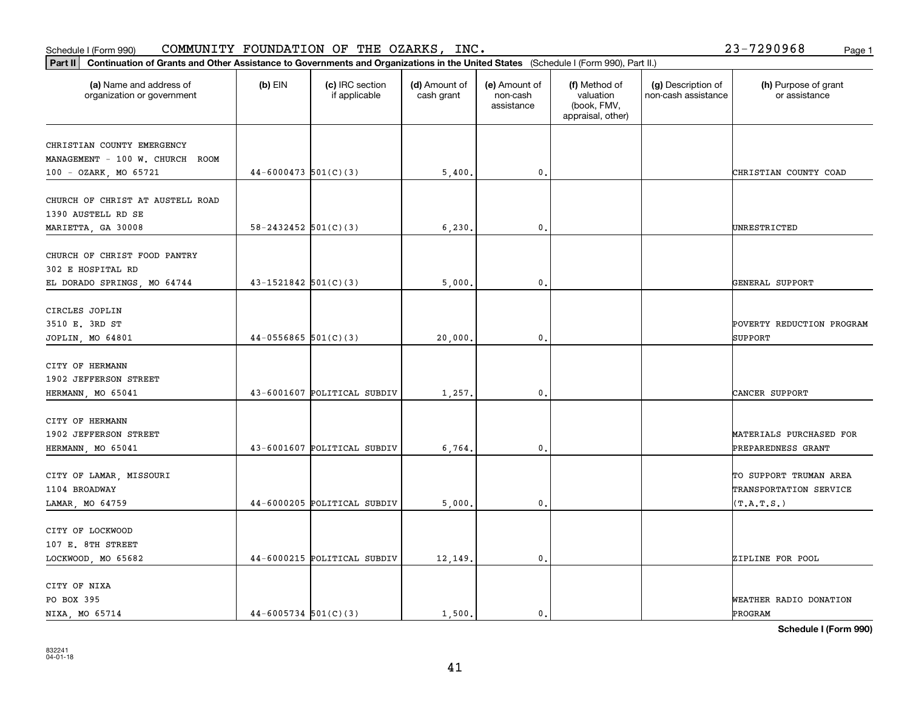**Schedule I (Form 990)**

| (a) Name and address of<br>organization or government | $(b)$ EIN                  | (c) IRC section<br>if applicable | (d) Amount of<br>cash grant | (e) Amount of<br>non-cash<br>assistance | (f) Method of<br>valuation<br>(book, FMV,<br>appraisal, other) | (g) Description of<br>non-cash assistance | (h) Purpose of grant<br>or assistance |
|-------------------------------------------------------|----------------------------|----------------------------------|-----------------------------|-----------------------------------------|----------------------------------------------------------------|-------------------------------------------|---------------------------------------|
| CHRISTIAN COUNTY EMERGENCY                            |                            |                                  |                             |                                         |                                                                |                                           |                                       |
| MANAGEMENT - 100 W. CHURCH ROOM                       |                            |                                  |                             |                                         |                                                                |                                           |                                       |
| 100 - OZARK, MO 65721                                 | $44-6000473$ 501(C)(3)     |                                  | 5,400.                      | $^{\circ}$ .                            |                                                                |                                           | CHRISTIAN COUNTY COAD                 |
| CHURCH OF CHRIST AT AUSTELL ROAD                      |                            |                                  |                             |                                         |                                                                |                                           |                                       |
| 1390 AUSTELL RD SE                                    |                            |                                  |                             |                                         |                                                                |                                           |                                       |
| MARIETTA, GA 30008                                    | $58 - 2432452$ $501(C)(3)$ |                                  | 6, 230.                     | $^{\circ}$ .                            |                                                                |                                           | UNRESTRICTED                          |
| CHURCH OF CHRIST FOOD PANTRY                          |                            |                                  |                             |                                         |                                                                |                                           |                                       |
| 302 E HOSPITAL RD                                     |                            |                                  |                             |                                         |                                                                |                                           |                                       |
| EL DORADO SPRINGS, MO 64744                           | $43 - 1521842$ $501(C)(3)$ |                                  | 5,000.                      | $\mathfrak{o}$ .                        |                                                                |                                           | GENERAL SUPPORT                       |
| CIRCLES JOPLIN                                        |                            |                                  |                             |                                         |                                                                |                                           |                                       |
| 3510 E. 3RD ST                                        |                            |                                  |                             |                                         |                                                                |                                           | POVERTY REDUCTION PROGRAM             |
| JOPLIN, MO 64801                                      | $44-0556865$ 501(C)(3)     |                                  | 20,000.                     | $\mathfrak{o}$ .                        |                                                                |                                           | SUPPORT                               |
| CITY OF HERMANN                                       |                            |                                  |                             |                                         |                                                                |                                           |                                       |
| 1902 JEFFERSON STREET                                 |                            |                                  |                             |                                         |                                                                |                                           |                                       |
| HERMANN, MO 65041                                     |                            | 43-6001607 POLITICAL SUBDIV      | 1,257.                      | $\mathfrak{o}$ .                        |                                                                |                                           | CANCER SUPPORT                        |
| CITY OF HERMANN                                       |                            |                                  |                             |                                         |                                                                |                                           |                                       |
| 1902 JEFFERSON STREET                                 |                            |                                  |                             |                                         |                                                                |                                           | MATERIALS PURCHASED FOR               |
| HERMANN, MO 65041                                     |                            | 43-6001607 POLITICAL SUBDIV      | 6,764.                      | 0.                                      |                                                                |                                           | PREPAREDNESS GRANT                    |
| CITY OF LAMAR, MISSOURI                               |                            |                                  |                             |                                         |                                                                |                                           | TO SUPPORT TRUMAN AREA                |
| 1104 BROADWAY                                         |                            |                                  |                             |                                         |                                                                |                                           | TRANSPORTATION SERVICE                |
| LAMAR, MO 64759                                       |                            | 44-6000205 POLITICAL SUBDIV      | 5,000.                      | $\mathbf{0}$ .                          |                                                                |                                           | (T.A.T.S.)                            |
| CITY OF LOCKWOOD                                      |                            |                                  |                             |                                         |                                                                |                                           |                                       |
| 107 E. 8TH STREET                                     |                            |                                  |                             |                                         |                                                                |                                           |                                       |
| LOCKWOOD, MO 65682                                    |                            | 44-6000215 POLITICAL SUBDIV      | 12,149.                     | $\mathbf{0}$ .                          |                                                                |                                           | ZIPLINE FOR POOL                      |
| CITY OF NIXA                                          |                            |                                  |                             |                                         |                                                                |                                           |                                       |
| PO BOX 395                                            |                            |                                  |                             |                                         |                                                                |                                           | WEATHER RADIO DONATION                |
| NIXA, MO 65714                                        | $44-6005734$ 501(C)(3)     |                                  | 1,500.                      | $\mathbf{0}$ .                          |                                                                |                                           | PROGRAM                               |

#### Schedule I (Form 990)  ${\tt COMMUNITY}$  <code>FOUNDATION OF THE OZARKS, INC</code> .  $23-7290968$  Page 1

**Part II Continuation of Grants and Other Assistance to Governments and Organizations in the United States**  (Schedule I (Form 990), Part II.)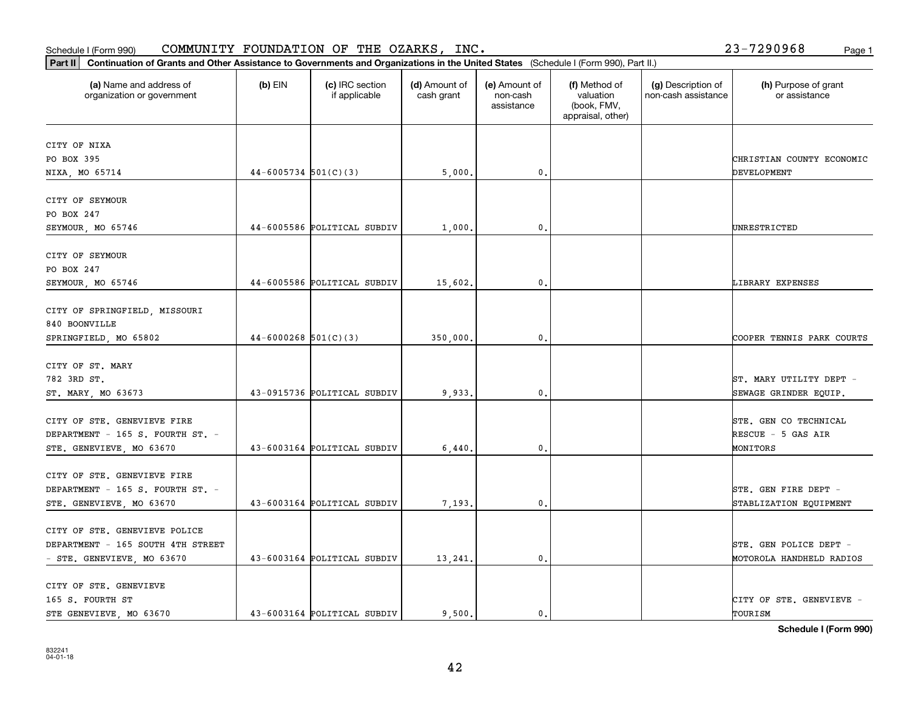| PO BOX 247                                     |                             |          |    |                           |
|------------------------------------------------|-----------------------------|----------|----|---------------------------|
| SEYMOUR, MO 65746                              | 44-6005586 POLITICAL SUBDIV | 1,000.   | 0. | UNRESTRICTED              |
| CITY OF SEYMOUR                                |                             |          |    |                           |
| PO BOX 247                                     |                             |          |    |                           |
| SEYMOUR, MO 65746                              | 44-6005586 POLITICAL SUBDIV | 15,602.  | 0. | LIBRARY EXPENSES          |
| CITY OF SPRINGFIELD, MISSOURI<br>840 BOONVILLE |                             |          |    |                           |
| SPRINGFIELD, MO 65802                          | $44-6000268$ 501(C)(3)      | 350,000. | 0. | COOPER TENNIS PARK COURTS |
| CITY OF ST. MARY                               |                             |          |    |                           |
| 782 3RD ST.                                    |                             |          |    | ST. MARY UTILITY DEPT -   |
| ST. MARY, MO 63673                             | 43-0915736 POLITICAL SUBDIV | 9,933.   | 0. | SEWAGE GRINDER EQUIP.     |
| CITY OF STE. GENEVIEVE FIRE                    |                             |          |    | STE. GEN CO TECHNICAL     |
| DEPARTMENT - 165 S. FOURTH ST. -               |                             |          |    | RESCUE - 5 GAS AIR        |
| STE. GENEVIEVE, MO 63670                       | 43-6003164 POLITICAL SUBDIV | 6,440.   | 0. | MONITORS                  |
| CITY OF STE. GENEVIEVE FIRE                    |                             |          |    |                           |
| DEPARTMENT - 165 S. FOURTH ST. -               |                             |          |    | STE. GEN FIRE DEPT -      |
| STE. GENEVIEVE, MO 63670                       | 43-6003164 POLITICAL SUBDIV | 7,193.   | 0. | STABLIZATION EQUIPMENT    |
| CITY OF STE. GENEVIEVE POLICE                  |                             |          |    |                           |
| DEPARTMENT - 165 SOUTH 4TH STREET              |                             |          |    | STE. GEN POLICE DEPT -    |
| - STE. GENEVIEVE, MO 63670                     | 43-6003164 POLITICAL SUBDIV | 13,241.  | 0. | MOTOROLA HANDHELD RADIOS  |
| CITY OF STE. GENEVIEVE                         |                             |          |    |                           |

#### Schedule I (Form 990)  ${\tt COMMUNITY}$  <code>FOUNDATION OF THE OZARKS, INC</code> .  $23-7290968$  Page 1

organization or government

CITY OF NIXA

CITY OF SEYMOUR

**Part II Continuation of Grants and Other Assistance to Governments and Organizations in the United States**  (Schedule I (Form 990), Part II.)

if applicable

 $(b)$  EIN  $(c)$  IRC section

**(a) (b) (c) (d) (e) (f) (g) (h)** Name and address of

NIXA, MO 65714 44-6005734 501(C)(3) 5,000. 0. DEVELOPMENT

(d) Amount of cash grant

PO BOX 395 CHRISTIAN COUNTY ECONOMIC

(e) Amount of non-cashassistance

(f) Method of valuation (book, FMV, appraisal, other)

(g) Description of non-cash assistance

(h) Purpose of grant or assistance

**Schedule I (Form 990)**

165 S. FOURTH ST CITY OF STE. GENEVIEVE -

STE GENEVIEVE, MO 63670 (and internal detection of the set of the set of the set of the set of the set of the set of the set of the set of the set of the set of the set of the set of the set of the set of the set of the se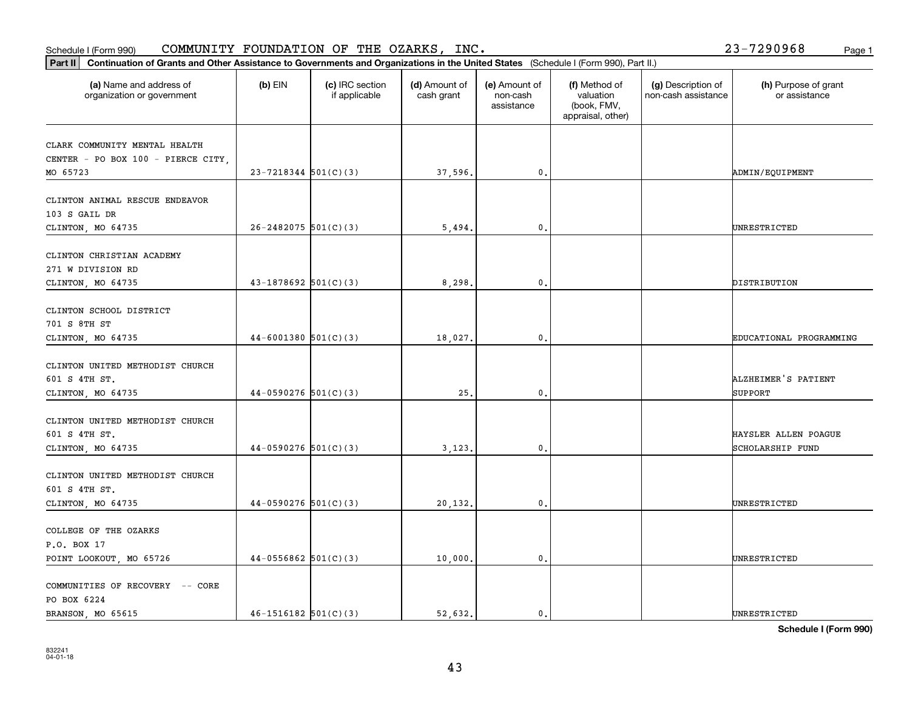| 3. | 52,632. |  |
|----|---------|--|

**Schedule I (Form 990)**

| (a) Name and address of<br>organization or government                 | $(b)$ EIN                  | (c) IRC section<br>if applicable | (d) Amount of<br>cash grant | (e) Amount of<br>non-cash<br>assistance | (f) Method of<br>valuation<br>(book, FMV,<br>appraisal, other) | (g) Description of<br>non-cash assistance | (h) Purpose of grant<br>or assistance    |
|-----------------------------------------------------------------------|----------------------------|----------------------------------|-----------------------------|-----------------------------------------|----------------------------------------------------------------|-------------------------------------------|------------------------------------------|
| CLARK COMMUNITY MENTAL HEALTH<br>CENTER - PO BOX 100 - PIERCE CITY,   |                            |                                  |                             |                                         |                                                                |                                           |                                          |
| MO 65723                                                              | $23 - 7218344$ $501(C)(3)$ |                                  | 37,596.                     | 0.                                      |                                                                |                                           | ADMIN/EQUIPMENT                          |
| CLINTON ANIMAL RESCUE ENDEAVOR<br>103 S GAIL DR                       |                            |                                  |                             |                                         |                                                                |                                           |                                          |
| CLINTON, MO 64735                                                     | $26 - 2482075$ 501(C)(3)   |                                  | 5,494.                      | 0.                                      |                                                                |                                           | UNRESTRICTED                             |
| CLINTON CHRISTIAN ACADEMY<br>271 W DIVISION RD<br>CLINTON, MO 64735   | $43 - 1878692$ 501(C)(3)   |                                  | 8,298.                      | $\mathbf{0}$ .                          |                                                                |                                           | DISTRIBUTION                             |
| CLINTON SCHOOL DISTRICT<br>701 S 8TH ST<br>CLINTON, MO 64735          | $44-6001380$ 501(C)(3)     |                                  | 18,027.                     | 0.                                      |                                                                |                                           | EDUCATIONAL PROGRAMMING                  |
| CLINTON UNITED METHODIST CHURCH<br>601 S 4TH ST.<br>CLINTON, MO 64735 | $44-0590276$ 501(C)(3)     |                                  | 25.                         | $\mathbf{0}$ .                          |                                                                |                                           | ALZHEIMER'S PATIENT<br>SUPPORT           |
| CLINTON UNITED METHODIST CHURCH<br>601 S 4TH ST.<br>CLINTON, MO 64735 | $44-0590276$ 501(C)(3)     |                                  | 3,123.                      | 0.                                      |                                                                |                                           | HAYSLER ALLEN POAGUE<br>SCHOLARSHIP FUND |
| CLINTON UNITED METHODIST CHURCH<br>601 S 4TH ST.<br>CLINTON, MO 64735 | $44-0590276$ 501(C)(3)     |                                  | 20,132.                     | $\mathbf{0}$ .                          |                                                                |                                           | UNRESTRICTED                             |
| COLLEGE OF THE OZARKS<br>P.O. BOX 17<br>POINT LOOKOUT, MO 65726       | $44-0556862$ 501(C)(3)     |                                  | 10,000.                     | 0.                                      |                                                                |                                           | UNRESTRICTED                             |
| COMMUNITIES OF RECOVERY -- CORE<br>PO BOX 6224<br>BRANSON, MO 65615   | $46 - 1516182$ $501(C)(3)$ |                                  | 52,632.                     | $\mathbf{0}$ .                          |                                                                |                                           | UNRESTRICTED                             |

### Schedule I (Form 990)  ${\tt COMMUNITY}$  <code>FOUNDATION OF THE OZARKS, INC</code> .  $23-7290968$  Page 1

**Part II Continuation of Grants and Other Assistance to Governments and Organizations in the United States**  (Schedule I (Form 990), Part II.)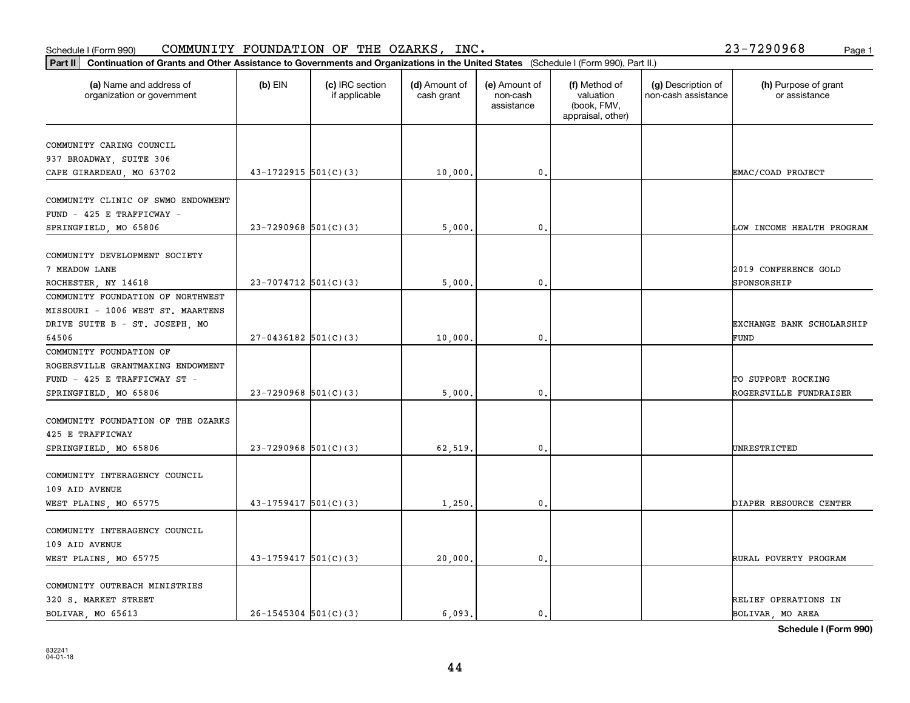|                                                       | Part II   Continuation of Grants and Other Assistance to Governments and Organizations in the United States (Schedule I (Form 990), Part II.) |                                  |                             |                                         |                                                                |                                           |                                       |  |  |
|-------------------------------------------------------|-----------------------------------------------------------------------------------------------------------------------------------------------|----------------------------------|-----------------------------|-----------------------------------------|----------------------------------------------------------------|-------------------------------------------|---------------------------------------|--|--|
| (a) Name and address of<br>organization or government | $(b)$ EIN                                                                                                                                     | (c) IRC section<br>if applicable | (d) Amount of<br>cash grant | (e) Amount of<br>non-cash<br>assistance | (f) Method of<br>valuation<br>(book, FMV,<br>appraisal, other) | (g) Description of<br>non-cash assistance | (h) Purpose of grant<br>or assistance |  |  |
|                                                       |                                                                                                                                               |                                  |                             |                                         |                                                                |                                           |                                       |  |  |
| COMMUNITY CARING COUNCIL                              |                                                                                                                                               |                                  |                             |                                         |                                                                |                                           |                                       |  |  |
| 937 BROADWAY, SUITE 306                               | $43-1722915$ $501(C)(3)$                                                                                                                      |                                  | 10,000.                     | 0.                                      |                                                                |                                           | EMAC/COAD PROJECT                     |  |  |
| CAPE GIRARDEAU, MO 63702                              |                                                                                                                                               |                                  |                             |                                         |                                                                |                                           |                                       |  |  |
| COMMUNITY CLINIC OF SWMO ENDOWMENT                    |                                                                                                                                               |                                  |                             |                                         |                                                                |                                           |                                       |  |  |
| FUND - 425 E TRAFFICWAY -                             |                                                                                                                                               |                                  |                             |                                         |                                                                |                                           |                                       |  |  |
| SPRINGFIELD, MO 65806                                 | $23 - 7290968$ 501(C)(3)                                                                                                                      |                                  | 5,000                       | 0.                                      |                                                                |                                           | LOW INCOME HEALTH PROGRAM             |  |  |
|                                                       |                                                                                                                                               |                                  |                             |                                         |                                                                |                                           |                                       |  |  |
| COMMUNITY DEVELOPMENT SOCIETY                         |                                                                                                                                               |                                  |                             |                                         |                                                                |                                           |                                       |  |  |
| 7 MEADOW LANE                                         |                                                                                                                                               |                                  |                             |                                         |                                                                |                                           | 2019 CONFERENCE GOLD                  |  |  |
| ROCHESTER, NY 14618                                   | $23 - 7074712$ 501(C)(3)                                                                                                                      |                                  | 5,000                       | $\mathbf{0}$ .                          |                                                                |                                           | SPONSORSHIP                           |  |  |
| COMMUNITY FOUNDATION OF NORTHWEST                     |                                                                                                                                               |                                  |                             |                                         |                                                                |                                           |                                       |  |  |
| MISSOURI - 1006 WEST ST. MAARTENS                     |                                                                                                                                               |                                  |                             |                                         |                                                                |                                           |                                       |  |  |
| DRIVE SUITE B - ST. JOSEPH, MO                        |                                                                                                                                               |                                  |                             |                                         |                                                                |                                           | EXCHANGE BANK SCHOLARSHIP             |  |  |
| 64506                                                 | $27-0436182$ 501(C)(3)                                                                                                                        |                                  | 10,000.                     | $\mathfrak{o}$ .                        |                                                                |                                           | FUND                                  |  |  |
| COMMUNITY FOUNDATION OF                               |                                                                                                                                               |                                  |                             |                                         |                                                                |                                           |                                       |  |  |
| ROGERSVILLE GRANTMAKING ENDOWMENT                     |                                                                                                                                               |                                  |                             |                                         |                                                                |                                           |                                       |  |  |
| FUND - 425 E TRAFFICWAY ST -                          |                                                                                                                                               |                                  |                             |                                         |                                                                |                                           | TO SUPPORT ROCKING                    |  |  |
| SPRINGFIELD, MO 65806                                 | $23 - 7290968$ 501(C)(3)                                                                                                                      |                                  | 5,000                       | 0.                                      |                                                                |                                           | ROGERSVILLE FUNDRAISER                |  |  |
|                                                       |                                                                                                                                               |                                  |                             |                                         |                                                                |                                           |                                       |  |  |
| COMMUNITY FOUNDATION OF THE OZARKS                    |                                                                                                                                               |                                  |                             |                                         |                                                                |                                           |                                       |  |  |
| 425 E TRAFFICWAY                                      |                                                                                                                                               |                                  |                             |                                         |                                                                |                                           |                                       |  |  |
| SPRINGFIELD, MO 65806                                 | $23 - 7290968$ 501(C)(3)                                                                                                                      |                                  | 62,519                      | $\mathfrak{o}$ .                        |                                                                |                                           | UNRESTRICTED                          |  |  |
|                                                       |                                                                                                                                               |                                  |                             |                                         |                                                                |                                           |                                       |  |  |
| COMMUNITY INTERAGENCY COUNCIL                         |                                                                                                                                               |                                  |                             |                                         |                                                                |                                           |                                       |  |  |
| 109 AID AVENUE                                        |                                                                                                                                               |                                  |                             |                                         |                                                                |                                           |                                       |  |  |
| WEST PLAINS, MO 65775                                 | $43 - 1759417$ $501(C)(3)$                                                                                                                    |                                  | 1,250                       | $\mathbf{0}$ .                          |                                                                |                                           | DIAPER RESOURCE CENTER                |  |  |
|                                                       |                                                                                                                                               |                                  |                             |                                         |                                                                |                                           |                                       |  |  |
| COMMUNITY INTERAGENCY COUNCIL                         |                                                                                                                                               |                                  |                             |                                         |                                                                |                                           |                                       |  |  |
| 109 AID AVENUE                                        |                                                                                                                                               |                                  |                             |                                         |                                                                |                                           |                                       |  |  |
| WEST PLAINS, MO 65775                                 | $43 - 1759417$ 501(C)(3)                                                                                                                      |                                  | 20,000.                     | $\mathbf{0}$ .                          |                                                                |                                           | RURAL POVERTY PROGRAM                 |  |  |
| COMMUNITY OUTREACH MINISTRIES                         |                                                                                                                                               |                                  |                             |                                         |                                                                |                                           |                                       |  |  |
| 320 S. MARKET STREET                                  |                                                                                                                                               |                                  |                             |                                         |                                                                |                                           | RELIEF OPERATIONS IN                  |  |  |
| BOLIVAR, MO 65613                                     | $26 - 1545304$ 501(C)(3)                                                                                                                      |                                  | 6.093.                      | 0.                                      |                                                                |                                           | BOLIVAR, MO AREA                      |  |  |
|                                                       |                                                                                                                                               |                                  |                             |                                         |                                                                |                                           |                                       |  |  |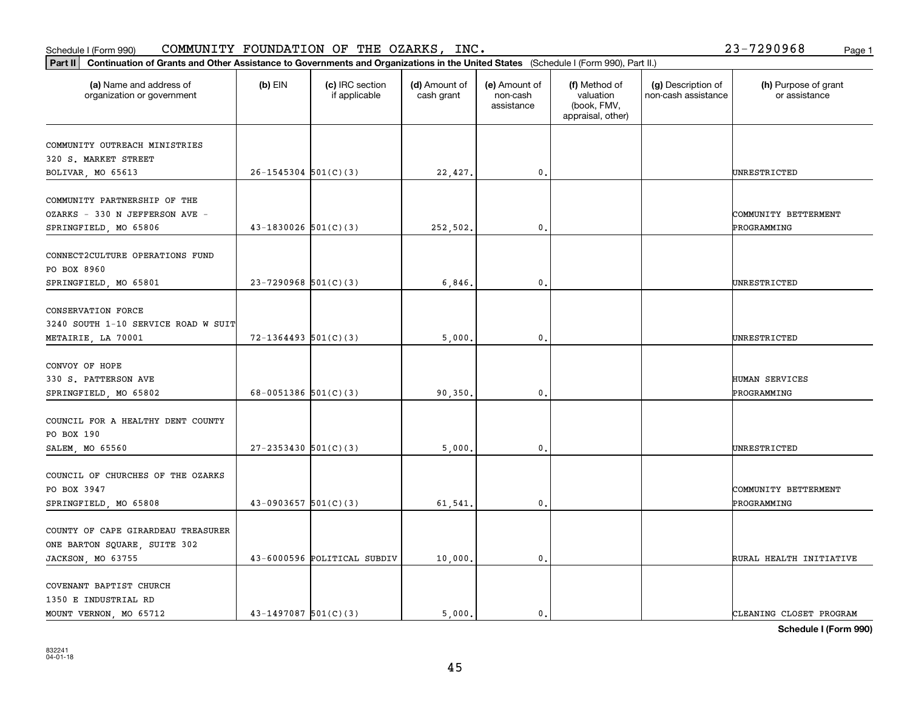1350 E INDUSTRIAL RD

COMMUNITY PARTNERSHIP OF THE

CONNECT2CULTURE OPERATIONS FUND

COUNCIL FOR A HEALTHY DENT COUNTY

COUNCIL OF CHURCHES OF THE OZARKS

PO BOX 8960

CONSERVATION FORCE

CONVOY OF HOPE

PO BOX 190

| TE 302 |                             |     |
|--------|-----------------------------|-----|
|        | 43-6000596 POLITICAL SUBDIV | - 0 |
|        |                             |     |
| Ή.     |                             |     |
|        |                             |     |

SPRINGFIELD, MO 65808  $\begin{vmatrix} 43-0903657 & 501(C)(3) \end{vmatrix}$  61,541. 0. 0. COUNTY OF CAPE GIRARDEAU TREASURER ONE BARTON SQUARE, SUI JACKSON, MO 63755 43-6000596 POLITICAL SUBDIV 10,000. 0. RURAL HEALTH INITIATIVE COVENANT BAPTIST CHURCH

PO BOX 3947 COMMUNITY BETTERMENT

SPRINGFIELD, MO 65801 23-7290968 501(C)(3) (6,846. 0. 0. UNRESTRICTED 3240 SOUTH 1-10 SERVICE ROAD W SUIT METAIRIE, LA 70001  $\begin{vmatrix} 72-1364493 & 501(C)(3) \end{vmatrix}$  5,000. 0. 0.

330 S. PATTERSON AVE HUMAN SERVICES SPRINGFIELD, MO 65802 68-0051386 501(C)(3) 90,350. 0. 0. PROGRAMMING

SALEM, MO 65560  $\begin{vmatrix} 27-2353430 & 501(C)(3) \end{vmatrix}$  5,000. 0. 0. 0.

SPRINGFIELD, MO 65806 43-1830026 501(C)(3) 252,502. 0. PROGRAMMING

| organization or government                            |                            | if applicable | cash grant | non-cash<br>assistance | valuation<br>(book, FMV,<br>appraisal, other) | l non-cash assistance | or as:       |
|-------------------------------------------------------|----------------------------|---------------|------------|------------------------|-----------------------------------------------|-----------------------|--------------|
| COMMUNITY OUTREACH MINISTRIES<br>320 S. MARKET STREET |                            |               |            |                        |                                               |                       |              |
| BOLIVAR.<br>MO 65613                                  | $26 - 1545304$ $501(C)(3)$ |               | 22,427.    |                        |                                               |                       | UNRESTRICTED |

**(a) (b) (c) (d) (e) (f) (g) (h)** Name and address of

(d) Amount of

OZARKS - 330 N JEFFERSON AVE - COMMUNITY BETTERMENT

(e) Amount of

(f) Method of

(g) Description of

**Part II Continuation of Grants and Other Assistance to Governments and Organizations in the United States**  (Schedule I (Form 990), Part II.)

 $(b)$  EIN  $(c)$  IRC section

(h) Purpose of grant or assistance

MOUNT VERNON, MO 65712  $\begin{vmatrix} 43-1497087 & 501(C)(3) \end{vmatrix}$  5,000. 0. 0.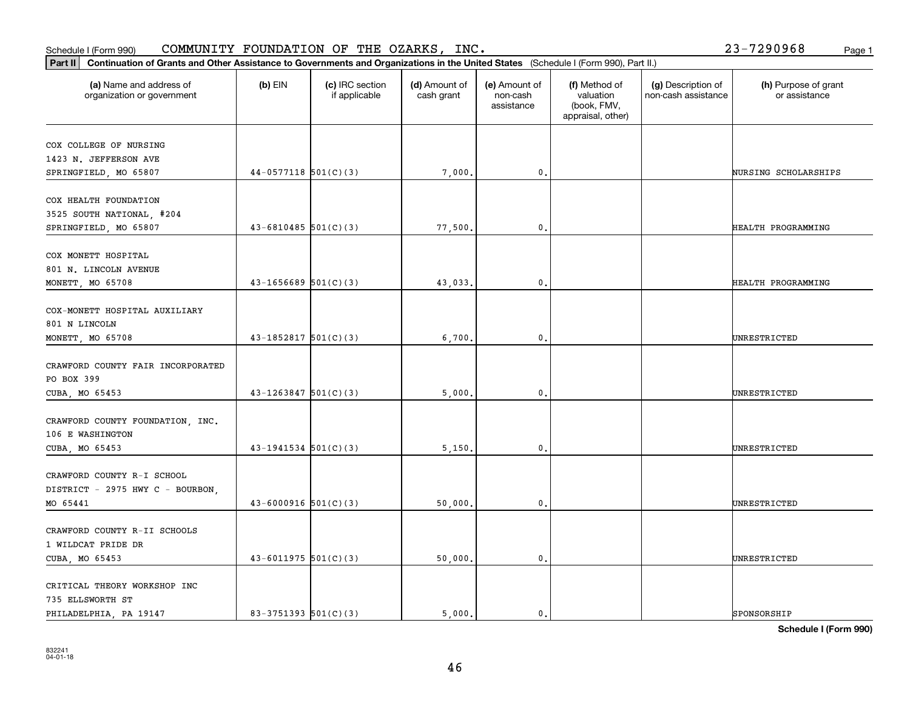| (a) Name and address of<br>organization or government                      | (b) EIN                    | (c) IRC section<br>if applicable | (d) Amount of<br>cash grant | (e) Amount of<br>non-cash<br>assistance | (f) Method of<br>valuation<br>(book, FMV,<br>appraisal, other) | (g) Description of<br>non-cash assistance | (h) Purpose of grant<br>or assistance |
|----------------------------------------------------------------------------|----------------------------|----------------------------------|-----------------------------|-----------------------------------------|----------------------------------------------------------------|-------------------------------------------|---------------------------------------|
| COX COLLEGE OF NURSING                                                     |                            |                                  |                             |                                         |                                                                |                                           |                                       |
| 1423 N. JEFFERSON AVE                                                      |                            |                                  |                             |                                         |                                                                |                                           |                                       |
| SPRINGFIELD, MO 65807                                                      | $44-0577118$ $501(C)(3)$   |                                  | 7,000.                      | 0.                                      |                                                                |                                           | NURSING SCHOLARSHIPS                  |
| COX HEALTH FOUNDATION                                                      |                            |                                  |                             |                                         |                                                                |                                           |                                       |
| 3525 SOUTH NATIONAL, #204                                                  |                            |                                  |                             |                                         |                                                                |                                           |                                       |
| SPRINGFIELD, MO 65807                                                      | $43 - 6810485$ 501(C)(3)   |                                  | 77,500.                     | $\mathbf{0}$ .                          |                                                                |                                           | HEALTH PROGRAMMING                    |
| COX MONETT HOSPITAL                                                        |                            |                                  |                             |                                         |                                                                |                                           |                                       |
| 801 N. LINCOLN AVENUE                                                      |                            |                                  |                             |                                         |                                                                |                                           |                                       |
| MONETT, MO 65708                                                           | $43 - 1656689$ $501(C)(3)$ |                                  | 43,033.                     | $\mathbf{0}$ .                          |                                                                |                                           | HEALTH PROGRAMMING                    |
| COX-MONETT HOSPITAL AUXILIARY<br>801 N LINCOLN                             |                            |                                  |                             |                                         |                                                                |                                           |                                       |
| MONETT, MO 65708                                                           | $43-1852817$ $501(C)(3)$   |                                  | 6,700.                      | $\mathfrak o$ .                         |                                                                |                                           | UNRESTRICTED                          |
| CRAWFORD COUNTY FAIR INCORPORATED<br>PO BOX 399                            |                            |                                  |                             |                                         |                                                                |                                           |                                       |
| CUBA, MO 65453                                                             | $43-1263847$ 501(C)(3)     |                                  | 5,000.                      | 0.                                      |                                                                |                                           | UNRESTRICTED                          |
| CRAWFORD COUNTY FOUNDATION, INC.<br>106 E WASHINGTON<br>CUBA, MO 65453     | $43-1941534$ $501(C)(3)$   |                                  | 5,150.                      | $\mathfrak o$ .                         |                                                                |                                           | UNRESTRICTED                          |
| CRAWFORD COUNTY R-I SCHOOL<br>DISTRICT - 2975 HWY C - BOURBON,             |                            |                                  |                             |                                         |                                                                |                                           |                                       |
| MO 65441                                                                   | $43 - 6000916$ 501(C)(3)   |                                  | 50,000.                     | 0.                                      |                                                                |                                           | UNRESTRICTED                          |
| CRAWFORD COUNTY R-II SCHOOLS<br>1 WILDCAT PRIDE DR                         |                            |                                  |                             |                                         |                                                                |                                           |                                       |
| CUBA, MO 65453                                                             | $43 - 6011975$ $501(C)(3)$ |                                  | 50,000.                     | 0.                                      |                                                                |                                           | UNRESTRICTED                          |
| CRITICAL THEORY WORKSHOP INC<br>735 ELLSWORTH ST<br>PHILADELPHIA, PA 19147 | 83-3751393 $501(C)(3)$     |                                  | 5,000.                      | 0.                                      |                                                                |                                           | <b>SPONSORSHIP</b>                    |

Τ

**Schedule I (Form 990)**

### Schedule I (Form 990)  ${\tt COMMUNITY}$  <code>FOUNDATION OF THE OZARKS, INC</code> .  $23-7290968$  Page 1

**Part II Continuation of Grants and Other Assistance to Governments and Organizations in the United States**  (Schedule I (Form 990), Part II.)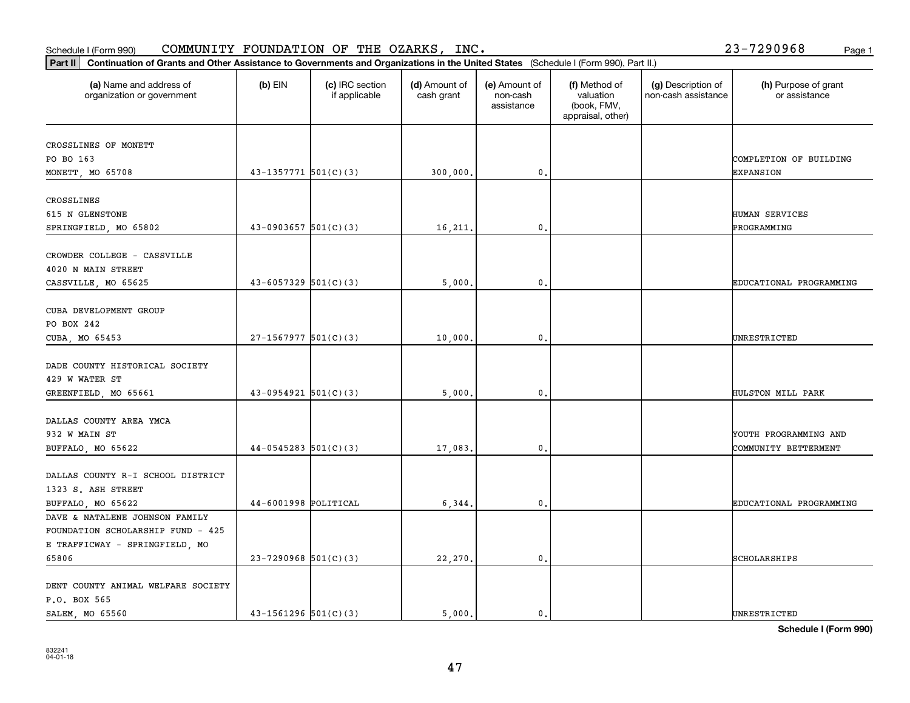| <b>a</b> indicate and additional<br>organization or government | $101 - 111$ | 10111030011011<br>if applicable | $\mathbf{u}$ and $\mathbf{u}$<br>cash grant | $\mathbf{v}$ $\mathbf{v}$ and $\mathbf{v}$<br>non-cash<br>assistance | u vitutiva vi<br>valuation<br>(book, FMV.<br>appraisal, other) |
|----------------------------------------------------------------|-------------|---------------------------------|---------------------------------------------|----------------------------------------------------------------------|----------------------------------------------------------------|
|                                                                |             |                                 |                                             |                                                                      |                                                                |

**Part II Continuation of Grants and Other Assistance to Governments and Organizations in the United States**  (Schedule I (Form 990), Part II.)

 $(b)$  EIN  $\vert$   $(c)$  IRC section

**(a) (b) (c) (d) (e) (f) (g) (h)** Name and address of

(d) Amount of

(e) Amount of non-cash

(f) Method of

(g) Description of non-cash assistance

Schedule I (Form 990)  ${\tt COMMUNITY}$  <code>FOUNDATION OF THE OZARKS, INC</code> .  $23-7290968$  Page 1

(h) Purpose of grant or assistance

| CROSSLINES OF MONETT                     |                            |          |                  |  |                         |
|------------------------------------------|----------------------------|----------|------------------|--|-------------------------|
| PO BO 163                                |                            |          |                  |  | COMPLETION OF BUILDING  |
| MONETT, MO 65708                         | $43 - 1357771$ $501(C)(3)$ | 300,000. | $\mathfrak{o}$ . |  | EXPANSION               |
|                                          |                            |          |                  |  |                         |
| CROSSLINES                               |                            |          |                  |  |                         |
| <b>615 N GLENSTONE</b>                   |                            |          |                  |  | HUMAN SERVICES          |
| SPRINGFIELD, MO 65802                    | $43-0903657$ 501(C)(3)     | 16,211.  | 0.               |  | PROGRAMMING             |
|                                          |                            |          |                  |  |                         |
| CROWDER COLLEGE - CASSVILLE              |                            |          |                  |  |                         |
| 4020 N MAIN STREET                       | $43 - 6057329$ 501(C)(3)   |          | 0.               |  |                         |
| CASSVILLE, MO 65625                      |                            | 5,000.   |                  |  | EDUCATIONAL PROGRAMMING |
| CUBA DEVELOPMENT GROUP                   |                            |          |                  |  |                         |
| PO BOX 242                               |                            |          |                  |  |                         |
| CUBA, MO 65453                           | $27-1567977$ 501(C)(3)     | 10,000.  | 0.               |  | UNRESTRICTED            |
|                                          |                            |          |                  |  |                         |
| DADE COUNTY HISTORICAL SOCIETY           |                            |          |                  |  |                         |
| 429 W WATER ST                           |                            |          |                  |  |                         |
| GREENFIELD, MO 65661                     | $43-0954921$ 501(C)(3)     | 5,000,   | $\mathfrak{o}$ . |  | HULSTON MILL PARK       |
|                                          |                            |          |                  |  |                         |
| DALLAS COUNTY AREA YMCA                  |                            |          |                  |  |                         |
| 932 W MAIN ST                            |                            |          |                  |  | YOUTH PROGRAMMING AND   |
| BUFFALO, MO 65622                        | $44-0545283$ 501(C)(3)     | 17,083.  | $\mathbf{0}$ .   |  | COMMUNITY BETTERMENT    |
| DALLAS COUNTY R-I SCHOOL DISTRICT        |                            |          |                  |  |                         |
| 1323 S. ASH STREET                       |                            |          |                  |  |                         |
| BUFFALO, MO 65622                        | 44-6001998 POLITICAL       | 6,344.   | 0.               |  | EDUCATIONAL PROGRAMMING |
| DAVE & NATALENE JOHNSON FAMILY           |                            |          |                  |  |                         |
| <b>FOUNDATION SCHOLARSHIP FUND - 425</b> |                            |          |                  |  |                         |
| E TRAFFICWAY - SPRINGFIELD, MO           |                            |          |                  |  |                         |
| 65806                                    | $23 - 7290968$ 501(C)(3)   | 22,270.  | 0.               |  | SCHOLARSHIPS            |
|                                          |                            |          |                  |  |                         |
| DENT COUNTY ANIMAL WELFARE SOCIETY       |                            |          |                  |  |                         |
| P.O. BOX 565                             |                            |          |                  |  |                         |
| SALEM, MO 65560                          | $43 - 1561296$ 501(C)(3)   | 5,000.   | $\mathfrak o$ .  |  | UNRESTRICTED            |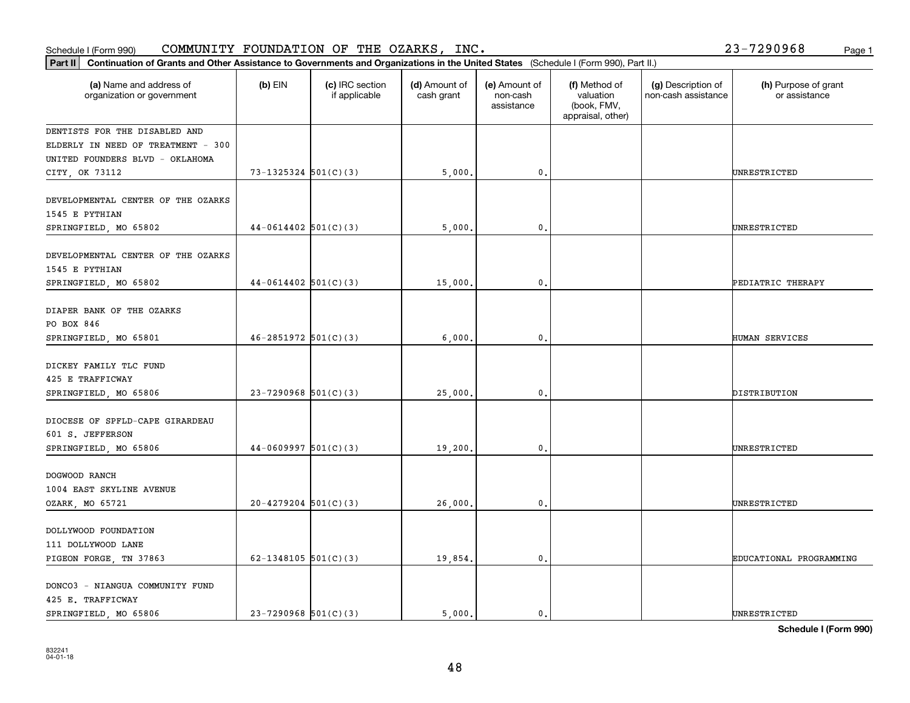# **Part II Continuation of Grants and Other Assistance to Governments and Organizations in the United States**  (Schedule I (Form 990), Part II.) Schedule I (Form 990)  ${\tt COMMUNITY}$  <code>FOUNDATION OF THE OZARKS, INC</code> .  $23-7290968$  Page 1

| $\lceil$ rate $\lceil$ . Obtainable of Grand and Other Assistance to Governments and Organizations in the Onlied States $\lceil$ (Schedule ) (Constant) subset at $\lceil$ |                            |                                  |                             |                                         |                                                                |                                           |                                       |
|----------------------------------------------------------------------------------------------------------------------------------------------------------------------------|----------------------------|----------------------------------|-----------------------------|-----------------------------------------|----------------------------------------------------------------|-------------------------------------------|---------------------------------------|
| (a) Name and address of<br>organization or government                                                                                                                      | $(b)$ EIN                  | (c) IRC section<br>if applicable | (d) Amount of<br>cash grant | (e) Amount of<br>non-cash<br>assistance | (f) Method of<br>valuation<br>(book, FMV,<br>appraisal, other) | (g) Description of<br>non-cash assistance | (h) Purpose of grant<br>or assistance |
| DENTISTS FOR THE DISABLED AND                                                                                                                                              |                            |                                  |                             |                                         |                                                                |                                           |                                       |
| ELDERLY IN NEED OF TREATMENT - 300                                                                                                                                         |                            |                                  |                             |                                         |                                                                |                                           |                                       |
| UNITED FOUNDERS BLVD - OKLAHOMA                                                                                                                                            |                            |                                  |                             |                                         |                                                                |                                           |                                       |
| CITY, OK 73112                                                                                                                                                             | $73 - 1325324$ $501(C)(3)$ |                                  | 5,000.                      | 0.                                      |                                                                |                                           | <b>UNRESTRICTED</b>                   |
| DEVELOPMENTAL CENTER OF THE OZARKS<br>1545 E PYTHIAN<br>SPRINGFIELD, MO 65802                                                                                              | $44-0614402$ 501(C)(3)     |                                  | 5,000.                      | 0.                                      |                                                                |                                           | <b>UNRESTRICTED</b>                   |
|                                                                                                                                                                            |                            |                                  |                             |                                         |                                                                |                                           |                                       |
| DEVELOPMENTAL CENTER OF THE OZARKS<br>1545 E PYTHIAN<br>SPRINGFIELD, MO 65802                                                                                              | $44-0614402$ $501(C)(3)$   |                                  | 15,000.                     | 0.                                      |                                                                |                                           | PEDIATRIC THERAPY                     |
| DIAPER BANK OF THE OZARKS<br>PO BOX 846<br>SPRINGFIELD, MO 65801                                                                                                           | $46 - 2851972$ 501(C)(3)   |                                  | 6,000.                      | 0.                                      |                                                                |                                           | HUMAN SERVICES                        |
| DICKEY FAMILY TLC FUND<br>425 E TRAFFICWAY<br>SPRINGFIELD, MO 65806                                                                                                        | $23-7290968$ 501(C)(3)     |                                  | 25,000.                     | $\mathbf 0$ .                           |                                                                |                                           | DISTRIBUTION                          |
| DIOCESE OF SPFLD-CAPE GIRARDEAU<br>601 S. JEFFERSON<br>SPRINGFIELD, MO 65806                                                                                               | $44-0609997$ 501(C)(3)     |                                  | 19,200.                     | 0.                                      |                                                                |                                           | UNRESTRICTED                          |
| DOGWOOD RANCH<br>1004 EAST SKYLINE AVENUE<br>OZARK, MO 65721                                                                                                               | $20 - 4279204$ 501(C)(3)   |                                  | 26,000.                     | 0.                                      |                                                                |                                           | UNRESTRICTED                          |
| DOLLYWOOD FOUNDATION<br>111 DOLLYWOOD LANE<br>PIGEON FORGE, TN 37863                                                                                                       | 62-1348105 $501(C)(3)$     |                                  | 19,854.                     | 0.                                      |                                                                |                                           | EDUCATIONAL PROGRAMMING               |
| DONCO3 - NIANGUA COMMUNITY FUND<br>425 E. TRAFFICWAY<br>SPRINGFIELD, MO 65806                                                                                              | $23 - 7290968$ 501(C)(3)   |                                  | 5.000.                      | 0.                                      |                                                                |                                           | <b>UNRESTRICTED</b>                   |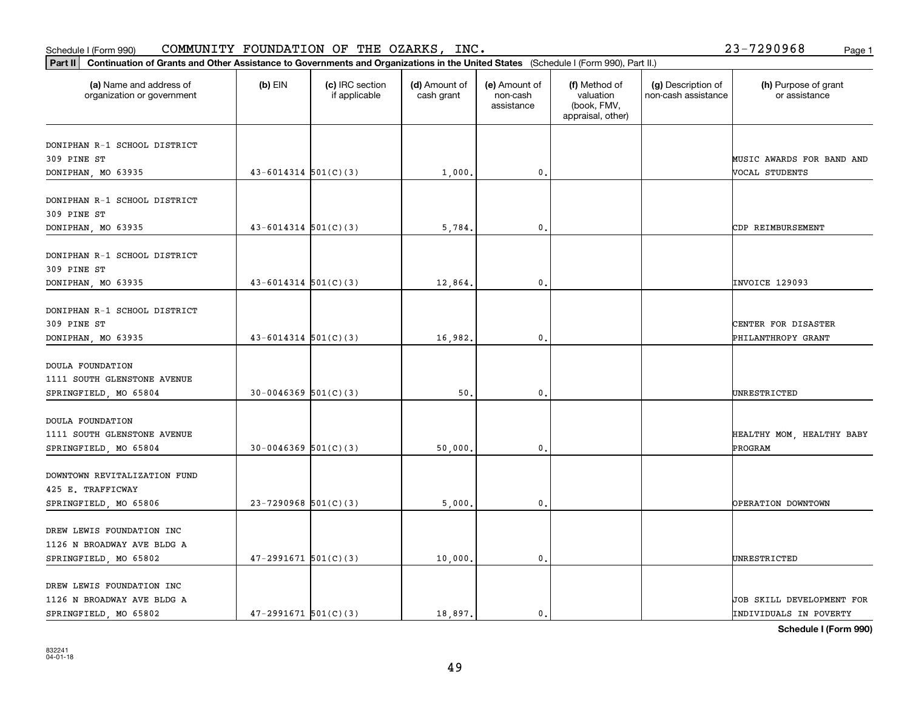|                                                                                  |                            |         | assistance     | (book, FMV,<br>appraisal, other) |                                                     |
|----------------------------------------------------------------------------------|----------------------------|---------|----------------|----------------------------------|-----------------------------------------------------|
| DONIPHAN R-1 SCHOOL DISTRICT<br>309 PINE ST<br>DONIPHAN, MO 63935                | $43 - 6014314$ $501(C)(3)$ | 1,000.  | 0.             |                                  | <b>MUSIC AWARDS FOR BAND AND</b><br>VOCAL STUDENTS  |
| DONIPHAN R-1 SCHOOL DISTRICT<br>309 PINE ST<br>DONIPHAN, MO 63935                | $43 - 6014314$ $501(C)(3)$ | 5,784.  | 0.             |                                  | CDP REIMBURSEMENT                                   |
| DONIPHAN R-1 SCHOOL DISTRICT<br>309 PINE ST<br>DONIPHAN, MO 63935                | $43 - 6014314$ $501(C)(3)$ | 12,864. | 0.             |                                  | <b>INVOICE 129093</b>                               |
| DONIPHAN R-1 SCHOOL DISTRICT<br>309 PINE ST<br>DONIPHAN, MO 63935                | $43 - 6014314$ $501(C)(3)$ | 16,982. | 0.             |                                  | CENTER FOR DISASTER<br>PHILANTHROPY GRANT           |
| DOULA FOUNDATION<br>1111 SOUTH GLENSTONE AVENUE<br>SPRINGFIELD, MO 65804         | $30 - 0046369$ $501(C)(3)$ | 50      | 0.             |                                  | UNRESTRICTED                                        |
| DOULA FOUNDATION<br>1111 SOUTH GLENSTONE AVENUE<br>SPRINGFIELD, MO 65804         | $30 - 0046369$ $501(C)(3)$ | 50,000  | $\mathbf{0}$   |                                  | НЕАLТНҮ МОМ, НЕАLТНҮ ВАВҮ<br>PROGRAM                |
| DOWNTOWN REVITALIZATION FUND<br>425 E. TRAFFICWAY<br>SPRINGFIELD, MO 65806       | $23 - 7290968$ 501(C)(3)   | 5,000   | $\mathbf{0}$   |                                  | OPERATION DOWNTOWN                                  |
| DREW LEWIS FOUNDATION INC<br>1126 N BROADWAY AVE BLDG A<br>SPRINGFIELD, MO 65802 | $47 - 2991671$ 501(C)(3)   | 10,000  | 0.             |                                  | UNRESTRICTED                                        |
| DREW LEWIS FOUNDATION INC<br>1126 N BROADWAY AVE BLDG A<br>SPRINGFIELD, MO 65802 | $47 - 2991671$ $501(C)(3)$ | 18,897. | $\mathbf{0}$ . |                                  | JOB SKILL DEVELOPMENT FOR<br>INDIVIDUALS IN POVERTY |

#### Schedule I (Form 990)  ${\tt COMMUNITY}$  <code>FOUNDATION OF THE OZARKS, INC</code> .  $23-7290968$  Page 1

organization or government

**Part II Continuation of Grants and Other Assistance to Governments and Organizations in the United States**  (Schedule I (Form 990), Part II.)

if applicable

 $(b)$  EIN  $(c)$  IRC section

**(a) (b) (c) (d) (e) (f) (g) (h)** Name and address of

(d) Amount of cash grant

(e) Amount of non-cash

(f) Method of valuation

(g) Description of non-cash assistance

(h) Purpose of grant or assistance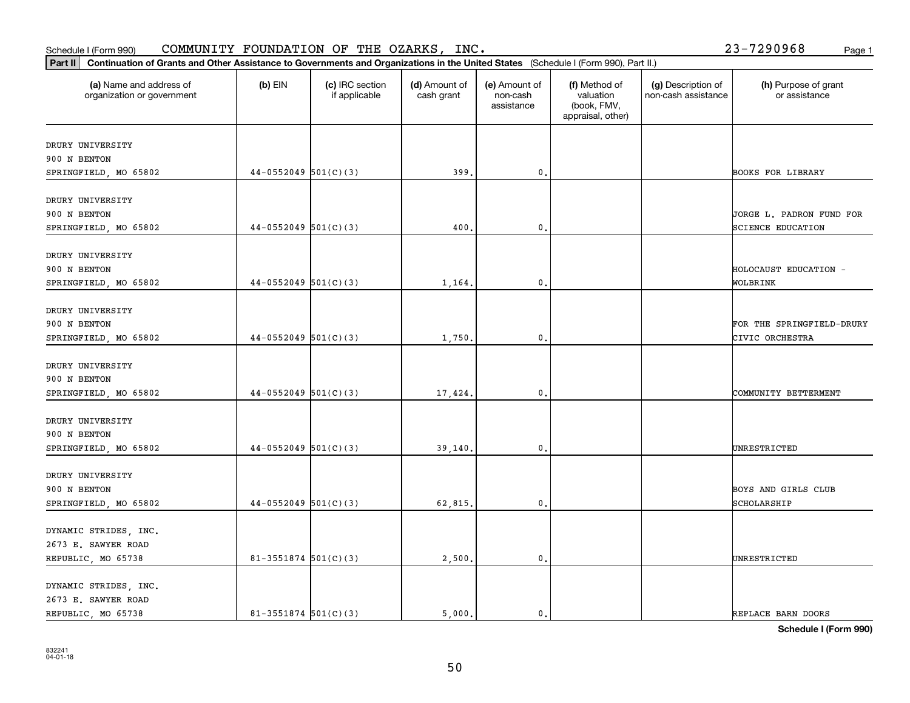| (a) Name and address of<br>organization or government | (b) EIN                  | (c) IRC section<br>if applicable | (d) Amount of<br>cash grant | (e) Amount of<br>non-cash<br>assistance | (f) Method of<br>valuation<br>(book, FMV,<br>appraisal, other) | (g) Description of<br>non-cash assistance | (h) Purpose of grant<br>or assistance |
|-------------------------------------------------------|--------------------------|----------------------------------|-----------------------------|-----------------------------------------|----------------------------------------------------------------|-------------------------------------------|---------------------------------------|
| DRURY UNIVERSITY                                      |                          |                                  |                             |                                         |                                                                |                                           |                                       |
| 900 N BENTON                                          |                          |                                  |                             |                                         |                                                                |                                           |                                       |
| SPRINGFIELD, MO 65802                                 | $44-0552049$ 501(C)(3)   |                                  | 399                         | $\mathbf{0}$                            |                                                                |                                           | <b>BOOKS FOR LIBRARY</b>              |
| DRURY UNIVERSITY                                      |                          |                                  |                             |                                         |                                                                |                                           |                                       |
| 900 N BENTON                                          |                          |                                  |                             |                                         |                                                                |                                           | JORGE L. PADRON FUND FOR              |
| SPRINGFIELD, MO 65802                                 | $44-0552049$ 501(C)(3)   |                                  | 400                         | $\mathbf{0}$                            |                                                                |                                           | <b>SCIENCE EDUCATION</b>              |
| DRURY UNIVERSITY                                      |                          |                                  |                             |                                         |                                                                |                                           |                                       |
| 900 N BENTON                                          |                          |                                  |                             |                                         |                                                                |                                           | HOLOCAUST EDUCATION -                 |
| SPRINGFIELD, MO 65802                                 | $44-0552049$ 501(C)(3)   |                                  | 1,164                       | $\mathbf{0}$                            |                                                                |                                           | WOLBRINK                              |
| DRURY UNIVERSITY                                      |                          |                                  |                             |                                         |                                                                |                                           |                                       |
| 900 N BENTON                                          |                          |                                  |                             |                                         |                                                                |                                           | FOR THE SPRINGFIELD-DRURY             |
| SPRINGFIELD, MO 65802                                 | $44-0552049$ 501(C)(3)   |                                  | 1,750                       | $\mathbf{0}$                            |                                                                |                                           | CIVIC ORCHESTRA                       |
| DRURY UNIVERSITY                                      |                          |                                  |                             |                                         |                                                                |                                           |                                       |
| 900 N BENTON                                          |                          |                                  |                             |                                         |                                                                |                                           |                                       |
| SPRINGFIELD, MO 65802                                 | $44-0552049$ 501(C)(3)   |                                  | 17,424                      | $\mathfrak o$ .                         |                                                                |                                           | COMMUNITY BETTERMENT                  |
| DRURY UNIVERSITY                                      |                          |                                  |                             |                                         |                                                                |                                           |                                       |
| 900 N BENTON                                          |                          |                                  |                             |                                         |                                                                |                                           |                                       |
| SPRINGFIELD, MO 65802                                 | $44-0552049$ 501(C)(3)   |                                  | 39,140                      | $\mathbf{0}$                            |                                                                |                                           | UNRESTRICTED                          |
| DRURY UNIVERSITY                                      |                          |                                  |                             |                                         |                                                                |                                           |                                       |
| 900 N BENTON                                          |                          |                                  |                             |                                         |                                                                |                                           | BOYS AND GIRLS CLUB                   |
| SPRINGFIELD, MO 65802                                 | $44-0552049$ 501(C)(3)   |                                  | 62,815                      | $\mathbf{0}$                            |                                                                |                                           | SCHOLARSHIP                           |
| DYNAMIC STRIDES, INC.                                 |                          |                                  |                             |                                         |                                                                |                                           |                                       |
| 2673 E. SAWYER ROAD                                   |                          |                                  |                             |                                         |                                                                |                                           |                                       |
| REPUBLIC, MO 65738                                    | $81 - 3551874$ 501(C)(3) |                                  | 2,500                       | $\mathfrak{o}$ .                        |                                                                |                                           | UNRESTRICTED                          |
| DYNAMIC STRIDES, INC.                                 |                          |                                  |                             |                                         |                                                                |                                           |                                       |
| 2673 E. SAWYER ROAD                                   |                          |                                  |                             |                                         |                                                                |                                           |                                       |
| REPUBLIC, MO 65738                                    | $81 - 3551874$ 501(C)(3) |                                  | 5,000.                      | $\mathbf{0}$ .                          |                                                                |                                           | REPLACE BARN DOORS                    |

50

**Part II Continuation of Grants and Other Assistance to Governments and Organizations in the United States**  (Schedule I (Form 990), Part II.)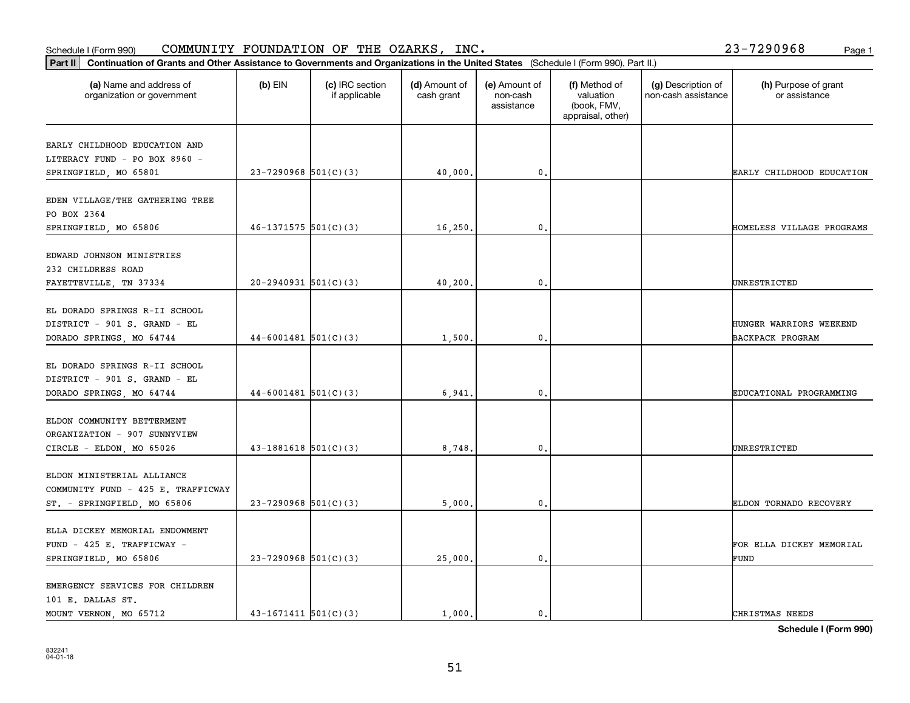| (a) Name and address of<br>organization or government                                     | $(b)$ EIN                  | (c) IRC section<br>if applicable | (d) Amount of<br>cash grant | (e) Amount of<br>non-cash<br>assistance | (f) Method of<br>valuation<br>(book, FMV,<br>appraisal, other) | (g) Description of<br>non-cash assistance | (h) Purpose of grant<br>or assistance       |
|-------------------------------------------------------------------------------------------|----------------------------|----------------------------------|-----------------------------|-----------------------------------------|----------------------------------------------------------------|-------------------------------------------|---------------------------------------------|
| EARLY CHILDHOOD EDUCATION AND                                                             |                            |                                  |                             |                                         |                                                                |                                           |                                             |
| LITERACY FUND - PO BOX 8960 -                                                             |                            |                                  |                             |                                         |                                                                |                                           |                                             |
| SPRINGFIELD, MO 65801                                                                     | $23 - 7290968$ 501(C)(3)   |                                  | 40,000                      | 0.                                      |                                                                |                                           | EARLY CHILDHOOD EDUCATION                   |
| EDEN VILLAGE/THE GATHERING TREE<br>PO BOX 2364                                            |                            |                                  |                             |                                         |                                                                |                                           |                                             |
| SPRINGFIELD, MO 65806                                                                     | $46-1371575$ 501(C)(3)     |                                  | 16, 250.                    | 0.                                      |                                                                |                                           | HOMELESS VILLAGE PROGRAMS                   |
| EDWARD JOHNSON MINISTRIES<br>232 CHILDRESS ROAD                                           |                            |                                  |                             |                                         |                                                                |                                           |                                             |
| FAYETTEVILLE, TN 37334                                                                    | $20-2940931$ 501(C)(3)     |                                  | 40,200                      | 0.                                      |                                                                |                                           | UNRESTRICTED                                |
| EL DORADO SPRINGS R-II SCHOOL<br>DISTRICT - 901 S. GRAND - EL<br>DORADO SPRINGS, MO 64744 | $44-6001481$ 501(C)(3)     |                                  | 1,500                       | 0.                                      |                                                                |                                           | HUNGER WARRIORS WEEKEND<br>BACKPACK PROGRAM |
| EL DORADO SPRINGS R-II SCHOOL<br>DISTRICT - 901 S. GRAND - EL<br>DORADO SPRINGS, MO 64744 | $44-6001481$ 501(C)(3)     |                                  | 6,941.                      | 0.                                      |                                                                |                                           | EDUCATIONAL PROGRAMMING                     |
| ELDON COMMUNITY BETTERMENT<br>ORGANIZATION - 907 SUNNYVIEW<br>CIRCLE - ELDON, MO 65026    | $43 - 1881618$ $501(C)(3)$ |                                  | 8,748                       | 0.                                      |                                                                |                                           | UNRESTRICTED                                |
| ELDON MINISTERIAL ALLIANCE<br>COMMUNITY FUND - 425 E. TRAFFICWAY                          |                            |                                  |                             |                                         |                                                                |                                           |                                             |
| ST. - SPRINGFIELD, MO 65806                                                               | $23 - 7290968$ 501(C)(3)   |                                  | 5,000.                      | 0.                                      |                                                                |                                           | ELDON TORNADO RECOVERY                      |
| ELLA DICKEY MEMORIAL ENDOWMENT<br>FUND - 425 E. TRAFFICWAY -<br>SPRINGFIELD, MO 65806     | $23-7290968$ 501(C)(3)     |                                  | 25,000.                     | 0.                                      |                                                                |                                           | FOR ELLA DICKEY MEMORIAL<br>FUND            |
| EMERGENCY SERVICES FOR CHILDREN<br>101 E. DALLAS ST.<br>MOUNT VERNON, MO 65712            | $43-1671411$ $501(C)(3)$   |                                  | 1,000.                      | 0.                                      |                                                                |                                           | CHRISTMAS NEEDS                             |

**Schedule I (Form 990)**

#### Schedule I (Form 990)  ${\tt COMMUNITY}$  <code>FOUNDATION OF THE OZARKS, INC</code> .  $23-7290968$  Page 1

**Part II Continuation of Grants and Other Assistance to Governments and Organizations in the United States**  (Schedule I (Form 990), Part II.)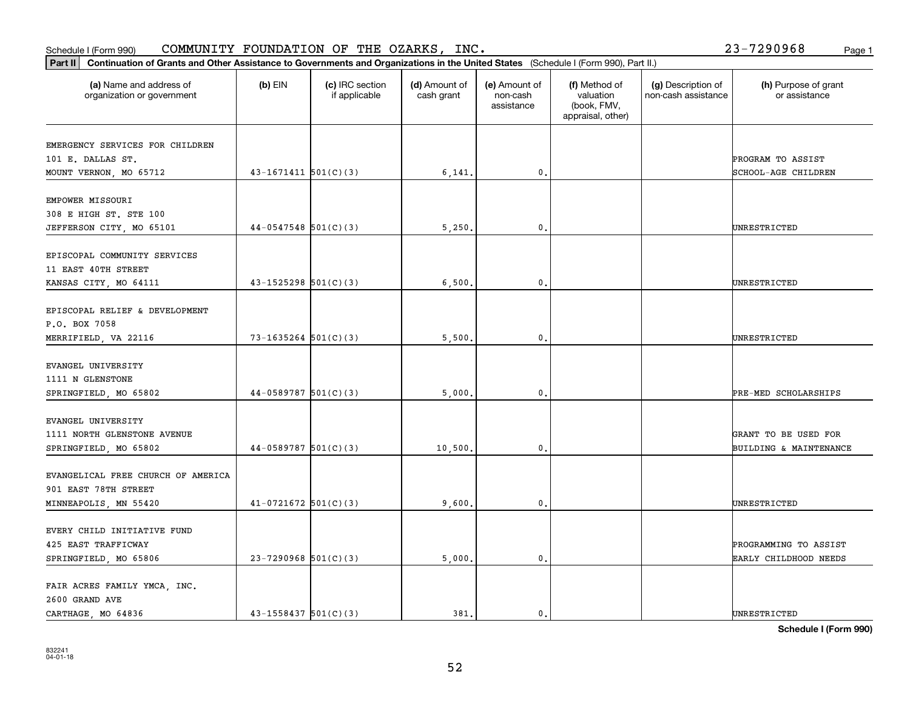| Part II   Continuation of Grants and Other Assistance to Governments and Organizations in the United States (Schedule I (Form 990), Part II.) |                            |                                  |                             |                                         |                                                                |                                           |                                          |
|-----------------------------------------------------------------------------------------------------------------------------------------------|----------------------------|----------------------------------|-----------------------------|-----------------------------------------|----------------------------------------------------------------|-------------------------------------------|------------------------------------------|
| (a) Name and address of<br>organization or government                                                                                         | $(b)$ EIN                  | (c) IRC section<br>if applicable | (d) Amount of<br>cash grant | (e) Amount of<br>non-cash<br>assistance | (f) Method of<br>valuation<br>(book, FMV,<br>appraisal, other) | (g) Description of<br>non-cash assistance | (h) Purpose of grant<br>or assistance    |
|                                                                                                                                               |                            |                                  |                             |                                         |                                                                |                                           |                                          |
| EMERGENCY SERVICES FOR CHILDREN                                                                                                               |                            |                                  |                             |                                         |                                                                |                                           |                                          |
| 101 E. DALLAS ST.                                                                                                                             | $43 - 1671411$ $501(C)(3)$ |                                  |                             | 0.                                      |                                                                |                                           | PROGRAM TO ASSIST<br>SCHOOL-AGE CHILDREN |
| MOUNT VERNON, MO 65712                                                                                                                        |                            |                                  | 6,141,                      |                                         |                                                                |                                           |                                          |
| EMPOWER MISSOURI                                                                                                                              |                            |                                  |                             |                                         |                                                                |                                           |                                          |
| 308 E HIGH ST. STE 100                                                                                                                        |                            |                                  |                             |                                         |                                                                |                                           |                                          |
| JEFFERSON CITY, MO 65101                                                                                                                      | $44-0547548$ 501(C)(3)     |                                  | 5,250                       | $\mathfrak{o}$ .                        |                                                                |                                           | UNRESTRICTED                             |
|                                                                                                                                               |                            |                                  |                             |                                         |                                                                |                                           |                                          |
| EPISCOPAL COMMUNITY SERVICES                                                                                                                  |                            |                                  |                             |                                         |                                                                |                                           |                                          |
| 11 EAST 40TH STREET                                                                                                                           |                            |                                  |                             |                                         |                                                                |                                           |                                          |
| KANSAS CITY, MO 64111                                                                                                                         | $43 - 1525298$ $501(C)(3)$ |                                  | 6,500                       | $\mathfrak{o}$ .                        |                                                                |                                           | UNRESTRICTED                             |
|                                                                                                                                               |                            |                                  |                             |                                         |                                                                |                                           |                                          |
| EPISCOPAL RELIEF & DEVELOPMENT                                                                                                                |                            |                                  |                             |                                         |                                                                |                                           |                                          |
| P.O. BOX 7058                                                                                                                                 |                            |                                  |                             |                                         |                                                                |                                           |                                          |
| MERRIFIELD, VA 22116                                                                                                                          | $73 - 1635264$ 501(C)(3)   |                                  | 5,500                       | $\mathfrak{o}$ .                        |                                                                |                                           | UNRESTRICTED                             |
|                                                                                                                                               |                            |                                  |                             |                                         |                                                                |                                           |                                          |
| EVANGEL UNIVERSITY                                                                                                                            |                            |                                  |                             |                                         |                                                                |                                           |                                          |
| 1111 N GLENSTONE                                                                                                                              |                            |                                  |                             |                                         |                                                                |                                           |                                          |
| SPRINGFIELD, MO 65802                                                                                                                         | $44-0589787$ 501(C)(3)     |                                  | 5,000                       | 0.                                      |                                                                |                                           | PRE-MED SCHOLARSHIPS                     |
|                                                                                                                                               |                            |                                  |                             |                                         |                                                                |                                           |                                          |
| EVANGEL UNIVERSITY                                                                                                                            |                            |                                  |                             |                                         |                                                                |                                           |                                          |
| 1111 NORTH GLENSTONE AVENUE                                                                                                                   |                            |                                  |                             |                                         |                                                                |                                           | GRANT TO BE USED FOR                     |
| SPRINGFIELD, MO 65802                                                                                                                         | $44-0589787$ 501(C)(3)     |                                  | 10,500                      | 0.                                      |                                                                |                                           | BUILDING & MAINTENANCE                   |
|                                                                                                                                               |                            |                                  |                             |                                         |                                                                |                                           |                                          |
| EVANGELICAL FREE CHURCH OF AMERICA                                                                                                            |                            |                                  |                             |                                         |                                                                |                                           |                                          |
| 901 EAST 78TH STREET                                                                                                                          |                            |                                  |                             |                                         |                                                                |                                           |                                          |
| MINNEAPOLIS, MN 55420                                                                                                                         | $41-0721672$ 501(C)(3)     |                                  | 9,600                       | $\mathfrak{o}$ .                        |                                                                |                                           | UNRESTRICTED                             |
|                                                                                                                                               |                            |                                  |                             |                                         |                                                                |                                           |                                          |
| EVERY CHILD INITIATIVE FUND                                                                                                                   |                            |                                  |                             |                                         |                                                                |                                           |                                          |
| 425 EAST TRAFFICWAY                                                                                                                           |                            |                                  |                             |                                         |                                                                |                                           | PROGRAMMING TO ASSIST                    |
| SPRINGFIELD, MO 65806                                                                                                                         | $23 - 7290968$ 501(C)(3)   |                                  | 5,000.                      | $\mathfrak{o}$ .                        |                                                                |                                           | EARLY CHILDHOOD NEEDS                    |
|                                                                                                                                               |                            |                                  |                             |                                         |                                                                |                                           |                                          |
| FAIR ACRES FAMILY YMCA, INC.<br>2600 GRAND AVE                                                                                                |                            |                                  |                             |                                         |                                                                |                                           |                                          |
| CARTHAGE MO 64836                                                                                                                             | $43 - 1558437$ $501(C)(3)$ |                                  | 381.                        | $\mathbf{0}$ .                          |                                                                |                                           | <b>UNRESTRICTED</b>                      |
|                                                                                                                                               |                            |                                  |                             |                                         |                                                                |                                           |                                          |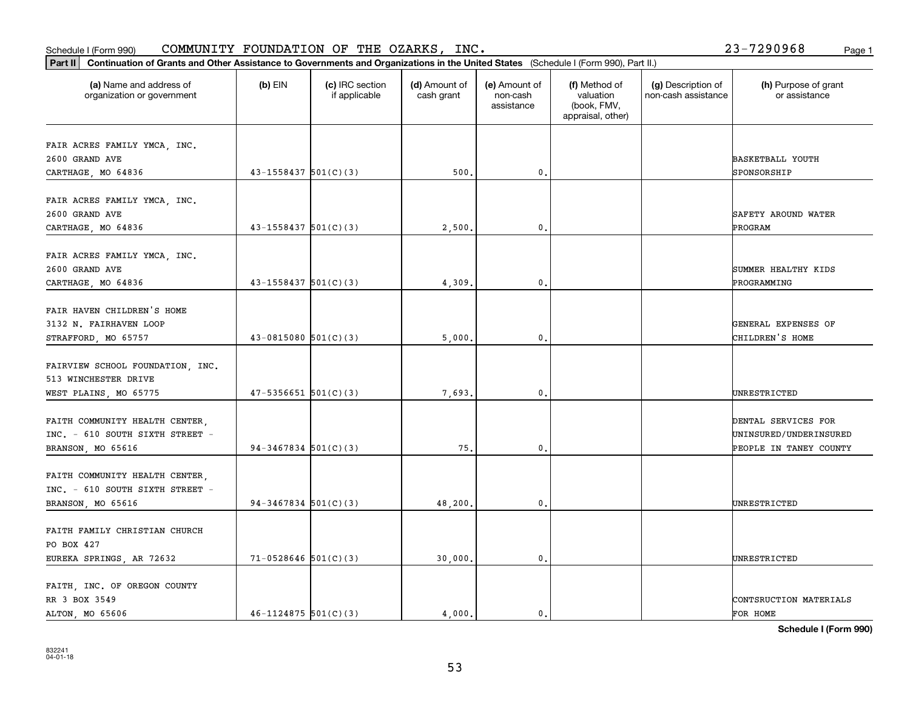| Continuation of Grants and Other Assistance to Governments and Organizations in the United States (Schedule I (Form 990), Part II.)<br>Part II |                            |                                  |                             |                                         |                                                                |                                           |                                                                         |
|------------------------------------------------------------------------------------------------------------------------------------------------|----------------------------|----------------------------------|-----------------------------|-----------------------------------------|----------------------------------------------------------------|-------------------------------------------|-------------------------------------------------------------------------|
| (a) Name and address of<br>organization or government                                                                                          | $(b)$ EIN                  | (c) IRC section<br>if applicable | (d) Amount of<br>cash grant | (e) Amount of<br>non-cash<br>assistance | (f) Method of<br>valuation<br>(book, FMV,<br>appraisal, other) | (g) Description of<br>non-cash assistance | (h) Purpose of grant<br>or assistance                                   |
| FAIR ACRES FAMILY YMCA, INC.<br>2600 GRAND AVE<br>CARTHAGE, MO 64836                                                                           | $43 - 1558437$ 501(C)(3)   |                                  | 500                         | 0.                                      |                                                                |                                           | <b>BASKETBALL YOUTH</b><br>SPONSORSHIP                                  |
| FAIR ACRES FAMILY YMCA, INC.<br>2600 GRAND AVE<br>CARTHAGE, MO 64836                                                                           | $43 - 1558437$ 501(C)(3)   |                                  | 2,500.                      | $\mathbf{0}$ .                          |                                                                |                                           | SAFETY AROUND WATER<br>PROGRAM                                          |
| FAIR ACRES FAMILY YMCA, INC.<br>2600 GRAND AVE<br>CARTHAGE, MO 64836                                                                           | $43 - 1558437$ $501(C)(3)$ |                                  | 4,309                       | $\mathbf{0}$                            |                                                                |                                           | SUMMER HEALTHY KIDS<br>PROGRAMMING                                      |
| FAIR HAVEN CHILDREN'S HOME<br>3132 N. FAIRHAVEN LOOP<br>STRAFFORD, MO 65757                                                                    | $43 - 0815080$ 501(C)(3)   |                                  | 5,000                       | 0.                                      |                                                                |                                           | GENERAL EXPENSES OF<br>CHILDREN'S HOME                                  |
| FAIRVIEW SCHOOL FOUNDATION, INC.<br>513 WINCHESTER DRIVE<br>WEST PLAINS, MO 65775                                                              | $47 - 5356651$ $501(C)(3)$ |                                  | 7,693.                      | $\mathbf{0}$ .                          |                                                                |                                           | UNRESTRICTED                                                            |
| FAITH COMMUNITY HEALTH CENTER,<br>INC. - 610 SOUTH SIXTH STREET -<br>BRANSON, MO 65616                                                         | $94-3467834$ 501(C)(3)     |                                  | 75                          | $\mathbf{0}$                            |                                                                |                                           | DENTAL SERVICES FOR<br>UNINSURED/UNDERINSURED<br>PEOPLE IN TANEY COUNTY |
| FAITH COMMUNITY HEALTH CENTER,<br>INC. - 610 SOUTH SIXTH STREET -<br>BRANSON, MO 65616                                                         | $94-3467834$ 501(C)(3)     |                                  | 48,200                      | 0.                                      |                                                                |                                           | UNRESTRICTED                                                            |
| FAITH FAMILY CHRISTIAN CHURCH<br>PO BOX 427<br>EUREKA SPRINGS, AR 72632                                                                        | $71-0528646$ 501(C)(3)     |                                  | 30,000.                     | $\mathsf{o}\,$ .                        |                                                                |                                           | UNRESTRICTED                                                            |
| FAITH, INC. OF OREGON COUNTY<br>RR 3 BOX 3549<br>ALTON MO 65606                                                                                | $46 - 1124875$ 501(C)(3)   |                                  | 4,000.                      | $\mathbf{0}$ .                          |                                                                |                                           | CONTSRUCTION MATERIALS<br>FOR HOME                                      |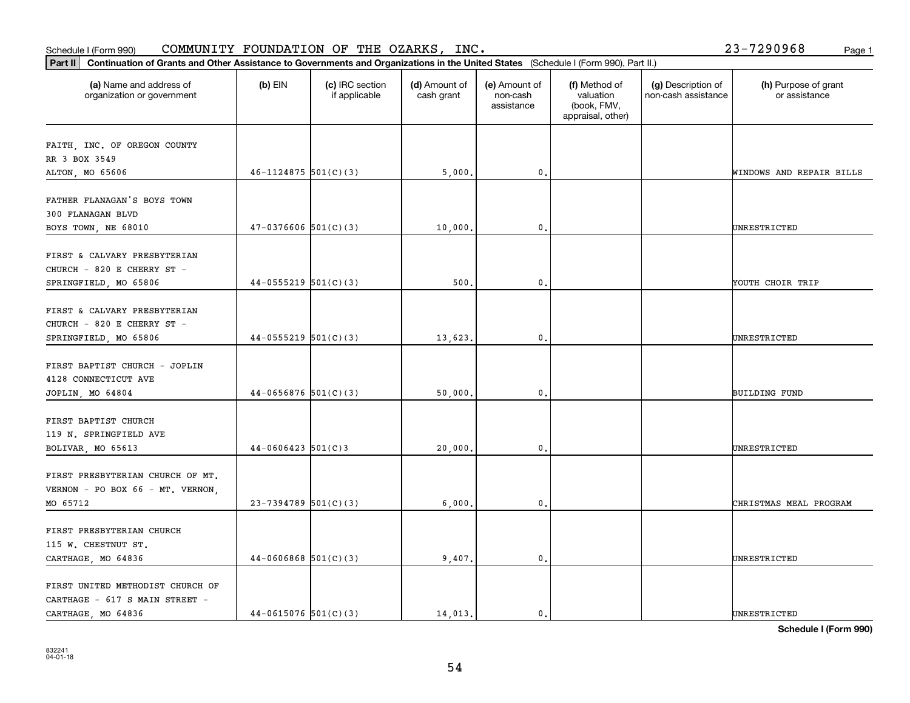#### Schedule I (Form 990) COMMUNITY FOUNDATION OF THE OZARKS, INC。 Page 1 COMMUNITY FOUNDATION OF THE OZARKS, INC. 23-7290968

| Part II   Continuation of Grants and Other Assistance to Governments and Organizations in the United States (Schedule I (Form 990), Part II.) |                          |                                  |                             |                                         |                                                                |                                           |                                       |
|-----------------------------------------------------------------------------------------------------------------------------------------------|--------------------------|----------------------------------|-----------------------------|-----------------------------------------|----------------------------------------------------------------|-------------------------------------------|---------------------------------------|
| (a) Name and address of<br>organization or government                                                                                         | $(b)$ EIN                | (c) IRC section<br>if applicable | (d) Amount of<br>cash grant | (e) Amount of<br>non-cash<br>assistance | (f) Method of<br>valuation<br>(book, FMV,<br>appraisal, other) | (g) Description of<br>non-cash assistance | (h) Purpose of grant<br>or assistance |
| FAITH, INC. OF OREGON COUNTY                                                                                                                  |                          |                                  |                             |                                         |                                                                |                                           |                                       |
| RR 3 BOX 3549                                                                                                                                 |                          |                                  |                             |                                         |                                                                |                                           |                                       |
| ALTON, MO 65606                                                                                                                               | $46 - 1124875$ 501(C)(3) |                                  | 5,000.                      | 0.                                      |                                                                |                                           | WINDOWS AND REPAIR BILLS              |
| FATHER FLANAGAN'S BOYS TOWN<br>300 FLANAGAN BLVD                                                                                              |                          |                                  |                             |                                         |                                                                |                                           |                                       |
| BOYS TOWN, NE 68010                                                                                                                           | $47-0376606$ 501(C)(3)   |                                  | 10,000.                     | 0.                                      |                                                                |                                           | UNRESTRICTED                          |
| FIRST & CALVARY PRESBYTERIAN<br>CHURCH - 820 E CHERRY ST -                                                                                    |                          |                                  |                             |                                         |                                                                |                                           |                                       |
| SPRINGFIELD, MO 65806                                                                                                                         | $44-0555219$ 501(C)(3)   |                                  | 500                         | $\mathbf{0}$ .                          |                                                                |                                           | YOUTH CHOIR TRIP                      |
| FIRST & CALVARY PRESBYTERIAN<br>CHURCH - 820 E CHERRY ST -<br>SPRINGFIELD, MO 65806                                                           | $44-0555219$ 501(C)(3)   |                                  | 13,623.                     | 0.                                      |                                                                |                                           | UNRESTRICTED                          |
| FIRST BAPTIST CHURCH - JOPLIN<br>4128 CONNECTICUT AVE                                                                                         |                          |                                  |                             |                                         |                                                                |                                           |                                       |
| JOPLIN, MO 64804                                                                                                                              | $44-0656876$ 501(C)(3)   |                                  | 50,000.                     | 0.                                      |                                                                |                                           | BUILDING FUND                         |
| FIRST BAPTIST CHURCH<br>119 N. SPRINGFIELD AVE                                                                                                | $44-0606423$ 501(C)3     |                                  |                             | 0.                                      |                                                                |                                           | UNRESTRICTED                          |
| BOLIVAR, MO 65613                                                                                                                             |                          |                                  | 20,000.                     |                                         |                                                                |                                           |                                       |
| FIRST PRESBYTERIAN CHURCH OF MT.<br>VERNON - PO BOX 66 - MT. VERNON,                                                                          |                          |                                  |                             |                                         |                                                                |                                           |                                       |
| MO 65712                                                                                                                                      | $23 - 7394789$ 501(C)(3) |                                  | 6,000,                      | $^{\circ}$ .                            |                                                                |                                           | CHRISTMAS MEAL PROGRAM                |
| FIRST PRESBYTERIAN CHURCH<br>115 W. CHESTNUT ST.                                                                                              |                          |                                  |                             |                                         |                                                                |                                           |                                       |
| CARTHAGE, MO 64836                                                                                                                            | $44-0606868$ 501(C)(3)   |                                  | 9,407.                      | $\mathbf{0}$ .                          |                                                                |                                           | UNRESTRICTED                          |
| FIRST UNITED METHODIST CHURCH OF<br>CARTHAGE - 617 S MAIN STREET -<br>CARTHAGE, MO 64836                                                      | $44-0615076$ 501(C)(3)   |                                  | 14,013.                     | $\mathbf{0}$ .                          |                                                                |                                           | UNRESTRICTED                          |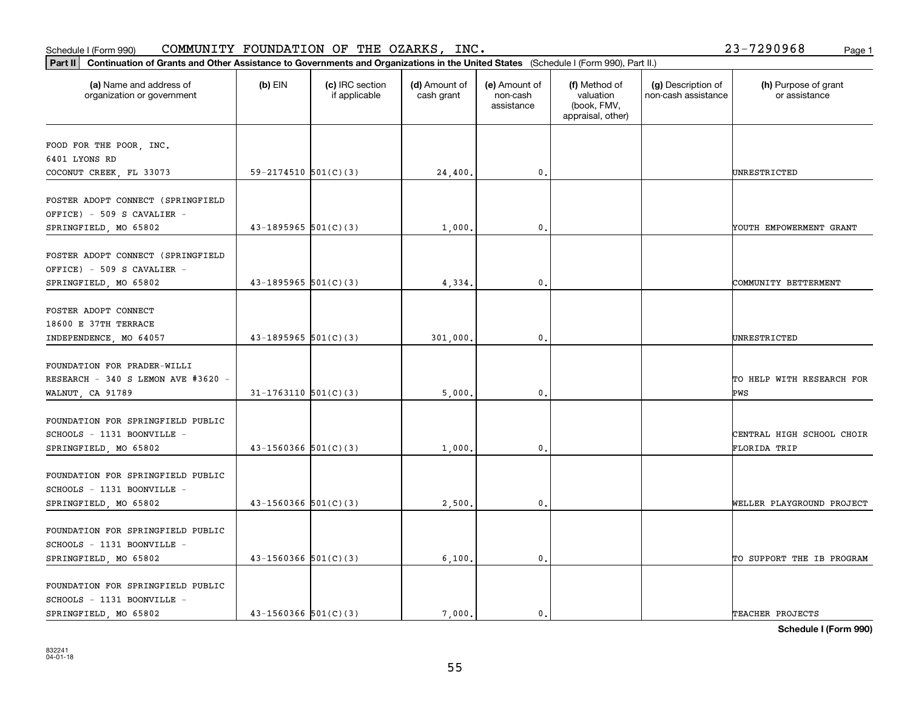**Schedule I (Form 990)**

| organization or government                                      |                            | if applicable | cash grant | non-cash<br>assistance | valuation<br>(book, FMV,<br>appraisal, other) | non-cash assistance | or assistance             |
|-----------------------------------------------------------------|----------------------------|---------------|------------|------------------------|-----------------------------------------------|---------------------|---------------------------|
| FOOD FOR THE POOR, INC.                                         |                            |               |            |                        |                                               |                     |                           |
| 6401 LYONS RD                                                   |                            |               |            |                        |                                               |                     |                           |
| COCONUT CREEK, FL 33073                                         | 59-2174510 $501(C)(3)$     |               | 24,400.    | 0.                     |                                               |                     | UNRESTRICTED              |
| FOSTER ADOPT CONNECT (SPRINGFIELD                               |                            |               |            |                        |                                               |                     |                           |
| OFFICE) - 509 S CAVALIER -                                      |                            |               |            |                        |                                               |                     |                           |
| SPRINGFIELD, MO 65802                                           | $43 - 1895965$ 501(C)(3)   |               | 1,000      | 0.                     |                                               |                     | YOUTH EMPOWERMENT GRANT   |
|                                                                 |                            |               |            |                        |                                               |                     |                           |
| FOSTER ADOPT CONNECT (SPRINGFIELD                               |                            |               |            |                        |                                               |                     |                           |
| OFFICE) - 509 S CAVALIER -                                      |                            |               |            |                        |                                               |                     |                           |
| SPRINGFIELD, MO 65802                                           | $43 - 1895965$ $501(C)(3)$ |               | 4,334.     | 0.                     |                                               |                     | COMMUNITY BETTERMENT      |
|                                                                 |                            |               |            |                        |                                               |                     |                           |
| FOSTER ADOPT CONNECT<br>18600 E 37TH TERRACE                    |                            |               |            |                        |                                               |                     |                           |
| INDEPENDENCE, MO 64057                                          | $43 - 1895965$ 501(C)(3)   |               | 301,000    | $\mathbf{0}$ .         |                                               |                     | UNRESTRICTED              |
|                                                                 |                            |               |            |                        |                                               |                     |                           |
| FOUNDATION FOR PRADER-WILLI                                     |                            |               |            |                        |                                               |                     |                           |
| RESEARCH - 340 S LEMON AVE #3620 -                              |                            |               |            |                        |                                               |                     | TO HELP WITH RESEARCH FOR |
| WALNUT, CA 91789                                                | $31 - 1763110$ $501(C)(3)$ |               | 5,000      | $\mathbf{0}$ .         |                                               |                     | PWS                       |
|                                                                 |                            |               |            |                        |                                               |                     |                           |
| FOUNDATION FOR SPRINGFIELD PUBLIC<br>SCHOOLS - 1131 BOONVILLE - |                            |               |            |                        |                                               |                     | CENTRAL HIGH SCHOOL CHOIR |
| SPRINGFIELD, MO 65802                                           | $43-1560366$ $501(C)(3)$   |               | 1,000      | $\mathbf{0}$ .         |                                               |                     | FLORIDA TRIP              |
|                                                                 |                            |               |            |                        |                                               |                     |                           |
| FOUNDATION FOR SPRINGFIELD PUBLIC                               |                            |               |            |                        |                                               |                     |                           |
| SCHOOLS - 1131 BOONVILLE -                                      |                            |               |            |                        |                                               |                     |                           |
| SPRINGFIELD, MO 65802                                           | $43 - 1560366$ $501(C)(3)$ |               | 2,500      | $\mathbf{0}$ .         |                                               |                     | WELLER PLAYGROUND PROJECT |
|                                                                 |                            |               |            |                        |                                               |                     |                           |
| FOUNDATION FOR SPRINGFIELD PUBLIC                               |                            |               |            |                        |                                               |                     |                           |
| SCHOOLS - 1131 BOONVILLE -                                      | $43-1560366$ $501(C)(3)$   |               | 6,100      | 0.                     |                                               |                     | TO SUPPORT THE IB PROGRAM |
| SPRINGFIELD, MO 65802                                           |                            |               |            |                        |                                               |                     |                           |
| FOUNDATION FOR SPRINGFIELD PUBLIC                               |                            |               |            |                        |                                               |                     |                           |
| SCHOOLS - 1131 BOONVILLE -                                      |                            |               |            |                        |                                               |                     |                           |
| SPRINGFIELD, MO 65802                                           | $43 - 1560366$ $501(C)(3)$ |               | 7.000.     | 0.                     |                                               |                     | TEACHER PROJECTS          |

### Schedule I (Form 990)  ${\tt COMMUNITY}$  <code>FOUNDATION OF THE OZARKS, INC</code> .  $23-7290968$  Page 1

**Part II Continuation of Grants and Other Assistance to Governments and Organizations in the United States**  (Schedule I (Form 990), Part II.)

 $(b)$  EIN  $(c)$  IRC section

**(a) (b) (c) (d) (e) (f) (g) (h)** Name and address of

(d) Amount of

(e) Amount of

(f) Method of

(g) Description of

(h) Purpose of grant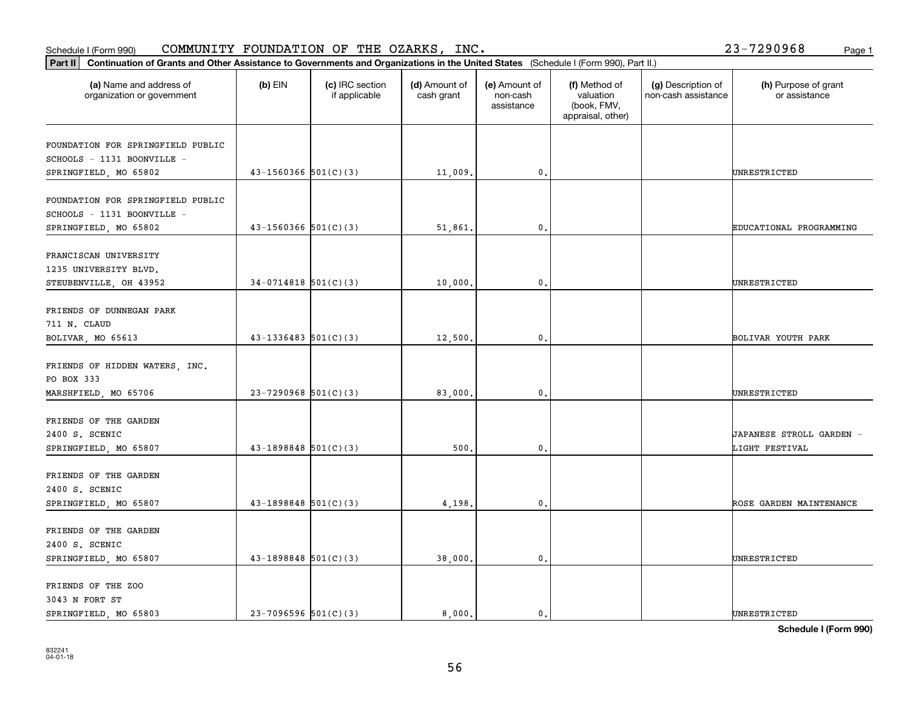#### **Part II Continuation of Grants and Other Assistance to Governments and Organization of Grants and Organization of Grants and Organizations of United States** *and Organization* **of Grants and Organizations <b>in the United S** Schedule I (Form 990)  ${\tt COMMUNITY}$  <code>FOUNDATION OF THE OZARKS, INC</code> .  $23-7290968$  Page 1

| Continuation of Grants and Other Assistance to Governments and Organizations in the United States (Schedule I (Form 990), Part II.)<br>Part II |                            |                                  |                             |                                         |                                                                |                                           |                                            |
|------------------------------------------------------------------------------------------------------------------------------------------------|----------------------------|----------------------------------|-----------------------------|-----------------------------------------|----------------------------------------------------------------|-------------------------------------------|--------------------------------------------|
| (a) Name and address of<br>organization or government                                                                                          | $(b)$ EIN                  | (c) IRC section<br>if applicable | (d) Amount of<br>cash grant | (e) Amount of<br>non-cash<br>assistance | (f) Method of<br>valuation<br>(book, FMV,<br>appraisal, other) | (g) Description of<br>non-cash assistance | (h) Purpose of grant<br>or assistance      |
| FOUNDATION FOR SPRINGFIELD PUBLIC<br>SCHOOLS - 1131 BOONVILLE -<br>SPRINGFIELD, MO 65802                                                       | $43 - 1560366$ $501(C)(3)$ |                                  | 11,009.                     | $\mathfrak o$ .                         |                                                                |                                           | UNRESTRICTED                               |
| FOUNDATION FOR SPRINGFIELD PUBLIC<br>SCHOOLS - 1131 BOONVILLE -<br>SPRINGFIELD, MO 65802                                                       | $43 - 1560366$ $501(C)(3)$ |                                  | 51,861.                     | $\mathfrak o$ .                         |                                                                |                                           | EDUCATIONAL PROGRAMMING                    |
| FRANCISCAN UNIVERSITY<br>1235 UNIVERSITY BLVD.<br>STEUBENVILLE, OH 43952                                                                       | $34-0714818$ $501(C)(3)$   |                                  | 10,000                      | $\mathbf{0}$                            |                                                                |                                           | UNRESTRICTED                               |
| FRIENDS OF DUNNEGAN PARK<br>711 N. CLAUD<br>BOLIVAR, MO 65613                                                                                  | $43 - 1336483$ $501(C)(3)$ |                                  | 12,500                      | $\mathbf{0}$ .                          |                                                                |                                           | BOLIVAR YOUTH PARK                         |
| FRIENDS OF HIDDEN WATERS, INC.<br>PO BOX 333<br>MARSHFIELD, MO 65706                                                                           | $23 - 7290968$ 501(C)(3)   |                                  | 83,000                      | $\mathbf{0}$                            |                                                                |                                           | UNRESTRICTED                               |
| FRIENDS OF THE GARDEN<br>2400 S. SCENIC<br>SPRINGFIELD, MO 65807                                                                               | $43 - 1898848$ 501(C)(3)   |                                  | 500                         | $\mathbf{0}$                            |                                                                |                                           | JAPANESE STROLL GARDEN -<br>LIGHT FESTIVAL |
| FRIENDS OF THE GARDEN<br>2400 S. SCENIC<br>SPRINGFIELD, MO 65807                                                                               | $43-1898848$ $501(C)(3)$   |                                  | 4,198                       | $\mathbf{0}$ .                          |                                                                |                                           | ROSE GARDEN MAINTENANCE                    |
| FRIENDS OF THE GARDEN<br>2400 S. SCENIC<br>SPRINGFIELD, MO 65807                                                                               | $43 - 1898848$ 501(C)(3)   |                                  | 38,000                      | 0.                                      |                                                                |                                           | UNRESTRICTED                               |
| FRIENDS OF THE ZOO<br>3043 N FORT ST<br>SPRINGFIELD, MO 65803                                                                                  | $23-7096596$ 501(C)(3)     |                                  | 8,000.                      | $\mathbf{0}$ .                          |                                                                |                                           | UNRESTRICTED                               |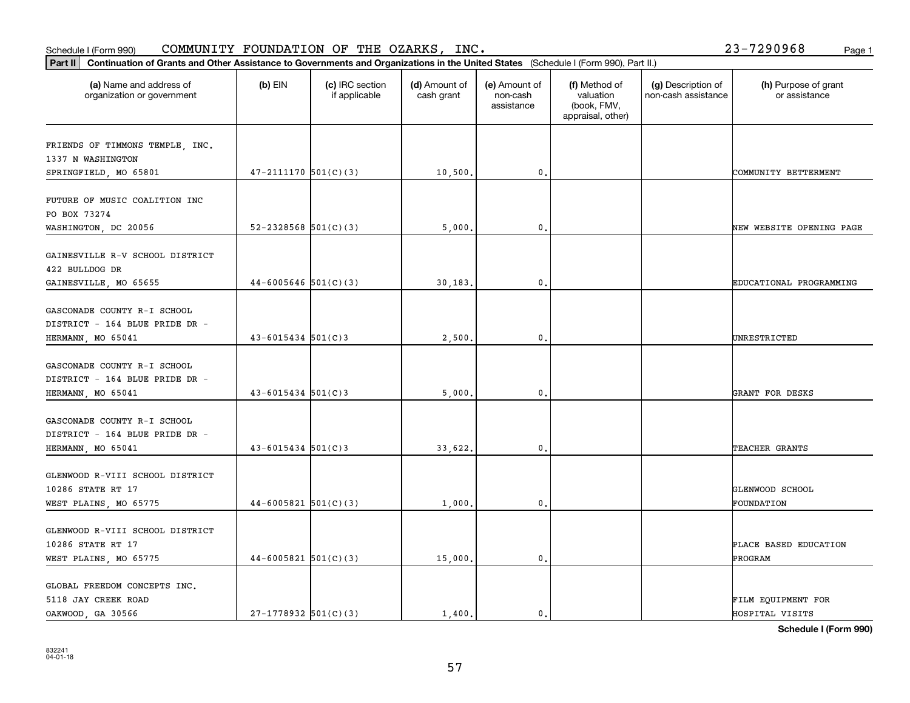#### **Part II Continuation of Grants and Other Assistance to Governments and Organization of Grants and Organization of Grants and Organizations of United States** *and Organization* **of Grants and Organizations <b>in the United S** Schedule I (Form 990)  ${\tt COMMUNITY}$  <code>FOUNDATION OF THE OZARKS, INC</code> .  $23-7290968$  Page 1

| Continuation of Grants and Other Assistance to Governments and Organizations in the United States (Schedule I (Form 990), Part II.)<br>Part II |                            |                                  |                             |                                         |                                                                |                                           |                                       |
|------------------------------------------------------------------------------------------------------------------------------------------------|----------------------------|----------------------------------|-----------------------------|-----------------------------------------|----------------------------------------------------------------|-------------------------------------------|---------------------------------------|
| (a) Name and address of<br>organization or government                                                                                          | $(b)$ EIN                  | (c) IRC section<br>if applicable | (d) Amount of<br>cash grant | (e) Amount of<br>non-cash<br>assistance | (f) Method of<br>valuation<br>(book, FMV,<br>appraisal, other) | (g) Description of<br>non-cash assistance | (h) Purpose of grant<br>or assistance |
| FRIENDS OF TIMMONS TEMPLE, INC.<br>1337 N WASHINGTON<br>SPRINGFIELD, MO 65801                                                                  | $47 - 2111170$ $501(C)(3)$ |                                  | 10,500                      | $\mathbf{0}$ .                          |                                                                |                                           | COMMUNITY BETTERMENT                  |
| FUTURE OF MUSIC COALITION INC<br>PO BOX 73274<br>WASHINGTON, DC 20056                                                                          | $52 - 2328568$ $501(C)(3)$ |                                  | 5,000.                      | $\mathbf{0}$ .                          |                                                                |                                           | NEW WEBSITE OPENING PAGE              |
| GAINESVILLE R-V SCHOOL DISTRICT<br>422 BULLDOG DR<br>GAINESVILLE, MO 65655                                                                     | $44-6005646$ 501(C)(3)     |                                  | 30,183                      | $\mathbf{0}$                            |                                                                |                                           | EDUCATIONAL PROGRAMMING               |
| GASCONADE COUNTY R-I SCHOOL<br>DISTRICT - 164 BLUE PRIDE DR -<br>HERMANN, MO 65041                                                             | $43 - 6015434$ 501(C) 3    |                                  | 2,500                       | 0.                                      |                                                                |                                           | UNRESTRICTED                          |
| GASCONADE COUNTY R-I SCHOOL<br>DISTRICT - 164 BLUE PRIDE DR -<br>HERMANN, MO 65041                                                             | $43 - 6015434$ 501(C)3     |                                  | 5,000                       | 0.                                      |                                                                |                                           | GRANT FOR DESKS                       |
| GASCONADE COUNTY R-I SCHOOL<br>DISTRICT - 164 BLUE PRIDE DR -<br>HERMANN, MO 65041                                                             | $43 - 6015434$ 501(C)3     |                                  | 33,622                      | $\mathbf 0$ .                           |                                                                |                                           | TEACHER GRANTS                        |
| GLENWOOD R-VIII SCHOOL DISTRICT<br>10286 STATE RT 17<br>WEST PLAINS, MO 65775                                                                  | $44-6005821$ 501(C)(3)     |                                  | 1,000                       | $\mathbf{0}$ .                          |                                                                |                                           | GLENWOOD SCHOOL<br>FOUNDATION         |
| GLENWOOD R-VIII SCHOOL DISTRICT<br>10286 STATE RT 17<br>WEST PLAINS, MO 65775                                                                  | $44-6005821$ 501(C)(3)     |                                  | 15,000.                     | $\mathbf{0}$ .                          |                                                                |                                           | PLACE BASED EDUCATION<br>PROGRAM      |
| GLOBAL FREEDOM CONCEPTS INC.<br>5118 JAY CREEK ROAD<br>OAKWOOD, GA 30566                                                                       | $27-1778932$ 501(C)(3)     |                                  | 1,400.                      | 0.                                      |                                                                |                                           | FILM EQUIPMENT FOR<br>HOSPITAL VISITS |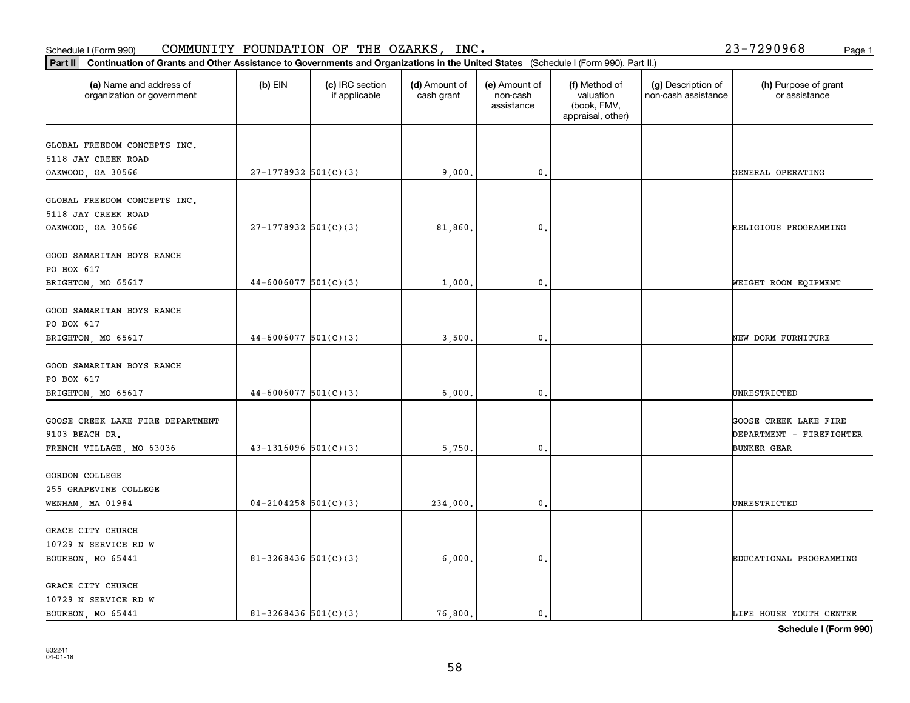10729 N SERVICE RD W

| 5118 JAY CREEK ROAD              |                          |          |               |                          |
|----------------------------------|--------------------------|----------|---------------|--------------------------|
| OAKWOOD, GA 30566                | $27-1778932$ 501(C)(3)   | 81,860.  | 0.            | RELIGIOUS PROGRAMMING    |
| GOOD SAMARITAN BOYS RANCH        |                          |          |               |                          |
| PO BOX 617                       |                          |          |               |                          |
| BRIGHTON, MO 65617               | $44 - 6006077$ 501(C)(3) | 1,000.   | 0.            | WEIGHT ROOM EQIPMENT     |
|                                  |                          |          |               |                          |
| GOOD SAMARITAN BOYS RANCH        |                          |          |               |                          |
| PO BOX 617                       |                          |          |               |                          |
| BRIGHTON, MO 65617               | $44-6006077$ 501(C)(3)   | 3,500.   | 0.            | NEW DORM FURNITURE       |
| GOOD SAMARITAN BOYS RANCH        |                          |          |               |                          |
| PO BOX 617                       |                          |          |               |                          |
| BRIGHTON, MO 65617               | $44-6006077$ 501(C)(3)   | 6,000,   | $\mathbf 0$ . | <b>UNRESTRICTED</b>      |
|                                  |                          |          |               |                          |
| GOOSE CREEK LAKE FIRE DEPARTMENT |                          |          |               | GOOSE CREEK LAKE FIRE    |
| 9103 BEACH DR.                   |                          |          |               | DEPARTMENT - FIREFIGHTER |
| FRENCH VILLAGE, MO 63036         | $43-1316096$ 501(C)(3)   | 5,750.   | 0.            | <b>BUNKER GEAR</b>       |
| <b>GORDON COLLEGE</b>            |                          |          |               |                          |
| 255 GRAPEVINE COLLEGE            |                          |          |               |                          |
| WENHAM, MA 01984                 | $04 - 2104258$ 501(C)(3) | 234,000. | 0.            | <b>UNRESTRICTED</b>      |
|                                  |                          |          |               |                          |
| GRACE CITY CHURCH                |                          |          |               |                          |
| 10729 N SERVICE RD W             |                          |          |               |                          |
| BOURBON, MO 65441                | $81 - 3268436$ 501(C)(3) | 6,000.   | $^{\rm 0}$ .  | EDUCATIONAL PROGRAMMING  |
| GRACE CITY CHURCH                |                          |          |               |                          |

#### Schedule I (Form 990)  ${\tt COMMUNITY}$  <code>FOUNDATION OF THE OZARKS, INC</code> .  $23-7290968$  Page 1

organization or government

GLOBAL FREEDOM CONCEPTS INC.

GLOBAL FREEDOM CONCEPTS INC.

5118 JAY CREEK ROAD

**Part II Continuation of Grants and Other Assistance to Governments and Organizations in the United States**  (Schedule I (Form 990), Part II.)

if applicable

 $(b)$  EIN  $(c)$  IRC section

**(a) (b) (c) (d) (e) (f) (g) (h)** Name and address of

(d) Amount of cash grant

OAKWOOD, GA 30566 27-1778932 501(C)(3) (9,000. 0. 0. 0. 0. 0. GENERAL OPERATING

(e) Amount of non-cashassistance

(f) Method of valuation (book, FMV, appraisal, other)

(g) Description of non-cash assistance

(h) Purpose of grant or assistance

BOURBON, MO 65441 81-3268436 501(C)(3) 76,800. 0. 0. CHENTER HOUSE YOUTH CENTER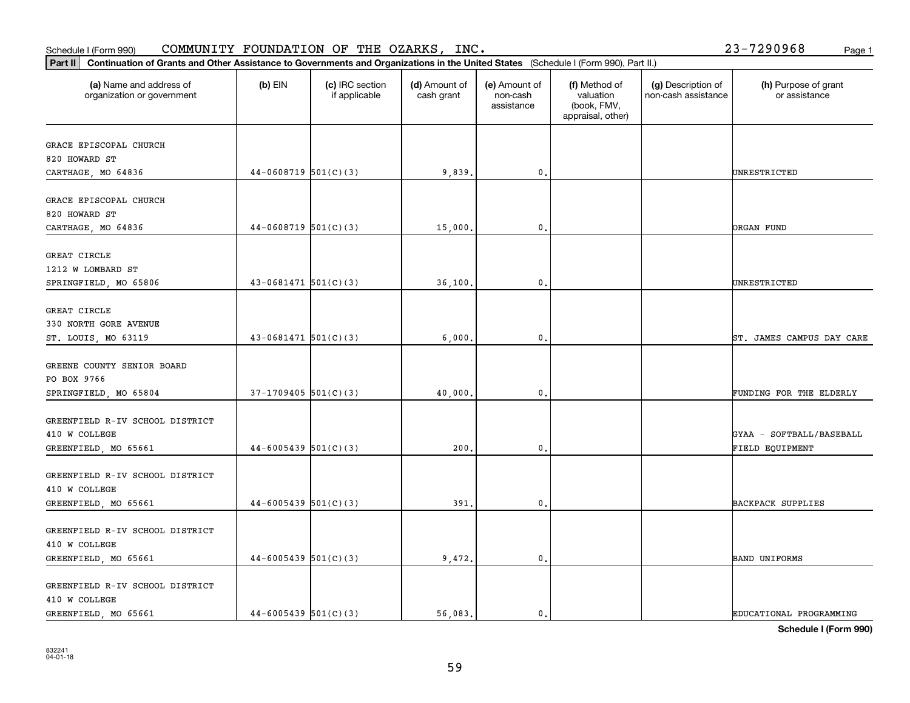410 W COLLEGE

GREENFIELD R-IV SCHOOL DISTRICT

| 501(C)(3) | 9.472. |  |
|-----------|--------|--|
|           |        |  |
|           |        |  |
|           |        |  |
|           |        |  |

|                                 |                          |         | assistance     | (book, FMV,<br>appraisal, other) |                           |
|---------------------------------|--------------------------|---------|----------------|----------------------------------|---------------------------|
| GRACE EPISCOPAL CHURCH          |                          |         |                |                                  |                           |
| 820 HOWARD ST                   |                          |         |                |                                  |                           |
| CARTHAGE, MO 64836              | $44-0608719$ 501(C)(3)   | 9,839.  | $\mathbf{0}$ . |                                  | UNRESTRICTED              |
| GRACE EPISCOPAL CHURCH          |                          |         |                |                                  |                           |
| 820 HOWARD ST                   |                          |         |                |                                  |                           |
| CARTHAGE, MO 64836              | $44-0608719$ 501(C)(3)   | 15,000. | $\mathbf{0}$ . |                                  | <b>ORGAN FUND</b>         |
| GREAT CIRCLE                    |                          |         |                |                                  |                           |
| 1212 W LOMBARD ST               |                          |         |                |                                  |                           |
| SPRINGFIELD, MO 65806           | $43 - 0681471$ 501(C)(3) | 36,100. | $\mathbf{0}$ . |                                  | UNRESTRICTED              |
| GREAT CIRCLE                    |                          |         |                |                                  |                           |
| 330 NORTH GORE AVENUE           |                          |         |                |                                  |                           |
| ST. LOUIS, MO 63119             | $43-0681471$ $501(C)(3)$ | 6,000.  | $\mathbf{0}$ . |                                  | ST. JAMES CAMPUS DAY CARE |
| GREENE COUNTY SENIOR BOARD      |                          |         |                |                                  |                           |
| PO BOX 9766                     |                          |         |                |                                  |                           |
| SPRINGFIELD, MO 65804           | $37-1709405$ 501(C)(3)   | 40,000. | $\mathbf{0}$ . |                                  | FUNDING FOR THE ELDERLY   |
| GREENFIELD R-IV SCHOOL DISTRICT |                          |         |                |                                  |                           |
| 410 W COLLEGE                   |                          |         |                |                                  | GYAA - SOFTBALL/BASEBALL  |
| GREENFIELD, MO 65661            | $44-6005439$ 501(C)(3)   | 200.    | 0.             |                                  | FIELD EQUIPMENT           |
| GREENFIELD R-IV SCHOOL DISTRICT |                          |         |                |                                  |                           |
| 410 W COLLEGE                   |                          |         |                |                                  |                           |
| GREENFIELD, MO 65661            | $44-6005439$ 501(C)(3)   | 391.    | $\mathbf{0}$ . |                                  | BACKPACK SUPPLIES         |
|                                 |                          |         |                |                                  |                           |
| GREENFIELD R-IV SCHOOL DISTRICT |                          |         |                |                                  |                           |
| 410 W COLLEGE                   |                          |         |                |                                  |                           |
| GREENFIELD, MO 65661            | $44-6005439$ 501(C)(3)   | 9,472.  | $\mathbf{0}$ . |                                  | <b>BAND UNIFORMS</b>      |

**(a) (b) (c) (d) (e) (f) (g) (h)** Name and address of

(d) Amount of cash grant

(e) Amount of non-cash

(f) Method of valuation

(g) Description of non-cash assistance

### Schedule I (Form 990)  ${\tt COMMUNITY}$  <code>FOUNDATION OF THE OZARKS, INC</code> .  $23-7290968$  Page 1

organization or government

**Part II Continuation of Grants and Other Assistance to Governments and Organizations in the United States**  (Schedule I (Form 990), Part II.)

if applicable

 $(b)$  EIN  $(c)$  IRC section

(h) Purpose of grant or assistance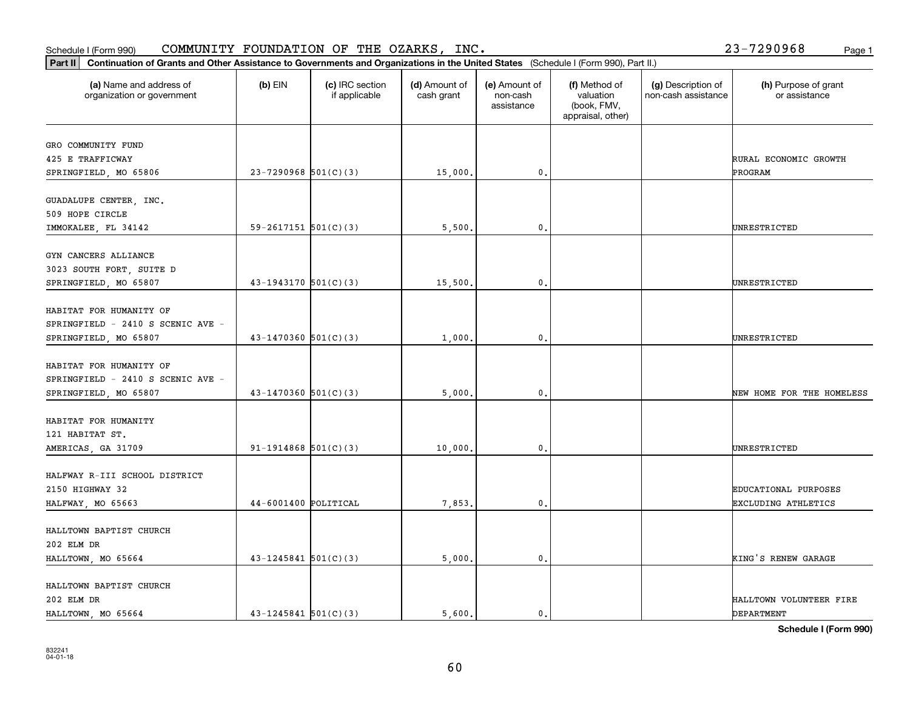| Part II   Continuation of Grants and Other Assistance to Governments and Organizations in the United States (Schedule I (Form 990), Part II.) |                            |                                  |                             |                                         |                                                                |                                           |                                       |
|-----------------------------------------------------------------------------------------------------------------------------------------------|----------------------------|----------------------------------|-----------------------------|-----------------------------------------|----------------------------------------------------------------|-------------------------------------------|---------------------------------------|
| (a) Name and address of<br>organization or government                                                                                         | $(b)$ EIN                  | (c) IRC section<br>if applicable | (d) Amount of<br>cash grant | (e) Amount of<br>non-cash<br>assistance | (f) Method of<br>valuation<br>(book, FMV,<br>appraisal, other) | (g) Description of<br>non-cash assistance | (h) Purpose of grant<br>or assistance |
| GRO COMMUNITY FUND                                                                                                                            |                            |                                  |                             |                                         |                                                                |                                           |                                       |
| 425 E TRAFFICWAY                                                                                                                              |                            |                                  |                             |                                         |                                                                |                                           | RURAL ECONOMIC GROWTH                 |
| SPRINGFIELD, MO 65806                                                                                                                         | $23 - 7290968$ 501(C)(3)   |                                  | 15,000.                     | $\mathbf{0}$ .                          |                                                                |                                           | PROGRAM                               |
|                                                                                                                                               |                            |                                  |                             |                                         |                                                                |                                           |                                       |
| GUADALUPE CENTER, INC.                                                                                                                        |                            |                                  |                             |                                         |                                                                |                                           |                                       |
| 509 HOPE CIRCLE                                                                                                                               |                            |                                  |                             |                                         |                                                                |                                           |                                       |
| IMMOKALEE, FL 34142                                                                                                                           | $59 - 2617151$ $501(C)(3)$ |                                  | 5,500                       | 0.                                      |                                                                |                                           | UNRESTRICTED                          |
|                                                                                                                                               |                            |                                  |                             |                                         |                                                                |                                           |                                       |
| GYN CANCERS ALLIANCE                                                                                                                          |                            |                                  |                             |                                         |                                                                |                                           |                                       |
| 3023 SOUTH FORT, SUITE D                                                                                                                      |                            |                                  |                             |                                         |                                                                |                                           |                                       |
| SPRINGFIELD, MO 65807                                                                                                                         | $43-1943170$ 501(C)(3)     |                                  | 15,500.                     | $\mathbf{0}$ .                          |                                                                |                                           | UNRESTRICTED                          |
|                                                                                                                                               |                            |                                  |                             |                                         |                                                                |                                           |                                       |
| HABITAT FOR HUMANITY OF                                                                                                                       |                            |                                  |                             |                                         |                                                                |                                           |                                       |
| SPRINGFIELD - 2410 S SCENIC AVE -                                                                                                             |                            |                                  |                             |                                         |                                                                |                                           |                                       |
| SPRINGFIELD, MO 65807                                                                                                                         | $43 - 1470360$ 501(C)(3)   |                                  | 1,000                       | 0.                                      |                                                                |                                           | UNRESTRICTED                          |
|                                                                                                                                               |                            |                                  |                             |                                         |                                                                |                                           |                                       |
| HABITAT FOR HUMANITY OF                                                                                                                       |                            |                                  |                             |                                         |                                                                |                                           |                                       |
| SPRINGFIELD - 2410 S SCENIC AVE -                                                                                                             |                            |                                  |                             |                                         |                                                                |                                           |                                       |
| SPRINGFIELD, MO 65807                                                                                                                         | $43 - 1470360$ $501(C)(3)$ |                                  | 5,000.                      | 0.                                      |                                                                |                                           | NEW HOME FOR THE HOMELESS             |
|                                                                                                                                               |                            |                                  |                             |                                         |                                                                |                                           |                                       |
| HABITAT FOR HUMANITY                                                                                                                          |                            |                                  |                             |                                         |                                                                |                                           |                                       |
| 121 HABITAT ST.                                                                                                                               |                            |                                  |                             |                                         |                                                                |                                           |                                       |
| AMERICAS, GA 31709                                                                                                                            | 91-1914868 $501(C)(3)$     |                                  | 10,000.                     | $\mathbf{0}$ .                          |                                                                |                                           | UNRESTRICTED                          |
| HALFWAY R-III SCHOOL DISTRICT                                                                                                                 |                            |                                  |                             |                                         |                                                                |                                           |                                       |
| 2150 HIGHWAY 32                                                                                                                               |                            |                                  |                             |                                         |                                                                |                                           | EDUCATIONAL PURPOSES                  |
|                                                                                                                                               |                            |                                  |                             |                                         |                                                                |                                           |                                       |
| HALFWAY, MO 65663                                                                                                                             | 44-6001400 POLITICAL       |                                  | 7,853.                      | $\mathfrak o$ .                         |                                                                |                                           | EXCLUDING ATHLETICS                   |
| HALLTOWN BAPTIST CHURCH                                                                                                                       |                            |                                  |                             |                                         |                                                                |                                           |                                       |
| 202 ELM DR                                                                                                                                    |                            |                                  |                             |                                         |                                                                |                                           |                                       |
|                                                                                                                                               |                            |                                  |                             |                                         |                                                                |                                           |                                       |
| HALLTOWN, MO 65664                                                                                                                            | $43 - 1245841$ 501(C)(3)   |                                  | 5,000.                      | $\mathfrak o$ .                         |                                                                |                                           | KING'S RENEW GARAGE                   |
| HALLTOWN BAPTIST CHURCH                                                                                                                       |                            |                                  |                             |                                         |                                                                |                                           |                                       |
| 202 ELM DR                                                                                                                                    |                            |                                  |                             |                                         |                                                                |                                           | HALLTOWN VOLUNTEER FIRE               |
| HALLTOWN, MO 65664                                                                                                                            | $43 - 1245841$ $501(C)(3)$ |                                  | 5.600.                      | $\mathbf{0}$ .                          |                                                                |                                           | DEPARTMENT                            |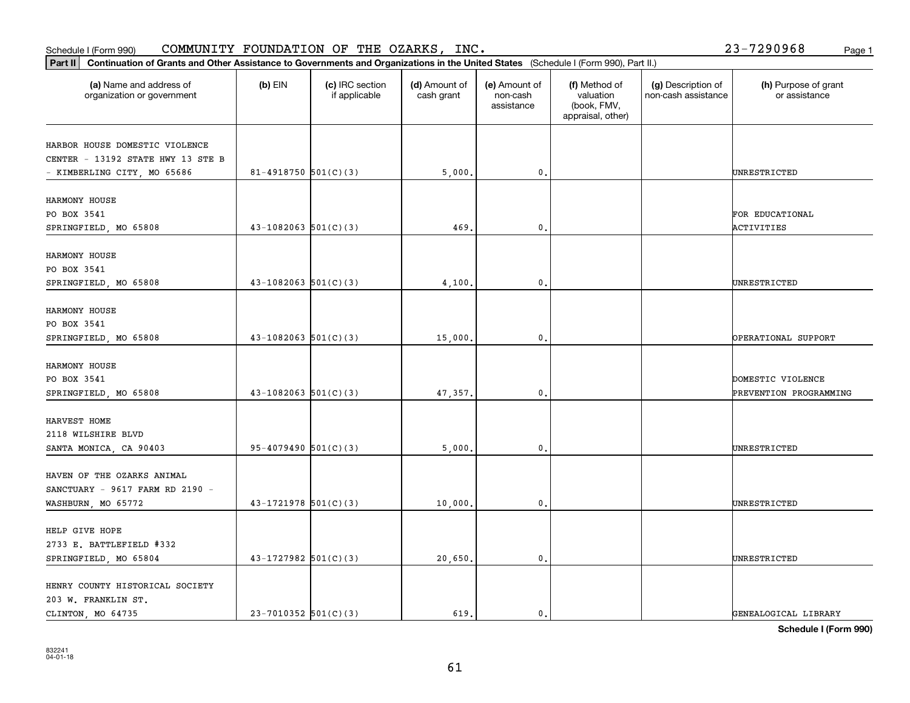CLINTON, MO 64735 23-7010352 501(C)(3) 619. 619. 619. 23-7010352 601(C)(3) 619.

**Schedule I (Form 990)**

| (a) Name and address of<br>organization or government | $(b)$ EIN                  | (c) IRC section<br>if applicable | (d) Amount of<br>cash grant | (e) Amount of<br>non-cash<br>assistance | (f) Method of<br>valuation<br>(book, FMV,<br>appraisal, other) | (g) Description of<br>non-cash assistance | (h) Purpose of grant<br>or assistance |
|-------------------------------------------------------|----------------------------|----------------------------------|-----------------------------|-----------------------------------------|----------------------------------------------------------------|-------------------------------------------|---------------------------------------|
| HARBOR HOUSE DOMESTIC VIOLENCE                        |                            |                                  |                             |                                         |                                                                |                                           |                                       |
| CENTER - 13192 STATE HWY 13 STE B                     |                            |                                  |                             |                                         |                                                                |                                           |                                       |
| - KIMBERLING CITY, MO 65686                           | 81-4918750 $501(C)(3)$     |                                  | 5,000.                      | $\mathbf{0}$ .                          |                                                                |                                           | UNRESTRICTED                          |
| HARMONY HOUSE                                         |                            |                                  |                             |                                         |                                                                |                                           |                                       |
| PO BOX 3541                                           |                            |                                  |                             |                                         |                                                                |                                           | FOR EDUCATIONAL                       |
| SPRINGFIELD, MO 65808                                 | $43 - 1082063$ 501(C)(3)   |                                  | 469.                        | $\mathfrak{o}$ .                        |                                                                |                                           | ACTIVITIES                            |
| HARMONY HOUSE                                         |                            |                                  |                             |                                         |                                                                |                                           |                                       |
| PO BOX 3541                                           |                            |                                  |                             |                                         |                                                                |                                           |                                       |
| SPRINGFIELD, MO 65808                                 | $43 - 1082063$ 501(C)(3)   |                                  | 4,100.                      | $\mathbf{0}$ .                          |                                                                |                                           | UNRESTRICTED                          |
| HARMONY HOUSE                                         |                            |                                  |                             |                                         |                                                                |                                           |                                       |
| PO BOX 3541                                           |                            |                                  |                             |                                         |                                                                |                                           |                                       |
| SPRINGFIELD, MO 65808                                 | $43-1082063$ 501(C)(3)     |                                  | 15,000                      | $\mathbf{0}$ .                          |                                                                |                                           | OPERATIONAL SUPPORT                   |
| HARMONY HOUSE                                         |                            |                                  |                             |                                         |                                                                |                                           |                                       |
| PO BOX 3541                                           |                            |                                  |                             |                                         |                                                                |                                           | DOMESTIC VIOLENCE                     |
| SPRINGFIELD, MO 65808                                 | $43 - 1082063$ $501(C)(3)$ |                                  | 47,357.                     | $\mathbf{0}$ .                          |                                                                |                                           | PREVENTION PROGRAMMING                |
| HARVEST HOME                                          |                            |                                  |                             |                                         |                                                                |                                           |                                       |
| 2118 WILSHIRE BLVD                                    |                            |                                  |                             |                                         |                                                                |                                           |                                       |
| SANTA MONICA, CA 90403                                | $95 - 4079490$ 501(C)(3)   |                                  | 5,000.                      | 0.                                      |                                                                |                                           | UNRESTRICTED                          |
| HAVEN OF THE OZARKS ANIMAL                            |                            |                                  |                             |                                         |                                                                |                                           |                                       |
| SANCTUARY - 9617 FARM RD 2190 -                       |                            |                                  |                             |                                         |                                                                |                                           |                                       |
| WASHBURN, MO 65772                                    | $43 - 1721978$ 501(C)(3)   |                                  | 10,000.                     | $\mathbf 0$ .                           |                                                                |                                           | UNRESTRICTED                          |
| HELP GIVE HOPE                                        |                            |                                  |                             |                                         |                                                                |                                           |                                       |
| 2733 E. BATTLEFIELD #332                              |                            |                                  |                             |                                         |                                                                |                                           |                                       |
| SPRINGFIELD, MO 65804                                 | $43-1727982$ 501(C)(3)     |                                  | 20,650.                     | $\mathbf 0$ .                           |                                                                |                                           | UNRESTRICTED                          |
| HENRY COUNTY HISTORICAL SOCIETY                       |                            |                                  |                             |                                         |                                                                |                                           |                                       |
| 203 W. FRANKLIN ST.                                   |                            |                                  |                             |                                         |                                                                |                                           |                                       |
|                                                       |                            |                                  |                             |                                         |                                                                |                                           |                                       |

Т

### Schedule I (Form 990)  ${\tt COMMUNITY}$  <code>FOUNDATION OF THE OZARKS, INC</code> .  $23-7290968$  Page 1

**Part II Continuation of Grants and Other Assistance to Governments and Organizations in the United States**  (Schedule I (Form 990), Part II.)

Т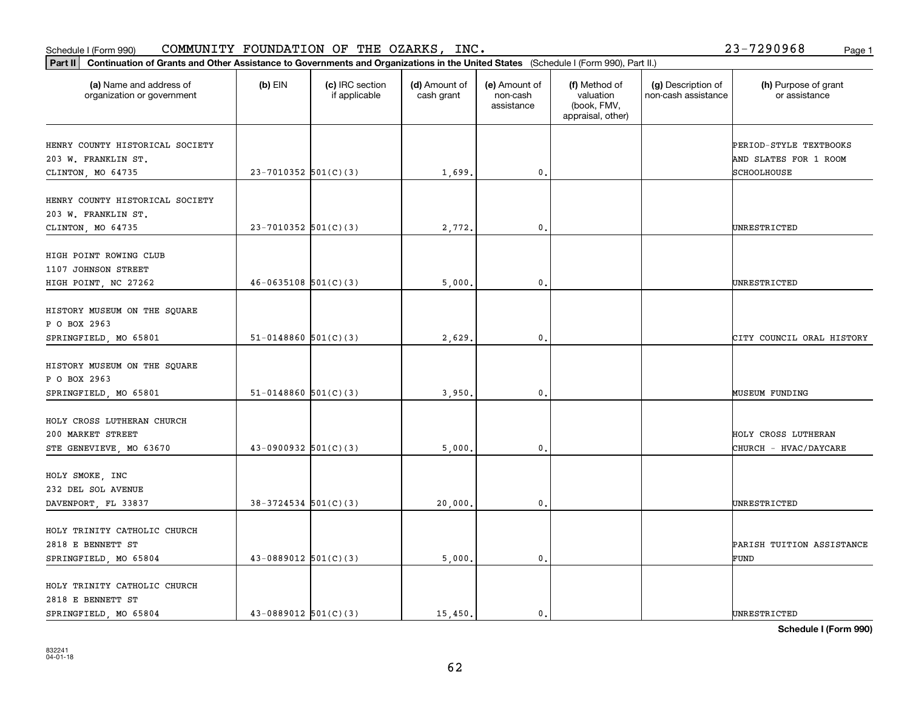| Part II   Continuation of Grants and Other Assistance to Governments and Organizations in the United States (Schedule I (Form 990), Part II.) |                            |                                  |                             |                                         |                                                                |                                           |                                                                |
|-----------------------------------------------------------------------------------------------------------------------------------------------|----------------------------|----------------------------------|-----------------------------|-----------------------------------------|----------------------------------------------------------------|-------------------------------------------|----------------------------------------------------------------|
| (a) Name and address of<br>organization or government                                                                                         | $(b)$ EIN                  | (c) IRC section<br>if applicable | (d) Amount of<br>cash grant | (e) Amount of<br>non-cash<br>assistance | (f) Method of<br>valuation<br>(book, FMV,<br>appraisal, other) | (g) Description of<br>non-cash assistance | (h) Purpose of grant<br>or assistance                          |
| HENRY COUNTY HISTORICAL SOCIETY<br>203 W. FRANKLIN ST.<br>CLINTON, MO 64735                                                                   | 23-7010352 $501(C)(3)$     |                                  | 1,699.                      | 0.                                      |                                                                |                                           | PERIOD-STYLE TEXTBOOKS<br>AND SLATES FOR 1 ROOM<br>SCHOOLHOUSE |
| HENRY COUNTY HISTORICAL SOCIETY<br>203 W. FRANKLIN ST.<br>CLINTON, MO 64735                                                                   | $23 - 7010352$ 501(C)(3)   |                                  | 2,772.                      | 0.                                      |                                                                |                                           | UNRESTRICTED                                                   |
| HIGH POINT ROWING CLUB<br>1107 JOHNSON STREET<br>HIGH POINT, NC 27262                                                                         | $46-0635108$ 501(C)(3)     |                                  | 5,000                       | $\mathbf{0}$ .                          |                                                                |                                           | UNRESTRICTED                                                   |
| HISTORY MUSEUM ON THE SQUARE<br>P O BOX 2963<br>SPRINGFIELD, MO 65801                                                                         | $51 - 0148860$ $501(C)(3)$ |                                  | 2,629.                      | $\mathfrak{o}$ .                        |                                                                |                                           | CITY COUNCIL ORAL HISTORY                                      |
| HISTORY MUSEUM ON THE SQUARE<br>P O BOX 2963<br>SPRINGFIELD, MO 65801                                                                         | $51-0148860$ $501(C)(3)$   |                                  | 3,950                       | 0.                                      |                                                                |                                           | <b>MUSEUM FUNDING</b>                                          |
| HOLY CROSS LUTHERAN CHURCH<br>200 MARKET STREET<br>STE GENEVIEVE, MO 63670                                                                    | $43-0900932$ $501(C)(3)$   |                                  | 5,000                       | $\mathfrak{o}$ .                        |                                                                |                                           | HOLY CROSS LUTHERAN<br>CHURCH - HVAC/DAYCARE                   |
| HOLY SMOKE, INC<br>232 DEL SOL AVENUE<br>DAVENPORT, FL 33837                                                                                  | $38-3724534$ $501(C)(3)$   |                                  | 20,000                      | $\mathbf{0}$ .                          |                                                                |                                           | UNRESTRICTED                                                   |
| HOLY TRINITY CATHOLIC CHURCH<br>2818 E BENNETT ST<br>SPRINGFIELD, MO 65804                                                                    | $43-0889012$ 501(C)(3)     |                                  | 5,000.                      | $\mathbf{0}$ .                          |                                                                |                                           | PARISH TUITION ASSISTANCE<br>FUND                              |
| HOLY TRINITY CATHOLIC CHURCH<br>2818 E BENNETT ST<br>SPRINGFIELD MO 65804                                                                     | $43-0889012$ 501(C)(3)     |                                  | 15,450.                     | $\mathbf{0}$ .                          |                                                                |                                           | <b>UNRESTRICTED</b>                                            |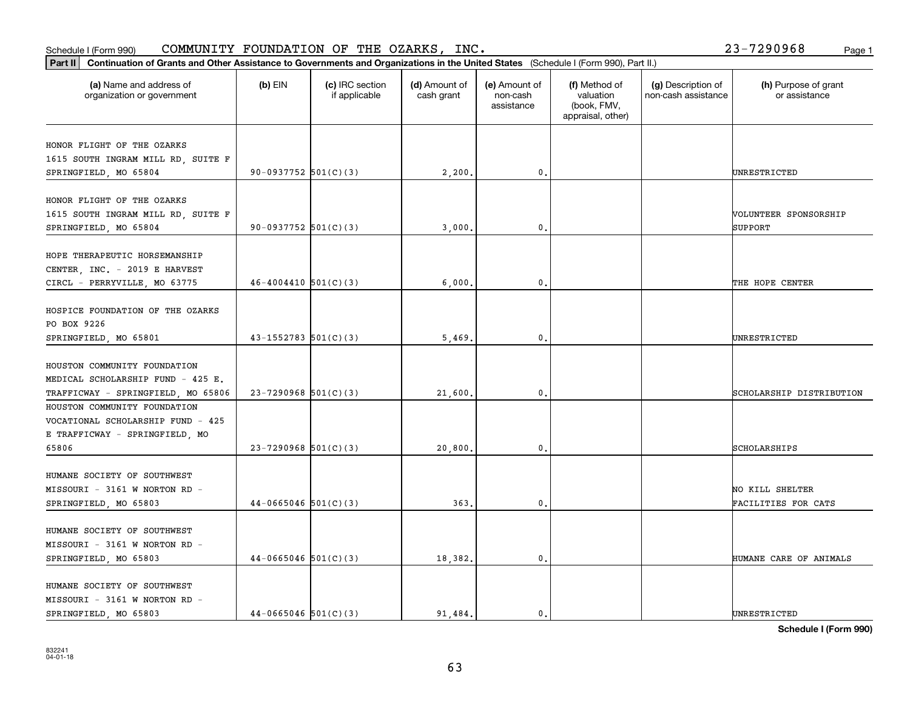| Continuation of Grants and Other Assistance to Governments and Organizations in the United States (Schedule I (Form 990), Part II.)<br>Part II |                            |                                  |                             |                                         |                                                                |                                           |                                        |  |  |
|------------------------------------------------------------------------------------------------------------------------------------------------|----------------------------|----------------------------------|-----------------------------|-----------------------------------------|----------------------------------------------------------------|-------------------------------------------|----------------------------------------|--|--|
| (a) Name and address of<br>organization or government                                                                                          | $(b)$ EIN                  | (c) IRC section<br>if applicable | (d) Amount of<br>cash grant | (e) Amount of<br>non-cash<br>assistance | (f) Method of<br>valuation<br>(book, FMV,<br>appraisal, other) | (g) Description of<br>non-cash assistance | (h) Purpose of grant<br>or assistance  |  |  |
| HONOR FLIGHT OF THE OZARKS<br>1615 SOUTH INGRAM MILL RD, SUITE F<br>SPRINGFIELD, MO 65804                                                      | 90-0937752 $501(C)(3)$     |                                  | 2,200.                      | $\mathbf{0}$ .                          |                                                                |                                           | UNRESTRICTED                           |  |  |
| HONOR FLIGHT OF THE OZARKS<br>1615 SOUTH INGRAM MILL RD, SUITE F<br>SPRINGFIELD, MO 65804                                                      | 90-0937752 $501(C)(3)$     |                                  | 3,000.                      | 0.                                      |                                                                |                                           | VOLUNTEER SPONSORSHIP<br>SUPPORT       |  |  |
| HOPE THERAPEUTIC HORSEMANSHIP<br>CENTER, INC. - 2019 E HARVEST<br>CIRCL - PERRYVILLE, MO 63775                                                 | $46 - 4004410$ $501(C)(3)$ |                                  | 6,000,                      | $\mathbf{0}$                            |                                                                |                                           | THE HOPE CENTER                        |  |  |
| HOSPICE FOUNDATION OF THE OZARKS<br>PO BOX 9226<br>SPRINGFIELD, MO 65801                                                                       | $43 - 1552783$ $501(C)(3)$ |                                  | 5,469.                      | $\mathbf{0}$ .                          |                                                                |                                           | UNRESTRICTED                           |  |  |
| HOUSTON COMMUNITY FOUNDATION<br>MEDICAL SCHOLARSHIP FUND - 425 E.<br>TRAFFICWAY - SPRINGFIELD, MO 65806<br>HOUSTON COMMUNITY FOUNDATION        | $23 - 7290968$ 501(C)(3)   |                                  | 21,600.                     | 0.                                      |                                                                |                                           | SCHOLARSHIP DISTRIBUTION               |  |  |
| VOCATIONAL SCHOLARSHIP FUND - 425<br>E TRAFFICWAY - SPRINGFIELD, MO<br>65806                                                                   | $23 - 7290968$ 501(C)(3)   |                                  | 20,800.                     | 0.                                      |                                                                |                                           | SCHOLARSHIPS                           |  |  |
| HUMANE SOCIETY OF SOUTHWEST<br>MISSOURI - 3161 W NORTON RD -<br>SPRINGFIELD, MO 65803                                                          | $44-0665046$ 501(C)(3)     |                                  | 363.                        | 0.                                      |                                                                |                                           | NO KILL SHELTER<br>FACILITIES FOR CATS |  |  |
| HUMANE SOCIETY OF SOUTHWEST<br>MISSOURI - 3161 W NORTON RD -<br>SPRINGFIELD, MO 65803                                                          | $44-0665046$ 501(C)(3)     |                                  | 18,382.                     | 0.                                      |                                                                |                                           | HUMANE CARE OF ANIMALS                 |  |  |
| HUMANE SOCIETY OF SOUTHWEST<br>MISSOURI - 3161 W NORTON RD -<br>SPRINGFIELD, MO 65803                                                          | $44-0665046$ 501(C)(3)     |                                  | 91.484.                     | $\mathbf{0}$ .                          |                                                                |                                           | <b>UNRESTRICTED</b>                    |  |  |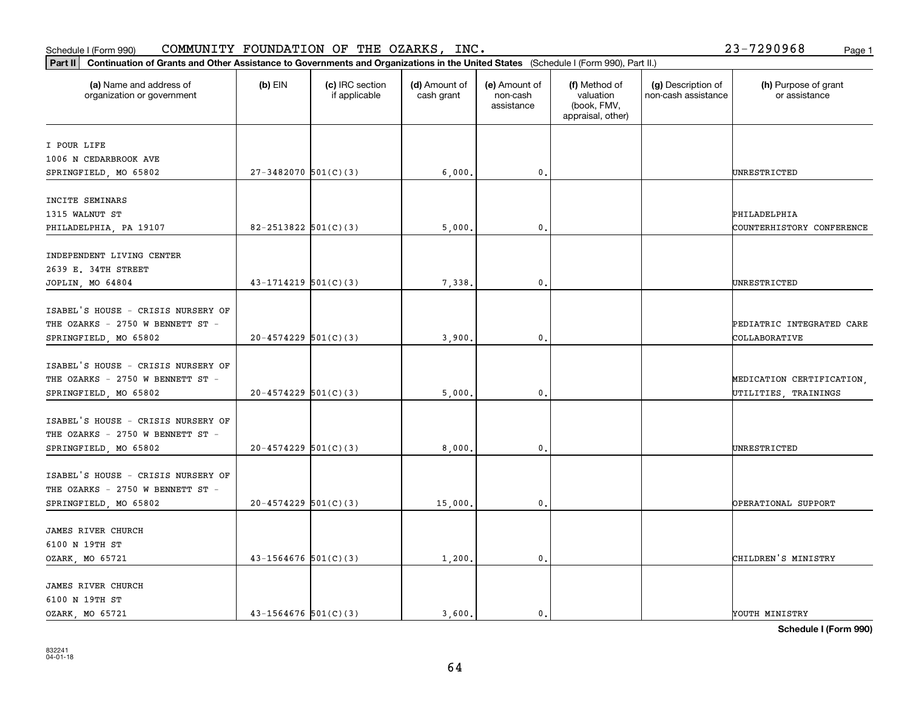| (a) Name and address of<br>organization or government                                           | (b) EIN                    | (c) IRC section<br>if applicable | (d) Amount of<br>cash grant | (e) Amount of<br>non-cash<br>assistance | (f) Method of<br>valuation<br>(book, FMV,<br>appraisal, other) | (g) Description of<br>non-cash assistance | (h) Purpose of grant<br>or assistance             |
|-------------------------------------------------------------------------------------------------|----------------------------|----------------------------------|-----------------------------|-----------------------------------------|----------------------------------------------------------------|-------------------------------------------|---------------------------------------------------|
| I POUR LIFE                                                                                     |                            |                                  |                             |                                         |                                                                |                                           |                                                   |
| 1006 N CEDARBROOK AVE                                                                           |                            |                                  |                             |                                         |                                                                |                                           |                                                   |
| SPRINGFIELD, MO 65802                                                                           | $27 - 3482070$ 501(C)(3)   |                                  | 6,000                       | 0.                                      |                                                                |                                           | UNRESTRICTED                                      |
| INCITE SEMINARS                                                                                 |                            |                                  |                             |                                         |                                                                |                                           |                                                   |
| 1315 WALNUT ST                                                                                  |                            |                                  |                             |                                         |                                                                |                                           | PHILADELPHIA                                      |
| PHILADELPHIA, PA 19107                                                                          | $82 - 2513822$ $501(C)(3)$ |                                  | 5,000                       | $\mathbf{0}$ .                          |                                                                |                                           | COUNTERHISTORY CONFERENCE                         |
| INDEPENDENT LIVING CENTER<br>2639 E. 34TH STREET                                                |                            |                                  |                             |                                         |                                                                |                                           |                                                   |
| JOPLIN, MO 64804                                                                                | $43-1714219$ $501(C)(3)$   |                                  | 7,338                       | $\mathbf 0$ .                           |                                                                |                                           | UNRESTRICTED                                      |
| ISABEL'S HOUSE - CRISIS NURSERY OF<br>THE OZARKS - 2750 W BENNETT ST -<br>SPRINGFIELD, MO 65802 | $20 - 4574229$ $501(C)(3)$ |                                  | 3,900                       | $\mathbf{0}$ .                          |                                                                |                                           | PEDIATRIC INTEGRATED CARE<br>COLLABORATIVE        |
| ISABEL'S HOUSE - CRISIS NURSERY OF<br>THE OZARKS - 2750 W BENNETT ST -<br>SPRINGFIELD, MO 65802 | $20 - 4574229$ 501(C)(3)   |                                  | 5,000                       | 0.                                      |                                                                |                                           | MEDICATION CERTIFICATION,<br>UTILITIES, TRAININGS |
| ISABEL'S HOUSE - CRISIS NURSERY OF<br>THE OZARKS - 2750 W BENNETT ST -<br>SPRINGFIELD, MO 65802 | $20 - 4574229$ 501(C)(3)   |                                  | 8,000                       | 0.                                      |                                                                |                                           | UNRESTRICTED                                      |
| ISABEL'S HOUSE - CRISIS NURSERY OF<br>THE OZARKS - 2750 W BENNETT ST -<br>SPRINGFIELD, MO 65802 | $20 - 4574229$ 501(C)(3)   |                                  | 15,000                      | $\mathsf{0}$ .                          |                                                                |                                           | OPERATIONAL SUPPORT                               |
| <b>JAMES RIVER CHURCH</b><br>6100 N 19TH ST<br>OZARK, MO 65721                                  | $43 - 1564676$ $501(C)(3)$ |                                  | 1,200                       | $\mathbf{0}$ .                          |                                                                |                                           | CHILDREN'S MINISTRY                               |
| <b>JAMES RIVER CHURCH</b><br>6100 N 19TH ST                                                     |                            |                                  |                             |                                         |                                                                |                                           |                                                   |

Schedule I (Form 990)  ${\tt COMMUNITY}$  <code>FOUNDATION OF THE OZARKS, INC</code> .  $23-7290968$  Page 1

**Part II Continuation of Grants and Other Assistance to Governments and Organizations in the United States**  (Schedule I (Form 990), Part II.)

OZARK, MO 65721 2000 2000 2000 2000 43-1564676 501(C)(3) 2,600. 3,600. 0.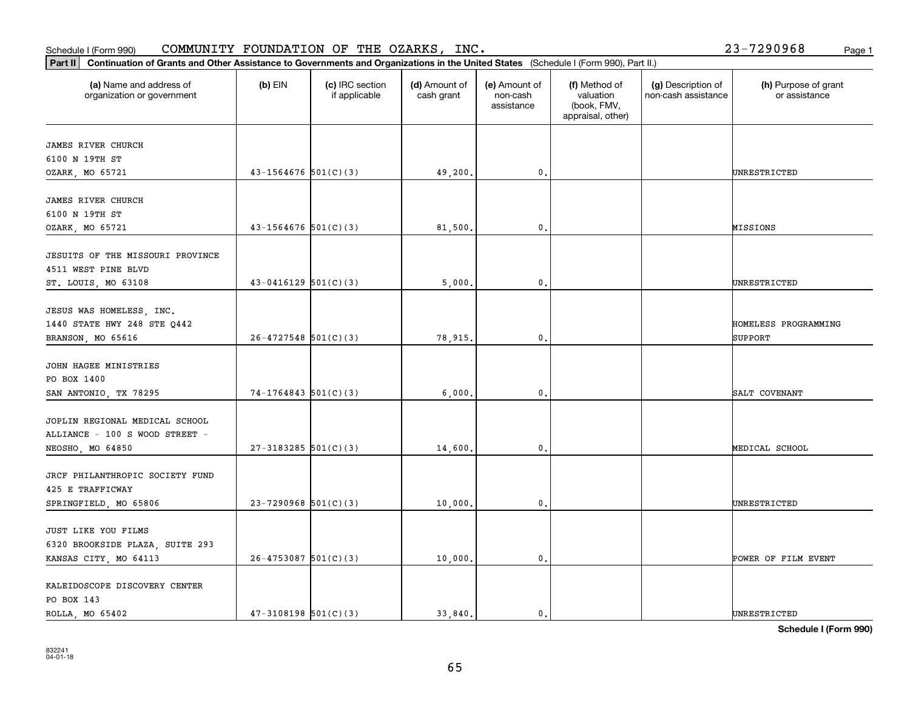**Part II Continuation of Grants and Other Assistance to Governments and Organizations in the United States**  (Schedule I (Form 990), Part II.) Schedule I (Form 990)  ${\tt COMMUNITY}$  <code>FOUNDATION OF THE OZARKS, INC</code> .  $23-7290968$  Page 1

| (a) Name and address of<br>organization or government            | $(b)$ EIN                  | (c) IRC section<br>if applicable | (d) Amount of<br>cash grant | (e) Amount of<br>non-cash<br>assistance | (f) Method of<br>valuation<br>(book, FMV,<br>appraisal, other) | (g) Description of<br>non-cash assistance | (h) Purpose of grant<br>or assistance |
|------------------------------------------------------------------|----------------------------|----------------------------------|-----------------------------|-----------------------------------------|----------------------------------------------------------------|-------------------------------------------|---------------------------------------|
| <b>JAMES RIVER CHURCH</b>                                        |                            |                                  |                             |                                         |                                                                |                                           |                                       |
| 6100 N 19TH ST<br>OZARK, MO 65721                                | $43 - 1564676$ 501(C)(3)   |                                  | 49,200.                     | 0.                                      |                                                                |                                           | UNRESTRICTED                          |
|                                                                  |                            |                                  |                             |                                         |                                                                |                                           |                                       |
| <b>JAMES RIVER CHURCH</b>                                        |                            |                                  |                             |                                         |                                                                |                                           |                                       |
| 6100 N 19TH ST<br>OZARK, MO 65721                                | $43 - 1564676$ 501(C)(3)   |                                  | 81,500.                     | 0.                                      |                                                                |                                           | MISSIONS                              |
|                                                                  |                            |                                  |                             |                                         |                                                                |                                           |                                       |
| JESUITS OF THE MISSOURI PROVINCE                                 |                            |                                  |                             |                                         |                                                                |                                           |                                       |
| 4511 WEST PINE BLVD                                              |                            |                                  |                             |                                         |                                                                |                                           |                                       |
| ST. LOUIS, MO 63108                                              | $43-0416129$ 501(C)(3)     |                                  | 5,000.                      | 0.                                      |                                                                |                                           | UNRESTRICTED                          |
| JESUS WAS HOMELESS, INC.<br>1440 STATE HWY 248 STE Q442          |                            |                                  |                             |                                         |                                                                |                                           | HOMELESS PROGRAMMING                  |
| BRANSON, MO 65616                                                | $26 - 4727548$ 501(C)(3)   |                                  | 78,915.                     | 0.                                      |                                                                |                                           | SUPPORT                               |
| JOHN HAGEE MINISTRIES                                            |                            |                                  |                             |                                         |                                                                |                                           |                                       |
| PO BOX 1400                                                      |                            |                                  |                             |                                         |                                                                |                                           |                                       |
| SAN ANTONIO, TX 78295                                            | $74-1764843$ 501(C)(3)     |                                  | 6,000.                      | 0.                                      |                                                                |                                           | SALT COVENANT                         |
| JOPLIN REGIONAL MEDICAL SCHOOL<br>ALLIANCE - 100 S WOOD STREET - |                            |                                  |                             |                                         |                                                                |                                           |                                       |
| NEOSHO, MO 64850                                                 | $27-3183285$ 501(C)(3)     |                                  | 14,600.                     | 0.                                      |                                                                |                                           | MEDICAL SCHOOL                        |
| JRCF PHILANTHROPIC SOCIETY FUND<br>425 E TRAFFICWAY              |                            |                                  |                             |                                         |                                                                |                                           |                                       |
| SPRINGFIELD, MO 65806                                            | $23 - 7290968$ 501(C)(3)   |                                  | 10,000.                     | 0.                                      |                                                                |                                           | UNRESTRICTED                          |
| JUST LIKE YOU FILMS                                              |                            |                                  |                             |                                         |                                                                |                                           |                                       |
| 6320 BROOKSIDE PLAZA, SUITE 293<br>KANSAS CITY, MO 64113         | $26 - 4753087$ 501(C)(3)   |                                  | 10,000.                     | 0.                                      |                                                                |                                           | POWER OF FILM EVENT                   |
|                                                                  |                            |                                  |                             |                                         |                                                                |                                           |                                       |
| KALEIDOSCOPE DISCOVERY CENTER<br>PO BOX 143                      |                            |                                  |                             |                                         |                                                                |                                           |                                       |
| ROLLA, MO 65402                                                  | $47 - 3108198$ $501(C)(3)$ |                                  | 33,840.                     | $\mathbf{0}$ .                          |                                                                |                                           | <b>UNRESTRICTED</b>                   |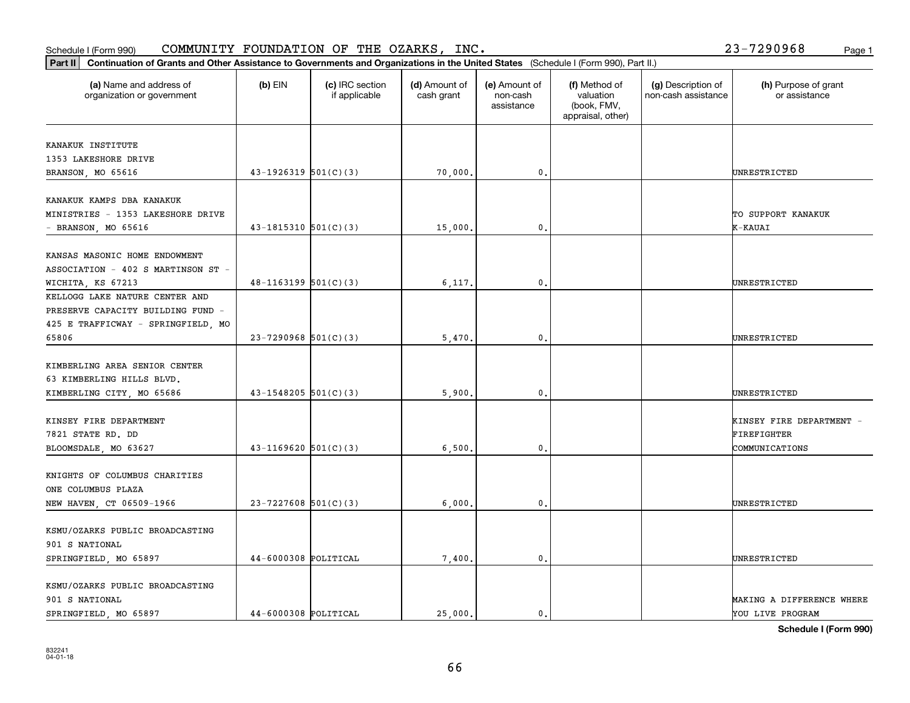KSMU/OZARKS PUBLIC BROADCASTING

| MINISTRIES - 1353 LAKESHORE DRIVE  |                            |         |                  | TO SUPPORT KANAKUK       |
|------------------------------------|----------------------------|---------|------------------|--------------------------|
| - BRANSON, MO 65616                | $43 - 1815310$ $501(C)(3)$ | 15,000. | $\mathfrak{o}$ . | K-KAUAI                  |
|                                    |                            |         |                  |                          |
| KANSAS MASONIC HOME ENDOWMENT      |                            |         |                  |                          |
| ASSOCIATION - 402 S MARTINSON ST - |                            |         |                  |                          |
| WICHITA, KS 67213                  | $48 - 1163199$ $501(C)(3)$ | 6, 117. | $\mathbf{0}$     | UNRESTRICTED             |
| KELLOGG LAKE NATURE CENTER AND     |                            |         |                  |                          |
| PRESERVE CAPACITY BUILDING FUND -  |                            |         |                  |                          |
| 425 E TRAFFICWAY - SPRINGFIELD, MO |                            |         |                  |                          |
| 65806                              | $23 - 7290968$ 501(C)(3)   | 5,470.  | $\mathfrak{o}$ . | UNRESTRICTED             |
|                                    |                            |         |                  |                          |
| KIMBERLING AREA SENIOR CENTER      |                            |         |                  |                          |
| 63 KIMBERLING HILLS BLVD.          |                            |         |                  |                          |
| KIMBERLING CITY, MO 65686          | $43 - 1548205$ 501(C)(3)   | 5.900.  | 0.               | UNRESTRICTED             |
| KINSEY FIRE DEPARTMENT             |                            |         |                  | KINSEY FIRE DEPARTMENT - |
| 7821 STATE RD. DD                  |                            |         |                  | FIREFIGHTER              |
| BLOOMSDALE, MO 63627               | $43 - 1169620$ 501(C)(3)   | 6,500.  | $\mathbf{0}$ .   | COMMUNICATIONS           |
|                                    |                            |         |                  |                          |
| KNIGHTS OF COLUMBUS CHARITIES      |                            |         |                  |                          |
| ONE COLUMBUS PLAZA                 |                            |         |                  |                          |
| NEW HAVEN, CT 06509-1966           | $23 - 7227608$ 501(C)(3)   | 6.000.  | 0.               | UNRESTRICTED             |
| KSMU/OZARKS PUBLIC BROADCASTING    |                            |         |                  |                          |
| 901 S NATIONAL                     |                            |         |                  |                          |
| SPRINGFIELD, MO 65897              | 44-6000308 POLITICAL       | 7,400.  | 0.               | UNRESTRICTED             |
|                                    |                            |         |                  |                          |

### Schedule I (Form 990)  ${\tt COMMUNITY}$  <code>FOUNDATION OF THE OZARKS, INC</code> .  $23-7290968$  Page 1

organization or government

KANAKUK INSTITUTE 1353 LAKESHORE DRIVE

KANAKUK KAMPS DBA KANAKUK

**Part II Continuation of Grants and Other Assistance to Governments and Organizations in the United States**  (Schedule I (Form 990), Part II.)

if applicable

 $(b)$  EIN  $(c)$  IRC section

**(a) (b) (c) (d) (e) (f) (g) (h)** Name and address of

BRANSON, MO 65616 **600 | 43-1926319 501(C)(3)** | 70,000. 0. 0. 0. UNRESTRICTED

(d) Amount of cash grant

(e) Amount of non-cashassistance

(f) Method of valuation (book, FMV, appraisal, other)

(g) Description of non-cash assistance

(h) Purpose of grant or assistance

901 S NATIONAL CHARGE REFERENCE WHERE WHERE THE SALE OF THE SALE OF THE SALE OF THE SALE OF THE SALE OF THE SALE OF THE SALE OF THE SALE OF THE SALE OF THE SALE OF THE SALE OF THE SALE OF THE SALE OF THE SALE OF THE SALE O

SPRINGFIELD, MO 65897 44-6000308 POLITICAL 25,000. 0. YOU LIVE PROGRAM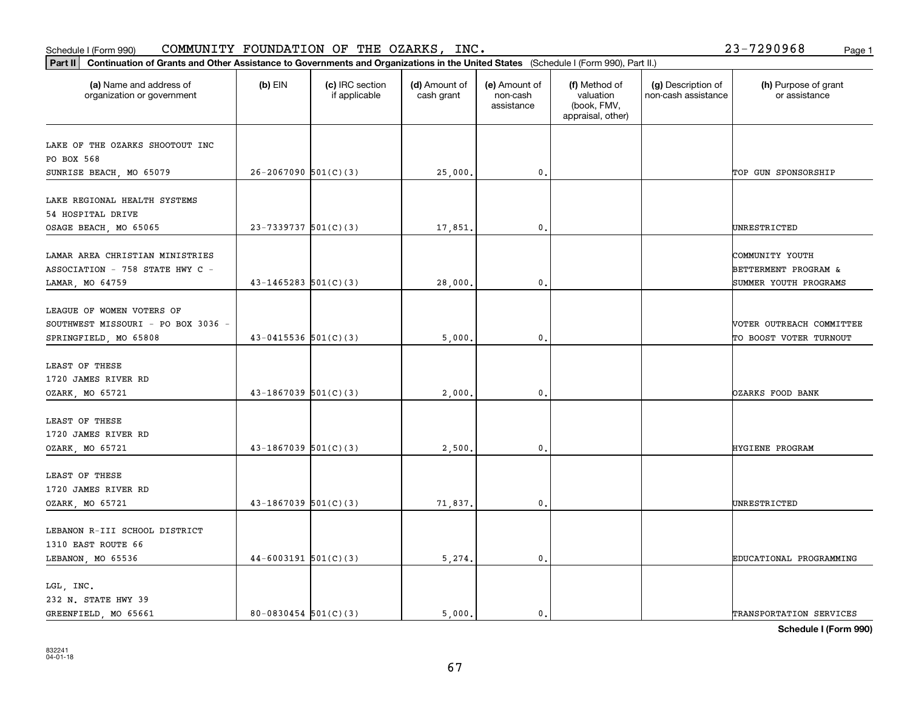|                                                       |                            |                                  |                             |                                         |                                                                | Part II   Continuation of Grants and Other Assistance to Governments and Organizations in the United States (Schedule I (Form 990), Part II.) |                                       |  |  |  |  |  |  |  |  |
|-------------------------------------------------------|----------------------------|----------------------------------|-----------------------------|-----------------------------------------|----------------------------------------------------------------|-----------------------------------------------------------------------------------------------------------------------------------------------|---------------------------------------|--|--|--|--|--|--|--|--|
| (a) Name and address of<br>organization or government | $(b)$ EIN                  | (c) IRC section<br>if applicable | (d) Amount of<br>cash grant | (e) Amount of<br>non-cash<br>assistance | (f) Method of<br>valuation<br>(book, FMV,<br>appraisal, other) | (g) Description of<br>non-cash assistance                                                                                                     | (h) Purpose of grant<br>or assistance |  |  |  |  |  |  |  |  |
|                                                       |                            |                                  |                             |                                         |                                                                |                                                                                                                                               |                                       |  |  |  |  |  |  |  |  |
| LAKE OF THE OZARKS SHOOTOUT INC<br>PO BOX 568         |                            |                                  |                             |                                         |                                                                |                                                                                                                                               |                                       |  |  |  |  |  |  |  |  |
| SUNRISE BEACH, MO 65079                               | $26 - 2067090$ 501(C)(3)   |                                  | 25,000.                     | $\mathbf{0}$ .                          |                                                                |                                                                                                                                               | TOP GUN SPONSORSHIP                   |  |  |  |  |  |  |  |  |
|                                                       |                            |                                  |                             |                                         |                                                                |                                                                                                                                               |                                       |  |  |  |  |  |  |  |  |
| LAKE REGIONAL HEALTH SYSTEMS                          |                            |                                  |                             |                                         |                                                                |                                                                                                                                               |                                       |  |  |  |  |  |  |  |  |
| 54 HOSPITAL DRIVE                                     |                            |                                  |                             |                                         |                                                                |                                                                                                                                               |                                       |  |  |  |  |  |  |  |  |
| OSAGE BEACH, MO 65065                                 | $23 - 7339737$ 501(C)(3)   |                                  | 17,851                      | 0.                                      |                                                                |                                                                                                                                               | UNRESTRICTED                          |  |  |  |  |  |  |  |  |
|                                                       |                            |                                  |                             |                                         |                                                                |                                                                                                                                               |                                       |  |  |  |  |  |  |  |  |
| LAMAR AREA CHRISTIAN MINISTRIES                       |                            |                                  |                             |                                         |                                                                |                                                                                                                                               | COMMUNITY YOUTH                       |  |  |  |  |  |  |  |  |
| ASSOCIATION - 758 STATE HWY C -                       |                            |                                  |                             |                                         |                                                                |                                                                                                                                               | BETTERMENT PROGRAM &                  |  |  |  |  |  |  |  |  |
| LAMAR, MO 64759                                       | $43 - 1465283$ $501(C)(3)$ |                                  | 28,000.                     | 0.                                      |                                                                |                                                                                                                                               | SUMMER YOUTH PROGRAMS                 |  |  |  |  |  |  |  |  |
|                                                       |                            |                                  |                             |                                         |                                                                |                                                                                                                                               |                                       |  |  |  |  |  |  |  |  |
| LEAGUE OF WOMEN VOTERS OF                             |                            |                                  |                             |                                         |                                                                |                                                                                                                                               |                                       |  |  |  |  |  |  |  |  |
| SOUTHWEST MISSOURI - PO BOX 3036 -                    |                            |                                  |                             |                                         |                                                                |                                                                                                                                               | VOTER OUTREACH COMMITTEE              |  |  |  |  |  |  |  |  |
| SPRINGFIELD, MO 65808                                 | $43 - 0415536$ $501(C)(3)$ |                                  | 5,000                       | 0.                                      |                                                                |                                                                                                                                               | TO BOOST VOTER TURNOUT                |  |  |  |  |  |  |  |  |
| LEAST OF THESE                                        |                            |                                  |                             |                                         |                                                                |                                                                                                                                               |                                       |  |  |  |  |  |  |  |  |
| 1720 JAMES RIVER RD                                   |                            |                                  |                             |                                         |                                                                |                                                                                                                                               |                                       |  |  |  |  |  |  |  |  |
| OZARK, MO 65721                                       | $43-1867039$ 501(C)(3)     |                                  | 2,000                       | 0.                                      |                                                                |                                                                                                                                               | <b>DZARKS FOOD BANK</b>               |  |  |  |  |  |  |  |  |
|                                                       |                            |                                  |                             |                                         |                                                                |                                                                                                                                               |                                       |  |  |  |  |  |  |  |  |
| LEAST OF THESE                                        |                            |                                  |                             |                                         |                                                                |                                                                                                                                               |                                       |  |  |  |  |  |  |  |  |
| 1720 JAMES RIVER RD                                   |                            |                                  |                             |                                         |                                                                |                                                                                                                                               |                                       |  |  |  |  |  |  |  |  |
| OZARK, MO 65721                                       | $43-1867039$ $501(C)(3)$   |                                  | 2,500                       | $^{\circ}$ .                            |                                                                |                                                                                                                                               | <b>HYGIENE PROGRAM</b>                |  |  |  |  |  |  |  |  |
|                                                       |                            |                                  |                             |                                         |                                                                |                                                                                                                                               |                                       |  |  |  |  |  |  |  |  |
| LEAST OF THESE                                        |                            |                                  |                             |                                         |                                                                |                                                                                                                                               |                                       |  |  |  |  |  |  |  |  |
| 1720 JAMES RIVER RD                                   |                            |                                  |                             |                                         |                                                                |                                                                                                                                               |                                       |  |  |  |  |  |  |  |  |
| OZARK, MO 65721                                       | $43-1867039$ $501(C)(3)$   |                                  | 71,837.                     | 0.                                      |                                                                |                                                                                                                                               | UNRESTRICTED                          |  |  |  |  |  |  |  |  |
|                                                       |                            |                                  |                             |                                         |                                                                |                                                                                                                                               |                                       |  |  |  |  |  |  |  |  |
| LEBANON R-III SCHOOL DISTRICT                         |                            |                                  |                             |                                         |                                                                |                                                                                                                                               |                                       |  |  |  |  |  |  |  |  |
| 1310 EAST ROUTE 66                                    |                            |                                  |                             |                                         |                                                                |                                                                                                                                               |                                       |  |  |  |  |  |  |  |  |
| LEBANON, MO 65536                                     | $44-6003191$ 501(C)(3)     |                                  | 5,274.                      | 0.                                      |                                                                |                                                                                                                                               | EDUCATIONAL PROGRAMMING               |  |  |  |  |  |  |  |  |
| LGL, INC.                                             |                            |                                  |                             |                                         |                                                                |                                                                                                                                               |                                       |  |  |  |  |  |  |  |  |
| 232 N. STATE HWY 39                                   |                            |                                  |                             |                                         |                                                                |                                                                                                                                               |                                       |  |  |  |  |  |  |  |  |
| GREENFIELD, MO 65661                                  | $80 - 0830454$ 501(C)(3)   |                                  | 5,000.                      | $\mathbf{0}$ .                          |                                                                |                                                                                                                                               | TRANSPORTATION SERVICES               |  |  |  |  |  |  |  |  |
|                                                       |                            |                                  |                             |                                         |                                                                |                                                                                                                                               |                                       |  |  |  |  |  |  |  |  |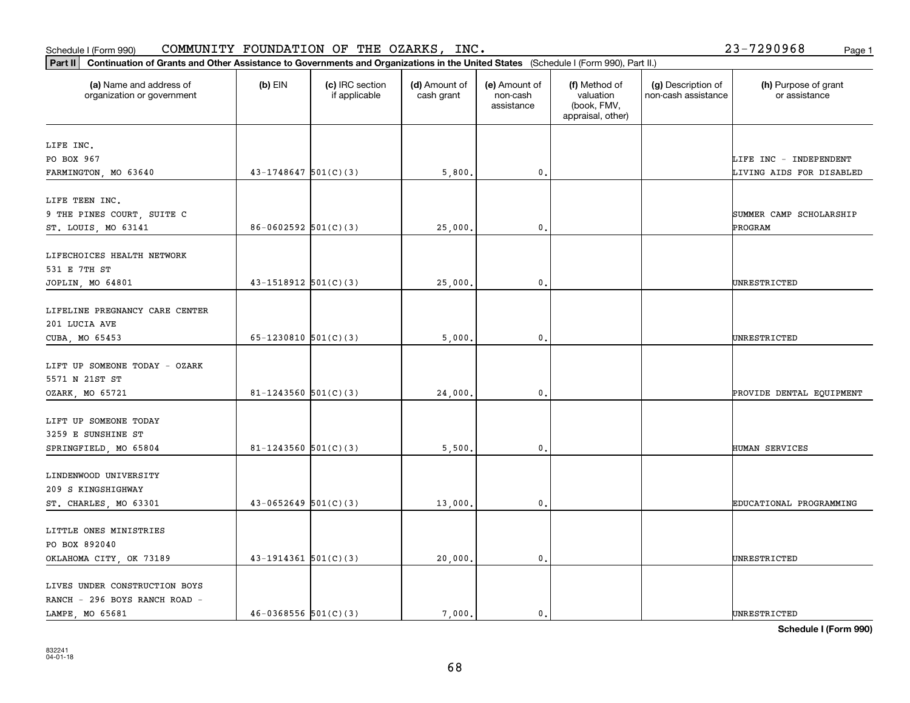| JOPLIN, MO 64801               | $43 - 1518912$ $501(C)(3)$ | 25,000. | 0.               |  | UNRESTRICTED             |
|--------------------------------|----------------------------|---------|------------------|--|--------------------------|
|                                |                            |         |                  |  |                          |
| LIFELINE PREGNANCY CARE CENTER |                            |         |                  |  |                          |
| 201 LUCIA AVE                  |                            |         |                  |  |                          |
| CUBA, MO 65453                 | 65-1230810 $501(C)(3)$     | 5,000.  | $0$ .            |  | UNRESTRICTED             |
| LIFT UP SOMEONE TODAY - OZARK  |                            |         |                  |  |                          |
| 5571 N 21ST ST                 |                            |         |                  |  |                          |
| OZARK, MO 65721                | $81 - 1243560$ $501(C)(3)$ | 24,000. | $\mathbf{0}$ .   |  | PROVIDE DENTAL EQUIPMENT |
| LIFT UP SOMEONE TODAY          |                            |         |                  |  |                          |
| 3259 E SUNSHINE ST             |                            |         |                  |  |                          |
| SPRINGFIELD, MO 65804          | $81 - 1243560$ $501(C)(3)$ | 5,500.  | 0.               |  | HUMAN SERVICES           |
|                                |                            |         |                  |  |                          |
| LINDENWOOD UNIVERSITY          |                            |         |                  |  |                          |
| 209 S KINGSHIGHWAY             |                            |         |                  |  |                          |
| ST. CHARLES, MO 63301          | $43 - 0652649$ $501(C)(3)$ | 13,000. | $\mathfrak{o}$ . |  | EDUCATIONAL PROGRAMMING  |
| LITTLE ONES MINISTRIES         |                            |         |                  |  |                          |
| PO BOX 892040                  |                            |         |                  |  |                          |

**(a) (b) (c) (d) (e) (f) (g) (h)** Name and address of

(d) Amount of cash grant

PO BOX 967 LIFE INC - INDEPENDENT FARMINGTON, MO 63640  $\begin{vmatrix} 43-1748647 & 501(C)(3) \end{vmatrix}$  5,800. 0. 0. CHASS SONG THE LIVING AIDS FOR DISABLED

9 THE PINES COURT, SUITE C SUMMER CAMP SCHOLARSHIP

ST. LOUIS, MO 63141 86-0602592 501(C)(3) 25,000. 0. PROGRAM

(e) Amount of non-cashassistance

(f) Method of valuation (book, FMV, appraisal, other)

(g) Description of non-cash assistance

#### **Part II Continuation of Grants and Other Assistance to Governments and Organizations in the United States**  (Schedule I (Form 990), Part II.) Schedule I (Form 990)  ${\tt COMMUNITY}$  <code>FOUNDATION OF THE OZARKS, INC</code> .  $23-7290968$  Page 1

 $(b)$  EIN  $(c)$  IRC section

if applicable

organization or government

LIFE INC.

LIFE TEEN INC.

531 E 7TH ST

LIFECHOICES HEALTH NETWORK

LIVES UNDER CONSTRUCTION BOYS RANCH - 296 BOYS RANCH ROAD -

(h) Purpose of grant or assistance

OKLAHOMA CITY, OK 73189  $\begin{vmatrix} 43-1914361 & 501(C)(3) \end{vmatrix}$  20,000. 0. 0. 0.

LAMPE, MO 65681 46-0368556 501(C)(3) 7,000. 0. UNRESTRICTED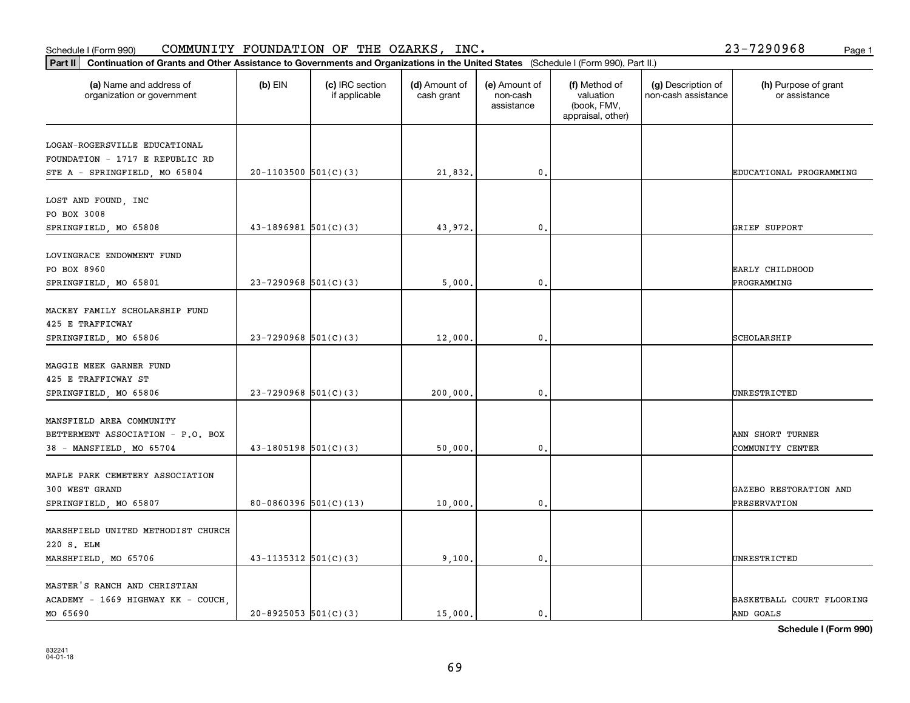MASTER'S RANCH AND CHRISTIAN

| STE A - SPRINGFIELD, MO 65804      | $20-1103500$ 501(C)(3)     | 21,832.  | 0.              | EDUCATIONAL PROGRAMMING |
|------------------------------------|----------------------------|----------|-----------------|-------------------------|
|                                    |                            |          |                 |                         |
| LOST AND FOUND, INC                |                            |          |                 |                         |
| PO BOX 3008                        |                            |          |                 |                         |
| SPRINGFIELD, MO 65808              | $43-1896981$ 501(C)(3)     | 43,972.  | $\mathbf{0}$ .  | GRIEF SUPPORT           |
|                                    |                            |          |                 |                         |
| LOVINGRACE ENDOWMENT FUND          |                            |          |                 |                         |
| PO BOX 8960                        |                            |          |                 | EARLY CHILDHOOD         |
| SPRINGFIELD, MO 65801              | $23 - 7290968$ 501(C)(3)   | 5,000.   | $\mathfrak o$ . | PROGRAMMING             |
| MACKEY FAMILY SCHOLARSHIP FUND     |                            |          |                 |                         |
| 425 E TRAFFICWAY                   |                            |          |                 |                         |
| SPRINGFIELD, MO 65806              | $23 - 7290968$ 501(C)(3)   | 12,000.  | $\mathfrak o$ . | <b>SCHOLARSHIP</b>      |
|                                    |                            |          |                 |                         |
| MAGGIE MEEK GARNER FUND            |                            |          |                 |                         |
| 425 E TRAFFICWAY ST                |                            |          |                 |                         |
| SPRINGFIELD, MO 65806              | $23-7290968$ 501(C)(3)     | 200,000. | $\mathbf{0}$ .  | <b>UNRESTRICTED</b>     |
|                                    |                            |          |                 |                         |
| MANSFIELD AREA COMMUNITY           |                            |          |                 |                         |
| BETTERMENT ASSOCIATION - P.O. BOX  |                            |          |                 | ANN SHORT TURNER        |
| 38 - MANSFIELD, MO 65704           | $43-1805198$ $501(C)(3)$   | 50,000.  | $\mathbf{0}$ .  | COMMUNITY CENTER        |
| MAPLE PARK CEMETERY ASSOCIATION    |                            |          |                 |                         |
| 300 WEST GRAND                     |                            |          |                 | GAZEBO RESTORATION AND  |
| SPRINGFIELD, MO 65807              | $80-0860396$ 501(C)(13)    | 10,000.  | $\mathbf{0}$ .  | <b>PRESERVATION</b>     |
|                                    |                            |          |                 |                         |
| MARSHFIELD UNITED METHODIST CHURCH |                            |          |                 |                         |
| 220 S. ELM                         |                            |          |                 |                         |
| MARSHFIELD, MO 65706               | $43 - 1135312$ $501(C)(3)$ | 9.100.   | 0.              | UNRESTRICTED            |

#### Schedule I (Form 990)  ${\tt COMMUNITY}$  <code>FOUNDATION OF THE OZARKS, INC</code> .  $23-7290968$  Page 1

organization or government

LOGAN-ROGERSVILLE EDUCATIONAL FOUNDATION - 1717 E REPUBLIC RD

**Part II Continuation of Grants and Other Assistance to Governments and Organizations in the United States**  (Schedule I (Form 990), Part II.)

if applicable

 $(b)$  EIN  $(c)$  IRC section

**(a) (b) (c) (d) (e) (f) (g) (h)** Name and address of

(d) Amount of cash grant

(e) Amount of non-cashassistance

(f) Method of valuation (book, FMV, appraisal, other)

(g) Description of non-cash assistance

(h) Purpose of grant or assistance

**Schedule I (Form 990)**

ACADEMY - 1669 HIGHWAY KK - COUCH, BASKETBALL COURT FLOORING

MO 65690 20-8925053 501(C)(3) 15,000. 0. AND GOALS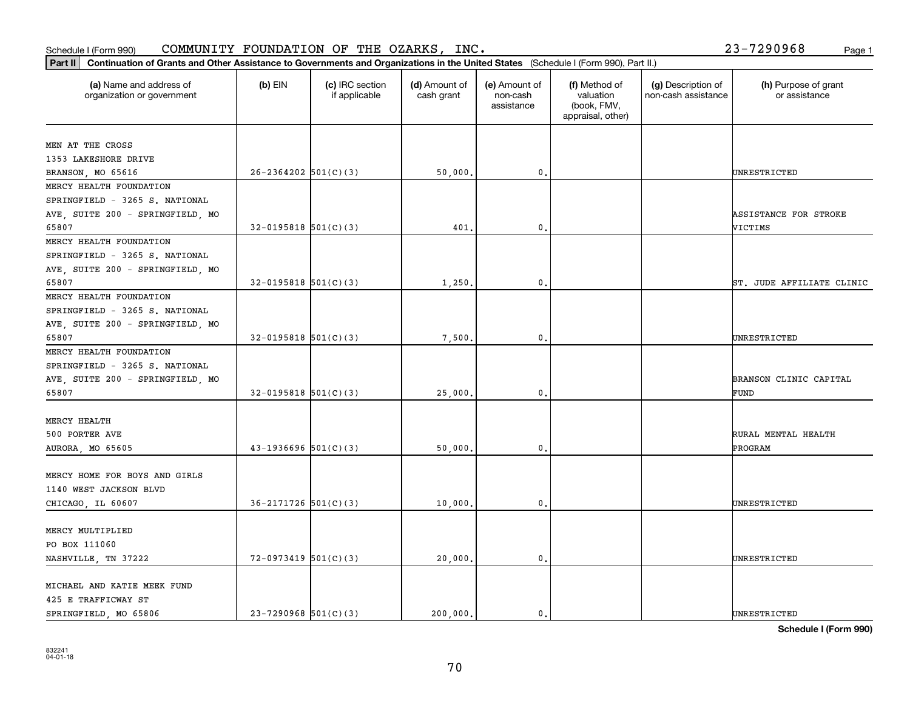#### Schedule I (Form 990) COMMUNITY FOUNDATION OF THE OZARKS, INC。 Page 1 COMMUNITY FOUNDATION OF THE OZARKS, INC. 23-7290968

| Part II   Continuation of Grants and Other Assistance to Governments and Organizations in the United States (Schedule I (Form 990), Part II.) |                            |                                  |                             |                                         |                                                                |                                           |                                       |  |
|-----------------------------------------------------------------------------------------------------------------------------------------------|----------------------------|----------------------------------|-----------------------------|-----------------------------------------|----------------------------------------------------------------|-------------------------------------------|---------------------------------------|--|
| (a) Name and address of<br>organization or government                                                                                         | $(b)$ EIN                  | (c) IRC section<br>if applicable | (d) Amount of<br>cash grant | (e) Amount of<br>non-cash<br>assistance | (f) Method of<br>valuation<br>(book, FMV,<br>appraisal, other) | (g) Description of<br>non-cash assistance | (h) Purpose of grant<br>or assistance |  |
|                                                                                                                                               |                            |                                  |                             |                                         |                                                                |                                           |                                       |  |
| MEN AT THE CROSS                                                                                                                              |                            |                                  |                             |                                         |                                                                |                                           |                                       |  |
| 1353 LAKESHORE DRIVE                                                                                                                          |                            |                                  |                             |                                         |                                                                |                                           |                                       |  |
| BRANSON, MO 65616                                                                                                                             | $26 - 2364202$ 501(C)(3)   |                                  | 50,000.                     | 0.                                      |                                                                |                                           | UNRESTRICTED                          |  |
| MERCY HEALTH FOUNDATION                                                                                                                       |                            |                                  |                             |                                         |                                                                |                                           |                                       |  |
| SPRINGFIELD - 3265 S. NATIONAL                                                                                                                |                            |                                  |                             |                                         |                                                                |                                           |                                       |  |
| AVE, SUITE 200 - SPRINGFIELD, MO                                                                                                              |                            |                                  |                             |                                         |                                                                |                                           | ASSISTANCE FOR STROKE                 |  |
| 65807                                                                                                                                         | $32 - 0195818$ $501(C)(3)$ |                                  | 401                         | $\mathfrak{o}$ .                        |                                                                |                                           | VICTIMS                               |  |
| MERCY HEALTH FOUNDATION                                                                                                                       |                            |                                  |                             |                                         |                                                                |                                           |                                       |  |
| SPRINGFIELD - 3265 S. NATIONAL                                                                                                                |                            |                                  |                             |                                         |                                                                |                                           |                                       |  |
| AVE, SUITE 200 - SPRINGFIELD, MO                                                                                                              |                            |                                  |                             |                                         |                                                                |                                           |                                       |  |
| 65807                                                                                                                                         | $32-0195818$ 501(C)(3)     |                                  | 1,250.                      | $\mathfrak{o}$ .                        |                                                                |                                           | ST. JUDE AFFILIATE CLINIC             |  |
| MERCY HEALTH FOUNDATION                                                                                                                       |                            |                                  |                             |                                         |                                                                |                                           |                                       |  |
| SPRINGFIELD - 3265 S. NATIONAL                                                                                                                |                            |                                  |                             |                                         |                                                                |                                           |                                       |  |
| AVE, SUITE 200 - SPRINGFIELD, MO                                                                                                              |                            |                                  |                             |                                         |                                                                |                                           |                                       |  |
| 65807                                                                                                                                         | $32-0195818$ 501(C)(3)     |                                  | 7,500                       | 0.                                      |                                                                |                                           | UNRESTRICTED                          |  |
| MERCY HEALTH FOUNDATION                                                                                                                       |                            |                                  |                             |                                         |                                                                |                                           |                                       |  |
| SPRINGFIELD - 3265 S. NATIONAL                                                                                                                |                            |                                  |                             |                                         |                                                                |                                           |                                       |  |
| AVE, SUITE 200 - SPRINGFIELD, MO                                                                                                              |                            |                                  |                             |                                         |                                                                |                                           | BRANSON CLINIC CAPITAL                |  |
| 65807                                                                                                                                         | $32-0195818$ 501(C)(3)     |                                  | 25,000                      | 0.                                      |                                                                |                                           | FUND                                  |  |
| MERCY HEALTH                                                                                                                                  |                            |                                  |                             |                                         |                                                                |                                           |                                       |  |
| 500 PORTER AVE                                                                                                                                |                            |                                  |                             |                                         |                                                                |                                           | RURAL MENTAL HEALTH                   |  |
| AURORA, MO 65605                                                                                                                              | $43-1936696$ $501(C)(3)$   |                                  | 50,000                      | 0.                                      |                                                                |                                           | PROGRAM                               |  |
|                                                                                                                                               |                            |                                  |                             |                                         |                                                                |                                           |                                       |  |
| MERCY HOME FOR BOYS AND GIRLS                                                                                                                 |                            |                                  |                             |                                         |                                                                |                                           |                                       |  |
| 1140 WEST JACKSON BLVD                                                                                                                        |                            |                                  |                             |                                         |                                                                |                                           |                                       |  |
| CHICAGO, IL 60607                                                                                                                             | $36 - 2171726$ $501(C)(3)$ |                                  | 10,000                      | $\mathfrak{o}$ .                        |                                                                |                                           | UNRESTRICTED                          |  |
|                                                                                                                                               |                            |                                  |                             |                                         |                                                                |                                           |                                       |  |
| MERCY MULTIPLIED                                                                                                                              |                            |                                  |                             |                                         |                                                                |                                           |                                       |  |
| PO BOX 111060                                                                                                                                 |                            |                                  |                             |                                         |                                                                |                                           |                                       |  |
| NASHVILLE, TN 37222                                                                                                                           | $72-0973419$ 501(C)(3)     |                                  | 20,000.                     | $\mathfrak o$ .                         |                                                                |                                           | UNRESTRICTED                          |  |
|                                                                                                                                               |                            |                                  |                             |                                         |                                                                |                                           |                                       |  |
| MICHAEL AND KATIE MEEK FUND                                                                                                                   |                            |                                  |                             |                                         |                                                                |                                           |                                       |  |
| 425 E TRAFFICWAY ST                                                                                                                           |                            |                                  |                             |                                         |                                                                |                                           |                                       |  |
| SPRINGFIELD, MO 65806                                                                                                                         | $23 - 7290968$ 501(C)(3)   |                                  | 200.000.                    | $\mathbf{0}$ .                          |                                                                |                                           | <b>UNRESTRICTED</b>                   |  |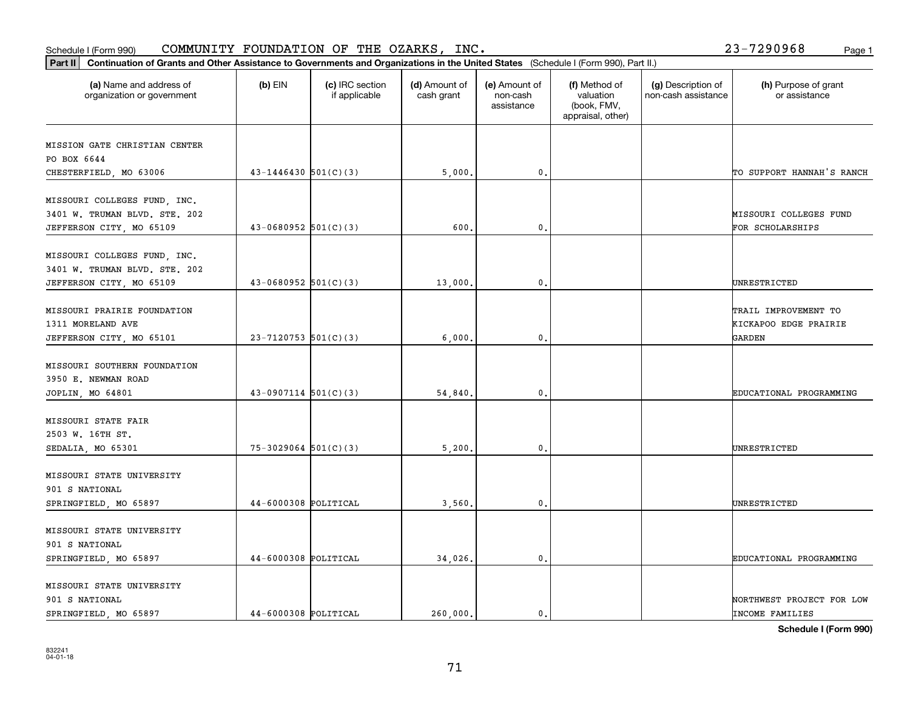#### Schedule I (Form 990) COMMUNITY FOUNDATION OF THE OZARKS, INC。 Page 1 COMMUNITY FOUNDATION OF THE OZARKS, INC. 23-7290968

| Part II   Continuation of Grants and Other Assistance to Governments and Organizations in the United States (Schedule I (Form 990), Part II.) |                          |                                  |                             |                                         |                                                                |                                           |                                            |
|-----------------------------------------------------------------------------------------------------------------------------------------------|--------------------------|----------------------------------|-----------------------------|-----------------------------------------|----------------------------------------------------------------|-------------------------------------------|--------------------------------------------|
| (a) Name and address of<br>organization or government                                                                                         | $(b)$ EIN                | (c) IRC section<br>if applicable | (d) Amount of<br>cash grant | (e) Amount of<br>non-cash<br>assistance | (f) Method of<br>valuation<br>(book, FMV,<br>appraisal, other) | (g) Description of<br>non-cash assistance | (h) Purpose of grant<br>or assistance      |
| MISSION GATE CHRISTIAN CENTER                                                                                                                 |                          |                                  |                             |                                         |                                                                |                                           |                                            |
| PO BOX 6644                                                                                                                                   |                          |                                  |                             |                                         |                                                                |                                           |                                            |
| CHESTERFIELD, MO 63006                                                                                                                        | $43 - 1446430$ 501(C)(3) |                                  | 5,000                       | $\mathbf{0}$ .                          |                                                                |                                           | TO SUPPORT HANNAH'S RANCH                  |
| MISSOURI COLLEGES FUND, INC.<br>3401 W. TRUMAN BLVD. STE. 202<br>JEFFERSON CITY, MO 65109                                                     | $43 - 0680952$ 501(C)(3) |                                  | 600                         | $\mathbf{0}$                            |                                                                |                                           | MISSOURI COLLEGES FUND<br>FOR SCHOLARSHIPS |
|                                                                                                                                               |                          |                                  |                             |                                         |                                                                |                                           |                                            |
| MISSOURI COLLEGES FUND, INC.<br>3401 W. TRUMAN BLVD. STE. 202<br>JEFFERSON CITY, MO 65109                                                     | $43 - 0680952$ 501(C)(3) |                                  | 13,000                      | $\mathbf{0}$ .                          |                                                                |                                           | UNRESTRICTED                               |
|                                                                                                                                               |                          |                                  |                             |                                         |                                                                |                                           |                                            |
| MISSOURI PRAIRIE FOUNDATION                                                                                                                   |                          |                                  |                             |                                         |                                                                |                                           | TRAIL IMPROVEMENT TO                       |
| 1311 MORELAND AVE                                                                                                                             |                          |                                  |                             |                                         |                                                                |                                           | KICKAPOO EDGE PRAIRIE                      |
| JEFFERSON CITY, MO 65101                                                                                                                      | $23 - 7120753$ 501(C)(3) |                                  | 6,000                       | 0.                                      |                                                                |                                           | GARDEN                                     |
| MISSOURI SOUTHERN FOUNDATION<br>3950 E. NEWMAN ROAD                                                                                           |                          |                                  |                             |                                         |                                                                |                                           |                                            |
| JOPLIN, MO 64801                                                                                                                              | $43-0907114$ 501(C)(3)   |                                  | 54,840                      | 0.                                      |                                                                |                                           | EDUCATIONAL PROGRAMMING                    |
| MISSOURI STATE FAIR<br>2503 W. 16TH ST.                                                                                                       |                          |                                  |                             |                                         |                                                                |                                           |                                            |
| SEDALIA, MO 65301                                                                                                                             | $75-3029064$ 501(C)(3)   |                                  | 5,200                       | $\mathbf{0}$                            |                                                                |                                           | UNRESTRICTED                               |
| MISSOURI STATE UNIVERSITY<br>901 S NATIONAL                                                                                                   |                          |                                  |                             |                                         |                                                                |                                           |                                            |
| SPRINGFIELD, MO 65897                                                                                                                         | 44-6000308 POLITICAL     |                                  | 3,560                       | $\mathbf{0}$ .                          |                                                                |                                           | UNRESTRICTED                               |
| MISSOURI STATE UNIVERSITY<br>901 S NATIONAL                                                                                                   |                          |                                  |                             |                                         |                                                                |                                           |                                            |
| SPRINGFIELD, MO 65897                                                                                                                         | 44-6000308 POLITICAL     |                                  | 34,026.                     | $\mathbf{0}$ .                          |                                                                |                                           | EDUCATIONAL PROGRAMMING                    |
| MISSOURI STATE UNIVERSITY<br>901 S NATIONAL                                                                                                   |                          |                                  |                             |                                         |                                                                |                                           | NORTHWEST PROJECT FOR LOW                  |
| SPRINGFIELD, MO 65897                                                                                                                         | 44-6000308 POLITICAL     |                                  | 260.000.                    | $\mathbf{0}$ .                          |                                                                |                                           | <b>INCOME FAMILIES</b>                     |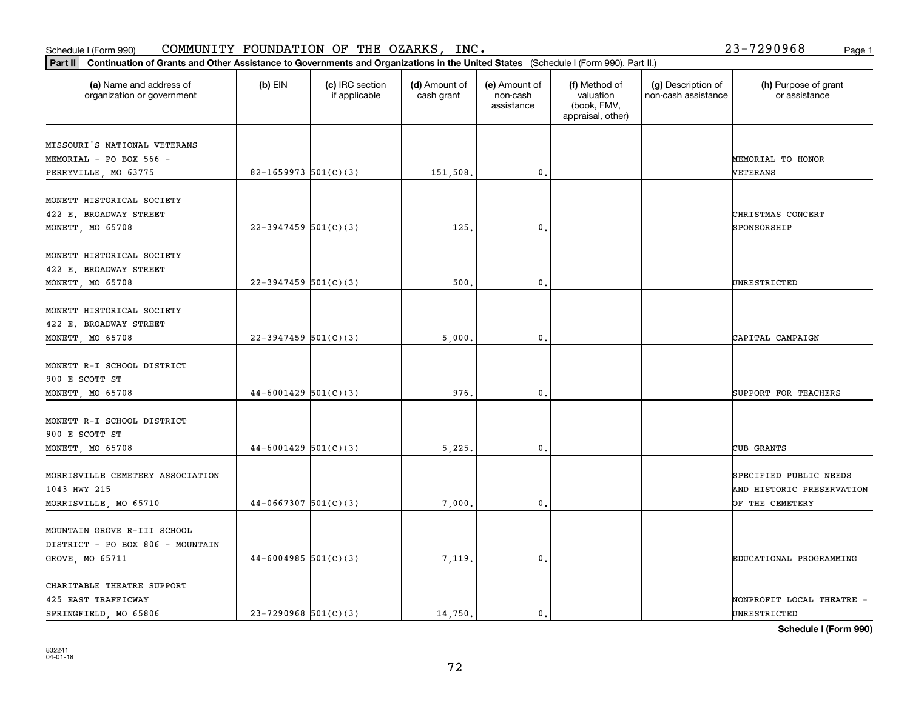| Part II   Continuation of Grants and Other Assistance to Governments and Organizations in the United States (Schedule I (Form 990), Part II.) |                          |                                  |                             |                                         |                                                                |                                           |                                       |
|-----------------------------------------------------------------------------------------------------------------------------------------------|--------------------------|----------------------------------|-----------------------------|-----------------------------------------|----------------------------------------------------------------|-------------------------------------------|---------------------------------------|
| (a) Name and address of<br>organization or government                                                                                         | $(b)$ EIN                | (c) IRC section<br>if applicable | (d) Amount of<br>cash grant | (e) Amount of<br>non-cash<br>assistance | (f) Method of<br>valuation<br>(book, FMV,<br>appraisal, other) | (g) Description of<br>non-cash assistance | (h) Purpose of grant<br>or assistance |
| MISSOURI'S NATIONAL VETERANS                                                                                                                  |                          |                                  |                             |                                         |                                                                |                                           |                                       |
| MEMORIAL - PO BOX 566 -                                                                                                                       |                          |                                  |                             |                                         |                                                                |                                           | MEMORIAL TO HONOR                     |
| PERRYVILLE, MO 63775                                                                                                                          | 82-1659973 $501(C)(3)$   |                                  | 151,508.                    | $\mathbf{0}$ .                          |                                                                |                                           | VETERANS                              |
| MONETT HISTORICAL SOCIETY                                                                                                                     |                          |                                  |                             |                                         |                                                                |                                           |                                       |
| 422 E. BROADWAY STREET                                                                                                                        |                          |                                  |                             |                                         |                                                                |                                           | CHRISTMAS CONCERT                     |
| MONETT, MO 65708                                                                                                                              | $22 - 3947459$ 501(C)(3) |                                  | 125                         | 0.                                      |                                                                |                                           | SPONSORSHIP                           |
| MONETT HISTORICAL SOCIETY                                                                                                                     |                          |                                  |                             |                                         |                                                                |                                           |                                       |
| 422 E. BROADWAY STREET                                                                                                                        |                          |                                  |                             |                                         |                                                                |                                           |                                       |
| MONETT, MO 65708                                                                                                                              | $22-3947459$ 501(C)(3)   |                                  | 500                         | $\mathfrak{o}$ .                        |                                                                |                                           | UNRESTRICTED                          |
|                                                                                                                                               |                          |                                  |                             |                                         |                                                                |                                           |                                       |
| MONETT HISTORICAL SOCIETY                                                                                                                     |                          |                                  |                             |                                         |                                                                |                                           |                                       |
| 422 E. BROADWAY STREET<br>MONETT, MO 65708                                                                                                    | $22-3947459$ 501(C)(3)   |                                  | 5,000                       | 0.                                      |                                                                |                                           | CAPITAL CAMPAIGN                      |
|                                                                                                                                               |                          |                                  |                             |                                         |                                                                |                                           |                                       |
| MONETT R-I SCHOOL DISTRICT                                                                                                                    |                          |                                  |                             |                                         |                                                                |                                           |                                       |
| 900 E SCOTT ST                                                                                                                                |                          |                                  |                             |                                         |                                                                |                                           |                                       |
| MONETT, MO 65708                                                                                                                              | $44-6001429$ 501(C)(3)   |                                  | 976.                        | $\mathbf{0}$                            |                                                                |                                           | SUPPORT FOR TEACHERS                  |
| MONETT R-I SCHOOL DISTRICT                                                                                                                    |                          |                                  |                             |                                         |                                                                |                                           |                                       |
| 900 E SCOTT ST                                                                                                                                |                          |                                  |                             |                                         |                                                                |                                           |                                       |
| MONETT, MO 65708                                                                                                                              | $44-6001429$ 501(C)(3)   |                                  | 5,225                       | 0.                                      |                                                                |                                           | CUB GRANTS                            |
| MORRISVILLE CEMETERY ASSOCIATION                                                                                                              |                          |                                  |                             |                                         |                                                                |                                           | SPECIFIED PUBLIC NEEDS                |
| 1043 HWY 215                                                                                                                                  |                          |                                  |                             |                                         |                                                                |                                           | AND HISTORIC PRESERVATION             |
| MORRISVILLE, MO 65710                                                                                                                         | $44-0667307$ 501(C)(3)   |                                  | 7,000.                      | $\mathfrak{o}$ .                        |                                                                |                                           | OF THE CEMETERY                       |
|                                                                                                                                               |                          |                                  |                             |                                         |                                                                |                                           |                                       |
| MOUNTAIN GROVE R-III SCHOOL                                                                                                                   |                          |                                  |                             |                                         |                                                                |                                           |                                       |
| DISTRICT - PO BOX 806 - MOUNTAIN                                                                                                              |                          |                                  |                             |                                         |                                                                |                                           |                                       |
| GROVE, MO 65711                                                                                                                               | $44-6004985$ 501(C)(3)   |                                  | 7,119.                      | $\mathfrak{o}$ .                        |                                                                |                                           | EDUCATIONAL PROGRAMMING               |
| CHARITABLE THEATRE SUPPORT                                                                                                                    |                          |                                  |                             |                                         |                                                                |                                           |                                       |
| 425 EAST TRAFFICWAY                                                                                                                           |                          |                                  |                             |                                         |                                                                |                                           | NONPROFIT LOCAL THEATRE -             |
| SPRINGFIELD, MO 65806                                                                                                                         | $23 - 7290968$ 501(C)(3) |                                  | 14,750.                     | $\mathbf{0}$ .                          |                                                                |                                           | UNRESTRICTED                          |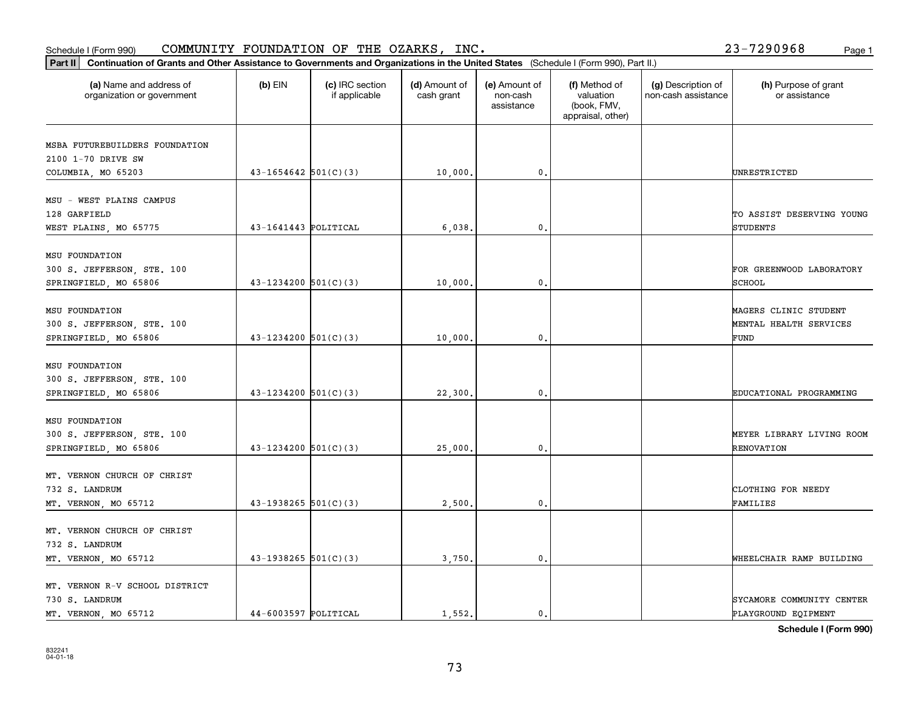#### Schedule I (Form 990) COMMUNITY FOUNDATION OF THE OZARKS, INC。 Page 1 COMMUNITY FOUNDATION OF THE OZARKS, INC. 23-7290968

|                                                       | Part II   Continuation of Grants and Other Assistance to Governments and Organizations in the United States (Schedule I (Form 990), Part II.) |                                  |                             |                                         |                                                                |                                           |                                       |  |  |
|-------------------------------------------------------|-----------------------------------------------------------------------------------------------------------------------------------------------|----------------------------------|-----------------------------|-----------------------------------------|----------------------------------------------------------------|-------------------------------------------|---------------------------------------|--|--|
| (a) Name and address of<br>organization or government | $(b)$ EIN                                                                                                                                     | (c) IRC section<br>if applicable | (d) Amount of<br>cash grant | (e) Amount of<br>non-cash<br>assistance | (f) Method of<br>valuation<br>(book, FMV,<br>appraisal, other) | (g) Description of<br>non-cash assistance | (h) Purpose of grant<br>or assistance |  |  |
|                                                       |                                                                                                                                               |                                  |                             |                                         |                                                                |                                           |                                       |  |  |
| MSBA FUTUREBUILDERS FOUNDATION<br>2100 1-70 DRIVE SW  |                                                                                                                                               |                                  |                             |                                         |                                                                |                                           |                                       |  |  |
| COLUMBIA, MO 65203                                    | $43 - 1654642$ 501(C)(3)                                                                                                                      |                                  | 10,000.                     | 0.                                      |                                                                |                                           | UNRESTRICTED                          |  |  |
|                                                       |                                                                                                                                               |                                  |                             |                                         |                                                                |                                           |                                       |  |  |
| MSU - WEST PLAINS CAMPUS                              |                                                                                                                                               |                                  |                             |                                         |                                                                |                                           |                                       |  |  |
| 128 GARFIELD                                          |                                                                                                                                               |                                  |                             |                                         |                                                                |                                           | TO ASSIST DESERVING YOUNG             |  |  |
| WEST PLAINS, MO 65775                                 | 43-1641443 POLITICAL                                                                                                                          |                                  | 6,038                       | 0.                                      |                                                                |                                           | <b>STUDENTS</b>                       |  |  |
|                                                       |                                                                                                                                               |                                  |                             |                                         |                                                                |                                           |                                       |  |  |
| MSU FOUNDATION                                        |                                                                                                                                               |                                  |                             |                                         |                                                                |                                           |                                       |  |  |
| 300 S. JEFFERSON, STE. 100                            |                                                                                                                                               |                                  |                             |                                         |                                                                |                                           | FOR GREENWOOD LABORATORY              |  |  |
| SPRINGFIELD, MO 65806                                 | $43 - 1234200$ 501(C)(3)                                                                                                                      |                                  | 10,000,                     | $\mathbf{0}$ .                          |                                                                |                                           | SCHOOL                                |  |  |
|                                                       |                                                                                                                                               |                                  |                             |                                         |                                                                |                                           |                                       |  |  |
| MSU FOUNDATION                                        |                                                                                                                                               |                                  |                             |                                         |                                                                |                                           | MAGERS CLINIC STUDENT                 |  |  |
| 300 S. JEFFERSON, STE. 100                            |                                                                                                                                               |                                  |                             |                                         |                                                                |                                           | MENTAL HEALTH SERVICES                |  |  |
| SPRINGFIELD, MO 65806                                 | $43 - 1234200$ 501(C)(3)                                                                                                                      |                                  | 10,000                      | 0.                                      |                                                                |                                           | FUND                                  |  |  |
|                                                       |                                                                                                                                               |                                  |                             |                                         |                                                                |                                           |                                       |  |  |
| MSU FOUNDATION                                        |                                                                                                                                               |                                  |                             |                                         |                                                                |                                           |                                       |  |  |
| 300 S. JEFFERSON, STE. 100                            |                                                                                                                                               |                                  |                             |                                         |                                                                |                                           |                                       |  |  |
| SPRINGFIELD, MO 65806                                 | $43 - 1234200$ 501(C)(3)                                                                                                                      |                                  | 22,300                      | 0.                                      |                                                                |                                           | EDUCATIONAL PROGRAMMING               |  |  |
| <b>MSU FOUNDATION</b>                                 |                                                                                                                                               |                                  |                             |                                         |                                                                |                                           |                                       |  |  |
| 300 S. JEFFERSON, STE. 100                            |                                                                                                                                               |                                  |                             |                                         |                                                                |                                           | MEYER LIBRARY LIVING ROOM             |  |  |
| SPRINGFIELD, MO 65806                                 | $43 - 1234200$ 501(C)(3)                                                                                                                      |                                  | 25,000                      | 0.                                      |                                                                |                                           | RENOVATION                            |  |  |
|                                                       |                                                                                                                                               |                                  |                             |                                         |                                                                |                                           |                                       |  |  |
| MT. VERNON CHURCH OF CHRIST                           |                                                                                                                                               |                                  |                             |                                         |                                                                |                                           |                                       |  |  |
| 732 S. LANDRUM                                        |                                                                                                                                               |                                  |                             |                                         |                                                                |                                           | CLOTHING FOR NEEDY                    |  |  |
| MT. VERNON, MO 65712                                  | $43 - 1938265$ 501(C)(3)                                                                                                                      |                                  | 2,500                       | $\mathfrak{o}$ .                        |                                                                |                                           | FAMILIES                              |  |  |
|                                                       |                                                                                                                                               |                                  |                             |                                         |                                                                |                                           |                                       |  |  |
| MT. VERNON CHURCH OF CHRIST                           |                                                                                                                                               |                                  |                             |                                         |                                                                |                                           |                                       |  |  |
| 732 S. LANDRUM                                        |                                                                                                                                               |                                  |                             |                                         |                                                                |                                           |                                       |  |  |
| MT. VERNON, MO 65712                                  | $43 - 1938265$ 501(C)(3)                                                                                                                      |                                  | 3,750.                      | $\mathfrak o$ .                         |                                                                |                                           | WHEELCHAIR RAMP BUILDING              |  |  |
|                                                       |                                                                                                                                               |                                  |                             |                                         |                                                                |                                           |                                       |  |  |
| MT. VERNON R-V SCHOOL DISTRICT                        |                                                                                                                                               |                                  |                             |                                         |                                                                |                                           |                                       |  |  |
| 730 S. LANDRUM                                        |                                                                                                                                               |                                  |                             |                                         |                                                                |                                           | SYCAMORE COMMUNITY CENTER             |  |  |
| MT. VERNON, MO 65712                                  | 44-6003597 POLITICAL                                                                                                                          |                                  | 1,552.                      | 0.                                      |                                                                |                                           | PLAYGROUND EQIPMENT                   |  |  |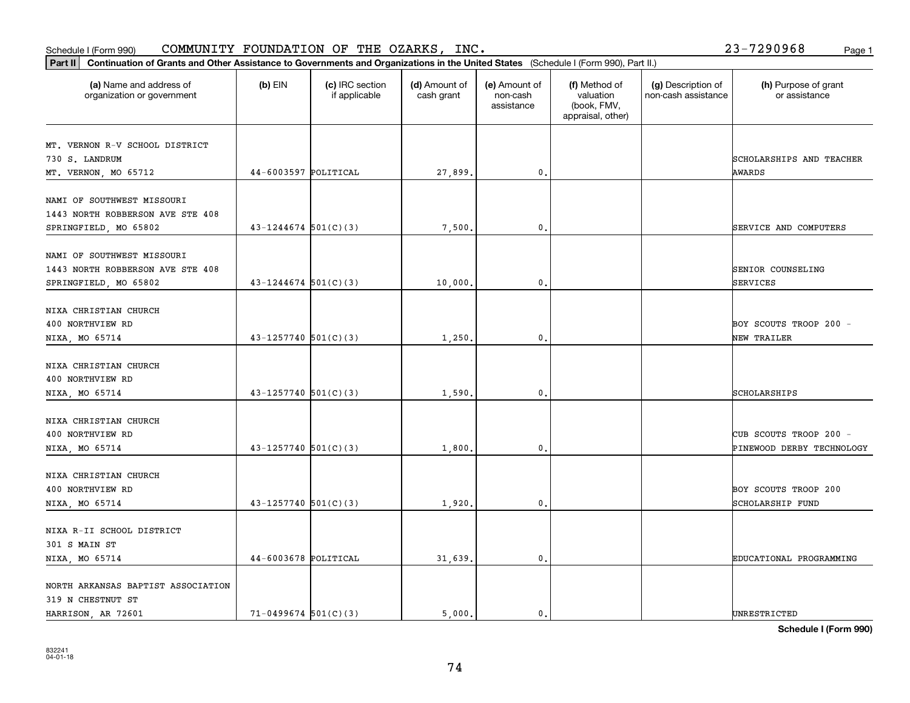| (a) Name and address of<br>organization or government | $(b)$ EIN                  | (c) IRC section<br>if applicable | (d) Amount of<br>cash grant | (e) Amount of<br>non-cash<br>assistance | (f) Method of<br>valuation<br>(book, FMV,<br>appraisal, other) | (g) Description of<br>non-cash assistance | (h) Purpose of grant<br>or assistance |
|-------------------------------------------------------|----------------------------|----------------------------------|-----------------------------|-----------------------------------------|----------------------------------------------------------------|-------------------------------------------|---------------------------------------|
| MT. VERNON R-V SCHOOL DISTRICT                        |                            |                                  |                             |                                         |                                                                |                                           |                                       |
| 730 S. LANDRUM                                        |                            |                                  |                             |                                         |                                                                |                                           | SCHOLARSHIPS AND TEACHER              |
| MT. VERNON, MO 65712                                  | 44-6003597 POLITICAL       |                                  | 27,899                      | 0.                                      |                                                                |                                           | AWARDS                                |
| NAMI OF SOUTHWEST MISSOURI                            |                            |                                  |                             |                                         |                                                                |                                           |                                       |
| 1443 NORTH ROBBERSON AVE STE 408                      |                            |                                  |                             |                                         |                                                                |                                           |                                       |
| SPRINGFIELD, MO 65802                                 | $43 - 1244674$ $501(C)(3)$ |                                  | 7,500                       | 0.                                      |                                                                |                                           | SERVICE AND COMPUTERS                 |
| NAMI OF SOUTHWEST MISSOURI                            |                            |                                  |                             |                                         |                                                                |                                           |                                       |
| 1443 NORTH ROBBERSON AVE STE 408                      |                            |                                  |                             |                                         |                                                                |                                           | SENIOR COUNSELING                     |
| SPRINGFIELD, MO 65802                                 | $43 - 1244674$ 501(C)(3)   |                                  | 10,000                      | 0.                                      |                                                                |                                           | SERVICES                              |
| NIXA CHRISTIAN CHURCH                                 |                            |                                  |                             |                                         |                                                                |                                           |                                       |
| 400 NORTHVIEW RD                                      |                            |                                  |                             |                                         |                                                                |                                           | BOY SCOUTS TROOP 200 -                |
| NIXA, MO 65714                                        | $43-1257740$ 501(C)(3)     |                                  | 1,250.                      | 0.                                      |                                                                |                                           | NEW TRAILER                           |
| NIXA CHRISTIAN CHURCH                                 |                            |                                  |                             |                                         |                                                                |                                           |                                       |
| 400 NORTHVIEW RD                                      |                            |                                  |                             |                                         |                                                                |                                           |                                       |
| NIXA, MO 65714                                        | $43-1257740$ 501(C)(3)     |                                  | 1,590.                      | 0.                                      |                                                                |                                           | SCHOLARSHIPS                          |
| NIXA CHRISTIAN CHURCH                                 |                            |                                  |                             |                                         |                                                                |                                           |                                       |
| 400 NORTHVIEW RD                                      |                            |                                  |                             |                                         |                                                                |                                           | CUB SCOUTS TROOP 200 -                |
| NIXA, MO 65714                                        | $43-1257740$ 501(C)(3)     |                                  | 1,800                       | 0.                                      |                                                                |                                           | PINEWOOD DERBY TECHNOLOGY             |
| NIXA CHRISTIAN CHURCH                                 |                            |                                  |                             |                                         |                                                                |                                           |                                       |
| 400 NORTHVIEW RD                                      |                            |                                  |                             |                                         |                                                                |                                           | BOY SCOUTS TROOP 200                  |
| NIXA, MO 65714                                        | $43-1257740$ 501(C)(3)     |                                  | 1,920.                      | $\mathfrak o$ .                         |                                                                |                                           | SCHOLARSHIP FUND                      |
| NIXA R-II SCHOOL DISTRICT                             |                            |                                  |                             |                                         |                                                                |                                           |                                       |
| 301 S MAIN ST                                         |                            |                                  |                             |                                         |                                                                |                                           |                                       |
| NIXA, MO 65714                                        | 44-6003678 POLITICAL       |                                  | 31,639.                     | 0.                                      |                                                                |                                           | EDUCATIONAL PROGRAMMING               |
| NORTH ARKANSAS BAPTIST ASSOCIATION                    |                            |                                  |                             |                                         |                                                                |                                           |                                       |
| 319 N CHESTNUT ST                                     |                            |                                  |                             |                                         |                                                                |                                           |                                       |
| HARRISON, AR 72601                                    | $71-0499674$ 501(C)(3)     |                                  | 5.000.                      | 0.                                      |                                                                |                                           | UNRESTRICTED                          |

**Schedule I (Form 990)**

### Schedule I (Form 990)  ${\tt COMMUNITY}$  <code>FOUNDATION OF THE OZARKS, INC</code> .  $23-7290968$  Page 1

**Part II Continuation of Grants and Other Assistance to Governments and Organizations in the United States**  (Schedule I (Form 990), Part II.)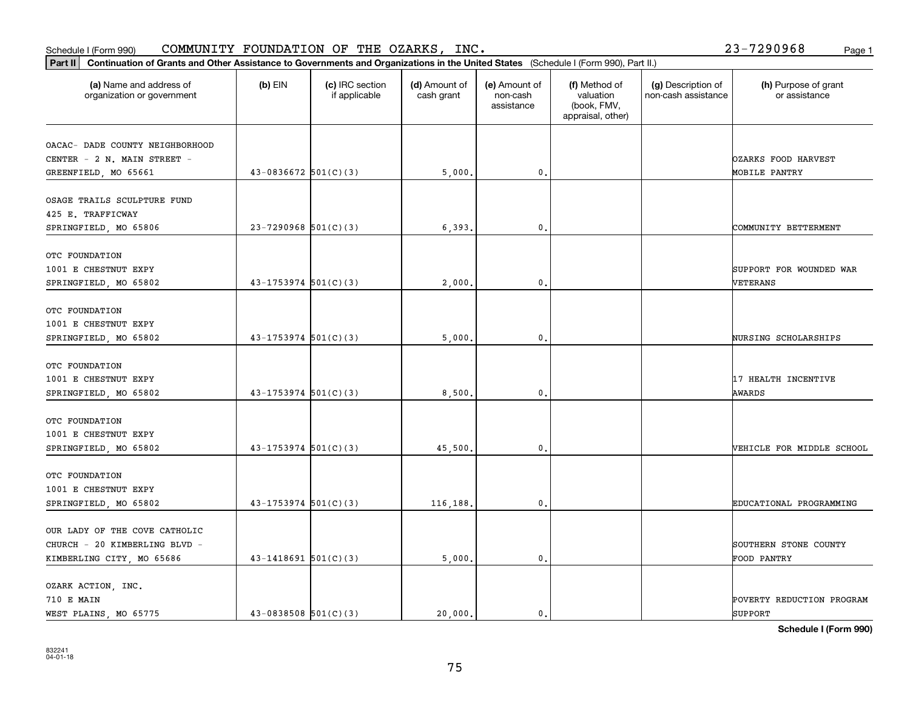# **Part III Continuation of Grants and Other Assistance to Governments and Organization of Grants and Other Assistance to Governments and Organization of Grants and Other Assistance to Governments and Organization**

Schedule I (Form 990)  ${\tt COMMUNITY}$  <code>FOUNDATION OF THE OZARKS, INC</code> .  $23-7290968$  Page 1

| Part II                                                                                     | Continuation of Grants and Other Assistance to Governments and Organizations in the United States (Schedule I (Form 990), Part II.) |                                  |                             |                                         |                                                                |                                           |                                             |  |  |
|---------------------------------------------------------------------------------------------|-------------------------------------------------------------------------------------------------------------------------------------|----------------------------------|-----------------------------|-----------------------------------------|----------------------------------------------------------------|-------------------------------------------|---------------------------------------------|--|--|
| (a) Name and address of<br>organization or government                                       | $(b)$ EIN                                                                                                                           | (c) IRC section<br>if applicable | (d) Amount of<br>cash grant | (e) Amount of<br>non-cash<br>assistance | (f) Method of<br>valuation<br>(book, FMV,<br>appraisal, other) | (g) Description of<br>non-cash assistance | (h) Purpose of grant<br>or assistance       |  |  |
| OACAC- DADE COUNTY NEIGHBORHOOD<br>CENTER - 2 N. MAIN STREET -<br>GREENFIELD, MO 65661      | $43-0836672$ 501(C)(3)                                                                                                              |                                  | 5,000.                      | 0.                                      |                                                                |                                           | OZARKS FOOD HARVEST<br>MOBILE PANTRY        |  |  |
| OSAGE TRAILS SCULPTURE FUND<br>425 E. TRAFFICWAY<br>SPRINGFIELD, MO 65806                   | $23 - 7290968$ 501(C)(3)                                                                                                            |                                  | 6,393.                      | $\mathfrak{o}$ .                        |                                                                |                                           | COMMUNITY BETTERMENT                        |  |  |
| OTC FOUNDATION<br>1001 E CHESTNUT EXPY<br>SPRINGFIELD, MO 65802                             | $43 - 1753974$ $501(C)(3)$                                                                                                          |                                  | 2,000                       | $\mathbf{0}$                            |                                                                |                                           | SUPPORT FOR WOUNDED WAR<br>VETERANS         |  |  |
| OTC FOUNDATION<br>1001 E CHESTNUT EXPY<br>SPRINGFIELD, MO 65802                             | $43-1753974$ $501(C)(3)$                                                                                                            |                                  | 5,000.                      | 0.                                      |                                                                |                                           | NURSING SCHOLARSHIPS                        |  |  |
| OTC FOUNDATION<br>1001 E CHESTNUT EXPY<br>SPRINGFIELD, MO 65802                             | $43 - 1753974$ 501(C)(3)                                                                                                            |                                  | 8,500                       | $\mathfrak{o}$ .                        |                                                                |                                           | 17 HEALTH INCENTIVE<br>AWARDS               |  |  |
| OTC FOUNDATION<br>1001 E CHESTNUT EXPY<br>SPRINGFIELD, MO 65802                             | $43 - 1753974$ $501(C)(3)$                                                                                                          |                                  | 45,500                      | 0.                                      |                                                                |                                           | VEHICLE FOR MIDDLE SCHOOL                   |  |  |
| OTC FOUNDATION<br>1001 E CHESTNUT EXPY<br>SPRINGFIELD, MO 65802                             | $43-1753974$ $501(C)(3)$                                                                                                            |                                  | 116,188.                    | 0.                                      |                                                                |                                           | EDUCATIONAL PROGRAMMING                     |  |  |
| OUR LADY OF THE COVE CATHOLIC<br>CHURCH - 20 KIMBERLING BLVD -<br>KIMBERLING CITY, MO 65686 | $43 - 1418691$ 501(C)(3)                                                                                                            |                                  | 5,000.                      | $\mathbf{0}$ .                          |                                                                |                                           | SOUTHERN STONE COUNTY<br>FOOD PANTRY        |  |  |
| OZARK ACTION, INC.<br>710 E MAIN<br>WEST PLAINS, MO 65775                                   | $43-0838508$ $501(C)(3)$                                                                                                            |                                  | 20,000.                     | $\mathbf{0}$ .                          |                                                                |                                           | POVERTY REDUCTION PROGRAM<br><b>SUPPORT</b> |  |  |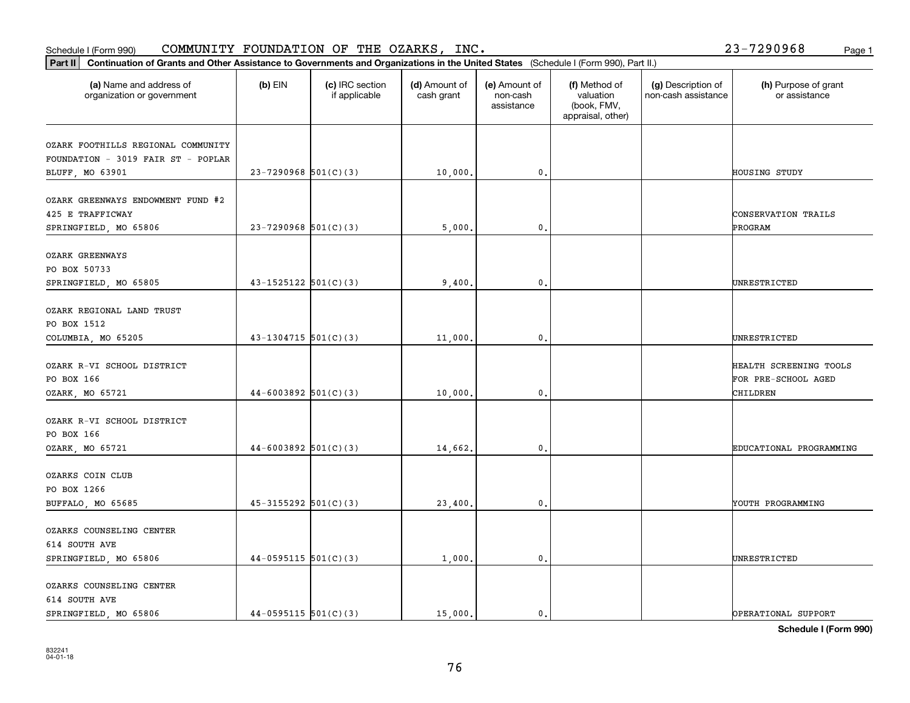#### **Part III Continuation of Grants and Other Assistance to Governments and Organization of Grants and Organization of Grants and Organizations of Organizations and Organization of Grants and Organizations of Departments an** Schedule I (Form 990)  ${\tt COMMUNITY}$  <code>FOUNDATION OF THE OZARKS, INC</code> .  $23-7290968$  Page 1

| Continuation of Grants and Other Assistance to Governments and Organizations in the United States (Schedule I (Form 990), Part II.)<br>Part II |                            |                                  |                             |                                         |                                                                |                                           |                                                           |
|------------------------------------------------------------------------------------------------------------------------------------------------|----------------------------|----------------------------------|-----------------------------|-----------------------------------------|----------------------------------------------------------------|-------------------------------------------|-----------------------------------------------------------|
| (a) Name and address of<br>organization or government                                                                                          | $(b)$ EIN                  | (c) IRC section<br>if applicable | (d) Amount of<br>cash grant | (e) Amount of<br>non-cash<br>assistance | (f) Method of<br>valuation<br>(book, FMV,<br>appraisal, other) | (g) Description of<br>non-cash assistance | (h) Purpose of grant<br>or assistance                     |
| OZARK FOOTHILLS REGIONAL COMMUNITY<br>FOUNDATION - 3019 FAIR ST - POPLAR<br>BLUFF, MO 63901                                                    | $23 - 7290968$ 501(C)(3)   |                                  | 10,000.                     | 0.                                      |                                                                |                                           | HOUSING STUDY                                             |
| OZARK GREENWAYS ENDOWMENT FUND #2<br>425 E TRAFFICWAY<br>SPRINGFIELD, MO 65806                                                                 | $23 - 7290968$ 501(C)(3)   |                                  | 5,000.                      | $\mathbf{0}$ .                          |                                                                |                                           | CONSERVATION TRAILS<br>PROGRAM                            |
| OZARK GREENWAYS<br>PO BOX 50733<br>SPRINGFIELD, MO 65805                                                                                       | $43 - 1525122$ $501(C)(3)$ |                                  | 9,400.                      | $\mathbf{0}$                            |                                                                |                                           | UNRESTRICTED                                              |
| OZARK REGIONAL LAND TRUST<br>PO BOX 1512<br>COLUMBIA, MO 65205                                                                                 | $43 - 1304715$ 501(C)(3)   |                                  | 11,000.                     | 0.                                      |                                                                |                                           | UNRESTRICTED                                              |
| OZARK R-VI SCHOOL DISTRICT<br>PO BOX 166<br>OZARK, MO 65721                                                                                    | $44-6003892$ 501(C)(3)     |                                  | 10,000.                     | $\mathbf{0}$ .                          |                                                                |                                           | HEALTH SCREENING TOOLS<br>FOR PRE-SCHOOL AGED<br>CHILDREN |
| OZARK R-VI SCHOOL DISTRICT<br>PO BOX 166<br>OZARK, MO 65721                                                                                    | $44-6003892$ 501(C)(3)     |                                  | 14,662.                     | $\mathbf{0}$                            |                                                                |                                           | EDUCATIONAL PROGRAMMING                                   |
| OZARKS COIN CLUB<br>PO BOX 1266<br>BUFFALO, MO 65685                                                                                           | $45 - 3155292$ $501(C)(3)$ |                                  | 23,400.                     | 0.                                      |                                                                |                                           | YOUTH PROGRAMMING                                         |
| OZARKS COUNSELING CENTER<br>614 SOUTH AVE<br>SPRINGFIELD, MO 65806                                                                             | $44-0595115$ 501(C)(3)     |                                  | 1,000.                      | 0.                                      |                                                                |                                           | UNRESTRICTED                                              |
| OZARKS COUNSELING CENTER<br>614 SOUTH AVE<br>SPRINGFIELD, MO 65806                                                                             | $44-0595115$ $501(C)(3)$   |                                  | 15,000.                     | $\mathbf{0}$ .                          |                                                                |                                           | OPERATIONAL SUPPORT                                       |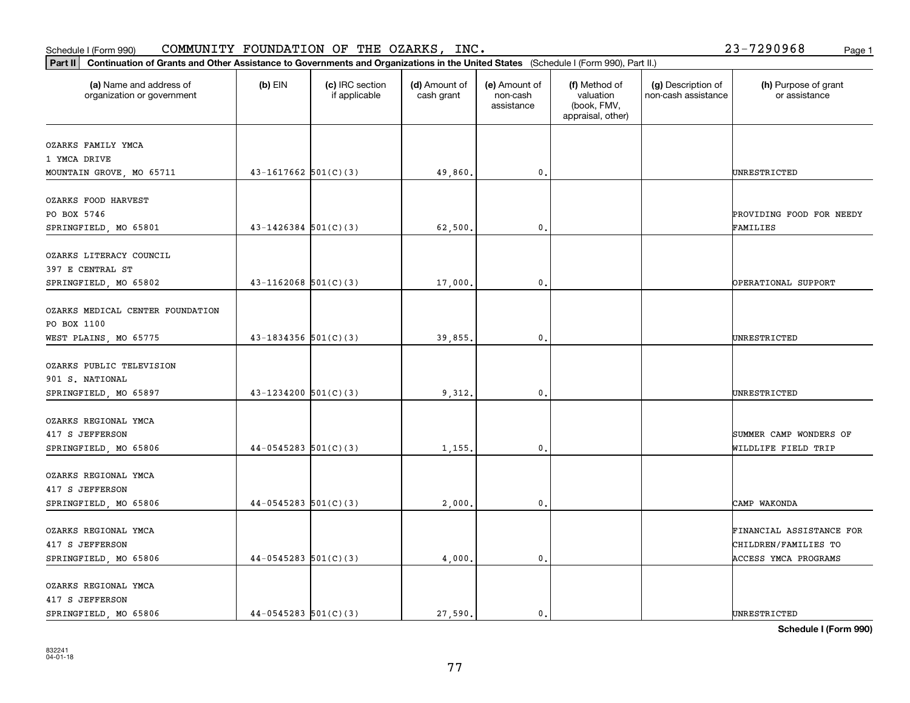|                             |                |                |  | SUMMER O        |
|-----------------------------|----------------|----------------|--|-----------------|
| $44-0545283$ $501(C)(3)$    | 1,155.         | $\mathbf{0}$ . |  | WILDLIFE        |
|                             |                |                |  |                 |
|                             |                |                |  |                 |
|                             |                |                |  |                 |
| $44-0545283$ $501(C)(3)$    | 2,000.         | 0.             |  | CAMP WAF        |
|                             |                |                |  |                 |
|                             |                |                |  | <b>FINANCIA</b> |
|                             |                |                |  | CHILDREN        |
| $11 - 0515283$ $501(0)$ (3) | $\Lambda$ 0.00 | <sup>n</sup>   |  | ACCRSS V        |

OZARKS LITERACY COUNCIL SPRINGFIELD, MO 65802 43-1162068 501(C)(3)  $\vert$  17,000. 0. 0. 0. OPERATIONAL SUPPORT OZARKS MEDICAL CENTER FOUNDATION

**(a) (b) (c) (d) (e) (f) (g) (h)** Name and address of

MOUNTAIN GROVE, MO 65711  $\begin{vmatrix} 43-1617662 & 501(C)(3) \end{vmatrix}$  49,860. 0. 0.

SPRINGFIELD, MO 65801 43-1426384 501(C)(3) (62,500. 0. 0. THE RAMILIES

WEST PLAINS, MO 65775 43-1834356 501(C)(3) 39,855. 0. UNRESTRICTED

PO BOX 5746 PROVIDING FOOD FOR NEEDY PO AND THE RESERVE TO A RESERVE THE RESERVE TO A RESERVE THE RESERVE TO A RESERVE THE RESERVE THE RESERVE THE RESERVE THE RESERVE THE RESERVE THE RESERVE THE RESERVE THE RESERVE THE RES

(d) Amount of cash grant

(e) Amount of non-cashassistance

(f) Method of valuation (book, FMV, appraisal, other)

(g) Description of non-cash assistance

### **Part II Continuation of Grants and Other Assistance to Governments and Organizations in the United States**  (Schedule I (Form 990), Part II.) Schedule I (Form 990)  ${\tt COMMUNITY}$  <code>FOUNDATION OF THE OZARKS, INC</code> .  $23-7290968$  Page 1

 $(b)$  EIN  $(c)$  IRC section

if applicable

organization or government

OZARKS FAMILY YMCA 1 YMCA DRIVE

OZARKS FOOD HARVEST

397 E CENTRAL ST

OZARKS PUBLIC TELEVISION

PO BOX 1100

901 S. NATIONAL SPRINGFIELD, MO 65897

(h) Purpose of grant or assistance

| SPRINGFIELD, MO 65897 | $43 - 1234200$ 501(C)(3) | 9,312.  | 0. | UNRESTRICTED             |
|-----------------------|--------------------------|---------|----|--------------------------|
|                       |                          |         |    |                          |
| OZARKS REGIONAL YMCA  |                          |         |    |                          |
| 417 S JEFFERSON       |                          |         |    | SUMMER CAMP WONDERS OF   |
| SPRINGFIELD, MO 65806 | $44-0545283$ 501(C)(3)   | 1,155.  | 0. | WILDLIFE FIELD TRIP      |
|                       |                          |         |    |                          |
| OZARKS REGIONAL YMCA  |                          |         |    |                          |
| 417 S JEFFERSON       |                          |         |    |                          |
| SPRINGFIELD, MO 65806 | $44-0545283$ $501(C)(3)$ | 2,000.  | 0. | CAMP WAKONDA             |
|                       |                          |         |    |                          |
| OZARKS REGIONAL YMCA  |                          |         |    | FINANCIAL ASSISTANCE FOR |
| 417 S JEFFERSON       |                          |         |    | CHILDREN/FAMILIES TO     |
| SPRINGFIELD, MO 65806 | $44-0545283$ 501(C)(3)   | 4,000.  | 0. | ACCESS YMCA PROGRAMS     |
|                       |                          |         |    |                          |
| OZARKS REGIONAL YMCA  |                          |         |    |                          |
| 417 S JEFFERSON       |                          |         |    |                          |
| SPRINGFIELD, MO 65806 | $44-0545283$ 501(C)(3)   | 27,590. | 0. | <b>UNRESTRICTED</b>      |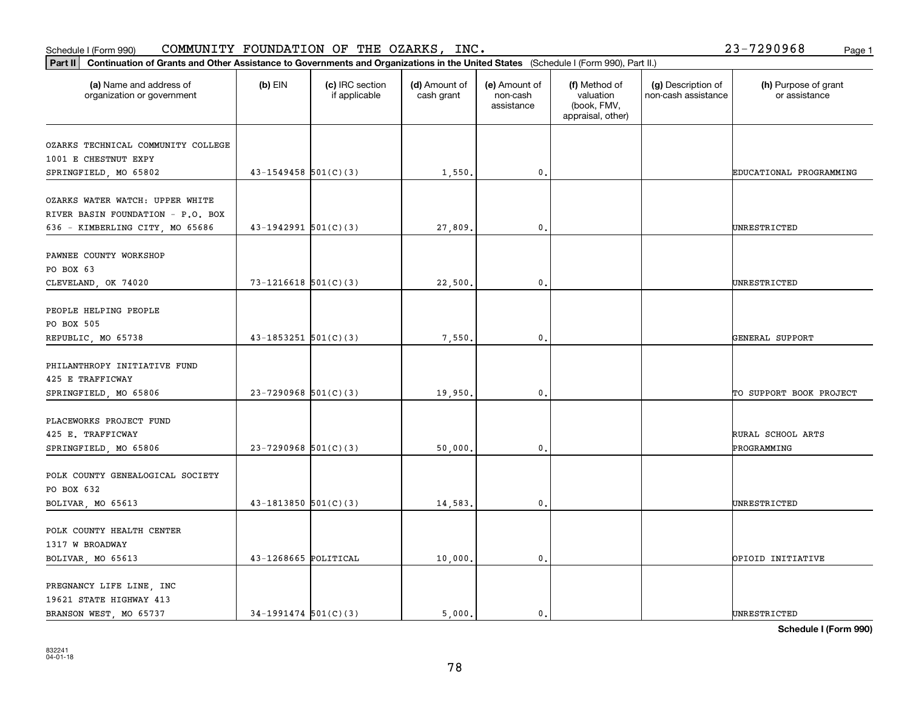#### **Part II Continuation of Grants and Other Assistance to Governments and Organization of Grants and Organization of Grants and Organizations of United States** *I***n the United States <b>Property** and Organizations of Organiza Schedule I (Form 990)  ${\tt COMMUNITY}$  <code>FOUNDATION OF THE OZARKS, INC</code> .  $23-7290968$  Page 1

| 23-7290968 | Page 1 |
|------------|--------|
|            |        |

| Continuation of Grants and Other Assistance to Governments and Organizations in the United States (Schedule I (Form 990), Part II.)<br>Part II |                            |                                  |                             |                                         |                                                                |                                           |                                       |
|------------------------------------------------------------------------------------------------------------------------------------------------|----------------------------|----------------------------------|-----------------------------|-----------------------------------------|----------------------------------------------------------------|-------------------------------------------|---------------------------------------|
| (a) Name and address of<br>organization or government                                                                                          | $(b)$ EIN                  | (c) IRC section<br>if applicable | (d) Amount of<br>cash grant | (e) Amount of<br>non-cash<br>assistance | (f) Method of<br>valuation<br>(book, FMV,<br>appraisal, other) | (g) Description of<br>non-cash assistance | (h) Purpose of grant<br>or assistance |
| OZARKS TECHNICAL COMMUNITY COLLEGE<br>1001 E CHESTNUT EXPY<br>SPRINGFIELD, MO 65802                                                            | $43 - 1549458$ $501(C)(3)$ |                                  | 1,550.                      | $\mathfrak{o}$ .                        |                                                                |                                           | EDUCATIONAL PROGRAMMING               |
| OZARKS WATER WATCH: UPPER WHITE<br>RIVER BASIN FOUNDATION - P.O. BOX<br>636 - KIMBERLING CITY, MO 65686                                        | $43-1942991$ 501(C)(3)     |                                  | 27,809.                     | $\mathfrak{o}$ .                        |                                                                |                                           | UNRESTRICTED                          |
| PAWNEE COUNTY WORKSHOP<br>PO BOX 63<br>CLEVELAND, OK 74020                                                                                     | $73 - 1216618$ 501(C)(3)   |                                  | 22,500                      | $\mathbf 0$ .                           |                                                                |                                           | UNRESTRICTED                          |
| PEOPLE HELPING PEOPLE<br>PO BOX 505<br>REPUBLIC, MO 65738                                                                                      | $43 - 1853251$ $501(C)(3)$ |                                  | 7,550.                      | 0.                                      |                                                                |                                           | GENERAL SUPPORT                       |
| PHILANTHROPY INITIATIVE FUND<br>425 E TRAFFICWAY<br>SPRINGFIELD, MO 65806                                                                      | $23 - 7290968$ 501(C)(3)   |                                  | 19,950.                     | $\mathfrak{o}$ .                        |                                                                |                                           | TO SUPPORT BOOK PROJECT               |
| PLACEWORKS PROJECT FUND<br>425 E. TRAFFICWAY<br>SPRINGFIELD, MO 65806                                                                          | $23 - 7290968$ 501(C)(3)   |                                  | 50,000                      | $\mathbf 0$ .                           |                                                                |                                           | RURAL SCHOOL ARTS<br>PROGRAMMING      |
| POLK COUNTY GENEALOGICAL SOCIETY<br>PO BOX 632<br>BOLIVAR, MO 65613                                                                            | $43 - 1813850$ $501(C)(3)$ |                                  | 14,583.                     | 0.                                      |                                                                |                                           | UNRESTRICTED                          |
| POLK COUNTY HEALTH CENTER<br>1317 W BROADWAY<br>BOLIVAR, MO 65613                                                                              | 43-1268665 POLITICAL       |                                  | 10,000.                     | $\mathfrak{o}$ .                        |                                                                |                                           | OPIOID INITIATIVE                     |
| PREGNANCY LIFE LINE, INC<br>19621 STATE HIGHWAY 413<br>BRANSON WEST, MO 65737                                                                  | $34-1991474$ $501(C)(3)$   |                                  | 5.000.                      | $\mathbf{0}$ .                          |                                                                |                                           | UNRESTRICTED                          |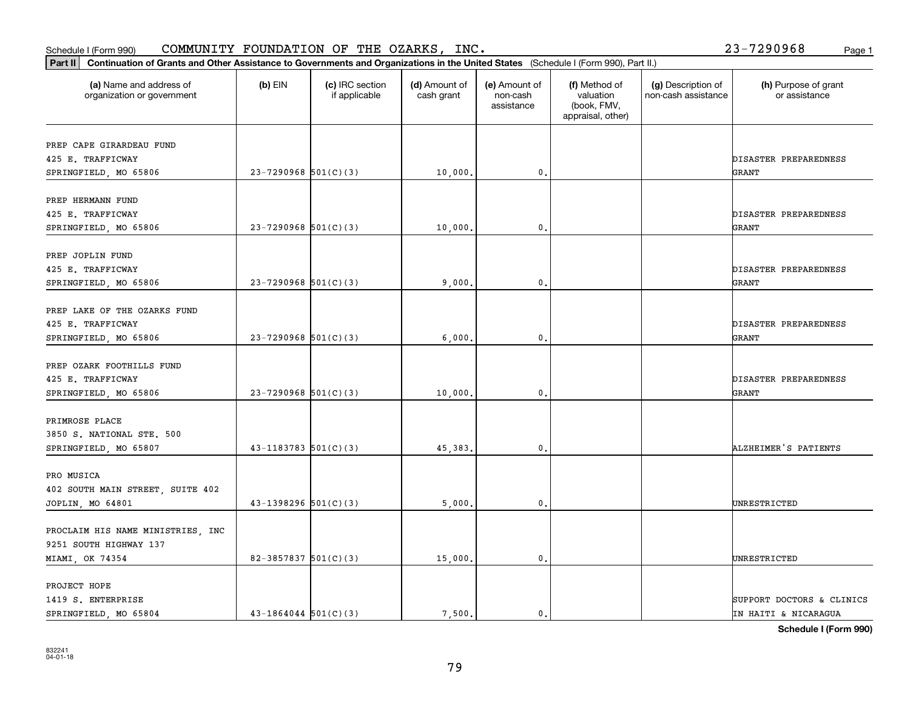| $144 \overline{501(C)(3)}$ | 500 |
|----------------------------|-----|
|                            |     |

**Schedule I (Form 990)**

| (a) Name and address of<br>organization or government                          | $(b)$ EIN                  | (c) IRC section<br>if applicable | (d) Amount of<br>cash grant | (e) Amount of<br>non-cash<br>assistance | (f) Method of<br>valuation<br>(book, FMV,<br>appraisal, other) | (g) Description of<br>non-cash assistance | (h) Purpose of grant<br>or assistance             |
|--------------------------------------------------------------------------------|----------------------------|----------------------------------|-----------------------------|-----------------------------------------|----------------------------------------------------------------|-------------------------------------------|---------------------------------------------------|
| PREP CAPE GIRARDEAU FUND<br>425 E. TRAFFICWAY<br>SPRINGFIELD, MO 65806         | $23-7290968$ 501(C)(3)     |                                  | 10,000.                     | $\mathbf{0}$ .                          |                                                                |                                           | DISASTER PREPAREDNESS<br>GRANT                    |
| PREP HERMANN FUND<br>425 E. TRAFFICWAY<br>SPRINGFIELD, MO 65806                | $23-7290968$ 501(C)(3)     |                                  | 10,000.                     | 0.                                      |                                                                |                                           | DISASTER PREPAREDNESS<br>GRANT                    |
| PREP JOPLIN FUND<br>425 E. TRAFFICWAY<br>SPRINGFIELD, MO 65806                 | $23 - 7290968$ 501(C)(3)   |                                  | 9,000.                      | $\mathbf{0}$ .                          |                                                                |                                           | DISASTER PREPAREDNESS<br><b>GRANT</b>             |
| PREP LAKE OF THE OZARKS FUND<br>425 E. TRAFFICWAY<br>SPRINGFIELD, MO 65806     | $23 - 7290968$ 501(C)(3)   |                                  | 6,000                       | $\mathfrak o$ .                         |                                                                |                                           | DISASTER PREPAREDNESS<br>GRANT                    |
| PREP OZARK FOOTHILLS FUND<br>425 E. TRAFFICWAY<br>SPRINGFIELD, MO 65806        | $23 - 7290968$ 501(C)(3)   |                                  | 10,000.                     | $\mathfrak o$ .                         |                                                                |                                           | DISASTER PREPAREDNESS<br><b>GRANT</b>             |
| PRIMROSE PLACE<br>3850 S. NATIONAL STE. 500<br>SPRINGFIELD, MO 65807           | $43 - 1183783$ $501(C)(3)$ |                                  | 45,383.                     | $\mathbf{0}$ .                          |                                                                |                                           | ALZHEIMER'S PATIENTS                              |
| PRO MUSICA<br>402 SOUTH MAIN STREET, SUITE 402<br>JOPLIN, MO 64801             | $43-1398296$ 501(C)(3)     |                                  | 5,000.                      | 0.                                      |                                                                |                                           | UNRESTRICTED                                      |
| PROCLAIM HIS NAME MINISTRIES, INC<br>9251 SOUTH HIGHWAY 137<br>MIAMI, OK 74354 | $82 - 3857837$ 501(C)(3)   |                                  | 15,000.                     | $\mathbf{0}$ .                          |                                                                |                                           | UNRESTRICTED                                      |
| PROJECT HOPE<br>1419 S. ENTERPRISE<br>SPRINGFIELD, MO 65804                    | $43 - 1864044$ 501(C)(3)   |                                  | 7,500.                      | $\mathbf{0}$ .                          |                                                                |                                           | SUPPORT DOCTORS & CLINICS<br>IN HAITI & NICARAGUA |

### Schedule I (Form 990)  ${\tt COMMUNITY}$  <code>FOUNDATION OF THE OZARKS, INC</code> .  $23-7290968$  Page 1

**Part II Continuation of Grants and Other Assistance to Governments and Organizations in the United States**  (Schedule I (Form 990), Part II.)

79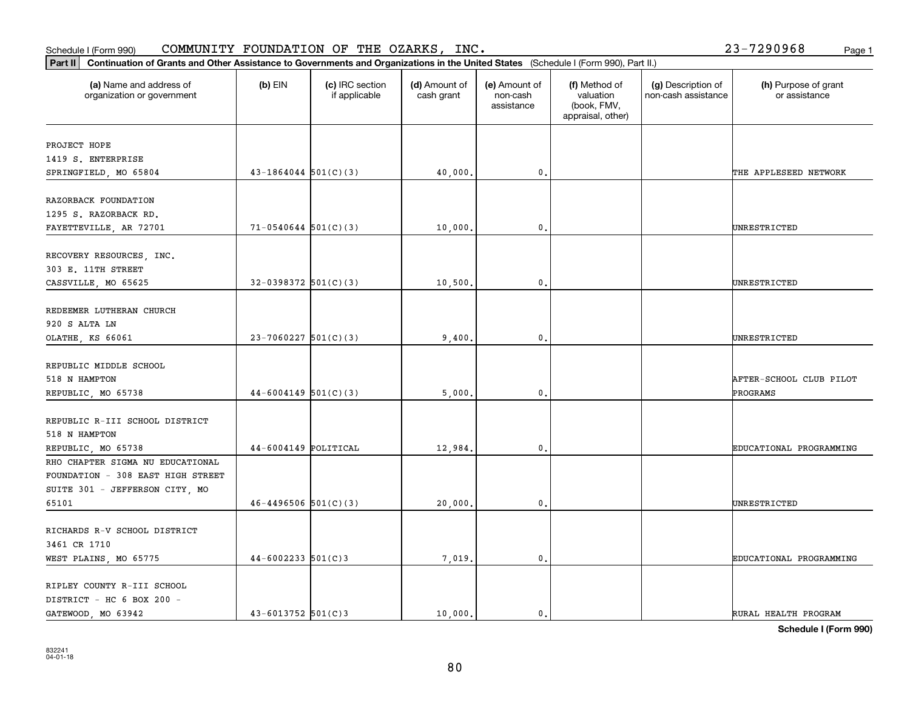| organization or government                                                                              |                            | if applicable | cash grant | non-cash<br>assistance | valuation<br>(book, FMV,<br>appraisal, other) | non-cash assistance | or assistance                       |
|---------------------------------------------------------------------------------------------------------|----------------------------|---------------|------------|------------------------|-----------------------------------------------|---------------------|-------------------------------------|
| PROJECT HOPE                                                                                            |                            |               |            |                        |                                               |                     |                                     |
| 1419 S. ENTERPRISE                                                                                      |                            |               |            |                        |                                               |                     |                                     |
| SPRINGFIELD, MO 65804                                                                                   | $43 - 1864044$ 501(C)(3)   |               | 40,000.    | $\mathbf{0}$ .         |                                               |                     | THE APPLESEED NETWORK               |
| RAZORBACK FOUNDATION<br>1295 S. RAZORBACK RD.                                                           |                            |               |            |                        |                                               |                     |                                     |
| FAYETTEVILLE, AR 72701                                                                                  | $71-0540644$ 501(C)(3)     |               | 10,000.    | $\mathbf{0}$ .         |                                               |                     | UNRESTRICTED                        |
| RECOVERY RESOURCES, INC.<br>303 E. 11TH STREET                                                          |                            |               |            |                        |                                               |                     |                                     |
| CASSVILLE, MO 65625                                                                                     | $32-0398372$ 501(C)(3)     |               | 10,500.    | $\mathbf{0}$ .         |                                               |                     | UNRESTRICTED                        |
| REDEEMER LUTHERAN CHURCH<br>920 S ALTA LN                                                               |                            |               |            |                        |                                               |                     |                                     |
| OLATHE, KS 66061                                                                                        | $23-7060227$ 501(C)(3)     |               | 9,400.     | 0.                     |                                               |                     | UNRESTRICTED                        |
| REPUBLIC MIDDLE SCHOOL<br>518 N HAMPTON<br>REPUBLIC, MO 65738                                           | $44-6004149$ 501(C)(3)     |               | 5,000.     | $\mathbf{0}$ .         |                                               |                     | AFTER-SCHOOL CLUB PILOT<br>PROGRAMS |
| REPUBLIC R-III SCHOOL DISTRICT<br>518 N HAMPTON                                                         |                            |               |            |                        |                                               |                     |                                     |
| REPUBLIC, MO 65738                                                                                      | $44-6004149$ POLITICAL     |               | 12,984.    | $\mathfrak{o}$ .       |                                               |                     | EDUCATIONAL PROGRAMMING             |
| RHO CHAPTER SIGMA NU EDUCATIONAL<br>FOUNDATION - 308 EAST HIGH STREET<br>SUITE 301 - JEFFERSON CITY, MO |                            |               |            |                        |                                               |                     |                                     |
| 65101                                                                                                   | $46 - 4496506$ $501(C)(3)$ |               | 20,000.    | $\mathbf{0}$ .         |                                               |                     | UNRESTRICTED                        |
| RICHARDS R-V SCHOOL DISTRICT<br>3461 CR 1710                                                            |                            |               |            |                        |                                               |                     |                                     |
| WEST PLAINS, MO 65775                                                                                   | $44 - 6002233$ 501(C) 3    |               | 7,019.     | $\mathbf{0}$ .         |                                               |                     | EDUCATIONAL PROGRAMMING             |
| RIPLEY COUNTY R-III SCHOOL<br>DISTRICT - HC 6 BOX 200 -<br>GATEWOOD, MO 63942                           | $43 - 6013752$ 501(C) 3    |               | 10,000.    | $\mathbf{0}$ .         |                                               |                     | RURAL HEALTH PROGRAM                |

### Schedule I (Form 990)  ${\tt COMMUNITY}$  <code>FOUNDATION OF THE OZARKS, INC</code> .  $23-7290968$  Page 1

**Part II Continuation of Grants and Other Assistance to Governments and Organizations in the United States**  (Schedule I (Form 990), Part II.)

 $(b)$  EIN  $\vert$   $(c)$  IRC section

**(a) (b) (c) (d) (e) (f) (g) (h)** Name and address of

(d) Amount of

(e) Amount of

(f) Method of

(g) Description of

(h) Purpose of grant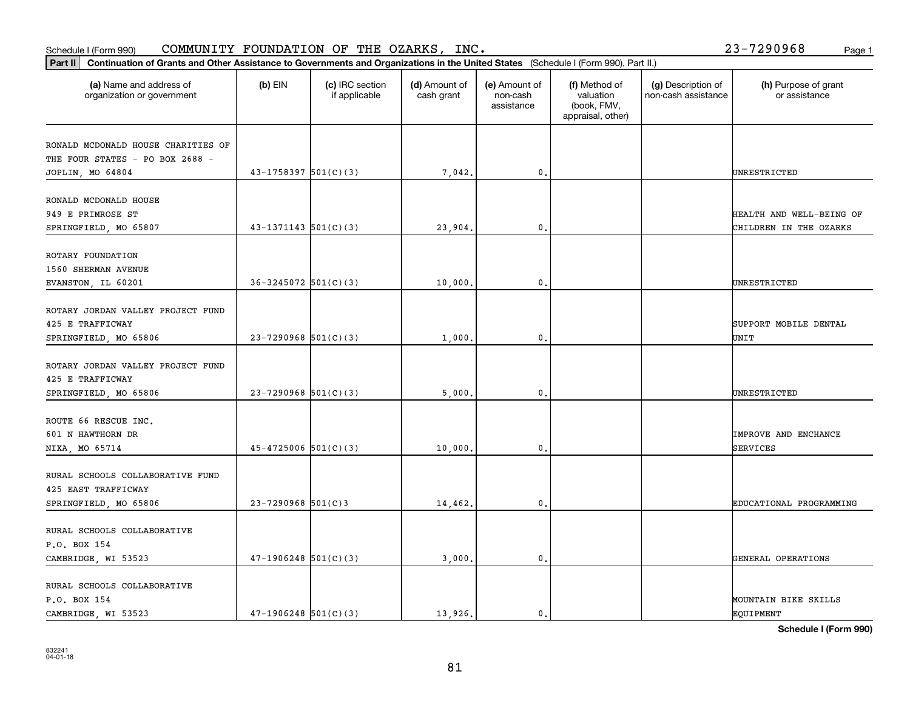#### **Part II Continuation of Grants and Other Assistance to Governments and Organizations in Continuation of Grants and Other Assistance to Governments and Organizations of Grants and Organizations of Organizations of Organi** Schedule I (Form 990)  ${\tt COMMUNITY}$  <code>FOUNDATION OF THE OZARKS, INC</code> .  $23-7290968$  Page 1

| Continuation of Grants and Other Assistance to Governments and Organizations in the United States (Schedule I (Form 990), Part II.)<br>Part II |                            |                                  |                             |                                         |                                                                |                                           |                                                    |  |
|------------------------------------------------------------------------------------------------------------------------------------------------|----------------------------|----------------------------------|-----------------------------|-----------------------------------------|----------------------------------------------------------------|-------------------------------------------|----------------------------------------------------|--|
| (a) Name and address of<br>organization or government                                                                                          | $(b)$ EIN                  | (c) IRC section<br>if applicable | (d) Amount of<br>cash grant | (e) Amount of<br>non-cash<br>assistance | (f) Method of<br>valuation<br>(book, FMV,<br>appraisal, other) | (g) Description of<br>non-cash assistance | (h) Purpose of grant<br>or assistance              |  |
| RONALD MCDONALD HOUSE CHARITIES OF<br>THE FOUR STATES - PO BOX 2688 -<br>JOPLIN, MO 64804                                                      | $43 - 1758397$ $501(C)(3)$ |                                  | 7,042.                      | $\mathbf{0}$ .                          |                                                                |                                           | UNRESTRICTED                                       |  |
| RONALD MCDONALD HOUSE<br>949 E PRIMROSE ST<br>SPRINGFIELD, MO 65807                                                                            | $43-1371143$ 501(C)(3)     |                                  | 23,904                      | $\mathbf{0}$ .                          |                                                                |                                           | HEALTH AND WELL-BEING OF<br>CHILDREN IN THE OZARKS |  |
| ROTARY FOUNDATION<br>1560 SHERMAN AVENUE<br>EVANSTON, IL 60201                                                                                 | $36 - 3245072$ $501(C)(3)$ |                                  | 10,000.                     | 0.                                      |                                                                |                                           | UNRESTRICTED                                       |  |
| ROTARY JORDAN VALLEY PROJECT FUND<br>425 E TRAFFICWAY<br>SPRINGFIELD, MO 65806                                                                 | $23 - 7290968$ 501(C)(3)   |                                  | 1,000.                      | 0.                                      |                                                                |                                           | SUPPORT MOBILE DENTAL<br>UNIT                      |  |
| ROTARY JORDAN VALLEY PROJECT FUND<br>425 E TRAFFICWAY<br>SPRINGFIELD, MO 65806                                                                 | $23 - 7290968$ 501(C)(3)   |                                  | 5,000.                      | $\mathbf{0}$ .                          |                                                                |                                           | UNRESTRICTED                                       |  |
| ROUTE 66 RESCUE INC.<br>601 N HAWTHORN DR<br>NIXA, MO 65714                                                                                    | $45 - 4725006$ $501(C)(3)$ |                                  | 10,000.                     | 0.                                      |                                                                |                                           | IMPROVE AND ENCHANCE<br><b>SERVICES</b>            |  |
| RURAL SCHOOLS COLLABORATIVE FUND<br>425 EAST TRAFFICWAY<br>SPRINGFIELD, MO 65806                                                               | $23 - 7290968$ 501(C)3     |                                  | 14,462.                     | 0.                                      |                                                                |                                           | EDUCATIONAL PROGRAMMING                            |  |
| RURAL SCHOOLS COLLABORATIVE<br>P.O. BOX 154<br>CAMBRIDGE, WI 53523                                                                             | $47-1906248$ 501(C)(3)     |                                  | 3,000,                      | $\mathbf{0}$ .                          |                                                                |                                           | GENERAL OPERATIONS                                 |  |
| RURAL SCHOOLS COLLABORATIVE<br>P.O. BOX 154<br>CAMBRIDGE, WI 53523                                                                             | $47-1906248$ 501(C)(3)     |                                  | 13,926.                     | $\mathbf{0}$ .                          |                                                                |                                           | MOUNTAIN BIKE SKILLS<br><b>EOUIPMENT</b>           |  |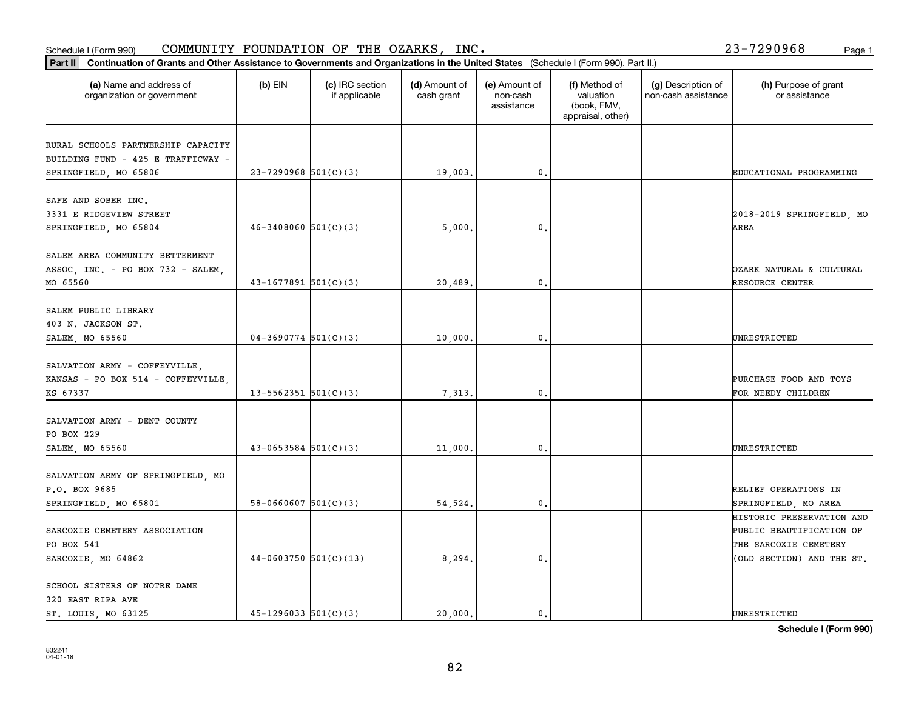### Schedule I (Form 990)  ${\tt COMMUNITY}$  <code>FOUNDATION OF THE OZARKS, INC</code> .  $23-7290968$  Page 1

|                                                       | Part II   Continuation of Grants and Other Assistance to Governments and Organizations in the United States (Schedule I (Form 990), Part II.) |                                  |                             |                                         |                                                                |                                           |                                       |  |  |  |  |
|-------------------------------------------------------|-----------------------------------------------------------------------------------------------------------------------------------------------|----------------------------------|-----------------------------|-----------------------------------------|----------------------------------------------------------------|-------------------------------------------|---------------------------------------|--|--|--|--|
| (a) Name and address of<br>organization or government | $(b)$ EIN                                                                                                                                     | (c) IRC section<br>if applicable | (d) Amount of<br>cash grant | (e) Amount of<br>non-cash<br>assistance | (f) Method of<br>valuation<br>(book, FMV,<br>appraisal, other) | (g) Description of<br>non-cash assistance | (h) Purpose of grant<br>or assistance |  |  |  |  |
| RURAL SCHOOLS PARTNERSHIP CAPACITY                    |                                                                                                                                               |                                  |                             |                                         |                                                                |                                           |                                       |  |  |  |  |
| BUILDING FUND - 425 E TRAFFICWAY -                    |                                                                                                                                               |                                  |                             |                                         |                                                                |                                           |                                       |  |  |  |  |
| SPRINGFIELD, MO 65806                                 | $23 - 7290968$ 501(C)(3)                                                                                                                      |                                  | 19,003.                     | 0.                                      |                                                                |                                           | EDUCATIONAL PROGRAMMING               |  |  |  |  |
|                                                       |                                                                                                                                               |                                  |                             |                                         |                                                                |                                           |                                       |  |  |  |  |
| SAFE AND SOBER INC.                                   |                                                                                                                                               |                                  |                             |                                         |                                                                |                                           |                                       |  |  |  |  |
| 3331 E RIDGEVIEW STREET                               |                                                                                                                                               |                                  |                             |                                         |                                                                |                                           | 2018-2019 SPRINGFIELD, MO             |  |  |  |  |
| SPRINGFIELD, MO 65804                                 | $46 - 3408060$ $501(C)(3)$                                                                                                                    |                                  | 5,000                       | $\mathbf{0}$ .                          |                                                                |                                           | AREA                                  |  |  |  |  |
|                                                       |                                                                                                                                               |                                  |                             |                                         |                                                                |                                           |                                       |  |  |  |  |
| SALEM AREA COMMUNITY BETTERMENT                       |                                                                                                                                               |                                  |                             |                                         |                                                                |                                           |                                       |  |  |  |  |
| ASSOC, INC. - PO BOX 732 - SALEM,                     |                                                                                                                                               |                                  |                             |                                         |                                                                |                                           | OZARK NATURAL & CULTURAL              |  |  |  |  |
| MO 65560                                              | $43-1677891$ 501(C)(3)                                                                                                                        |                                  | 20,489.                     | $\mathbf{0}$ .                          |                                                                |                                           | RESOURCE CENTER                       |  |  |  |  |
| SALEM PUBLIC LIBRARY                                  |                                                                                                                                               |                                  |                             |                                         |                                                                |                                           |                                       |  |  |  |  |
| 403 N. JACKSON ST.                                    |                                                                                                                                               |                                  |                             |                                         |                                                                |                                           |                                       |  |  |  |  |
| SALEM, MO 65560                                       | $04-3690774$ 501(C)(3)                                                                                                                        |                                  | 10,000.                     | 0.                                      |                                                                |                                           | UNRESTRICTED                          |  |  |  |  |
|                                                       |                                                                                                                                               |                                  |                             |                                         |                                                                |                                           |                                       |  |  |  |  |
| SALVATION ARMY - COFFEYVILLE,                         |                                                                                                                                               |                                  |                             |                                         |                                                                |                                           |                                       |  |  |  |  |
| KANSAS - PO BOX 514 - COFFEYVILLE,                    |                                                                                                                                               |                                  |                             |                                         |                                                                |                                           | PURCHASE FOOD AND TOYS                |  |  |  |  |
| KS 67337                                              | $13 - 5562351$ $501(C)(3)$                                                                                                                    |                                  | 7,313.                      | 0.                                      |                                                                |                                           | FOR NEEDY CHILDREN                    |  |  |  |  |
|                                                       |                                                                                                                                               |                                  |                             |                                         |                                                                |                                           |                                       |  |  |  |  |
| SALVATION ARMY - DENT COUNTY                          |                                                                                                                                               |                                  |                             |                                         |                                                                |                                           |                                       |  |  |  |  |
| PO BOX 229                                            |                                                                                                                                               |                                  |                             |                                         |                                                                |                                           |                                       |  |  |  |  |
| SALEM, MO 65560                                       | $43 - 0653584$ 501(C)(3)                                                                                                                      |                                  | 11,000.                     | $\mathbf{0}$ .                          |                                                                |                                           | UNRESTRICTED                          |  |  |  |  |
|                                                       |                                                                                                                                               |                                  |                             |                                         |                                                                |                                           |                                       |  |  |  |  |
| SALVATION ARMY OF SPRINGFIELD, MO                     |                                                                                                                                               |                                  |                             |                                         |                                                                |                                           |                                       |  |  |  |  |
| P.O. BOX 9685                                         |                                                                                                                                               |                                  |                             |                                         |                                                                |                                           | RELIEF OPERATIONS IN                  |  |  |  |  |
| SPRINGFIELD, MO 65801                                 | $58 - 0660607$ $501(C)(3)$                                                                                                                    |                                  | 54,524.                     | $\mathfrak o$ .                         |                                                                |                                           | SPRINGFIELD, MO AREA                  |  |  |  |  |
|                                                       |                                                                                                                                               |                                  |                             |                                         |                                                                |                                           | HISTORIC PRESERVATION AND             |  |  |  |  |
| SARCOXIE CEMETERY ASSOCIATION                         |                                                                                                                                               |                                  |                             |                                         |                                                                |                                           | PUBLIC BEAUTIFICATION OF              |  |  |  |  |
| PO BOX 541                                            |                                                                                                                                               |                                  |                             |                                         |                                                                |                                           | THE SARCOXIE CEMETERY                 |  |  |  |  |
| SARCOXIE, MO 64862                                    | $44-0603750$ 501(C)(13)                                                                                                                       |                                  | 8,294.                      | 0.                                      |                                                                |                                           | (OLD SECTION) AND THE ST.             |  |  |  |  |
| SCHOOL SISTERS OF NOTRE DAME                          |                                                                                                                                               |                                  |                             |                                         |                                                                |                                           |                                       |  |  |  |  |
| 320 EAST RIPA AVE                                     |                                                                                                                                               |                                  |                             |                                         |                                                                |                                           |                                       |  |  |  |  |
| ST. LOUIS, MO 63125                                   | $45 - 1296033$ $501(C)(3)$                                                                                                                    |                                  | 20,000.                     | 0.                                      |                                                                |                                           | UNRESTRICTED                          |  |  |  |  |
|                                                       |                                                                                                                                               |                                  |                             |                                         |                                                                |                                           |                                       |  |  |  |  |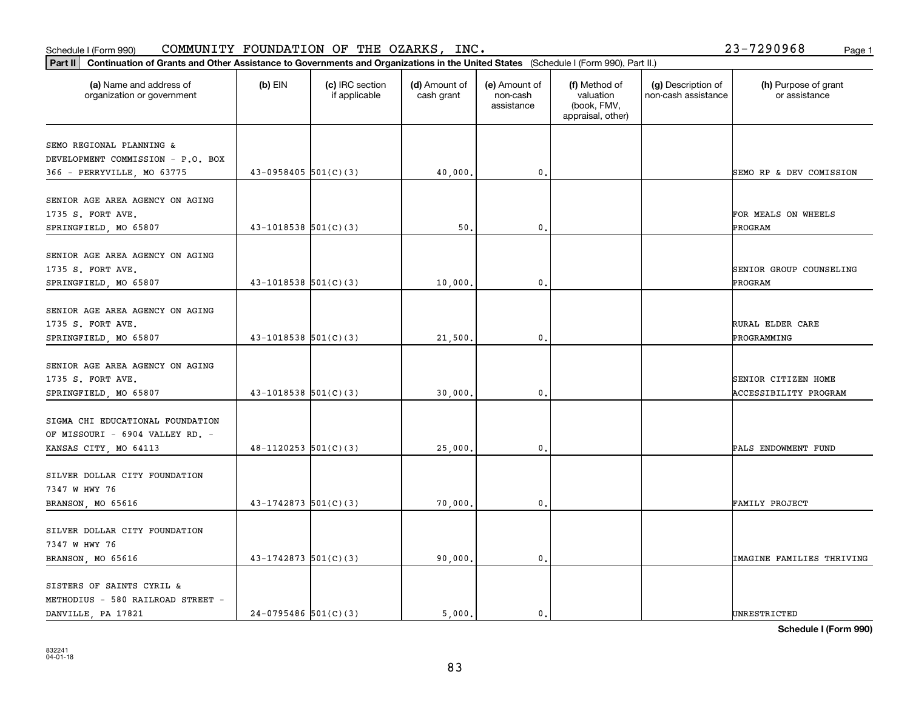| SIGMA CHI EDUCATIONAL FOUNDATION  |                            |         |    |  |                           |
|-----------------------------------|----------------------------|---------|----|--|---------------------------|
| OF MISSOURI - 6904 VALLEY RD. -   |                            |         |    |  |                           |
| KANSAS CITY, MO 64113             | $48-1120253$ $501(C)(3)$   | 25,000. |    |  | PALS ENDOWMENT FUND       |
|                                   |                            |         |    |  |                           |
| SILVER DOLLAR CITY FOUNDATION     |                            |         |    |  |                           |
| 7347 W HWY 76                     |                            |         |    |  |                           |
| BRANSON, MO 65616                 | $43 - 1742873$ $501(C)(3)$ | 70,000. | 0. |  | FAMILY PROJECT            |
|                                   |                            |         |    |  |                           |
| SILVER DOLLAR CITY FOUNDATION     |                            |         |    |  |                           |
| 7347 W HWY 76                     |                            |         |    |  |                           |
| BRANSON, MO 65616                 | $43 - 1742873$ $501(C)(3)$ | 90,000. |    |  | IMAGINE FAMILIES THRIVING |
|                                   |                            |         |    |  |                           |
| SISTERS OF SAINTS CYRIL &         |                            |         |    |  |                           |
| METHODIUS - 580 RAILROAD STREET - |                            |         |    |  |                           |

Schedule I (Form 990)  ${\tt COMMUNITY}$  <code>FOUNDATION OF THE OZARKS, INC</code> .  $23-7290968$  Page 1

organization or government

DEVELOPMENT COMMISSION - P.O. BOX

SENIOR AGE AREA AGENCY ON AGING

SEMO REGIONAL PLANNING &

**Part II Continuation of Grants and Other Assistance to Governments and Organizations in the United States**  (Schedule I (Form 990), Part II.)

if applicable

 $(b)$  EIN  $(c)$  IRC section

**(a) (b) (c) (d) (e) (f) (g) (h)** Name and address of

(d) Amount of cash grant

366 - PERRYVILLE, MO 63775 43-0958405 501(C)(3) 40,000. 0. SEMO RP & DEV COMISSION

1735 S. FORT AVE. THE RELEASURE ON THE RELEASURE ON THE RELEASURE ON THE RELEASURE ON THE RELEASURE ON THE RELE

(e) Amount of non-cashassistance

(f) Method of valuation (book, FMV, appraisal, other)

(g) Description of non-cash assistance

(h) Purpose of grant or assistance

| SPRINGFIELD, MO 65807            | $43 - 1018538$ $501(C)(3)$ | 50.     | $\mathfrak o$ .   | <b>PROGRAM</b>               |
|----------------------------------|----------------------------|---------|-------------------|------------------------------|
| SENIOR AGE AREA AGENCY ON AGING  |                            |         |                   |                              |
| 1735 S. FORT AVE.                |                            |         |                   | SENIOR GROUP COUNSELING      |
|                                  |                            |         |                   |                              |
| SPRINGFIELD, MO 65807            | $43 - 1018538$ $501(C)(3)$ | 10,000. | $\,$ 0 $_\bullet$ | PROGRAM                      |
| SENIOR AGE AREA AGENCY ON AGING  |                            |         |                   |                              |
| 1735 S. FORT AVE.                |                            |         |                   | RURAL ELDER CARE             |
| SPRINGFIELD, MO 65807            | $43 - 1018538$ $501(C)(3)$ | 21,500. | $\,$ 0 $_\bullet$ | PROGRAMMING                  |
| SENIOR AGE AREA AGENCY ON AGING  |                            |         |                   |                              |
| 1735 S. FORT AVE.                |                            |         |                   | <b>SENIOR CITIZEN HOME</b>   |
| SPRINGFIELD, MO 65807            | $43 - 1018538$ $501(C)(3)$ | 30,000. | $\mathfrak o$ .   | <b>ACCESSIBILITY PROGRAM</b> |
|                                  |                            |         |                   |                              |
| SIGMA CHI EDUCATIONAL FOUNDATION |                            |         |                   |                              |
| OF MISSOURI - 6904 VALLEY RD. -  |                            |         |                   |                              |
| KANSAS CITY, MO 64113            | $48-1120253$ 501(C)(3)     | 25,000. | $\mathfrak{o}$ .  | PALS ENDOWMENT FUND          |
| SILVER DOLLAR CITY FOUNDATION    |                            |         |                   |                              |
| 7347 W HWY 76                    |                            |         |                   |                              |
| BRANSON, MO 65616                | $43 - 1742873$ 501(C)(3)   | 70,000. | $\mathbf{0}$ .    | <b>FAMILY PROJECT</b>        |
| SILVER DOLLAR CITY FOUNDATION    |                            |         |                   |                              |
| 7347 W HWY 76                    |                            |         |                   |                              |
| BRANSON, MO 65616                | $43-1742873$ 501(C)(3)     | 90,000. | $\mathbf{0}$ .    | IMAGINE FAMILIES THRIVING    |
|                                  |                            |         |                   |                              |
| SISTERS OF SAINTS CYRIL &        |                            |         |                   |                              |
|                                  |                            |         |                   |                              |

**Schedule I (Form 990)**

DANVILLE, PA 17821 24-0795486 501(C)(3) 35,000. 0.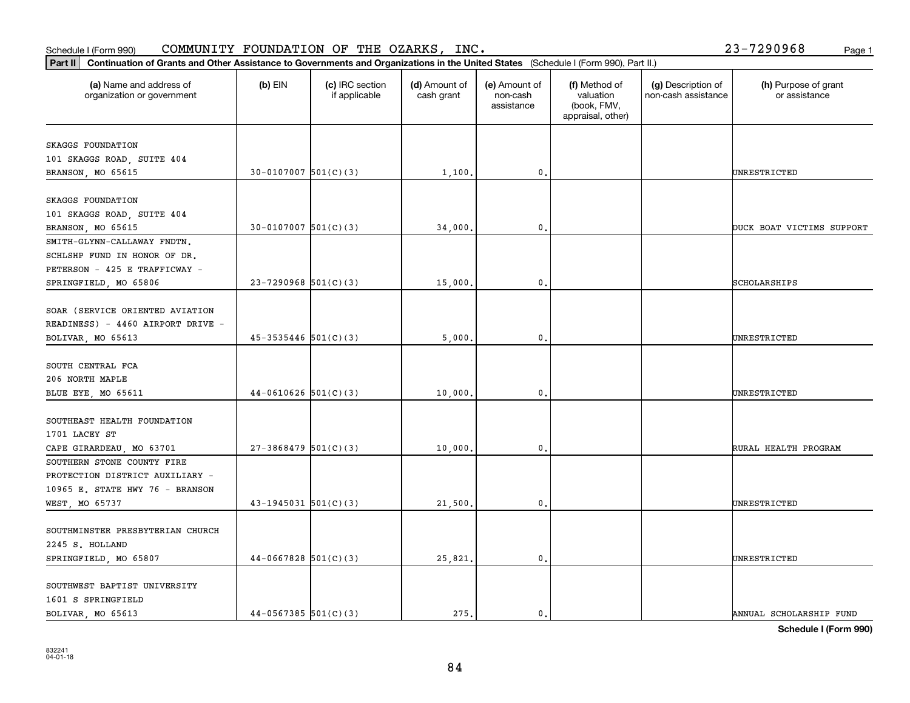| SKAGGS FOUNDATION                 |                          |         |                |  |                           |
|-----------------------------------|--------------------------|---------|----------------|--|---------------------------|
| 101 SKAGGS ROAD, SUITE 404        |                          |         |                |  |                           |
| BRANSON, MO 65615                 | $30-0107007$ 501(C)(3)   | 1,100.  | $\mathbf{0}$ . |  | UNRESTRICTED              |
|                                   |                          |         |                |  |                           |
| SKAGGS FOUNDATION                 |                          |         |                |  |                           |
| 101 SKAGGS ROAD, SUITE 404        |                          |         |                |  |                           |
| BRANSON, MO 65615                 | $30-0107007$ 501(C)(3)   | 34,000  | $\mathbf{0}$ . |  | DUCK BOAT VICTIMS SUPPORT |
| SMITH-GLYNN-CALLAWAY FNDTN.       |                          |         |                |  |                           |
| SCHLSHP FUND IN HONOR OF DR.      |                          |         |                |  |                           |
| PETERSON - 425 E TRAFFICWAY -     |                          |         |                |  |                           |
| SPRINGFIELD, MO 65806             | $23 - 7290968$ 501(C)(3) | 15,000. | $\mathbf{0}$ . |  | <b>SCHOLARSHIPS</b>       |
|                                   |                          |         |                |  |                           |
| SOAR (SERVICE ORIENTED AVIATION   |                          |         |                |  |                           |
| READINESS) - 4460 AIRPORT DRIVE - |                          |         |                |  |                           |
| BOLIVAR, MO 65613                 | $45 - 3535446$ 501(C)(3) | 5,000   | 0.             |  | UNRESTRICTED              |
|                                   |                          |         |                |  |                           |
| SOUTH CENTRAL FCA                 |                          |         |                |  |                           |
| 206 NORTH MAPLE                   |                          |         |                |  |                           |
| BLUE EYE, MO 65611                | $44-0610626$ 501(C)(3)   | 10,000  | 0.             |  | UNRESTRICTED              |
| SOUTHEAST HEALTH FOUNDATION       |                          |         |                |  |                           |
| 1701 LACEY ST                     |                          |         |                |  |                           |
| CAPE GIRARDEAU, MO 63701          | $27 - 3868479$ 501(C)(3) | 10,000. | $\mathbf{0}$ . |  | RURAL HEALTH PROGRAM      |
| SOUTHERN STONE COUNTY FIRE        |                          |         |                |  |                           |
| PROTECTION DISTRICT AUXILIARY -   |                          |         |                |  |                           |
| 10965 E. STATE HWY 76 - BRANSON   |                          |         |                |  |                           |
| WEST, MO 65737                    | $43 - 1945031$ 501(C)(3) | 21,500. | 0.             |  | UNRESTRICTED              |
|                                   |                          |         |                |  |                           |
| SOUTHMINSTER PRESBYTERIAN CHURCH  |                          |         |                |  |                           |
| 2245 S. HOLLAND                   |                          |         |                |  |                           |
| SPRINGFIELD, MO 65807             | $44-0667828$ 501(C)(3)   | 25,821  | $\mathbf{0}$ . |  | UNRESTRICTED              |
|                                   |                          |         |                |  |                           |
| SOUTHWEST BAPTIST UNIVERSITY      |                          |         |                |  |                           |
| 1601 S SPRINGFIELD                |                          |         |                |  |                           |
| BOLIVAR, MO 65613                 | $44-0567385$ 501(C)(3)   | 275.    | $\mathbf 0$ .  |  | ANNUAL SCHOLARSHIP FUND   |

**Schedule I (Form 990)**

organization or government

Schedule I (Form 990)  ${\tt COMMUNITY}$  <code>FOUNDATION OF THE OZARKS, INC</code> .  $23-7290968$  Page 1

(h) Purpose of grant or assistance

**(a) (b) (c) (d) (e) (f) (g) (h)** Name and address of

(d) Amount of cash grant

(e) Amount of non-cashassistance

(f) Method of valuation (book, FMV, appraisal, other)

(g) Description of non-cash assistance

**Part II Continuation of Grants and Other Assistance to Governments and Organizations in the United States**  (Schedule I (Form 990), Part II.)

if applicable

 $(b)$  EIN  $(c)$  IRC section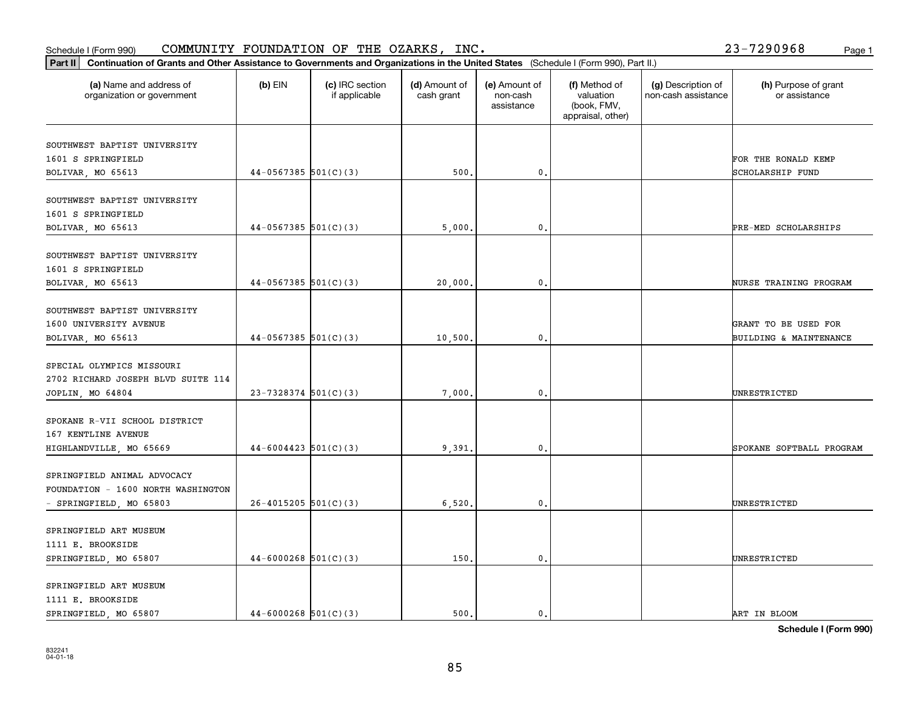SPRINGFIELD ART MUSEUM 1111 E. BROOKSIDE

| BOLIVAR, MO 65613                  | $44-0567385$ $501(C)(3)$ | 500.    | $0$ .            | SCHOLARSHIP FUND         |
|------------------------------------|--------------------------|---------|------------------|--------------------------|
| SOUTHWEST BAPTIST UNIVERSITY       |                          |         |                  |                          |
| 1601 S SPRINGFIELD                 |                          |         |                  |                          |
| BOLIVAR, MO 65613                  | $44 - 0567385$ 501(C)(3) | 5,000.  | $\mathbf{0}$ .   | PRE-MED SCHOLARSHIPS     |
| SOUTHWEST BAPTIST UNIVERSITY       |                          |         |                  |                          |
| 1601 S SPRINGFIELD                 |                          |         |                  |                          |
| BOLIVAR, MO 65613                  | $44-0567385$ 501(C)(3)   | 20,000, | $\mathfrak{o}$ . | NURSE TRAINING PROGRAM   |
| SOUTHWEST BAPTIST UNIVERSITY       |                          |         |                  |                          |
| 1600 UNIVERSITY AVENUE             |                          |         |                  | GRANT TO BE USED FOR     |
| BOLIVAR, MO 65613                  | $44-0567385$ 501(C)(3)   | 10,500. | $\mathfrak{o}$ . | BUILDING & MAINTENANCE   |
|                                    |                          |         |                  |                          |
| SPECIAL OLYMPICS MISSOURI          |                          |         |                  |                          |
| 2702 RICHARD JOSEPH BLVD SUITE 114 |                          |         |                  |                          |
| JOPLIN, MO 64804                   | $23 - 7328374$ 501(C)(3) | 7,000.  | 0.               | UNRESTRICTED             |
|                                    |                          |         |                  |                          |
| SPOKANE R-VII SCHOOL DISTRICT      |                          |         |                  |                          |
| <b>167 KENTLINE AVENUE</b>         |                          |         |                  |                          |
| HIGHLANDVILLE, MO 65669            | $44-6004423$ 501(C)(3)   | 9,391.  | 0.               | SPOKANE SOFTBALL PROGRAM |
|                                    |                          |         |                  |                          |
| SPRINGFIELD ANIMAL ADVOCACY        |                          |         |                  |                          |
| FOUNDATION - 1600 NORTH WASHINGTON |                          |         |                  |                          |
| - SPRINGFIELD, MO 65803            | $26 - 4015205$ 501(C)(3) | 6,520.  | $\mathbf{0}$ .   | UNRESTRICTED             |
|                                    |                          |         |                  |                          |
| SPRINGFIELD ART MUSEUM             |                          |         |                  |                          |
| 1111 E. BROOKSIDE                  |                          |         |                  |                          |
| SPRINGFIELD, MO 65807              | $44-6000268$ 501(C)(3)   | 150.    | $\mathbf{0}$ .   | UNRESTRICTED             |
|                                    |                          |         |                  |                          |

### Schedule I (Form 990)  ${\tt COMMUNITY}$  <code>FOUNDATION OF THE OZARKS, INC</code> .  $23-7290968$  Page 1

organization or government

SOUTHWEST BAPTIST UNIVERSITY

**Part II Continuation of Grants and Other Assistance to Governments and Organizations in the United States**  (Schedule I (Form 990), Part II.)

if applicable

 $(b)$  EIN  $(c)$  IRC section

**(a) (b) (c) (d) (e) (f) (g) (h)** Name and address of

(d) Amount of cash grant

1601 S SPRINGFIELD FOR THE RONALD KEMP

(e) Amount of non-cashassistance

(f) Method of valuation (book, FMV, appraisal, other)

(g) Description of non-cash assistance

(h) Purpose of grant or assistance

SPRINGFIELD, MO 65807 44-6000268 501(C)(3) 500. 0. 0. 0. ART IN BLOOM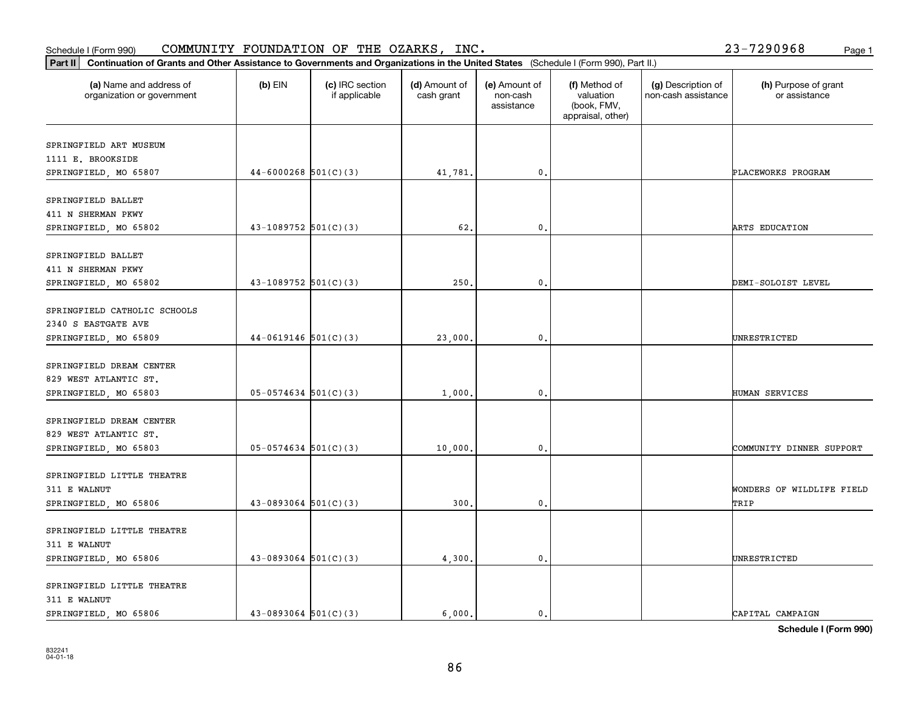| (a) Name and address of<br>organization or government | (b) EIN                  | (c) IRC section<br>if applicable | (d) Amount of<br>cash grant | (e) Amount of<br>non-cash<br>assistance | (f) Method of<br>valuation<br>(book, FMV,<br>appraisal, other) | (g) Description of<br>non-cash assistance | (h) Purpose of grant<br>or assistance |
|-------------------------------------------------------|--------------------------|----------------------------------|-----------------------------|-----------------------------------------|----------------------------------------------------------------|-------------------------------------------|---------------------------------------|
| SPRINGFIELD ART MUSEUM                                |                          |                                  |                             |                                         |                                                                |                                           |                                       |
| 1111 E. BROOKSIDE                                     |                          |                                  |                             |                                         |                                                                |                                           |                                       |
| SPRINGFIELD, MO 65807                                 | $44-6000268$ 501(C)(3)   |                                  | 41,781.                     | $\mathbf{0}$                            |                                                                |                                           | PLACEWORKS PROGRAM                    |
| SPRINGFIELD BALLET                                    |                          |                                  |                             |                                         |                                                                |                                           |                                       |
| 411 N SHERMAN PKWY                                    |                          |                                  |                             |                                         |                                                                |                                           |                                       |
| SPRINGFIELD, MO 65802                                 | $43 - 1089752$ 501(C)(3) |                                  | 62.                         | $\mathbf{0}$                            |                                                                |                                           | ARTS EDUCATION                        |
| SPRINGFIELD BALLET                                    |                          |                                  |                             |                                         |                                                                |                                           |                                       |
| 411 N SHERMAN PKWY                                    |                          |                                  |                             |                                         |                                                                |                                           |                                       |
| SPRINGFIELD, MO 65802                                 | $43-1089752$ 501(C)(3)   |                                  | 250.                        | $\mathbf 0$ .                           |                                                                |                                           | DEMI-SOLOIST LEVEL                    |
| SPRINGFIELD CATHOLIC SCHOOLS                          |                          |                                  |                             |                                         |                                                                |                                           |                                       |
| 2340 S EASTGATE AVE                                   |                          |                                  |                             |                                         |                                                                |                                           |                                       |
| SPRINGFIELD, MO 65809                                 | $44-0619146$ 501(C)(3)   |                                  | 23,000                      | $\mathbf 0$ .                           |                                                                |                                           | UNRESTRICTED                          |
| SPRINGFIELD DREAM CENTER                              |                          |                                  |                             |                                         |                                                                |                                           |                                       |
| 829 WEST ATLANTIC ST.                                 |                          |                                  |                             |                                         |                                                                |                                           |                                       |
| SPRINGFIELD, MO 65803                                 | $05-0574634$ 501(C)(3)   |                                  | 1,000,                      | 0.                                      |                                                                |                                           | HUMAN SERVICES                        |
| SPRINGFIELD DREAM CENTER                              |                          |                                  |                             |                                         |                                                                |                                           |                                       |
| 829 WEST ATLANTIC ST.                                 |                          |                                  |                             |                                         |                                                                |                                           |                                       |
| SPRINGFIELD, MO 65803                                 | $05-0574634$ 501(C)(3)   |                                  | 10,000.                     | $\mathbf{0}$                            |                                                                |                                           | COMMUNITY DINNER SUPPORT              |
| SPRINGFIELD LITTLE THEATRE                            |                          |                                  |                             |                                         |                                                                |                                           |                                       |
| 311 E WALNUT                                          |                          |                                  |                             |                                         |                                                                |                                           | WONDERS OF WILDLIFE FIELD             |
| SPRINGFIELD, MO 65806                                 | $43-0893064$ $501(C)(3)$ |                                  | 300.                        | $\mathbf 0$ .                           |                                                                |                                           | TRIP                                  |
| SPRINGFIELD LITTLE THEATRE                            |                          |                                  |                             |                                         |                                                                |                                           |                                       |
| 311 E WALNUT                                          |                          |                                  |                             |                                         |                                                                |                                           |                                       |
| SPRINGFIELD, MO 65806                                 | $43 - 0893064$ 501(C)(3) |                                  | 4,300.                      | 0.                                      |                                                                |                                           | UNRESTRICTED                          |
| SPRINGFIELD LITTLE THEATRE                            |                          |                                  |                             |                                         |                                                                |                                           |                                       |
| 311 E WALNUT                                          |                          |                                  |                             |                                         |                                                                |                                           |                                       |
| SPRINGFIELD, MO 65806                                 | $43 - 0893064$ 501(C)(3) |                                  | 6,000.                      | 0.                                      |                                                                |                                           | CAPITAL CAMPAIGN                      |

**Schedule I (Form 990)**

### Schedule I (Form 990)  ${\tt COMMUNITY}$  <code>FOUNDATION OF THE OZARKS, INC</code> .  $23-7290968$  Page 1

**Part II Continuation of Grants and Other Assistance to Governments and Organizations in the United States**  (Schedule I (Form 990), Part II.)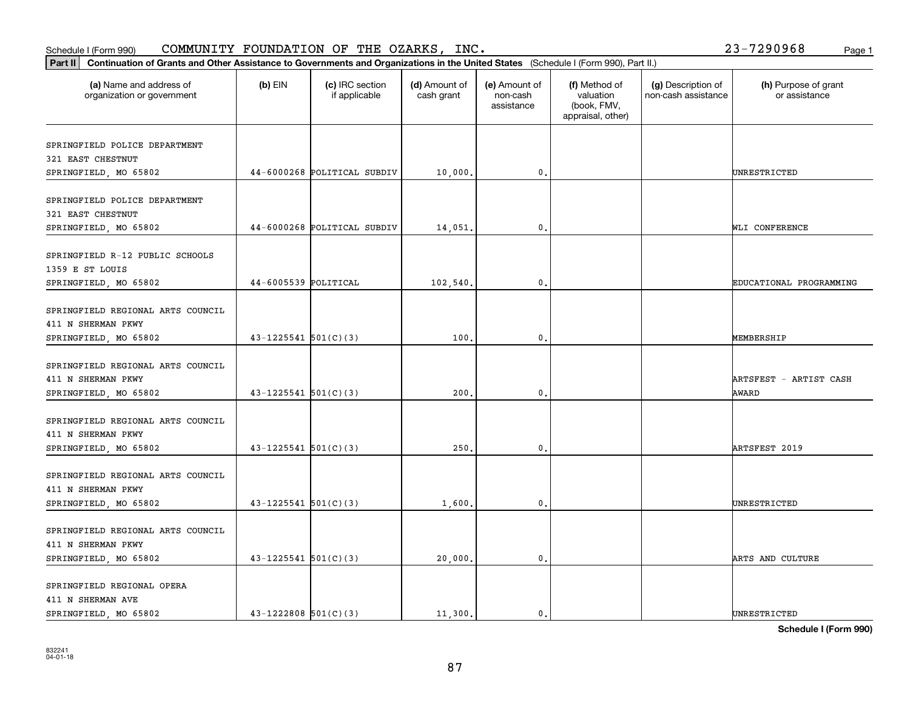| SPRINGFIELD POLICE DEPARTMENT     |                            |                             |          |    |  |                         |
|-----------------------------------|----------------------------|-----------------------------|----------|----|--|-------------------------|
| 321 EAST CHESTNUT                 |                            |                             |          |    |  |                         |
| SPRINGFIELD, MO 65802             |                            | 44-6000268 POLITICAL SUBDIV | 10,000.  | 0. |  | UNRESTRICTED            |
|                                   |                            |                             |          |    |  |                         |
| SPRINGFIELD POLICE DEPARTMENT     |                            |                             |          |    |  |                         |
| 321 EAST CHESTNUT                 |                            |                             |          |    |  |                         |
| SPRINGFIELD, MO 65802             |                            | 44-6000268 POLITICAL SUBDIV | 14,051.  | 0. |  | WLI CONFERENCE          |
|                                   |                            |                             |          |    |  |                         |
| SPRINGFIELD R-12 PUBLIC SCHOOLS   |                            |                             |          |    |  |                         |
| 1359 E ST LOUIS                   |                            |                             |          |    |  |                         |
| SPRINGFIELD, MO 65802             | 44-6005539 POLITICAL       |                             | 102,540. | 0. |  | EDUCATIONAL PROGRAMMING |
|                                   |                            |                             |          |    |  |                         |
| SPRINGFIELD REGIONAL ARTS COUNCIL |                            |                             |          |    |  |                         |
| 411 N SHERMAN PKWY                |                            |                             |          |    |  |                         |
| SPRINGFIELD, MO 65802             | $43 - 1225541$ $501(C)(3)$ |                             | 100.     | 0. |  | MEMBERSHIP              |
|                                   |                            |                             |          |    |  |                         |
| SPRINGFIELD REGIONAL ARTS COUNCIL |                            |                             |          |    |  |                         |
| 411 N SHERMAN PKWY                |                            |                             |          |    |  | ARTSFEST - ARTIST CASH  |
| SPRINGFIELD, MO 65802             | $43 - 1225541$ $501(C)(3)$ |                             | 200      | 0. |  | AWARD                   |
|                                   |                            |                             |          |    |  |                         |
| SPRINGFIELD REGIONAL ARTS COUNCIL |                            |                             |          |    |  |                         |
| 411 N SHERMAN PKWY                |                            |                             |          |    |  |                         |
| SPRINGFIELD, MO 65802             | $43 - 1225541$ $501(C)(3)$ |                             | 250      | 0. |  | ARTSFEST 2019           |
|                                   |                            |                             |          |    |  |                         |
| SPRINGFIELD REGIONAL ARTS COUNCIL |                            |                             |          |    |  |                         |
| 411 N SHERMAN PKWY                |                            |                             |          |    |  |                         |
| SPRINGFIELD, MO 65802             | $43 - 1225541$ $501(C)(3)$ |                             | 1,600    | 0. |  | UNRESTRICTED            |
|                                   |                            |                             |          |    |  |                         |
| SPRINGFIELD REGIONAL ARTS COUNCIL |                            |                             |          |    |  |                         |
| 411 N SHERMAN PKWY                |                            |                             |          |    |  |                         |
| SPRINGFIELD, MO 65802             | $43 - 1225541$ $501(C)(3)$ |                             | 20,000.  | 0. |  | ARTS AND CULTURE        |
|                                   |                            |                             |          |    |  |                         |
| SPRINGFIELD REGIONAL OPERA        |                            |                             |          |    |  |                         |
| 411 N SHERMAN AVE                 |                            |                             |          |    |  |                         |
| SPRINGFIELD, MO 65802             | $43 - 1222808$ $501(C)(3)$ |                             | 11,300.  | 0. |  | UNRESTRICTED            |

**Schedule I (Form 990)**

organization or government

Schedule I (Form 990)  ${\tt COMMUNITY}$  <code>FOUNDATION OF THE OZARKS, INC</code> .  $23-7290968$  Page 1

 $(b)$  EIN  $(c)$  IRC section

**Part II Continuation of Grants and Other Assistance to Governments and Organizations in the United States**  (Schedule I (Form 990), Part II.)

if applicable

**(a) (b) (c) (d) (e) (f) (g) (h)** Name and address of

(d) Amount of cash grant

(e) Amount of non-cashassistance

(f) Method of valuation (book, FMV, appraisal, other)

(g) Description of non-cash assistance

(h) Purpose of grant or assistance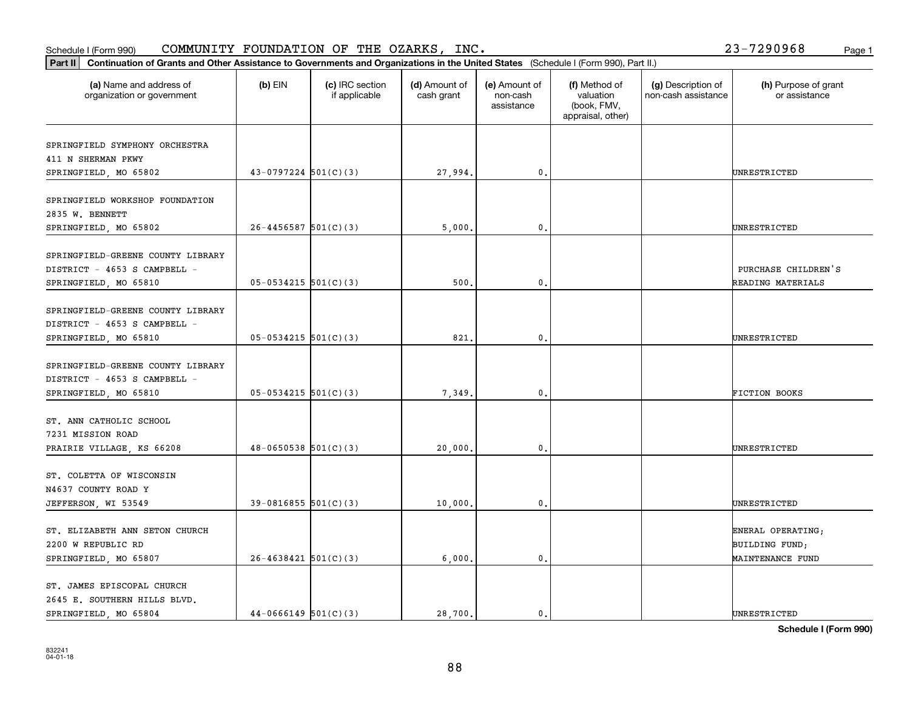#### **Part III Continuation of Grants and Other Assistance to Governments and Organization of Grants and Other Assistance to Governments and Organization of Grants and Other Assistance to Governments and Organization** Schedule I (Form 990)  ${\tt COMMUNITY}$  <code>FOUNDATION OF THE OZARKS, INC</code> .  $23-7290968$  Page 1

| Continuation of Grants and Other Assistance to Governments and Organizations in the United States (Schedule I (Form 990), Part II.)<br>Part II |                            |                                  |                             |                                         |                                                                |                                           |                                                         |  |  |  |
|------------------------------------------------------------------------------------------------------------------------------------------------|----------------------------|----------------------------------|-----------------------------|-----------------------------------------|----------------------------------------------------------------|-------------------------------------------|---------------------------------------------------------|--|--|--|
| (a) Name and address of<br>organization or government                                                                                          | $(b)$ EIN                  | (c) IRC section<br>if applicable | (d) Amount of<br>cash grant | (e) Amount of<br>non-cash<br>assistance | (f) Method of<br>valuation<br>(book, FMV,<br>appraisal, other) | (g) Description of<br>non-cash assistance | (h) Purpose of grant<br>or assistance                   |  |  |  |
| SPRINGFIELD SYMPHONY ORCHESTRA<br>411 N SHERMAN PKWY<br>SPRINGFIELD, MO 65802                                                                  | $43-0797224$ 501(C)(3)     |                                  | 27,994.                     | 0.                                      |                                                                |                                           | UNRESTRICTED                                            |  |  |  |
| SPRINGFIELD WORKSHOP FOUNDATION<br>2835 W. BENNETT<br>SPRINGFIELD, MO 65802                                                                    | $26 - 4456587$ 501(C)(3)   |                                  | 5,000.                      | $\mathbf{0}$ .                          |                                                                |                                           | UNRESTRICTED                                            |  |  |  |
| SPRINGFIELD-GREENE COUNTY LIBRARY<br>DISTRICT - 4653 S CAMPBELL -<br>SPRINGFIELD, MO 65810                                                     | $05-0534215$ $501(C)(3)$   |                                  | 500                         | $\mathbf{0}$                            |                                                                |                                           | PURCHASE CHILDREN'S<br>READING MATERIALS                |  |  |  |
| SPRINGFIELD-GREENE COUNTY LIBRARY<br>DISTRICT - 4653 S CAMPBELL -<br>SPRINGFIELD, MO 65810                                                     | $05 - 0534215$ $501(C)(3)$ |                                  | 821.                        | $\mathfrak{o}$ .                        |                                                                |                                           | UNRESTRICTED                                            |  |  |  |
| SPRINGFIELD-GREENE COUNTY LIBRARY<br>DISTRICT - 4653 S CAMPBELL -<br>SPRINGFIELD, MO 65810                                                     | $05-0534215$ 501(C)(3)     |                                  | 7,349.                      | $\mathbf{0}$ .                          |                                                                |                                           | FICTION BOOKS                                           |  |  |  |
| ST. ANN CATHOLIC SCHOOL<br>7231 MISSION ROAD<br>PRAIRIE VILLAGE, KS 66208                                                                      | $48-0650538$ 501(C)(3)     |                                  | 20,000                      | $\mathbf{0}$                            |                                                                |                                           | UNRESTRICTED                                            |  |  |  |
| ST. COLETTA OF WISCONSIN<br>N4637 COUNTY ROAD Y<br>JEFFERSON, WI 53549                                                                         | $39-0816855$ $501(C)(3)$   |                                  | 10,000                      | 0.                                      |                                                                |                                           | UNRESTRICTED                                            |  |  |  |
| ST. ELIZABETH ANN SETON CHURCH<br>2200 W REPUBLIC RD<br>SPRINGFIELD, MO 65807                                                                  | $26 - 4638421$ 501(C)(3)   |                                  | 6,000,                      | $\mathbf{0}$ .                          |                                                                |                                           | ENERAL OPERATING;<br>BUILDING FUND;<br>MAINTENANCE FUND |  |  |  |
| ST. JAMES EPISCOPAL CHURCH<br>2645 E. SOUTHERN HILLS BLVD.<br>SPRINGFIELD, MO 65804                                                            | $44-0666149$ 501(C)(3)     |                                  | 28,700.                     | $\mathbf{0}$ .                          |                                                                |                                           | <b>UNRESTRICTED</b>                                     |  |  |  |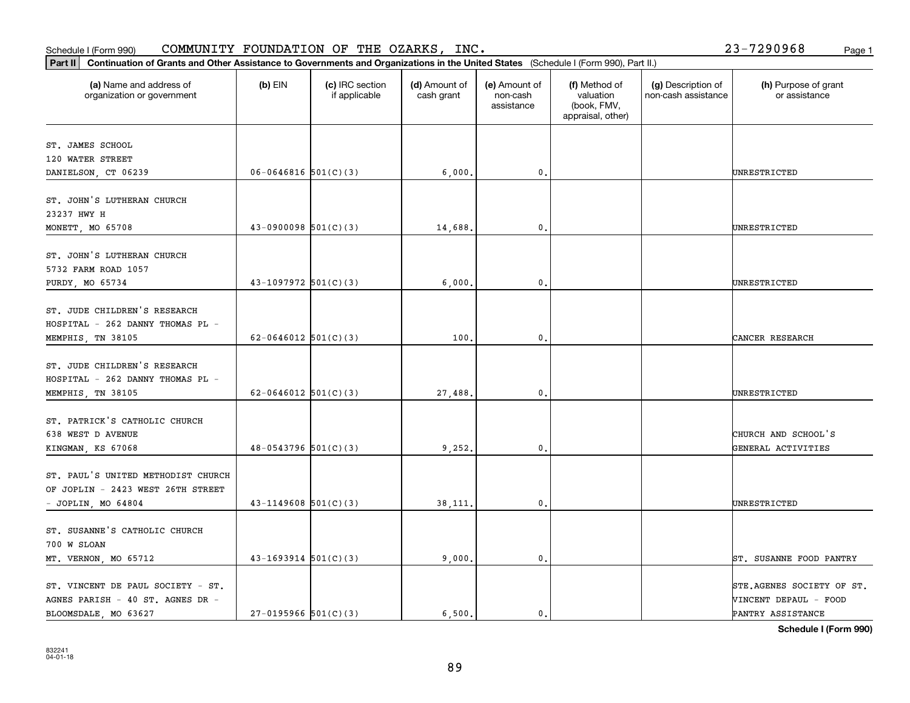700 W SLOAN

| MEMPHIS, TN 38105                                                                               | $62 - 0646012$ $501(C)(3)$ | 100.     | 0. |  | CANCER RESEARCH                           |
|-------------------------------------------------------------------------------------------------|----------------------------|----------|----|--|-------------------------------------------|
| ST. JUDE CHILDREN'S RESEARCH                                                                    |                            |          |    |  |                                           |
| HOSPITAL - 262 DANNY THOMAS PL -                                                                |                            |          |    |  |                                           |
| MEMPHIS, TN 38105                                                                               | $62 - 0646012$ 501(C)(3)   | 27,488.  | 0. |  | <b>UNRESTRICTED</b>                       |
| ST. PATRICK'S CATHOLIC CHURCH<br>638 WEST D AVENUE<br>KINGMAN, KS 67068                         | $48-0543796$ 501(C)(3)     | 9,252.   | 0. |  | CHURCH AND SCHOOL'S<br>GENERAL ACTIVITIES |
| ST. PAUL'S UNITED METHODIST CHURCH<br>OF JOPLIN - 2423 WEST 26TH STREET<br>$-$ JOPLIN, MO 64804 | $43 - 1149608$ $501(C)(3)$ | 38, 111. | 0. |  | <b>UNRESTRICTED</b>                       |
| ST. SUSANNE'S CATHOLIC CHURCH                                                                   |                            |          |    |  |                                           |

| Part II | Continuation of Grants and Other Assistance to Governments and Organizations in the United States (Schedule I (Form 990), Part II.) |           |                 |               |                      |               |                    |     |
|---------|-------------------------------------------------------------------------------------------------------------------------------------|-----------|-----------------|---------------|----------------------|---------------|--------------------|-----|
|         | (a) Name and address of                                                                                                             | $(b)$ EIN | (c) IRC section | (d) Amount of | <b>(e)</b> Amount of | (f) Method of | (g) Description of | (h) |

if applicable

cash grant

DANIELSON, CT 06239 06-0646816 501(C)(3) 6,000. 0. UNRESTRICTED

MONETT, MO 65708 | 43-0900098 501(C)(3) | 14,688. | 0. | | UNRESTRICTED

PURDY, MO 65734  $\begin{vmatrix} 43-1097972 & 501(C)(3) \end{vmatrix}$  6,000. 0. 0.

non-cashassistance

valuation (book, FMV, appraisal, other)

(g) Description of non-cash assistance

organization or government

ST. JAMES SCHOOL 120 WATER STREET

23237 HWY H

ST. JOHN'S LUTHERAN CHURCH

ST. JOHN'S LUTHERAN CHURCH

ST. JUDE CHILDREN'S RESEARCH HOSPITAL - 262 DANNY THOMAS PL -

5732 FARM ROAD 1057

Schedule I (Form 990)  ${\tt COMMUNITY}$  <code>FOUNDATION OF THE OZARKS, INC</code> .  $23-7290968$  Page 1

(h) Purpose of grant or assistance

**Schedule I (Form 990)**

MT. VERNON, MO 65712  $\begin{vmatrix} 43-1693914 & 501(C)(3) \end{vmatrix}$  9,000. 0. 0. ST. SUSANNE FOOD PANTRY

ST. VINCENT DE PAUL SOCIETY - ST. | STE. STE | STE. AGENES SOCIETY OF ST. AGNES PARISH - 40 ST. AGNES DR - VINCENT DEPAUL - FOOD BLOOMSDALE, MO 63627 27-0195966 501(C)(3) (6,500. 0. 0. PANTRY ASSISTANCE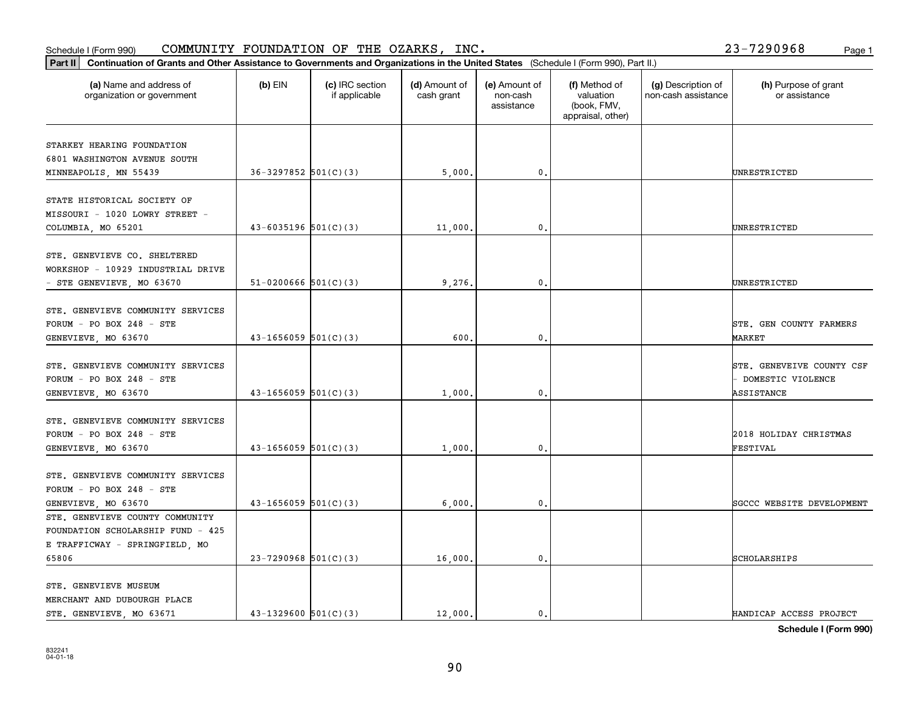#### Schedule I (Form 990) COMMUNITY FOUNDATION OF THE OZARKS, INC。 Page 1 COMMUNITY FOUNDATION OF THE OZARKS, INC. 23-7290968

| Part II   Continuation of Grants and Other Assistance to Governments and Organizations in the United States (Schedule I (Form 990), Part II.) |                          |                                  |                             |                                         |                                                                |                                           |                                       |  |  |  |
|-----------------------------------------------------------------------------------------------------------------------------------------------|--------------------------|----------------------------------|-----------------------------|-----------------------------------------|----------------------------------------------------------------|-------------------------------------------|---------------------------------------|--|--|--|
| (a) Name and address of<br>organization or government                                                                                         | $(b)$ EIN                | (c) IRC section<br>if applicable | (d) Amount of<br>cash grant | (e) Amount of<br>non-cash<br>assistance | (f) Method of<br>valuation<br>(book, FMV,<br>appraisal, other) | (g) Description of<br>non-cash assistance | (h) Purpose of grant<br>or assistance |  |  |  |
|                                                                                                                                               |                          |                                  |                             |                                         |                                                                |                                           |                                       |  |  |  |
| STARKEY HEARING FOUNDATION                                                                                                                    |                          |                                  |                             |                                         |                                                                |                                           |                                       |  |  |  |
| 6801 WASHINGTON AVENUE SOUTH                                                                                                                  |                          |                                  |                             |                                         |                                                                |                                           |                                       |  |  |  |
| MINNEAPOLIS, MN 55439                                                                                                                         | $36 - 3297852$ 501(C)(3) |                                  | 5,000                       | $\mathbf{0}$ .                          |                                                                |                                           | UNRESTRICTED                          |  |  |  |
| STATE HISTORICAL SOCIETY OF                                                                                                                   |                          |                                  |                             |                                         |                                                                |                                           |                                       |  |  |  |
| MISSOURI - 1020 LOWRY STREET -                                                                                                                |                          |                                  |                             |                                         |                                                                |                                           |                                       |  |  |  |
| COLUMBIA, MO 65201                                                                                                                            | $43 - 6035196$ 501(C)(3) |                                  | 11,000                      | 0.                                      |                                                                |                                           | UNRESTRICTED                          |  |  |  |
|                                                                                                                                               |                          |                                  |                             |                                         |                                                                |                                           |                                       |  |  |  |
| STE. GENEVIEVE CO. SHELTERED                                                                                                                  |                          |                                  |                             |                                         |                                                                |                                           |                                       |  |  |  |
| WORKSHOP - 10929 INDUSTRIAL DRIVE                                                                                                             |                          |                                  |                             |                                         |                                                                |                                           |                                       |  |  |  |
| - STE GENEVIEVE, MO 63670                                                                                                                     | $51-0200666$ $501(C)(3)$ |                                  | 9,276.                      | 0.                                      |                                                                |                                           | UNRESTRICTED                          |  |  |  |
|                                                                                                                                               |                          |                                  |                             |                                         |                                                                |                                           |                                       |  |  |  |
| STE. GENEVIEVE COMMUNITY SERVICES                                                                                                             |                          |                                  |                             |                                         |                                                                |                                           |                                       |  |  |  |
| FORUM - PO BOX 248 - STE                                                                                                                      |                          |                                  |                             |                                         |                                                                |                                           | STE. GEN COUNTY FARMERS               |  |  |  |
| GENEVIEVE, MO 63670                                                                                                                           | $43 - 1656059$ 501(C)(3) |                                  | 600                         | 0.                                      |                                                                |                                           | MARKET                                |  |  |  |
|                                                                                                                                               |                          |                                  |                             |                                         |                                                                |                                           |                                       |  |  |  |
| STE. GENEVIEVE COMMUNITY SERVICES                                                                                                             |                          |                                  |                             |                                         |                                                                |                                           | STE. GENEVEIVE COUNTY CSF             |  |  |  |
| FORUM - PO BOX 248 - STE                                                                                                                      |                          |                                  |                             |                                         |                                                                |                                           | DOMESTIC VIOLENCE                     |  |  |  |
| GENEVIEVE, MO 63670                                                                                                                           | $43-1656059$ $501(C)(3)$ |                                  | 1,000                       | 0.                                      |                                                                |                                           | ASSISTANCE                            |  |  |  |
|                                                                                                                                               |                          |                                  |                             |                                         |                                                                |                                           |                                       |  |  |  |
| STE. GENEVIEVE COMMUNITY SERVICES                                                                                                             |                          |                                  |                             |                                         |                                                                |                                           |                                       |  |  |  |
| $FORM - PO$ BOX 248 - STE                                                                                                                     |                          |                                  |                             |                                         |                                                                |                                           | 2018 HOLIDAY CHRISTMAS                |  |  |  |
| GENEVIEVE, MO 63670                                                                                                                           | $43 - 1656059$ 501(C)(3) |                                  | 1,000                       | 0.                                      |                                                                |                                           | FESTIVAL                              |  |  |  |
|                                                                                                                                               |                          |                                  |                             |                                         |                                                                |                                           |                                       |  |  |  |
| STE. GENEVIEVE COMMUNITY SERVICES                                                                                                             |                          |                                  |                             |                                         |                                                                |                                           |                                       |  |  |  |
| FORUM - PO BOX 248 - STE                                                                                                                      |                          |                                  |                             |                                         |                                                                |                                           |                                       |  |  |  |
| GENEVIEVE, MO 63670                                                                                                                           | $43 - 1656059$ 501(C)(3) |                                  | 6,000                       | $\mathbf{0}$ .                          |                                                                |                                           | SGCCC WEBSITE DEVELOPMENT             |  |  |  |
| STE. GENEVIEVE COUNTY COMMUNITY                                                                                                               |                          |                                  |                             |                                         |                                                                |                                           |                                       |  |  |  |
| <b>FOUNDATION SCHOLARSHIP FUND - 425</b>                                                                                                      |                          |                                  |                             |                                         |                                                                |                                           |                                       |  |  |  |
| E TRAFFICWAY - SPRINGFIELD, MO                                                                                                                |                          |                                  |                             |                                         |                                                                |                                           |                                       |  |  |  |
| 65806                                                                                                                                         | $23 - 7290968$ 501(C)(3) |                                  | 16,000.                     | 0.                                      |                                                                |                                           | SCHOLARSHIPS                          |  |  |  |
|                                                                                                                                               |                          |                                  |                             |                                         |                                                                |                                           |                                       |  |  |  |
| STE. GENEVIEVE MUSEUM                                                                                                                         |                          |                                  |                             |                                         |                                                                |                                           |                                       |  |  |  |
| MERCHANT AND DUBOURGH PLACE                                                                                                                   |                          |                                  |                             |                                         |                                                                |                                           |                                       |  |  |  |
| STE. GENEVIEVE, MO 63671                                                                                                                      | $43-1329600$ 501(C)(3)   |                                  | 12,000.                     | 0.                                      |                                                                |                                           | HANDICAP ACCESS PROJECT               |  |  |  |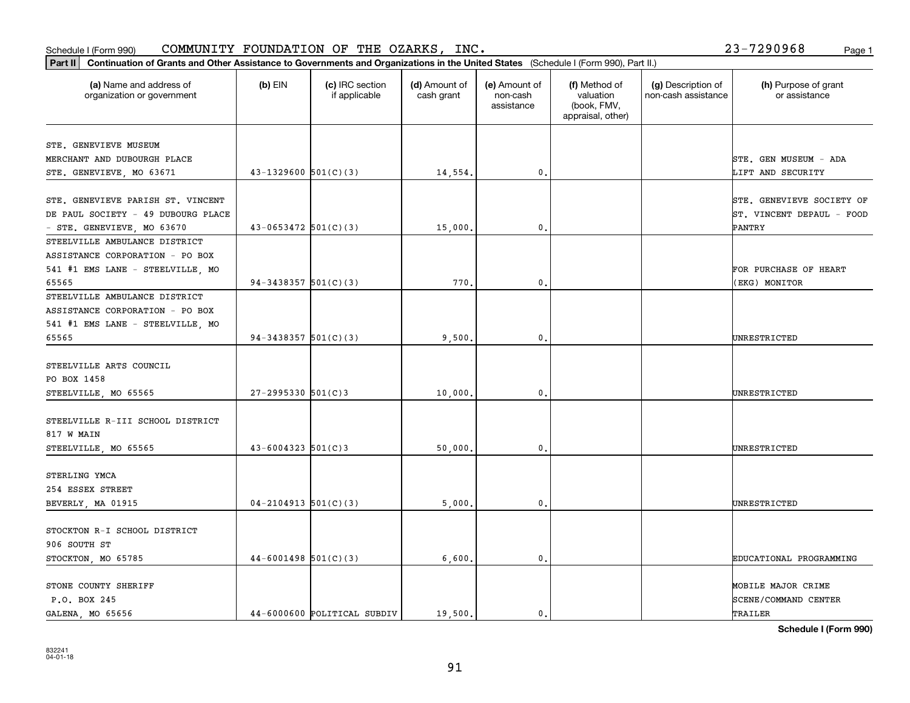#### Schedule I (Form 990) COMMUNITY FOUNDATION OF THE OZARKS, INC。 Page 1 COMMUNITY FOUNDATION OF THE OZARKS, INC. 23-7290968

| Part II   Continuation of Grants and Other Assistance to Governments and Organizations in the United States (Schedule I (Form 990), Part II.) |                            |                                  |                             |                                         |                                                                |                                           |                                       |  |  |  |
|-----------------------------------------------------------------------------------------------------------------------------------------------|----------------------------|----------------------------------|-----------------------------|-----------------------------------------|----------------------------------------------------------------|-------------------------------------------|---------------------------------------|--|--|--|
| (a) Name and address of<br>organization or government                                                                                         | $(b)$ EIN                  | (c) IRC section<br>if applicable | (d) Amount of<br>cash grant | (e) Amount of<br>non-cash<br>assistance | (f) Method of<br>valuation<br>(book, FMV,<br>appraisal, other) | (g) Description of<br>non-cash assistance | (h) Purpose of grant<br>or assistance |  |  |  |
| STE. GENEVIEVE MUSEUM                                                                                                                         |                            |                                  |                             |                                         |                                                                |                                           |                                       |  |  |  |
| MERCHANT AND DUBOURGH PLACE                                                                                                                   |                            |                                  |                             |                                         |                                                                |                                           | STE. GEN MUSEUM - ADA                 |  |  |  |
| STE. GENEVIEVE, MO 63671                                                                                                                      | $43-1329600$ $501(C)(3)$   |                                  | 14,554.                     | 0.                                      |                                                                |                                           | LIFT AND SECURITY                     |  |  |  |
|                                                                                                                                               |                            |                                  |                             |                                         |                                                                |                                           |                                       |  |  |  |
| STE. GENEVIEVE PARISH ST. VINCENT                                                                                                             |                            |                                  |                             |                                         |                                                                |                                           | STE. GENEVIEVE SOCIETY OF             |  |  |  |
| DE PAUL SOCIETY - 49 DUBOURG PLACE                                                                                                            |                            |                                  |                             |                                         |                                                                |                                           | ST. VINCENT DEPAUL - FOOD             |  |  |  |
| - STE. GENEVIEVE, MO 63670                                                                                                                    | $43 - 0653472$ $501(C)(3)$ |                                  | 15,000                      | $\mathfrak{o}$ .                        |                                                                |                                           | PANTRY                                |  |  |  |
| STEELVILLE AMBULANCE DISTRICT                                                                                                                 |                            |                                  |                             |                                         |                                                                |                                           |                                       |  |  |  |
| ASSISTANCE CORPORATION - PO BOX                                                                                                               |                            |                                  |                             |                                         |                                                                |                                           |                                       |  |  |  |
| 541 #1 EMS LANE - STEELVILLE, MO                                                                                                              |                            |                                  |                             |                                         |                                                                |                                           | FOR PURCHASE OF HEART                 |  |  |  |
| 65565                                                                                                                                         | $94-3438357$ 501(C)(3)     |                                  | 770.                        | $\mathfrak{o}$ .                        |                                                                |                                           | (EKG) MONITOR                         |  |  |  |
| STEELVILLE AMBULANCE DISTRICT                                                                                                                 |                            |                                  |                             |                                         |                                                                |                                           |                                       |  |  |  |
| ASSISTANCE CORPORATION - PO BOX                                                                                                               |                            |                                  |                             |                                         |                                                                |                                           |                                       |  |  |  |
| 541 #1 EMS LANE - STEELVILLE, MO                                                                                                              |                            |                                  |                             |                                         |                                                                |                                           |                                       |  |  |  |
| 65565                                                                                                                                         | $94 - 3438357$ $501(C)(3)$ |                                  |                             | 0.                                      |                                                                |                                           | UNRESTRICTED                          |  |  |  |
|                                                                                                                                               |                            |                                  | 9,500                       |                                         |                                                                |                                           |                                       |  |  |  |
| STEELVILLE ARTS COUNCIL                                                                                                                       |                            |                                  |                             |                                         |                                                                |                                           |                                       |  |  |  |
| PO BOX 1458                                                                                                                                   |                            |                                  |                             |                                         |                                                                |                                           |                                       |  |  |  |
|                                                                                                                                               | $27 - 2995330$ $501(C)3$   |                                  |                             |                                         |                                                                |                                           |                                       |  |  |  |
| STEELVILLE, MO 65565                                                                                                                          |                            |                                  | 10,000                      | 0.                                      |                                                                |                                           | UNRESTRICTED                          |  |  |  |
| STEELVILLE R-III SCHOOL DISTRICT                                                                                                              |                            |                                  |                             |                                         |                                                                |                                           |                                       |  |  |  |
|                                                                                                                                               |                            |                                  |                             |                                         |                                                                |                                           |                                       |  |  |  |
| 817 W MAIN                                                                                                                                    | $43 - 6004323$ 501(C)3     |                                  |                             | 0.                                      |                                                                |                                           |                                       |  |  |  |
| STEELVILLE, MO 65565                                                                                                                          |                            |                                  | 50,000                      |                                         |                                                                |                                           | UNRESTRICTED                          |  |  |  |
| STERLING YMCA                                                                                                                                 |                            |                                  |                             |                                         |                                                                |                                           |                                       |  |  |  |
| 254 ESSEX STREET                                                                                                                              |                            |                                  |                             |                                         |                                                                |                                           |                                       |  |  |  |
|                                                                                                                                               |                            |                                  |                             |                                         |                                                                |                                           |                                       |  |  |  |
| BEVERLY, MA 01915                                                                                                                             | $04 - 2104913$ 501(C)(3)   |                                  | 5,000                       | $\mathfrak{o}$ .                        |                                                                |                                           | UNRESTRICTED                          |  |  |  |
|                                                                                                                                               |                            |                                  |                             |                                         |                                                                |                                           |                                       |  |  |  |
| STOCKTON R-I SCHOOL DISTRICT                                                                                                                  |                            |                                  |                             |                                         |                                                                |                                           |                                       |  |  |  |
| 906 SOUTH ST                                                                                                                                  |                            |                                  |                             |                                         |                                                                |                                           |                                       |  |  |  |
| STOCKTON, MO 65785                                                                                                                            | $44-6001498$ 501(C)(3)     |                                  | 6,600.                      | $\mathfrak o$ .                         |                                                                |                                           | EDUCATIONAL PROGRAMMING               |  |  |  |
| STONE COUNTY SHERIFF                                                                                                                          |                            |                                  |                             |                                         |                                                                |                                           | MOBILE MAJOR CRIME                    |  |  |  |
|                                                                                                                                               |                            |                                  |                             |                                         |                                                                |                                           |                                       |  |  |  |
| P.O. BOX 245                                                                                                                                  |                            |                                  |                             |                                         |                                                                |                                           | SCENE/COMMAND CENTER                  |  |  |  |
| GALENA, MO 65656                                                                                                                              |                            | 44-6000600 POLITICAL SUBDIV      | 19,500.                     | $\mathbf{0}$ .                          |                                                                |                                           | TRAILER                               |  |  |  |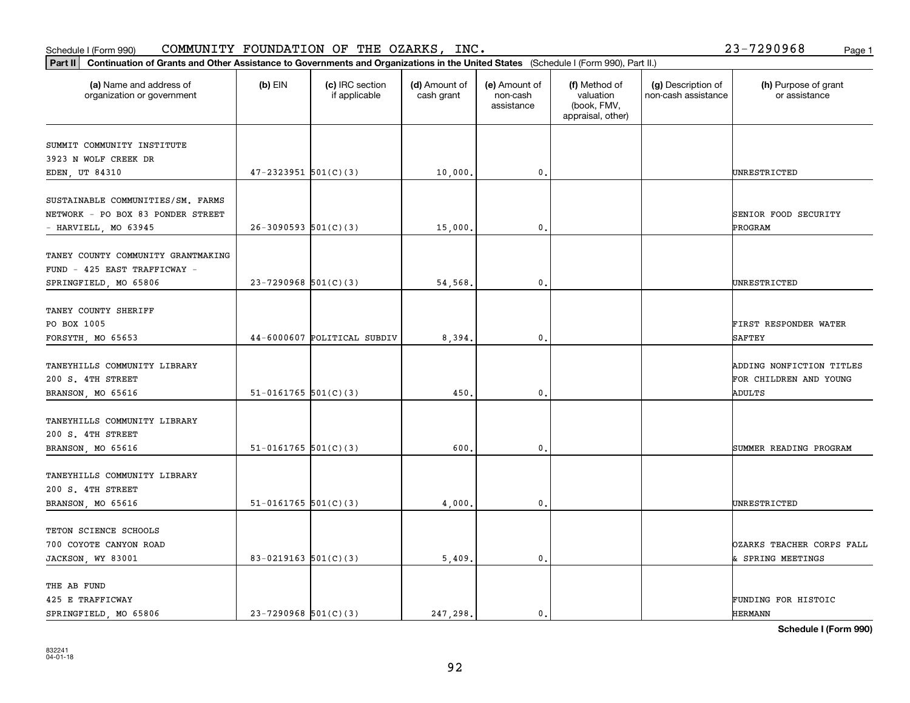| TETON SCIENCE SCHOOLS  |                            |           |  |                                  |
|------------------------|----------------------------|-----------|--|----------------------------------|
| 700 COYOTE CANYON ROAD |                            |           |  | <b>DZARKS TEACHER CORPS FALL</b> |
| JACKSON, WY 83001      | $83 - 0219163$ $501(C)(3)$ | 5.409.    |  | SPRING MEETINGS                  |
|                        |                            |           |  |                                  |
| THE AB FUND            |                            |           |  |                                  |
| 425 E TRAFFICWAY       |                            |           |  | FUNDING FOR HISTOIC              |
| SPRINGFIELD, MO 65806  | $23 - 7290968$ 501(C)(3)   | 247, 298. |  | <b>HERMANN</b>                   |

NETWORK - PO BOX 83 PONDER STREET | SENIOR FOOD SECURITY

- HARVIELL, MO 63945 26-3090593 501(C)(3) 15,000. 0. PROGRAM

FORSYTH, MO 65653  $\begin{vmatrix} 44-6000607 & \text{POLITICAL SUBDIV} \end{vmatrix}$  8,394. 0. 0.

BRANSON, MO 65616 51-0161765 501(C)(3) 450. 350. 0.

**(a) (b) (c) (d) (e) (f) (g) (h)** Name and address of

EDEN, UT 84310  $\begin{vmatrix} 47-2323951 & 501(C)(3) \end{vmatrix}$  10,000. 0. 0. 0. 0. UNRESTRICTED

SPRINGFIELD, MO 65806 **23-7290968 501(C)(3)** 54,568. 0. 0. UNRESTRICTED

PO BOX 1005 FIRST RESPONDER WATER

TANEYHILLS COMMUNITY LIBRARY ADDING NONFICTION TITLES 200 S. 4TH STREET FOR CHILDREN AND YOUNG

BRANSON, MO 65616  $\begin{vmatrix} 51-0161765 & 501(C)(3) \end{vmatrix}$  600. 0. 0.  $\begin{vmatrix} 0 & 0 \end{vmatrix}$  SUMMER READING PROGRAM

BRANSON, MO 65616 51-0161765 501(C)(3) 4,000. 0. UNRESTRICTED

(d) Amount of cash grant

(e) Amount of non-cashassistance

(f) Method of valuation (book, FMV, appraisal, other)

(g) Description of non-cash assistance

**Part II Continuation of Grants and Other Assistance to Governments and Organizations in the United States**  (Schedule I (Form 990), Part II.)

if applicable

 $(b)$  EIN  $(c)$  IRC section

### Schedule I (Form 990)  ${\tt COMMUNITY}$  <code>FOUNDATION OF THE OZARKS, INC</code> .  $23-7290968$  Page 1

organization or government

SUSTAINABLE COMMUNITIES/SM. FARMS

TANEY COUNTY COMMUNITY GRANTMAKING FUND - 425 EAST TRAFFICWAY -

TANEY COUNTY SHERIFF

TANEYHILLS COMMUNITY LIBRARY

TANEYHILLS COMMUNITY LIBRARY

200 S. 4TH STREET

200 S. 4TH STREET

SUMMIT COMMUNITY INSTITUTE 3923 N WOLF CREEK DR

**Schedule I (Form 990)**

(h) Purpose of grant or assistance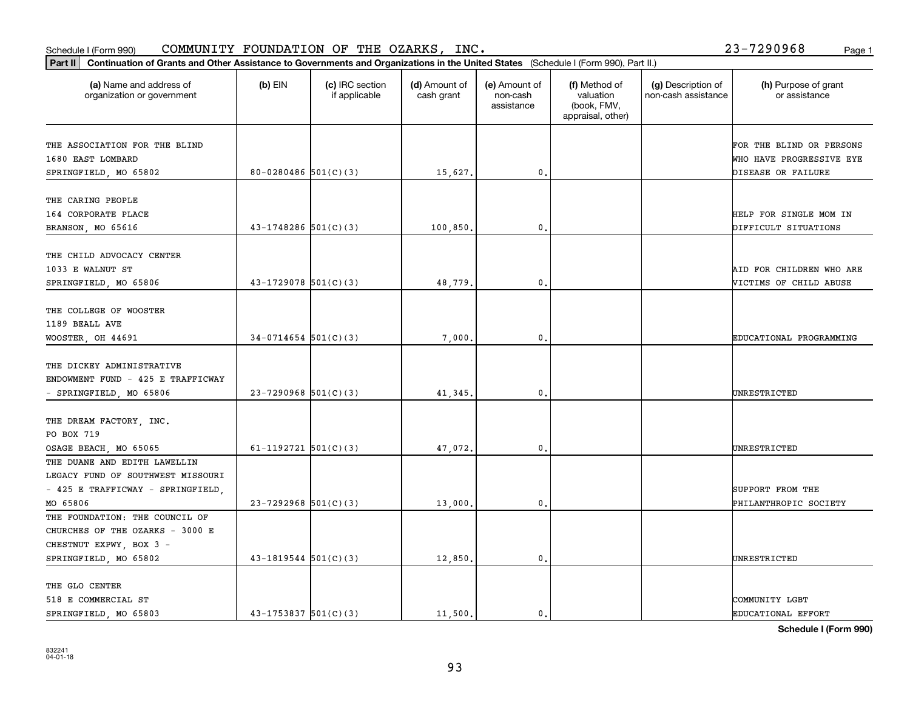#### Schedule I (Form 990) COMMUNITY FOUNDATION OF THE OZARKS, INC。 Page 1 COMMUNITY FOUNDATION OF THE OZARKS, INC. 23-7290968

| (a) Name and address of<br>organization or government                                                              | $(b)$ EIN                  | (c) IRC section<br>if applicable | (d) Amount of<br>cash grant | (e) Amount of<br>non-cash<br>assistance | (f) Method of<br>valuation<br>(book, FMV,<br>appraisal, other) | (g) Description of<br>non-cash assistance | (h) Purpose of grant<br>or assistance                |
|--------------------------------------------------------------------------------------------------------------------|----------------------------|----------------------------------|-----------------------------|-----------------------------------------|----------------------------------------------------------------|-------------------------------------------|------------------------------------------------------|
| THE ASSOCIATION FOR THE BLIND<br>1680 EAST LOMBARD                                                                 |                            |                                  |                             |                                         |                                                                |                                           | FOR THE BLIND OR PERSONS<br>WHO HAVE PROGRESSIVE EYE |
| SPRINGFIELD, MO 65802                                                                                              | $80 - 0280486$ 501(C)(3)   |                                  | 15,627.                     | $\mathbf{0}$ .                          |                                                                |                                           | DISEASE OR FAILURE                                   |
| THE CARING PEOPLE<br>164 CORPORATE PLACE<br>BRANSON, MO 65616                                                      | $43-1748286$ 501(C)(3)     |                                  | 100,850                     | $\mathbf{0}$                            |                                                                |                                           | HELP FOR SINGLE MOM IN<br>DIFFICULT SITUATIONS       |
| THE CHILD ADVOCACY CENTER<br>1033 E WALNUT ST<br>SPRINGFIELD, MO 65806                                             | $43-1729078$ 501(C)(3)     |                                  | 48,779                      | $\mathbf{0}$ .                          |                                                                |                                           | AID FOR CHILDREN WHO ARE<br>VICTIMS OF CHILD ABUSE   |
| THE COLLEGE OF WOOSTER<br>1189 BEALL AVE<br>WOOSTER, OH 44691                                                      | $34-0714654$ 501(C)(3)     |                                  | 7,000                       | 0.                                      |                                                                |                                           | EDUCATIONAL PROGRAMMING                              |
| THE DICKEY ADMINISTRATIVE<br>ENDOWMENT FUND - 425 E TRAFFICWAY<br>- SPRINGFIELD, MO 65806                          | $23 - 7290968$ 501(C)(3)   |                                  | 41,345                      | 0.                                      |                                                                |                                           | UNRESTRICTED                                         |
| THE DREAM FACTORY, INC.<br>PO BOX 719<br>OSAGE BEACH, MO 65065                                                     | 61-1192721 $501(C)(3)$     |                                  | 47,072.                     | 0.                                      |                                                                |                                           | UNRESTRICTED                                         |
| THE DUANE AND EDITH LAWELLIN<br>LEGACY FUND OF SOUTHWEST MISSOURI<br>- 425 E TRAFFICWAY - SPRINGFIELD,<br>MO 65806 | $23 - 7292968$ 501(C)(3)   |                                  | 13,000                      | $\mathbf{0}$ .                          |                                                                |                                           | SUPPORT FROM THE<br>PHILANTHROPIC SOCIETY            |
| THE FOUNDATION: THE COUNCIL OF<br>CHURCHES OF THE OZARKS - 3000 E<br>CHESTNUT EXPWY, BOX 3 -                       |                            |                                  |                             |                                         |                                                                |                                           |                                                      |
| SPRINGFIELD, MO 65802                                                                                              | $43 - 1819544$ $501(C)(3)$ |                                  | 12,850.                     | $\mathbf{0}$ .                          |                                                                |                                           | UNRESTRICTED                                         |
| THE GLO CENTER<br>518 E COMMERCIAL ST<br>SPRINGFIELD, MO 65803                                                     | $43 - 1753837$ $501(C)(3)$ |                                  | 11,500.                     | $\mathbf{0}$ .                          |                                                                |                                           | COMMUNITY LGBT<br><b>EDUCATIONAL EFFORT</b>          |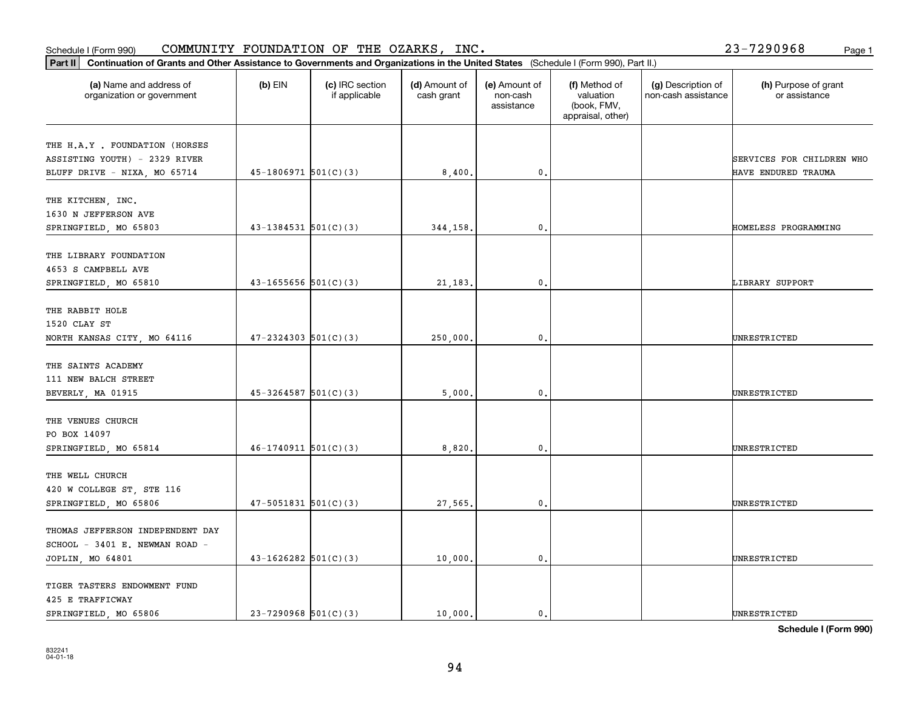| (a) Name and address of<br>organization or government | $(b)$ EIN                  | (c) IRC section<br>if applicable | (d) Amount of<br>cash grant | (e) Amount of<br>non-cash<br>assistance | (f) Method of<br>valuation<br>(book, FMV,<br>appraisal, other) | (g) Description of<br>non-cash assistance | (h) Purpose of grant<br>or assistance |
|-------------------------------------------------------|----------------------------|----------------------------------|-----------------------------|-----------------------------------------|----------------------------------------------------------------|-------------------------------------------|---------------------------------------|
| THE H.A.Y . FOUNDATION (HORSES                        |                            |                                  |                             |                                         |                                                                |                                           |                                       |
| ASSISTING YOUTH) - 2329 RIVER                         |                            |                                  |                             |                                         |                                                                |                                           | SERVICES FOR CHILDREN WHO             |
| BLUFF DRIVE - NIXA, MO 65714                          | $45-1806971$ 501(C)(3)     |                                  | 8,400.                      | $\mathbf{0}$ .                          |                                                                |                                           | HAVE ENDURED TRAUMA                   |
| THE KITCHEN, INC.                                     |                            |                                  |                             |                                         |                                                                |                                           |                                       |
| 1630 N JEFFERSON AVE                                  |                            |                                  |                             |                                         |                                                                |                                           |                                       |
| SPRINGFIELD, MO 65803                                 | $43-1384531$ $501(C)(3)$   |                                  | 344,158.                    | 0.                                      |                                                                |                                           | HOMELESS PROGRAMMING                  |
| THE LIBRARY FOUNDATION                                |                            |                                  |                             |                                         |                                                                |                                           |                                       |
| 4653 S CAMPBELL AVE                                   |                            |                                  |                             |                                         |                                                                |                                           |                                       |
| SPRINGFIELD, MO 65810                                 | $43 - 1655656$ $501(C)(3)$ |                                  | 21,183.                     | $\mathbf{0}$ .                          |                                                                |                                           | LIBRARY SUPPORT                       |
| THE RABBIT HOLE                                       |                            |                                  |                             |                                         |                                                                |                                           |                                       |
| 1520 CLAY ST                                          |                            |                                  |                             |                                         |                                                                |                                           |                                       |
| NORTH KANSAS CITY, MO 64116                           | $47 - 2324303$ $501(C)(3)$ |                                  | 250,000.                    | $\mathbf{0}$ .                          |                                                                |                                           | UNRESTRICTED                          |
| THE SAINTS ACADEMY                                    |                            |                                  |                             |                                         |                                                                |                                           |                                       |
| 111 NEW BALCH STREET                                  |                            |                                  |                             |                                         |                                                                |                                           |                                       |
| BEVERLY, MA 01915                                     | $45-3264587$ 501(C)(3)     |                                  | 5,000.                      | 0.                                      |                                                                |                                           | UNRESTRICTED                          |
|                                                       |                            |                                  |                             |                                         |                                                                |                                           |                                       |
| THE VENUES CHURCH                                     |                            |                                  |                             |                                         |                                                                |                                           |                                       |
| PO BOX 14097                                          |                            |                                  |                             |                                         |                                                                |                                           |                                       |
| SPRINGFIELD, MO 65814                                 | $46-1740911$ $501(C)(3)$   |                                  | 8,820.                      | $\mathbf{0}$ .                          |                                                                |                                           | UNRESTRICTED                          |
| THE WELL CHURCH                                       |                            |                                  |                             |                                         |                                                                |                                           |                                       |
| 420 W COLLEGE ST, STE 116                             |                            |                                  |                             |                                         |                                                                |                                           |                                       |
| SPRINGFIELD, MO 65806                                 | $47 - 5051831$ $501(C)(3)$ |                                  | 27,565.                     | $\mathbf{0}$ .                          |                                                                |                                           | UNRESTRICTED                          |
| THOMAS JEFFERSON INDEPENDENT DAY                      |                            |                                  |                             |                                         |                                                                |                                           |                                       |
| SCHOOL - 3401 E. NEWMAN ROAD -                        |                            |                                  |                             |                                         |                                                                |                                           |                                       |
| JOPLIN, MO 64801                                      | $43 - 1626282$ 501(C)(3)   |                                  | 10,000.                     | $\mathbf{0}$ .                          |                                                                |                                           | UNRESTRICTED                          |
|                                                       |                            |                                  |                             |                                         |                                                                |                                           |                                       |
| TIGER TASTERS ENDOWMENT FUND<br>425 E TRAFFICWAY      |                            |                                  |                             |                                         |                                                                |                                           |                                       |
| SPRINGFIELD, MO 65806                                 | $23 - 7290968$ 501(C)(3)   |                                  | 10,000.                     | $\mathbf{0}$ .                          |                                                                |                                           | UNRESTRICTED                          |

**Schedule I (Form 990)**

### Schedule I (Form 990)  ${\tt COMMUNITY}$  <code>FOUNDATION OF THE OZARKS, INC</code> .  $23-7290968$  Page 1

**Part II Continuation of Grants and Other Assistance to Governments and Organizations in the United States**  (Schedule I (Form 990), Part II.)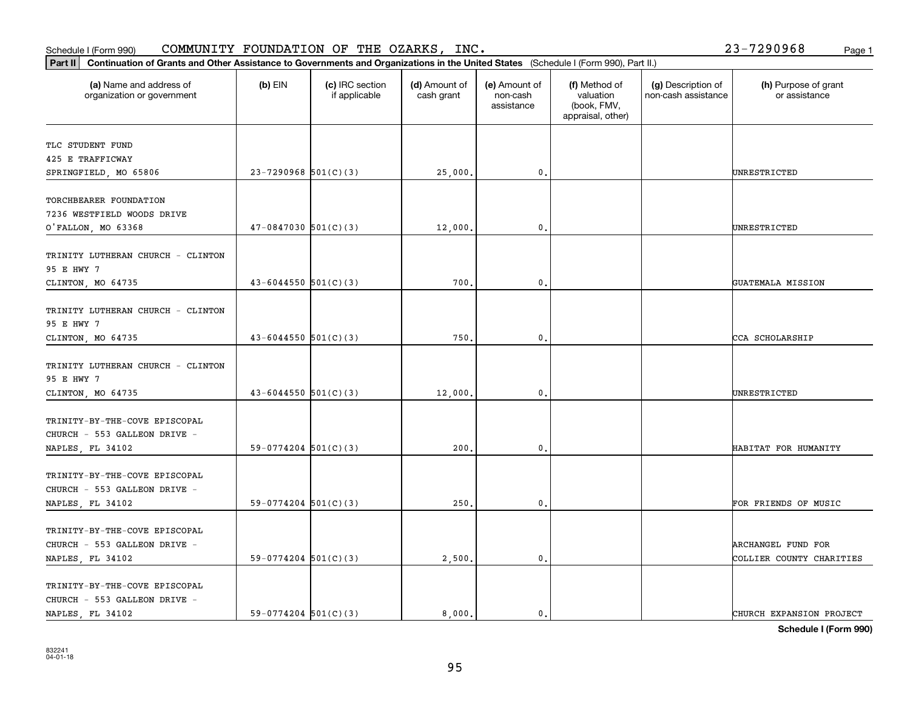Schedule I (Form 990)  ${\tt COMMUNITY}$  <code>FOUNDATION OF THE OZARKS, INC</code> .  $23-7290968$  Page 1

| (a) Name and address of<br>organization or government | $(b)$ EIN                | (c) IRC section<br>if applicable | (d) Amount of<br>cash grant | (e) Amount of<br>non-cash<br>assistance | (f) Method of<br>valuation<br>(book, FMV,<br>appraisal, other) | (g) Description of<br>non-cash assistance | (h) Purpose of grant<br>or assistance |
|-------------------------------------------------------|--------------------------|----------------------------------|-----------------------------|-----------------------------------------|----------------------------------------------------------------|-------------------------------------------|---------------------------------------|
| TLC STUDENT FUND                                      |                          |                                  |                             |                                         |                                                                |                                           |                                       |
| 425 E TRAFFICWAY                                      |                          |                                  |                             |                                         |                                                                |                                           |                                       |
| SPRINGFIELD, MO 65806                                 | $23 - 7290968$ 501(C)(3) |                                  | 25,000.                     | 0.                                      |                                                                |                                           | UNRESTRICTED                          |
| TORCHBEARER FOUNDATION                                |                          |                                  |                             |                                         |                                                                |                                           |                                       |
| 7236 WESTFIELD WOODS DRIVE                            |                          |                                  |                             |                                         |                                                                |                                           |                                       |
| O'FALLON, MO 63368                                    | $47-0847030$ 501(C)(3)   |                                  | 12,000                      | 0.                                      |                                                                |                                           | UNRESTRICTED                          |
| TRINITY LUTHERAN CHURCH - CLINTON                     |                          |                                  |                             |                                         |                                                                |                                           |                                       |
| 95 E HWY 7                                            |                          |                                  |                             |                                         |                                                                |                                           |                                       |
| CLINTON, MO 64735                                     | $43 - 6044550$ 501(C)(3) |                                  | 700                         | $\mathsf{0}\,.$                         |                                                                |                                           | GUATEMALA MISSION                     |
| TRINITY LUTHERAN CHURCH - CLINTON                     |                          |                                  |                             |                                         |                                                                |                                           |                                       |
| 95 E HWY 7                                            |                          |                                  |                             |                                         |                                                                |                                           |                                       |
| CLINTON, MO 64735                                     | $43 - 6044550$ 501(C)(3) |                                  | 750                         | 0.                                      |                                                                |                                           | CCA SCHOLARSHIP                       |
| TRINITY LUTHERAN CHURCH - CLINTON                     |                          |                                  |                             |                                         |                                                                |                                           |                                       |
| 95 E HWY 7                                            |                          |                                  |                             |                                         |                                                                |                                           |                                       |
| CLINTON, MO 64735                                     | $43 - 6044550$ 501(C)(3) |                                  | 12,000                      | 0.                                      |                                                                |                                           | UNRESTRICTED                          |
| TRINITY-BY-THE-COVE EPISCOPAL                         |                          |                                  |                             |                                         |                                                                |                                           |                                       |
| CHURCH - 553 GALLEON DRIVE -                          |                          |                                  |                             |                                         |                                                                |                                           |                                       |
| NAPLES, FL 34102                                      | $59-0774204$ 501(C)(3)   |                                  | 200                         | $\mathfrak{o}$ .                        |                                                                |                                           | HABITAT FOR HUMANITY                  |
| TRINITY-BY-THE-COVE EPISCOPAL                         |                          |                                  |                             |                                         |                                                                |                                           |                                       |
| CHURCH - 553 GALLEON DRIVE -                          |                          |                                  |                             |                                         |                                                                |                                           |                                       |
| NAPLES, FL 34102                                      | $59-0774204$ 501(C)(3)   |                                  | 250                         | $\mathfrak o$ .                         |                                                                |                                           | FOR FRIENDS OF MUSIC                  |
| TRINITY-BY-THE-COVE EPISCOPAL                         |                          |                                  |                             |                                         |                                                                |                                           |                                       |
| CHURCH - 553 GALLEON DRIVE -                          |                          |                                  |                             |                                         |                                                                |                                           | ARCHANGEL FUND FOR                    |
| NAPLES, FL 34102                                      | $59-0774204$ 501(C)(3)   |                                  | 2,500.                      | $\mathfrak o$ .                         |                                                                |                                           | COLLIER COUNTY CHARITIES              |
| TRINITY-BY-THE-COVE EPISCOPAL                         |                          |                                  |                             |                                         |                                                                |                                           |                                       |
| CHURCH - 553 GALLEON DRIVE -                          |                          |                                  |                             |                                         |                                                                |                                           |                                       |
| NAPLES, FL 34102                                      | $59-0774204$ $501(C)(3)$ |                                  | 8,000.                      | 0.                                      |                                                                |                                           | CHURCH EXPANSION PROJECT              |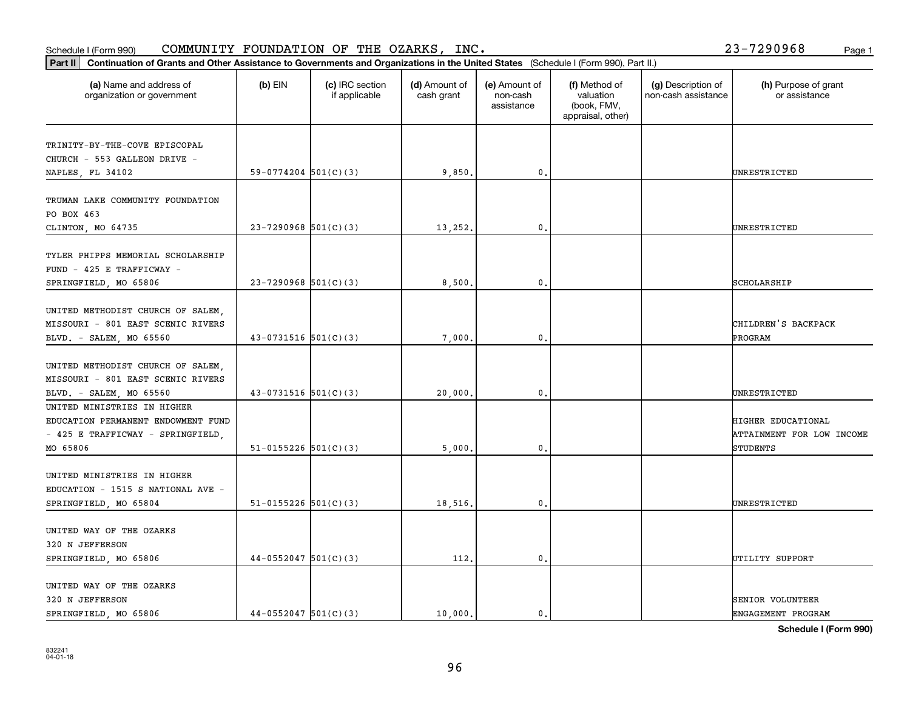#### Schedule I (Form 990) COMMUNITY FOUNDATION OF THE OZARKS, INC。 Page 1 COMMUNITY FOUNDATION OF THE OZARKS, INC. 23-7290968

| Part II   Continuation of Grants and Other Assistance to Governments and Organizations in the United States (Schedule I (Form 990), Part II.) |                            |                                  |                             |                                         |                                                                |                                           |                                                             |
|-----------------------------------------------------------------------------------------------------------------------------------------------|----------------------------|----------------------------------|-----------------------------|-----------------------------------------|----------------------------------------------------------------|-------------------------------------------|-------------------------------------------------------------|
| (a) Name and address of<br>organization or government                                                                                         | $(b)$ EIN                  | (c) IRC section<br>if applicable | (d) Amount of<br>cash grant | (e) Amount of<br>non-cash<br>assistance | (f) Method of<br>valuation<br>(book, FMV,<br>appraisal, other) | (g) Description of<br>non-cash assistance | (h) Purpose of grant<br>or assistance                       |
| TRINITY-BY-THE-COVE EPISCOPAL<br>CHURCH - 553 GALLEON DRIVE -                                                                                 |                            |                                  |                             |                                         |                                                                |                                           |                                                             |
| NAPLES, FL 34102                                                                                                                              | $59-0774204$ 501(C)(3)     |                                  | 9,850.                      | 0.                                      |                                                                |                                           | UNRESTRICTED                                                |
| TRUMAN LAKE COMMUNITY FOUNDATION<br>PO BOX 463<br>CLINTON, MO 64735                                                                           | $23-7290968$ $501(C)(3)$   |                                  | 13,252.                     | 0.                                      |                                                                |                                           | UNRESTRICTED                                                |
|                                                                                                                                               |                            |                                  |                             |                                         |                                                                |                                           |                                                             |
| TYLER PHIPPS MEMORIAL SCHOLARSHIP<br>FUND - 425 E TRAFFICWAY -<br>SPRINGFIELD, MO 65806                                                       | $23 - 7290968$ 501(C)(3)   |                                  | 8,500                       | $\mathbf{0}$ .                          |                                                                |                                           | SCHOLARSHIP                                                 |
| UNITED METHODIST CHURCH OF SALEM.<br>MISSOURI - 801 EAST SCENIC RIVERS<br>BLVD. - SALEM, MO 65560                                             | $43-0731516$ 501(C)(3)     |                                  | 7,000                       | 0.                                      |                                                                |                                           | CHILDREN'S BACKPACK<br>PROGRAM                              |
| UNITED METHODIST CHURCH OF SALEM.<br>MISSOURI - 801 EAST SCENIC RIVERS<br>BLVD. - SALEM, MO 65560                                             | $43-0731516$ 501(C)(3)     |                                  | 20,000                      | 0.                                      |                                                                |                                           | UNRESTRICTED                                                |
| UNITED MINISTRIES IN HIGHER                                                                                                                   |                            |                                  |                             |                                         |                                                                |                                           |                                                             |
| EDUCATION PERMANENT ENDOWMENT FUND<br>- 425 E TRAFFICWAY - SPRINGFIELD,<br>MO 65806                                                           | $51 - 0155226$ $501(C)(3)$ |                                  | 5,000                       | 0.                                      |                                                                |                                           | HIGHER EDUCATIONAL<br>ATTAINMENT FOR LOW INCOME<br>STUDENTS |
| UNITED MINISTRIES IN HIGHER<br>EDUCATION - 1515 S NATIONAL AVE -<br>SPRINGFIELD, MO 65804                                                     | $51 - 0155226$ $501(C)(3)$ |                                  | 18,516.                     | $\mathfrak{o}$ .                        |                                                                |                                           | UNRESTRICTED                                                |
| UNITED WAY OF THE OZARKS<br>320 N JEFFERSON<br>SPRINGFIELD, MO 65806                                                                          | $44-0552047$ 501(C)(3)     |                                  | 112.                        | $\mathbf{0}$ .                          |                                                                |                                           | UTILITY SUPPORT                                             |
|                                                                                                                                               |                            |                                  |                             |                                         |                                                                |                                           |                                                             |
| UNITED WAY OF THE OZARKS<br>320 N JEFFERSON<br>SPRINGFIELD, MO 65806                                                                          | $44-0552047$ 501(C)(3)     |                                  | 10,000.                     | 0.                                      |                                                                |                                           | <b>SENIOR VOLUNTEER</b><br>ENGAGEMENT PROGRAM               |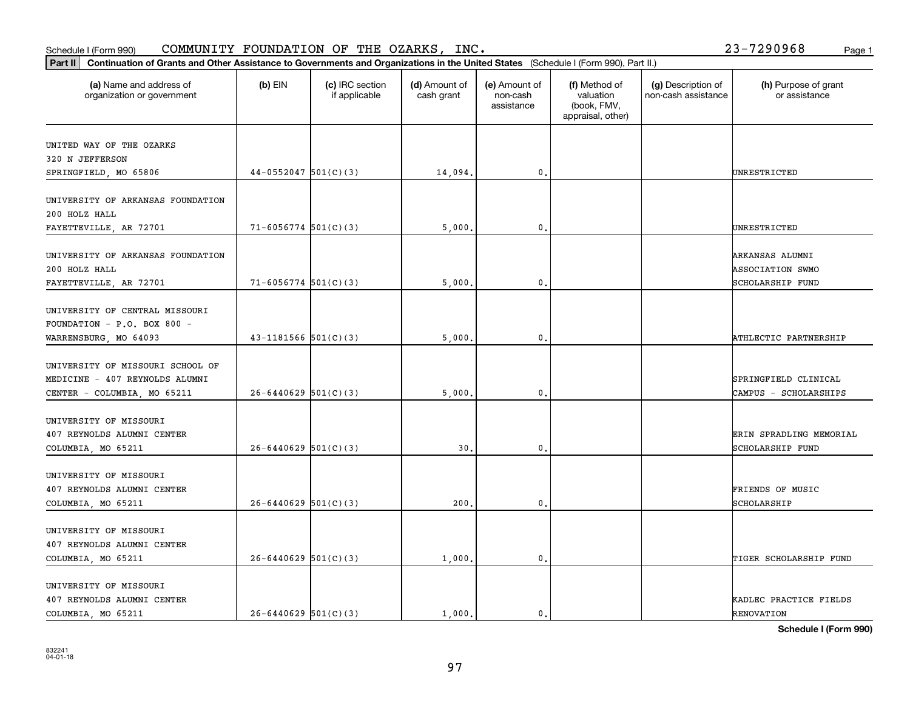#### Schedule I (Form 990)  ${\tt COMMUNITY}$  <code>FOUNDATION OF THE OZARKS, INC</code> .  $23-7290968$  Page 1

| Part II   Continuation of Grants and Other Assistance to Governments and Organizations in the United States (Schedule I (Form 990), Part II.) |                            |                                  |                             |                                         |                                                                |                                           |                                             |
|-----------------------------------------------------------------------------------------------------------------------------------------------|----------------------------|----------------------------------|-----------------------------|-----------------------------------------|----------------------------------------------------------------|-------------------------------------------|---------------------------------------------|
| (a) Name and address of<br>organization or government                                                                                         | $(b)$ EIN                  | (c) IRC section<br>if applicable | (d) Amount of<br>cash grant | (e) Amount of<br>non-cash<br>assistance | (f) Method of<br>valuation<br>(book, FMV,<br>appraisal, other) | (g) Description of<br>non-cash assistance | (h) Purpose of grant<br>or assistance       |
| UNITED WAY OF THE OZARKS                                                                                                                      |                            |                                  |                             |                                         |                                                                |                                           |                                             |
| 320 N JEFFERSON                                                                                                                               |                            |                                  |                             |                                         |                                                                |                                           |                                             |
| SPRINGFIELD, MO 65806                                                                                                                         | $44-0552047$ 501(C)(3)     |                                  | 14,094.                     | $\mathbf{0}$ .                          |                                                                |                                           | UNRESTRICTED                                |
| UNIVERSITY OF ARKANSAS FOUNDATION                                                                                                             |                            |                                  |                             |                                         |                                                                |                                           |                                             |
| 200 HOLZ HALL                                                                                                                                 |                            |                                  |                             |                                         |                                                                |                                           |                                             |
| FAYETTEVILLE, AR 72701                                                                                                                        | $71-6056774$ 501(C)(3)     |                                  | 5,000                       | $\mathfrak{o}$ .                        |                                                                |                                           | UNRESTRICTED                                |
| UNIVERSITY OF ARKANSAS FOUNDATION                                                                                                             |                            |                                  |                             |                                         |                                                                |                                           | ARKANSAS ALUMNI                             |
| 200 HOLZ HALL                                                                                                                                 |                            |                                  |                             |                                         |                                                                |                                           | ASSOCIATION SWMO                            |
| FAYETTEVILLE, AR 72701                                                                                                                        | $71-6056774$ 501(C)(3)     |                                  | 5,000.                      | $\mathfrak{o}$ .                        |                                                                |                                           | SCHOLARSHIP FUND                            |
| UNIVERSITY OF CENTRAL MISSOURI<br>FOUNDATION - P.O. BOX 800 -<br>WARRENSBURG, MO 64093                                                        | $43 - 1181566$ $501(C)(3)$ |                                  | 5,000                       | $\mathbf{0}$ .                          |                                                                |                                           | ATHLECTIC PARTNERSHIP                       |
| UNIVERSITY OF MISSOURI SCHOOL OF<br>MEDICINE - 407 REYNOLDS ALUMNI                                                                            |                            |                                  |                             |                                         |                                                                |                                           | SPRINGFIELD CLINICAL                        |
| CENTER - COLUMBIA, MO 65211                                                                                                                   | $26 - 6440629$ 501(C)(3)   |                                  | 5,000                       | $\mathsf 0$ .                           |                                                                |                                           | CAMPUS - SCHOLARSHIPS                       |
| UNIVERSITY OF MISSOURI<br>407 REYNOLDS ALUMNI CENTER<br>COLUMBIA, MO 65211                                                                    | $26 - 6440629$ 501(C)(3)   |                                  | 30 <sub>1</sub>             | $\mathbf{0}$                            |                                                                |                                           | ERIN SPRADLING MEMORIAL<br>SCHOLARSHIP FUND |
| UNIVERSITY OF MISSOURI<br>407 REYNOLDS ALUMNI CENTER<br>COLUMBIA, MO 65211                                                                    | $26 - 6440629$ 501(C)(3)   |                                  | 200                         | $\mathbf{0}$ .                          |                                                                |                                           | FRIENDS OF MUSIC<br>SCHOLARSHIP             |
|                                                                                                                                               |                            |                                  |                             |                                         |                                                                |                                           |                                             |
| UNIVERSITY OF MISSOURI<br>407 REYNOLDS ALUMNI CENTER<br>COLUMBIA, MO 65211                                                                    | $26 - 6440629$ 501(C)(3)   |                                  | 1,000.                      | $\mathfrak o$ .                         |                                                                |                                           | TIGER SCHOLARSHIP FUND                      |
|                                                                                                                                               |                            |                                  |                             |                                         |                                                                |                                           |                                             |
| UNIVERSITY OF MISSOURI<br>407 REYNOLDS ALUMNI CENTER<br>COLUMBIA, MO 65211                                                                    | $26 - 6440629$ 501(C)(3)   |                                  | 1,000.                      | $\mathfrak{o}$ .                        |                                                                |                                           | KADLEC PRACTICE FIELDS<br>RENOVATION        |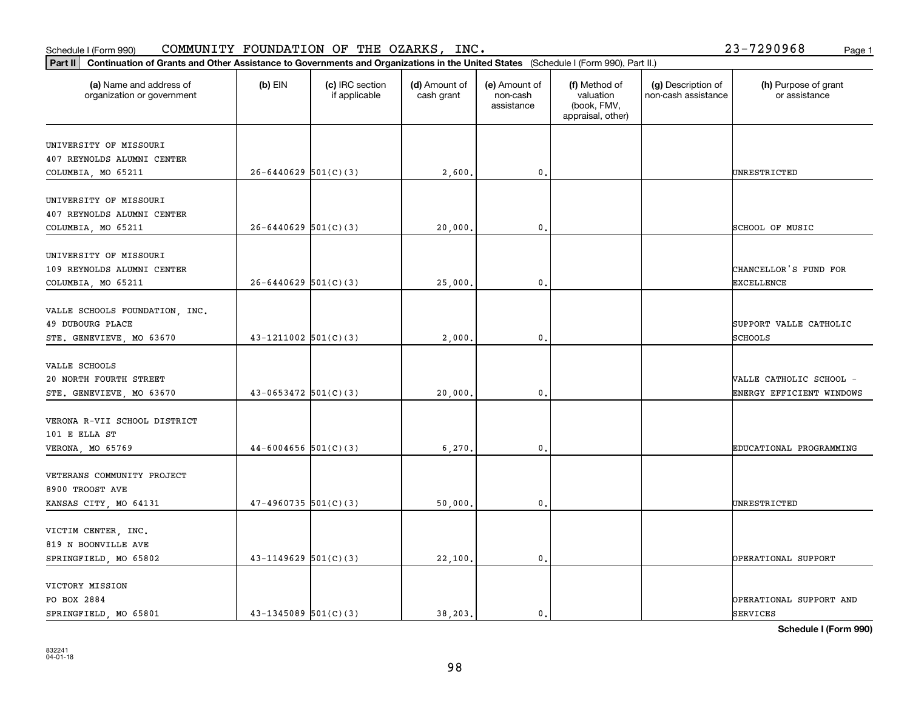819 N BOONVILLE AVE

VICTORY MISSION

| (a) Name and address of<br>organization or government                          | $(b)$ EIN                  | (c) IRC section<br>if applicable | (d) Amount of<br>cash grant | (e) Amount of<br>non-cash<br>assistance | (f) Method of<br>valuation<br>(book, FMV,<br>appraisal, other) | (g) Description of<br>non-cash assistance | (h) Purpose of grant<br>or assistance               |
|--------------------------------------------------------------------------------|----------------------------|----------------------------------|-----------------------------|-----------------------------------------|----------------------------------------------------------------|-------------------------------------------|-----------------------------------------------------|
| UNIVERSITY OF MISSOURI<br>407 REYNOLDS ALUMNI CENTER                           |                            |                                  |                             |                                         |                                                                |                                           |                                                     |
| COLUMBIA, MO 65211                                                             | $26 - 6440629$ 501(C)(3)   |                                  | 2,600.                      | $\,$ 0 $_\bullet$                       |                                                                |                                           | UNRESTRICTED                                        |
| UNIVERSITY OF MISSOURI<br>407 REYNOLDS ALUMNI CENTER                           |                            |                                  |                             |                                         |                                                                |                                           |                                                     |
| COLUMBIA, MO 65211                                                             | $26-6440629$ $501(C)(3)$   |                                  | 20,000.                     | $\,$ 0 $_\bullet$                       |                                                                |                                           | SCHOOL OF MUSIC                                     |
| UNIVERSITY OF MISSOURI<br>109 REYNOLDS ALUMNI CENTER<br>COLUMBIA, MO 65211     | $26 - 6440629$ 501(C)(3)   |                                  | 25,000.                     | $\,$ 0 .                                |                                                                |                                           | CHANCELLOR'S FUND FOR<br>EXCELLENCE                 |
| VALLE SCHOOLS FOUNDATION, INC.<br>49 DUBOURG PLACE<br>STE. GENEVIEVE, MO 63670 | $43 - 1211002$ $501(C)(3)$ |                                  | 2,000.                      | $\mathfrak o$ .                         |                                                                |                                           | SUPPORT VALLE CATHOLIC<br>SCHOOLS                   |
| VALLE SCHOOLS<br>20 NORTH FOURTH STREET<br>STE. GENEVIEVE, MO 63670            | $43 - 0653472$ $501(C)(3)$ |                                  | 20,000.                     | $\mathbf{0}$ .                          |                                                                |                                           | VALLE CATHOLIC SCHOOL -<br>ENERGY EFFICIENT WINDOWS |
| VERONA R-VII SCHOOL DISTRICT<br>101 E ELLA ST<br>VERONA, MO 65769              | $44-6004656$ 501(C)(3)     |                                  | 6, 270.                     | $^{\circ}$ .                            |                                                                |                                           | EDUCATIONAL PROGRAMMING                             |
| VETERANS COMMUNITY PROJECT<br>8900 TROOST AVE<br>KANSAS CITY, MO 64131         | $47-4960735$ 501(C)(3)     |                                  | 50,000.                     | $\mathbf{0}$ .                          |                                                                |                                           | UNRESTRICTED                                        |
| VICTIM CENTER, INC.                                                            |                            |                                  |                             |                                         |                                                                |                                           |                                                     |

#### Schedule I (Form 990)  ${\tt COMMUNITY}$  <code>FOUNDATION OF THE OZARKS, INC</code> .  $23-7290968$  Page 1

**Part II Continuation of Grants and Other Assistance to Governments and Organizations in the United States**  (Schedule I (Form 990), Part II.)

**Schedule I (Form 990)**

PO BOX 2884 OPERATIONAL SUPPORT AND

SPRINGFIELD, MO 65802 43-1149629 501(C)(3)  $\begin{vmatrix} 22,100 \end{vmatrix}$  0. 0

SPRINGFIELD, MO 65801 43-1345089 501(C)(3) 38,203. 0. 0.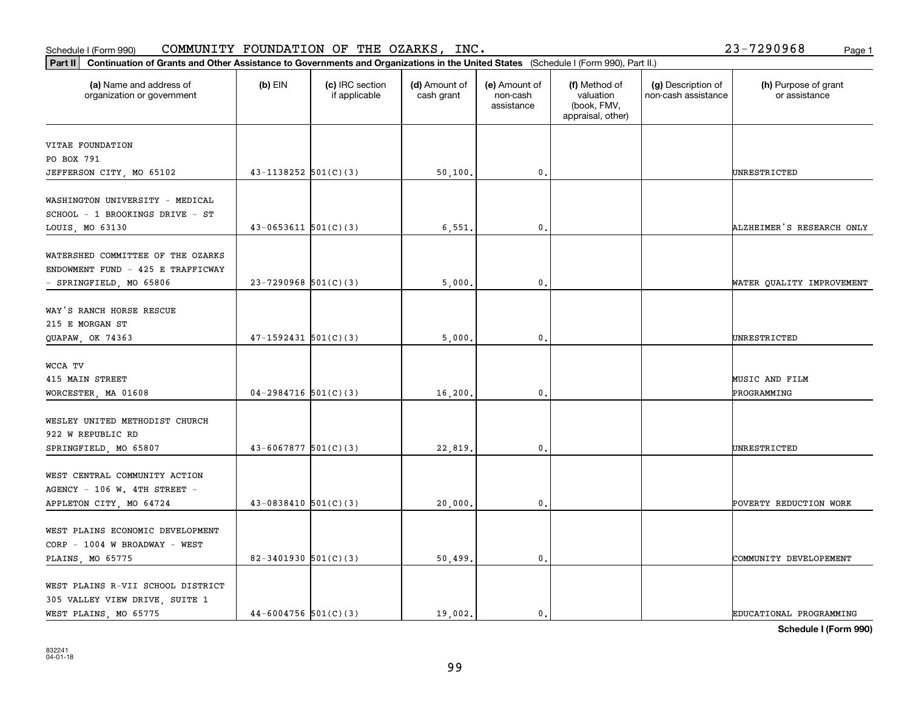# Schedule I (Form 990)  ${\tt COMMUNITY}$  <code>FOUNDATION OF THE OZARKS, INC</code> .  $23-7290968$  Page 1

**Part II Continuation of Grants and Other Assistance to Governments and Organizations in the United States**  (Schedule I (Form 990), Part II.)

| (a) Name and address of<br>organization or government                                        | $(b)$ EIN                  | (c) IRC section<br>if applicable | (d) Amount of<br>cash grant | (e) Amount of<br>non-cash<br>assistance | (f) Method of<br>valuation<br>(book, FMV,<br>appraisal, other) | (g) Description of<br>non-cash assistance | (h) Purpose of grant<br>or assistance |
|----------------------------------------------------------------------------------------------|----------------------------|----------------------------------|-----------------------------|-----------------------------------------|----------------------------------------------------------------|-------------------------------------------|---------------------------------------|
| VITAE FOUNDATION                                                                             |                            |                                  |                             |                                         |                                                                |                                           |                                       |
| PO BOX 791                                                                                   |                            |                                  |                             |                                         |                                                                |                                           |                                       |
| JEFFERSON CITY, MO 65102                                                                     | $43 - 1138252$ $501(C)(3)$ |                                  | 50,100.                     | $\mathbf{0}$ .                          |                                                                |                                           | UNRESTRICTED                          |
| WASHINGTON UNIVERSITY - MEDICAL<br>SCHOOL - 1 BROOKINGS DRIVE - ST                           |                            |                                  |                             |                                         |                                                                |                                           |                                       |
| LOUIS, MO 63130                                                                              | $43-0653611$ $501(C)(3)$   |                                  | 6,551.                      | 0.                                      |                                                                |                                           | ALZHEIMER'S RESEARCH ONLY             |
| WATERSHED COMMITTEE OF THE OZARKS<br>ENDOWMENT FUND - 425 E TRAFFICWAY                       |                            |                                  |                             | $\mathbf{0}$ .                          |                                                                |                                           |                                       |
| - SPRINGFIELD, MO 65806                                                                      | $23 - 7290968$ 501(C)(3)   |                                  | 5,000.                      |                                         |                                                                |                                           | WATER QUALITY IMPROVEMENT             |
| WAY'S RANCH HORSE RESCUE<br>215 E MORGAN ST                                                  | $47-1592431$ $501(C)(3)$   |                                  |                             | 0.                                      |                                                                |                                           | UNRESTRICTED                          |
| QUAPAW, OK 74363                                                                             |                            |                                  | 5,000.                      |                                         |                                                                |                                           |                                       |
| WCCA TV<br>415 MAIN STREET<br>WORCESTER, MA 01608                                            | $04-2984716$ 501(C)(3)     |                                  | 16,200.                     | 0.                                      |                                                                |                                           | MUSIC AND FILM<br>PROGRAMMING         |
|                                                                                              |                            |                                  |                             |                                         |                                                                |                                           |                                       |
| WESLEY UNITED METHODIST CHURCH<br>922 W REPUBLIC RD<br>SPRINGFIELD, MO 65807                 | $43 - 6067877$ 501(C)(3)   |                                  | 22,819.                     | 0.                                      |                                                                |                                           | UNRESTRICTED                          |
| WEST CENTRAL COMMUNITY ACTION<br>AGENCY - 106 W. 4TH STREET -                                |                            |                                  |                             |                                         |                                                                |                                           |                                       |
| APPLETON CITY, MO 64724                                                                      | $43-0838410$ $501(C)(3)$   |                                  | 20,000.                     | 0.                                      |                                                                |                                           | POVERTY REDUCTION WORK                |
| WEST PLAINS ECONOMIC DEVELOPMENT<br>CORP - 1004 W BROADWAY - WEST                            |                            |                                  |                             |                                         |                                                                |                                           |                                       |
| PLAINS, MO 65775                                                                             | 82-3401930 $501(C)(3)$     |                                  | 50,499.                     | $\mathfrak o$ .                         |                                                                |                                           | COMMUNITY DEVELOPEMENT                |
| WEST PLAINS R-VII SCHOOL DISTRICT<br>305 VALLEY VIEW DRIVE, SUITE 1<br>WEST PLAINS, MO 65775 | $44-6004756$ 501(C)(3)     |                                  | 19,002.                     | 0.                                      |                                                                |                                           | EDUCATIONAL PROGRAMMING               |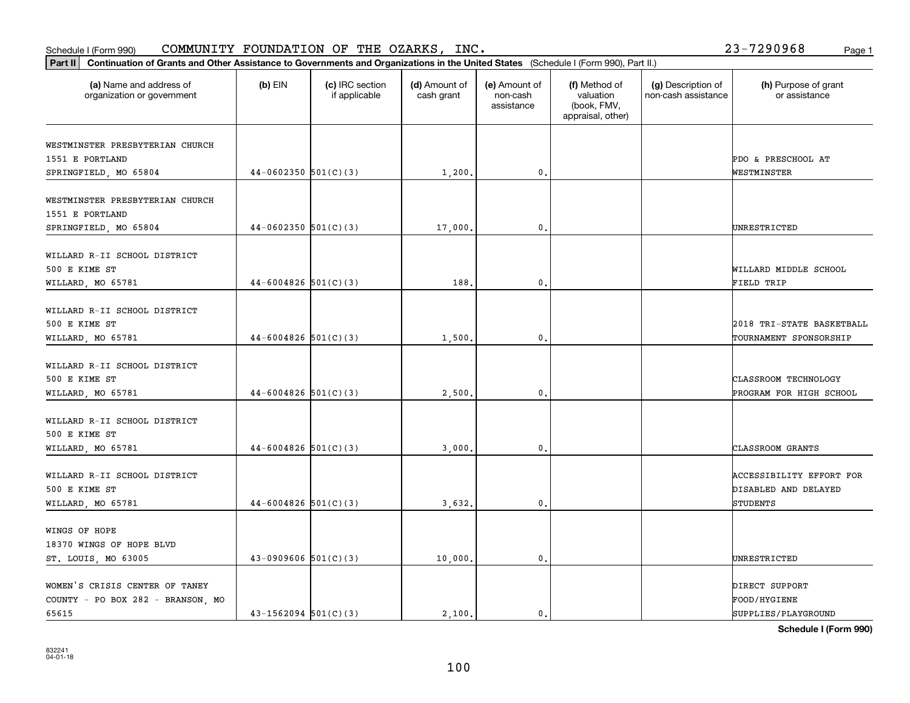65615

| SPRINGFIELD, MO 65804        | $44-0602350$ 501(C)(3)   | 17,000. | 0.             | UNRESTRICTED                    |
|------------------------------|--------------------------|---------|----------------|---------------------------------|
| WILLARD R-II SCHOOL DISTRICT |                          |         |                |                                 |
| 500 E KIME ST                |                          |         |                | WILLARD MIDDLE SCHOOL           |
| WILLARD, MO 65781            | $44-6004826$ 501(C)(3)   | 188.    | $\mathbf{0}$ . | FIELD TRIP                      |
|                              |                          |         |                |                                 |
| WILLARD R-II SCHOOL DISTRICT |                          |         |                |                                 |
| 500 E KIME ST                |                          |         |                | 2018 TRI-STATE BASKETBALL       |
| WILLARD, MO 65781            | $44-6004826$ 501(C)(3)   | 1,500.  | 0.             | TOURNAMENT SPONSORSHIP          |
|                              |                          |         |                |                                 |
| WILLARD R-II SCHOOL DISTRICT |                          |         |                |                                 |
| 500 E KIME ST                |                          |         |                | CLASSROOM TECHNOLOGY            |
| WILLARD, MO 65781            | $44-6004826$ 501(C)(3)   | 2,500.  | $\mathbf{0}$ . | PROGRAM FOR HIGH SCHOOL         |
|                              |                          |         |                |                                 |
| WILLARD R-II SCHOOL DISTRICT |                          |         |                |                                 |
| 500 E KIME ST                |                          |         |                |                                 |
| WILLARD, MO 65781            | $44-6004826$ 501(C)(3)   | 3,000.  | $\mathbf{0}$ . | CLASSROOM GRANTS                |
|                              |                          |         |                |                                 |
| WILLARD R-II SCHOOL DISTRICT |                          |         |                | <b>ACCESSIBILITY EFFORT FOR</b> |
| 500 E KIME ST                |                          |         |                | DISABLED AND DELAYED            |
| WILLARD, MO 65781            | $44 - 6004826$ 501(C)(3) | 3.632.  | $\mathbf{0}$ . | <b>STUDENTS</b>                 |
|                              |                          |         |                |                                 |
| WINGS OF HOPE                |                          |         |                |                                 |
| 18370 WINGS OF HOPE BLVD     |                          |         |                |                                 |
| ST. LOUIS, MO 63005          | $43-0909606$ $501(C)(3)$ | 10,000. | $\mathbf{0}$ . | UNRESTRICTED                    |
|                              |                          |         |                |                                 |

Schedule I (Form 990)  ${\tt COMMUNITY}$  <code>FOUNDATION OF THE OZARKS, INC</code> .  $23-7290968$  Page 1

organization or government

WESTMINSTER PRESBYTERIAN CHURCH

WESTMINSTER PRESBYTERIAN CHURCH

1551 E PORTLAND

**Part II Continuation of Grants and Other Assistance to Governments and Organizations in the United States**  (Schedule I (Form 990), Part II.)

if applicable

 $(b)$  EIN  $(c)$  IRC section

**(a) (b) (c) (d) (e) (f) (g) (h)** Name and address of

(d) Amount of cash grant

1551 E PORTLAND PDO & PRESCHOOL AT

SPRINGFIELD, MO 65804 44-0602350 501(C)(3) 1,200. 0. WESTMINSTER

(e) Amount of non-cashassistance

(f) Method of valuation (book, FMV, appraisal, other)

(g) Description of non-cash assistance

(h) Purpose of grant or assistance

43-1562094 501(C)(3) 2,100. 0. 0. 0. SUPPLIES/PLAYGROUND

WOMEN'S CRISIS CENTER OF TANEY DIRECT SUPPORT COUNTY - PO BOX 282 - BRANSON, MO FOOD/HYGIENE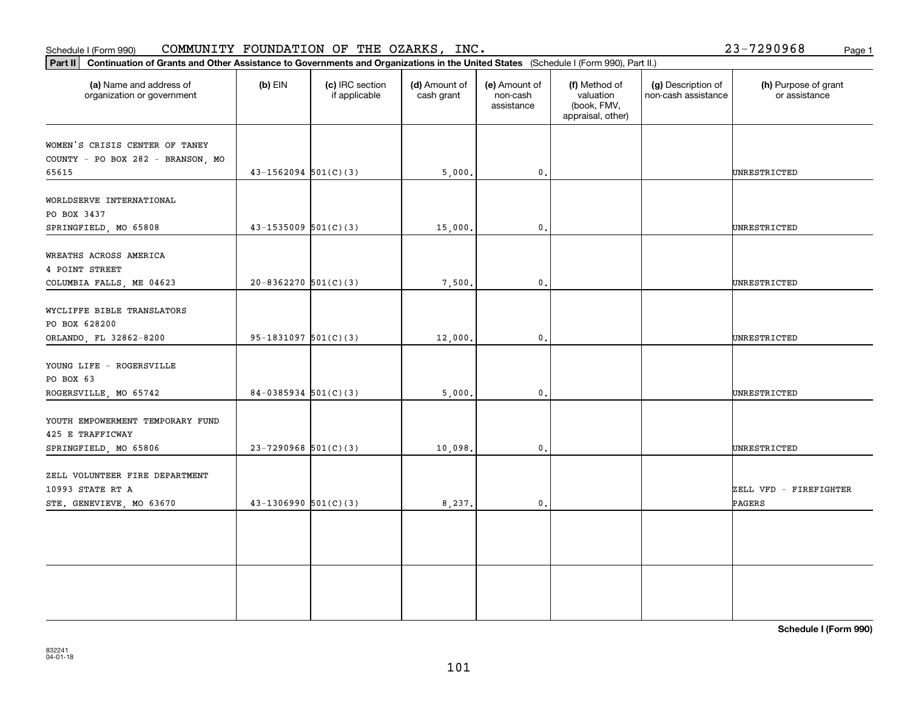#### **Part III Continuation of Grants and Other Continuation** of Grants and Other Continuation of Grants and Other States **Property** Schedule I (Form 990)  ${\tt COMMUNITY}$   ${\tt FOUNDATION}$   ${\tt OF}$   ${\tt THE}$   ${\tt OZARKS}$  ,  ${\tt INC}$  , which is the contract of the contract of  $23$  –  $7290968$  . Page 1

23-7290968

| Part II                                                                        | Continuation of Grants and Other Assistance to Governments and Organizations in the United States (Schedule I (Form 990), Part II.) |                                  |                             |                                         |                                                                |                                           |                                       |  |  |
|--------------------------------------------------------------------------------|-------------------------------------------------------------------------------------------------------------------------------------|----------------------------------|-----------------------------|-----------------------------------------|----------------------------------------------------------------|-------------------------------------------|---------------------------------------|--|--|
| (a) Name and address of<br>organization or government                          | $(b)$ EIN                                                                                                                           | (c) IRC section<br>if applicable | (d) Amount of<br>cash grant | (e) Amount of<br>non-cash<br>assistance | (f) Method of<br>valuation<br>(book, FMV,<br>appraisal, other) | (g) Description of<br>non-cash assistance | (h) Purpose of grant<br>or assistance |  |  |
| WOMEN'S CRISIS CENTER OF TANEY<br>COUNTY - PO BOX 282 - BRANSON, MO<br>65615   | $43 - 1562094$ 501(C)(3)                                                                                                            |                                  | 5,000.                      | 0.                                      |                                                                |                                           | UNRESTRICTED                          |  |  |
| WORLDSERVE INTERNATIONAL<br>PO BOX 3437<br>SPRINGFIELD, MO 65808               | $43 - 1535009$ 501(C)(3)                                                                                                            |                                  | 15,000.                     | $\mathfrak{o}$ .                        |                                                                |                                           | UNRESTRICTED                          |  |  |
| WREATHS ACROSS AMERICA<br>4 POINT STREET<br>COLUMBIA FALLS, ME 04623           | $20 - 8362270$ 501(C)(3)                                                                                                            |                                  | 7,500.                      | $\mathfrak{o}$ .                        |                                                                |                                           | UNRESTRICTED                          |  |  |
| WYCLIFFE BIBLE TRANSLATORS<br>PO BOX 628200<br>ORLANDO, FL 32862-8200          | $95-1831097$ 501(C)(3)                                                                                                              |                                  | 12,000.                     | $\mathbf{0}$ .                          |                                                                |                                           | UNRESTRICTED                          |  |  |
| YOUNG LIFE - ROGERSVILLE<br>PO BOX 63<br>ROGERSVILLE, MO 65742                 | $84-0385934$ 501(C)(3)                                                                                                              |                                  | 5,000.                      | 0.                                      |                                                                |                                           | UNRESTRICTED                          |  |  |
| YOUTH EMPOWERMENT TEMPORARY FUND<br>425 E TRAFFICWAY<br>SPRINGFIELD, MO 65806  | $23 - 7290968$ 501(C)(3)                                                                                                            |                                  | 10,098.                     | 0.                                      |                                                                |                                           | UNRESTRICTED                          |  |  |
| ZELL VOLUNTEER FIRE DEPARTMENT<br>10993 STATE RT A<br>STE. GENEVIEVE, MO 63670 | $43 - 1306990$ 501(C)(3)                                                                                                            |                                  | 8,237.                      | $\mathfrak{o}$ .                        |                                                                |                                           | ZELL VFD - FIREFIGHTER<br>PAGERS      |  |  |
|                                                                                |                                                                                                                                     |                                  |                             |                                         |                                                                |                                           |                                       |  |  |
|                                                                                |                                                                                                                                     |                                  |                             |                                         |                                                                |                                           |                                       |  |  |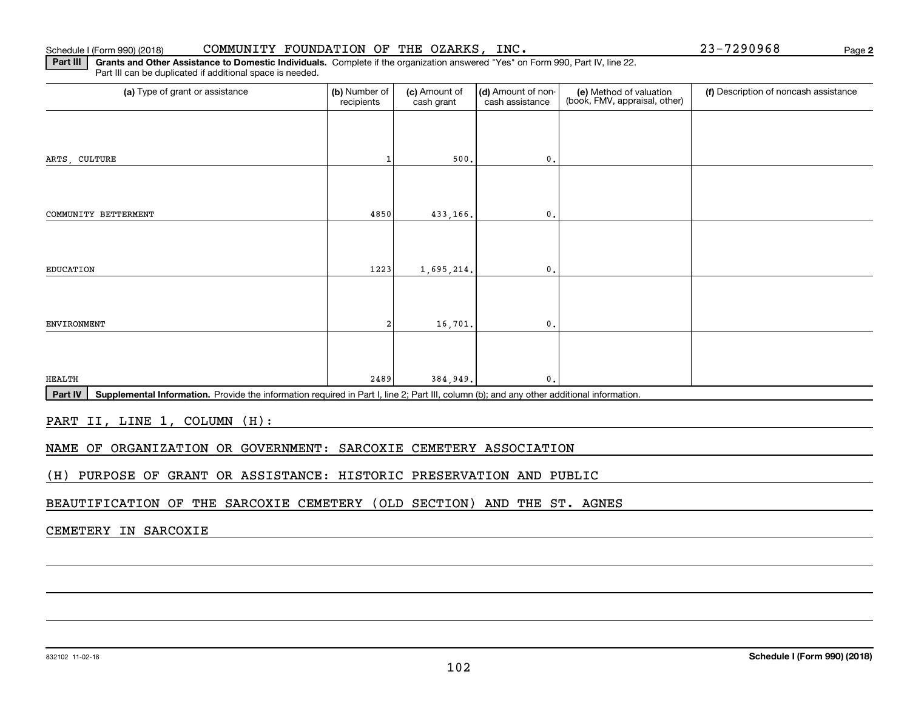| . . | $\tilde{}$ |                              |                                                     |  |
|-----|------------|------------------------------|-----------------------------------------------------|--|
|     |            |                              |                                                     |  |
|     |            |                              |                                                     |  |
|     |            |                              |                                                     |  |
|     |            | $\mathbf{0}$ .               |                                                     |  |
|     |            |                              |                                                     |  |
|     |            |                              |                                                     |  |
|     |            | $\mathfrak{o}$ .             |                                                     |  |
|     |            |                              |                                                     |  |
|     |            |                              |                                                     |  |
| 2   |            | $\mathbf{0}$ .               |                                                     |  |
|     |            |                              |                                                     |  |
|     |            |                              |                                                     |  |
|     | 384,949.   | $\mathbf{0}$ .               |                                                     |  |
|     |            | 500.<br>4850<br>1223<br>2489 | $\mathbf{0}$ .<br>433,166.<br>1,695,214.<br>16,701. |  |

(a) Type of grant or assistance **Audity Commet Audio Commet Commet Commet Commet Commet Commet Commet Commet Comme** 

(c) Amount of cash grant

recipients

Part IV | Supplemental Information. Provide the information required in Part I, line 2; Part III, column (b); and any other additional information.

PART II, LINE 1, COLUMN (H):

Part III can be duplicated if additional space is needed.

NAME OF ORGANIZATION OR GOVERNMENT: SARCOXIE CEMETERY ASSOCIATION

(H) PURPOSE OF GRANT OR ASSISTANCE: HISTORIC PRESERVATION AND PUBLIC

BEAUTIFICATION OF THE SARCOXIE CEMETERY (OLD SECTION) AND THE ST. AGNES

### CEMETERY IN SARCOXIE

**2**Schedule I (Form 990) (2018) CO**MMUN**ITY FOUNDATION OF THE OZARKS,INC。 23-7290968 Page

(f) Description of noncash assistance

(d) Amount of noncash assistance

(e) Method of valuation (book, FMV, appraisal, other)

## **Part III | Grants and Other Assistance to Domestic Individuals. Complete if the organization answered "Yes" on Form 990, Part IV, line 22.**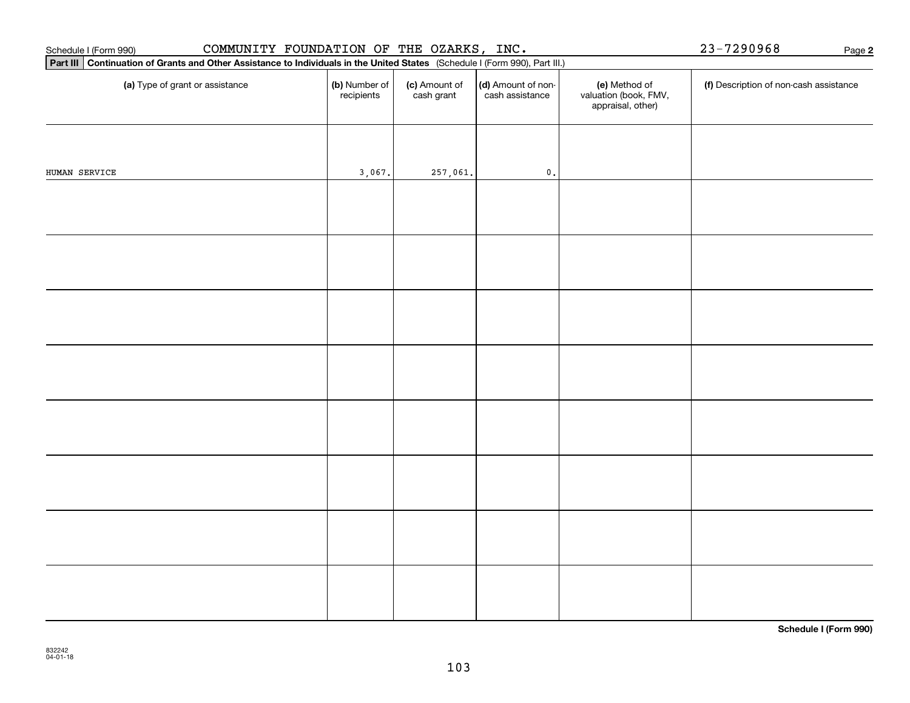| COMMUNITY FOUNDATION OF THE OZARKS, INC.<br>Schedule I (Form 990)                                                           | 23-7290968<br>Page 2        |                             |                                       |                                                             |                                        |  |
|-----------------------------------------------------------------------------------------------------------------------------|-----------------------------|-----------------------------|---------------------------------------|-------------------------------------------------------------|----------------------------------------|--|
| Part III Continuation of Grants and Other Assistance to Individuals in the United States (Schedule I (Form 990), Part III.) |                             |                             |                                       |                                                             |                                        |  |
| (a) Type of grant or assistance                                                                                             | (b) Number of<br>recipients | (c) Amount of<br>cash grant | (d) Amount of non-<br>cash assistance | (e) Method of<br>valuation (book, FMV,<br>appraisal, other) | (f) Description of non-cash assistance |  |
| HUMAN SERVICE                                                                                                               | 3,067.                      | 257,061.                    | $\mathfrak o$ .                       |                                                             |                                        |  |
|                                                                                                                             |                             |                             |                                       |                                                             |                                        |  |
|                                                                                                                             |                             |                             |                                       |                                                             |                                        |  |
|                                                                                                                             |                             |                             |                                       |                                                             |                                        |  |
|                                                                                                                             |                             |                             |                                       |                                                             |                                        |  |
|                                                                                                                             |                             |                             |                                       |                                                             |                                        |  |
|                                                                                                                             |                             |                             |                                       |                                                             |                                        |  |
|                                                                                                                             |                             |                             |                                       |                                                             |                                        |  |
|                                                                                                                             |                             |                             |                                       |                                                             |                                        |  |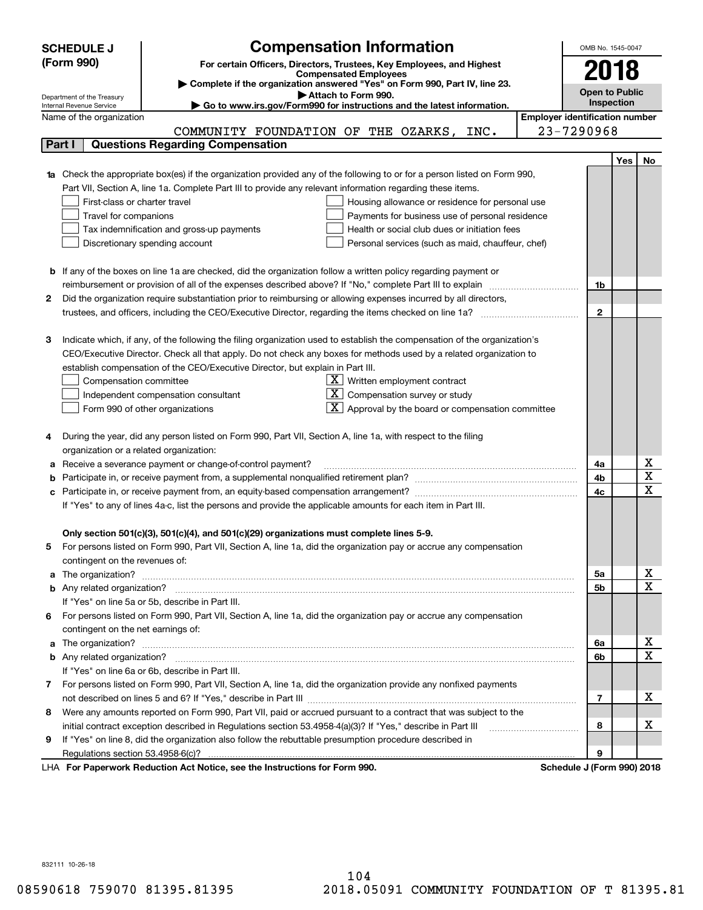|    | <b>Compensation Information</b><br><b>SCHEDULE J</b>                                                                                                                                                                                 |                                       | OMB No. 1545-0047          |      |                            |
|----|--------------------------------------------------------------------------------------------------------------------------------------------------------------------------------------------------------------------------------------|---------------------------------------|----------------------------|------|----------------------------|
|    | (Form 990)<br>For certain Officers, Directors, Trustees, Key Employees, and Highest                                                                                                                                                  |                                       |                            | 2018 |                            |
|    | <b>Compensated Employees</b><br>Complete if the organization answered "Yes" on Form 990, Part IV, line 23.                                                                                                                           |                                       |                            |      |                            |
|    | Attach to Form 990.<br>Department of the Treasury                                                                                                                                                                                    |                                       | <b>Open to Public</b>      |      |                            |
|    | Go to www.irs.gov/Form990 for instructions and the latest information.<br>Internal Revenue Service                                                                                                                                   |                                       | <b>Inspection</b>          |      |                            |
|    | Name of the organization                                                                                                                                                                                                             | <b>Employer identification number</b> |                            |      |                            |
|    | COMMUNITY FOUNDATION OF THE OZARKS, INC.<br><b>Questions Regarding Compensation</b><br>Part I                                                                                                                                        |                                       | 23-7290968                 |      |                            |
|    |                                                                                                                                                                                                                                      |                                       |                            |      |                            |
|    |                                                                                                                                                                                                                                      |                                       |                            | Yes  | No                         |
|    | 1a Check the appropriate box(es) if the organization provided any of the following to or for a person listed on Form 990,                                                                                                            |                                       |                            |      |                            |
|    | Part VII, Section A, line 1a. Complete Part III to provide any relevant information regarding these items.<br>First-class or charter travel                                                                                          |                                       |                            |      |                            |
|    | Housing allowance or residence for personal use<br>Travel for companions<br>Payments for business use of personal residence                                                                                                          |                                       |                            |      |                            |
|    | Tax indemnification and gross-up payments<br>Health or social club dues or initiation fees                                                                                                                                           |                                       |                            |      |                            |
|    | Discretionary spending account<br>Personal services (such as maid, chauffeur, chef)                                                                                                                                                  |                                       |                            |      |                            |
|    |                                                                                                                                                                                                                                      |                                       |                            |      |                            |
|    | <b>b</b> If any of the boxes on line 1a are checked, did the organization follow a written policy regarding payment or                                                                                                               |                                       |                            |      |                            |
|    | reimbursement or provision of all of the expenses described above? If "No," complete Part III to explain                                                                                                                             |                                       | 1b                         |      |                            |
| 2  | Did the organization require substantiation prior to reimbursing or allowing expenses incurred by all directors,                                                                                                                     |                                       |                            |      |                            |
|    | trustees, and officers, including the CEO/Executive Director, regarding the items checked on line 1a?                                                                                                                                |                                       | $\mathbf{2}$               |      |                            |
|    |                                                                                                                                                                                                                                      |                                       |                            |      |                            |
| З  | Indicate which, if any, of the following the filing organization used to establish the compensation of the organization's                                                                                                            |                                       |                            |      |                            |
|    | CEO/Executive Director. Check all that apply. Do not check any boxes for methods used by a related organization to                                                                                                                   |                                       |                            |      |                            |
|    | establish compensation of the CEO/Executive Director, but explain in Part III.                                                                                                                                                       |                                       |                            |      |                            |
|    | $X$ Written employment contract<br>Compensation committee                                                                                                                                                                            |                                       |                            |      |                            |
|    | $\overline{\textbf{X}}$ Compensation survey or study<br>Independent compensation consultant                                                                                                                                          |                                       |                            |      |                            |
|    | $\lfloor \underline{X} \rfloor$ Approval by the board or compensation committee<br>Form 990 of other organizations                                                                                                                   |                                       |                            |      |                            |
|    |                                                                                                                                                                                                                                      |                                       |                            |      |                            |
|    | During the year, did any person listed on Form 990, Part VII, Section A, line 1a, with respect to the filing                                                                                                                         |                                       |                            |      |                            |
|    | organization or a related organization:                                                                                                                                                                                              |                                       |                            |      |                            |
| а  | Receive a severance payment or change-of-control payment?                                                                                                                                                                            |                                       | 4a                         |      | х                          |
|    |                                                                                                                                                                                                                                      |                                       | 4b                         |      | $\overline{\texttt{x}}$    |
| с  |                                                                                                                                                                                                                                      |                                       | 4c                         |      | $\overline{\text{x}}$      |
|    | If "Yes" to any of lines 4a-c, list the persons and provide the applicable amounts for each item in Part III.                                                                                                                        |                                       |                            |      |                            |
|    |                                                                                                                                                                                                                                      |                                       |                            |      |                            |
|    | Only section 501(c)(3), 501(c)(4), and 501(c)(29) organizations must complete lines 5-9.                                                                                                                                             |                                       |                            |      |                            |
|    | For persons listed on Form 990, Part VII, Section A, line 1a, did the organization pay or accrue any compensation                                                                                                                    |                                       |                            |      |                            |
|    | contingent on the revenues of:                                                                                                                                                                                                       |                                       |                            |      |                            |
|    | a The organization? <b>Entitled Strategies and Strategies and Strategies and Strategies and Strategies and Strategies and Strategies and Strategies and Strategies and Strategies and Strategies and Strategies and Strategies a</b> |                                       | 5а                         |      | x<br>$\overline{\text{x}}$ |
|    |                                                                                                                                                                                                                                      |                                       | <b>5b</b>                  |      |                            |
|    | If "Yes" on line 5a or 5b, describe in Part III.                                                                                                                                                                                     |                                       |                            |      |                            |
| 6. | For persons listed on Form 990, Part VII, Section A, line 1a, did the organization pay or accrue any compensation                                                                                                                    |                                       |                            |      |                            |
|    | contingent on the net earnings of:                                                                                                                                                                                                   |                                       | 6a                         |      | x                          |
|    | a The organization? <b>Entitled Strategies and Strategies and Strategies and Strategies and Strategies and Strategies and Strategies and Strategies and Strategies and Strategies and Strategies and Strategies and Strategies a</b> |                                       | 6b                         |      | $\overline{\text{x}}$      |
|    | If "Yes" on line 6a or 6b, describe in Part III.                                                                                                                                                                                     |                                       |                            |      |                            |
|    | 7 For persons listed on Form 990, Part VII, Section A, line 1a, did the organization provide any nonfixed payments                                                                                                                   |                                       |                            |      |                            |
|    |                                                                                                                                                                                                                                      |                                       | 7                          |      | х                          |
| 8  | Were any amounts reported on Form 990, Part VII, paid or accrued pursuant to a contract that was subject to the                                                                                                                      |                                       |                            |      |                            |
|    | initial contract exception described in Regulations section 53.4958-4(a)(3)? If "Yes," describe in Part III                                                                                                                          |                                       | 8                          |      | x                          |
| 9  | If "Yes" on line 8, did the organization also follow the rebuttable presumption procedure described in                                                                                                                               |                                       |                            |      |                            |
|    | Regulations section 53.4958-6(c)?                                                                                                                                                                                                    |                                       | 9                          |      |                            |
|    | LHA For Paperwork Reduction Act Notice, see the Instructions for Form 990.                                                                                                                                                           |                                       | Schedule J (Form 990) 2018 |      |                            |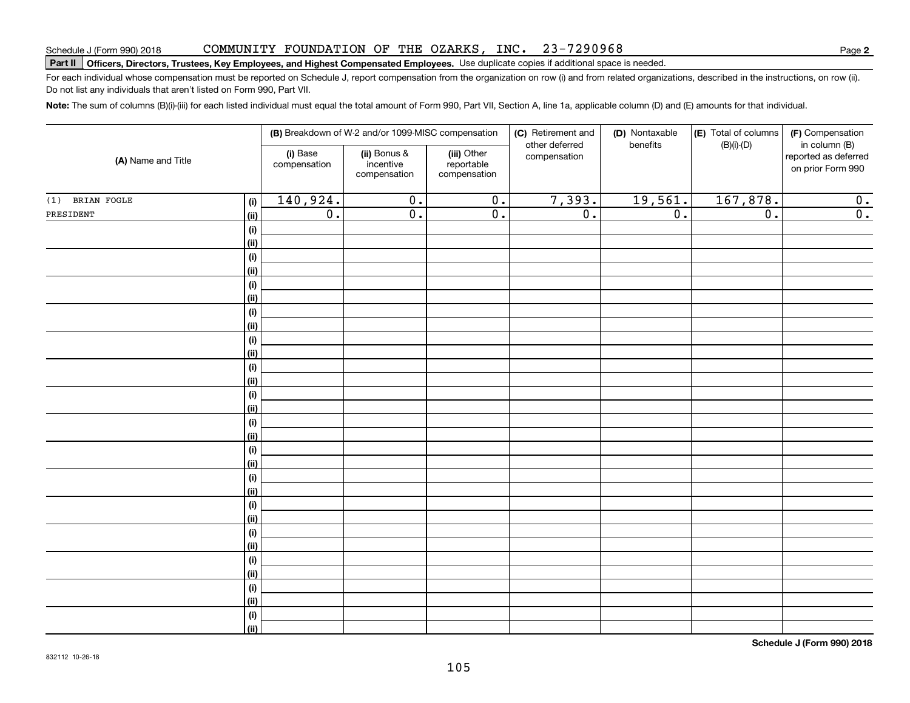#### COMMUNITY FOUNDATION OF THE OZARKS, INC. 23-7290968

# Schedule J (Form 990) 2018 COMMUN L'LY F'OUNDA'L' LON OF 'L'HE OZARKS, LNC. *Z 3-T Z* Y U Y 6 8 Page<br>Part II │Officers, Directors, Trustees, Key Employees, and Highest Compensated Employees. Use dupli

For each individual whose compensation must be reported on Schedule J, report compensation from the organization on row (i) and from related organizations, described in the instructions, on row (ii). Do not list any individuals that aren't listed on Form 990, Part VII.

**Note:**  The sum of columns (B)(i)-(iii) for each listed individual must equal the total amount of Form 990, Part VII, Section A, line 1a, applicable column (D) and (E) amounts for that individual.

| (A) Name and Title        |                | (B) Breakdown of W-2 and/or 1099-MISC compensation |                                           |                                           | (C) Retirement and             | (D) Nontaxable   | (E) Total of columns | (F) Compensation                                           |
|---------------------------|----------------|----------------------------------------------------|-------------------------------------------|-------------------------------------------|--------------------------------|------------------|----------------------|------------------------------------------------------------|
|                           |                | (i) Base<br>compensation                           | (ii) Bonus &<br>incentive<br>compensation | (iii) Other<br>reportable<br>compensation | other deferred<br>compensation | benefits         | $(B)(i)-(D)$         | in column (B)<br>reported as deferred<br>on prior Form 990 |
| <b>BRIAN FOGLE</b><br>(1) | (i)            | 140,924.                                           | $\overline{0}$ .                          | $\overline{0}$ .                          | 7,393.                         | 19,561.          | 167,878.             | $\overline{0}$ .                                           |
| PRESIDENT                 | (ii)           | $\overline{0}$ .                                   | $\overline{0}$ .                          | $\overline{0}$ .                          | $\overline{0}$ .               | $\overline{0}$ . | $\overline{0}$ .     | $\overline{0}$ .                                           |
|                           | (i)            |                                                    |                                           |                                           |                                |                  |                      |                                                            |
|                           | <u>(ii)</u>    |                                                    |                                           |                                           |                                |                  |                      |                                                            |
|                           | (i)            |                                                    |                                           |                                           |                                |                  |                      |                                                            |
|                           | <u>(ii)</u>    |                                                    |                                           |                                           |                                |                  |                      |                                                            |
|                           | (i)            |                                                    |                                           |                                           |                                |                  |                      |                                                            |
|                           | <u>(ii)</u>    |                                                    |                                           |                                           |                                |                  |                      |                                                            |
|                           | (i)            |                                                    |                                           |                                           |                                |                  |                      |                                                            |
|                           | <u>(ii)</u>    |                                                    |                                           |                                           |                                |                  |                      |                                                            |
|                           | (i)            |                                                    |                                           |                                           |                                |                  |                      |                                                            |
|                           | <u>(ii)</u>    |                                                    |                                           |                                           |                                |                  |                      |                                                            |
|                           | (i)<br>(ii)    |                                                    |                                           |                                           |                                |                  |                      |                                                            |
|                           | (i)            |                                                    |                                           |                                           |                                |                  |                      |                                                            |
|                           | (ii)           |                                                    |                                           |                                           |                                |                  |                      |                                                            |
|                           | (i)            |                                                    |                                           |                                           |                                |                  |                      |                                                            |
|                           | (ii)           |                                                    |                                           |                                           |                                |                  |                      |                                                            |
|                           | (i)            |                                                    |                                           |                                           |                                |                  |                      |                                                            |
|                           | (ii)           |                                                    |                                           |                                           |                                |                  |                      |                                                            |
|                           | (i)            |                                                    |                                           |                                           |                                |                  |                      |                                                            |
|                           | (ii)           |                                                    |                                           |                                           |                                |                  |                      |                                                            |
|                           | (i)            |                                                    |                                           |                                           |                                |                  |                      |                                                            |
|                           | <u>(ii)</u>    |                                                    |                                           |                                           |                                |                  |                      |                                                            |
|                           | (i)            |                                                    |                                           |                                           |                                |                  |                      |                                                            |
|                           | <u>(ii)</u>    |                                                    |                                           |                                           |                                |                  |                      |                                                            |
|                           | (i)            |                                                    |                                           |                                           |                                |                  |                      |                                                            |
|                           | <u>(ii)</u>    |                                                    |                                           |                                           |                                |                  |                      |                                                            |
|                           | (i)            |                                                    |                                           |                                           |                                |                  |                      |                                                            |
|                           | <u>(ii)</u>    |                                                    |                                           |                                           |                                |                  |                      |                                                            |
|                           | (i)            |                                                    |                                           |                                           |                                |                  |                      |                                                            |
|                           | $\overline{}}$ |                                                    |                                           |                                           |                                |                  |                      |                                                            |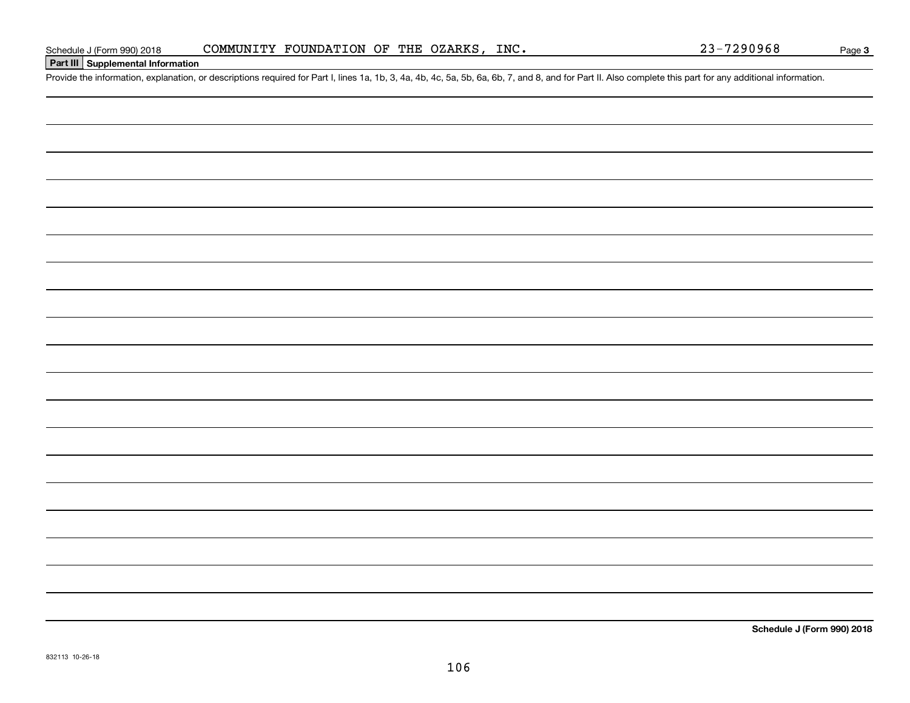| Schedule J (Form 990) 2018 |  |  |
|----------------------------|--|--|
|----------------------------|--|--|

### **Part III Supplemental Information**

Schedule J (Form 990) 2018 COMMUNITY FOUNDATION OF THE OZARKS, INC.<br>Part III Supplemental Information<br>Provide the information, explanation, or descriptions required for Part I, lines 1a, 1b, 3, 4a, 4b, 4c, 5a, 5b, 6a, 6b,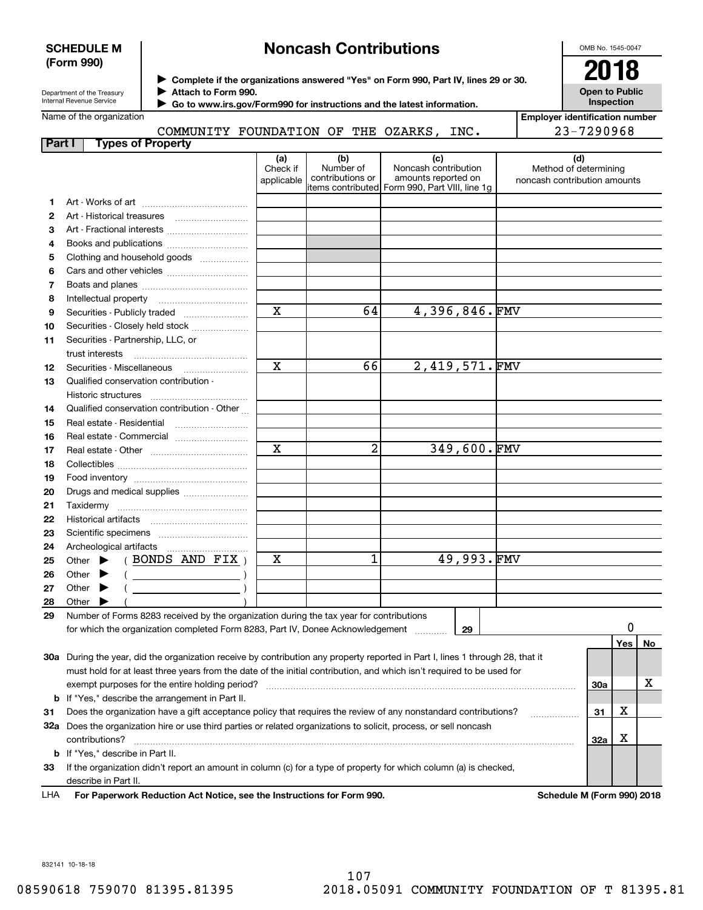### **SCHEDULE M (Form 990)**

# **Noncash Contributions**

OMB No. 1545-0047

| Department of the Treasury      |  |
|---------------------------------|--|
| <b>Internal Revenue Service</b> |  |

**Complete if the organizations answered "Yes" on Form 990, Part IV, lines 29 or 30.** <sup>J</sup>**2018 Attach to Form 990.** J

**Open to Public Inspection**

|  | Name of the organization |  |
|--|--------------------------|--|

 **Go to www.irs.gov/Form990 for instructions and the latest information.** J COMMUNITY FOUNDATION OF THE OZARKS, INC.

| Employer identification number |
|--------------------------------|
| 23-7290968                     |

| Part I | <b>Types of Property</b>                                                                                                                                                                                                            |                               |                                      |                                                                                                      |                                                              |                 |    |
|--------|-------------------------------------------------------------------------------------------------------------------------------------------------------------------------------------------------------------------------------------|-------------------------------|--------------------------------------|------------------------------------------------------------------------------------------------------|--------------------------------------------------------------|-----------------|----|
|        |                                                                                                                                                                                                                                     | (a)<br>Check if<br>applicable | (b)<br>Number of<br>contributions or | (c)<br>Noncash contribution<br>amounts reported on<br>items contributed Form 990, Part VIII, line 1g | (d)<br>Method of determining<br>noncash contribution amounts |                 |    |
| 1.     |                                                                                                                                                                                                                                     |                               |                                      |                                                                                                      |                                                              |                 |    |
| 2      |                                                                                                                                                                                                                                     |                               |                                      |                                                                                                      |                                                              |                 |    |
| 3      | Art - Fractional interests                                                                                                                                                                                                          |                               |                                      |                                                                                                      |                                                              |                 |    |
| 4      | Books and publications                                                                                                                                                                                                              |                               |                                      |                                                                                                      |                                                              |                 |    |
| 5      | Clothing and household goods                                                                                                                                                                                                        |                               |                                      |                                                                                                      |                                                              |                 |    |
| 6      |                                                                                                                                                                                                                                     |                               |                                      |                                                                                                      |                                                              |                 |    |
| 7      |                                                                                                                                                                                                                                     |                               |                                      |                                                                                                      |                                                              |                 |    |
| 8      |                                                                                                                                                                                                                                     |                               |                                      |                                                                                                      |                                                              |                 |    |
| 9      | Securities - Publicly traded                                                                                                                                                                                                        | $\mathbf x$                   | 64                                   | 4,396,846.FMV                                                                                        |                                                              |                 |    |
| 10     | Securities - Closely held stock                                                                                                                                                                                                     |                               |                                      |                                                                                                      |                                                              |                 |    |
| 11     | Securities - Partnership, LLC, or                                                                                                                                                                                                   |                               |                                      |                                                                                                      |                                                              |                 |    |
|        | trust interests                                                                                                                                                                                                                     |                               |                                      |                                                                                                      |                                                              |                 |    |
| 12     |                                                                                                                                                                                                                                     | $\overline{\mathbf{x}}$       | 66                                   | 2,419,571.FMV                                                                                        |                                                              |                 |    |
| 13     | Qualified conservation contribution -                                                                                                                                                                                               |                               |                                      |                                                                                                      |                                                              |                 |    |
| 14     | Historic structures<br>Qualified conservation contribution - Other                                                                                                                                                                  |                               |                                      |                                                                                                      |                                                              |                 |    |
| 15     |                                                                                                                                                                                                                                     |                               |                                      |                                                                                                      |                                                              |                 |    |
| 16     | Real estate - Commercial                                                                                                                                                                                                            |                               |                                      |                                                                                                      |                                                              |                 |    |
| 17     |                                                                                                                                                                                                                                     | $\mathbf x$                   | $\overline{2}$                       | 349,600.FMV                                                                                          |                                                              |                 |    |
| 18     |                                                                                                                                                                                                                                     |                               |                                      |                                                                                                      |                                                              |                 |    |
| 19     |                                                                                                                                                                                                                                     |                               |                                      |                                                                                                      |                                                              |                 |    |
| 20     | Drugs and medical supplies                                                                                                                                                                                                          |                               |                                      |                                                                                                      |                                                              |                 |    |
| 21     |                                                                                                                                                                                                                                     |                               |                                      |                                                                                                      |                                                              |                 |    |
| 22     |                                                                                                                                                                                                                                     |                               |                                      |                                                                                                      |                                                              |                 |    |
| 23     |                                                                                                                                                                                                                                     |                               |                                      |                                                                                                      |                                                              |                 |    |
| 24     | Archeological artifacts                                                                                                                                                                                                             |                               |                                      |                                                                                                      |                                                              |                 |    |
| 25     | .<br>(BONDS AND FIX)<br>Other $\blacktriangleright$                                                                                                                                                                                 | х                             | $\mathbf{1}$                         | 49,993.FMV                                                                                           |                                                              |                 |    |
| 26     | Other                                                                                                                                                                                                                               |                               |                                      |                                                                                                      |                                                              |                 |    |
| 27     | $\left(\begin{array}{ccc} \begin{array}{ccc} \end{array} & & \end{array}\right)$<br>Other $\blacktriangleright$                                                                                                                     |                               |                                      |                                                                                                      |                                                              |                 |    |
| 28     | Other                                                                                                                                                                                                                               |                               |                                      |                                                                                                      |                                                              |                 |    |
| 29     | Number of Forms 8283 received by the organization during the tax year for contributions                                                                                                                                             |                               |                                      |                                                                                                      |                                                              |                 |    |
|        | for which the organization completed Form 8283, Part IV, Donee Acknowledgement                                                                                                                                                      |                               |                                      | 29                                                                                                   |                                                              |                 | 0  |
|        |                                                                                                                                                                                                                                     |                               |                                      |                                                                                                      |                                                              | Yes             | No |
|        | 30a During the year, did the organization receive by contribution any property reported in Part I, lines 1 through 28, that it                                                                                                      |                               |                                      |                                                                                                      |                                                              |                 |    |
|        | must hold for at least three years from the date of the initial contribution, and which isn't required to be used for                                                                                                               |                               |                                      |                                                                                                      |                                                              |                 |    |
|        | exempt purposes for the entire holding period?                                                                                                                                                                                      |                               |                                      |                                                                                                      |                                                              | 30a             | х  |
|        | <b>b</b> If "Yes," describe the arrangement in Part II.                                                                                                                                                                             |                               |                                      |                                                                                                      |                                                              |                 |    |
| 31     |                                                                                                                                                                                                                                     |                               |                                      |                                                                                                      |                                                              | х<br>31         |    |
|        | Does the organization have a gift acceptance policy that requires the review of any nonstandard contributions?<br>32a Does the organization hire or use third parties or related organizations to solicit, process, or sell noncash |                               |                                      |                                                                                                      |                                                              |                 |    |
|        | contributions?                                                                                                                                                                                                                      |                               |                                      |                                                                                                      |                                                              | х<br><b>32a</b> |    |
|        | <b>b</b> If "Yes," describe in Part II.                                                                                                                                                                                             |                               |                                      |                                                                                                      |                                                              |                 |    |
| 33     | If the organization didn't report an amount in column (c) for a type of property for which column (a) is checked,                                                                                                                   |                               |                                      |                                                                                                      |                                                              |                 |    |
|        | describe in Part II.                                                                                                                                                                                                                |                               |                                      |                                                                                                      |                                                              |                 |    |
| LHA    | For Paperwork Reduction Act Notice, see the Instructions for Form 990.                                                                                                                                                              |                               |                                      |                                                                                                      | Schedule M (Form 990) 2018                                   |                 |    |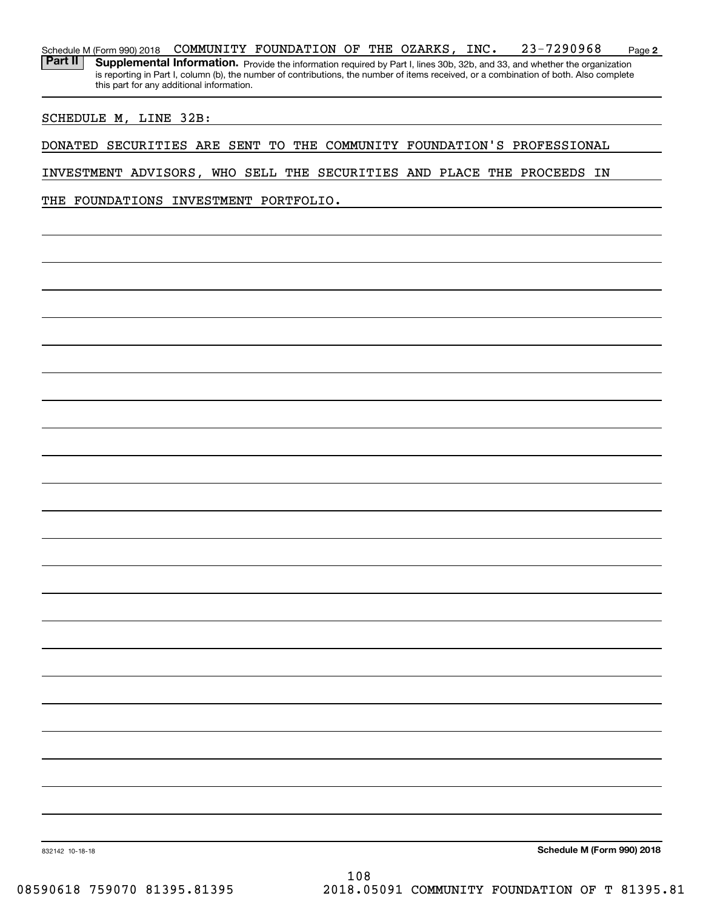#### **2** Schedule M (Form 990) 2018 Page COMMUNITY FOUNDATION OF THE OZARKS, INC. 23-7290968

Part II | Supplemental Information. Provide the information required by Part I, lines 30b, 32b, and 33, and whether the organization is reporting in Part I, column (b), the number of contributions, the number of items received, or a combination of both. Also complete this part for any additional information.

#### SCHEDULE M, LINE 32B:

DONATED SECURITIES ARE SENT TO THE COMMUNITY FOUNDATION'S PROFESSIONAL

INVESTMENT ADVISORS, WHO SELL THE SECURITIES AND PLACE THE PROCEEDS IN

THE FOUNDATIONS INVESTMENT PORTFOLIO.

**Schedule M (Form 990) 2018**

832142 10-18-18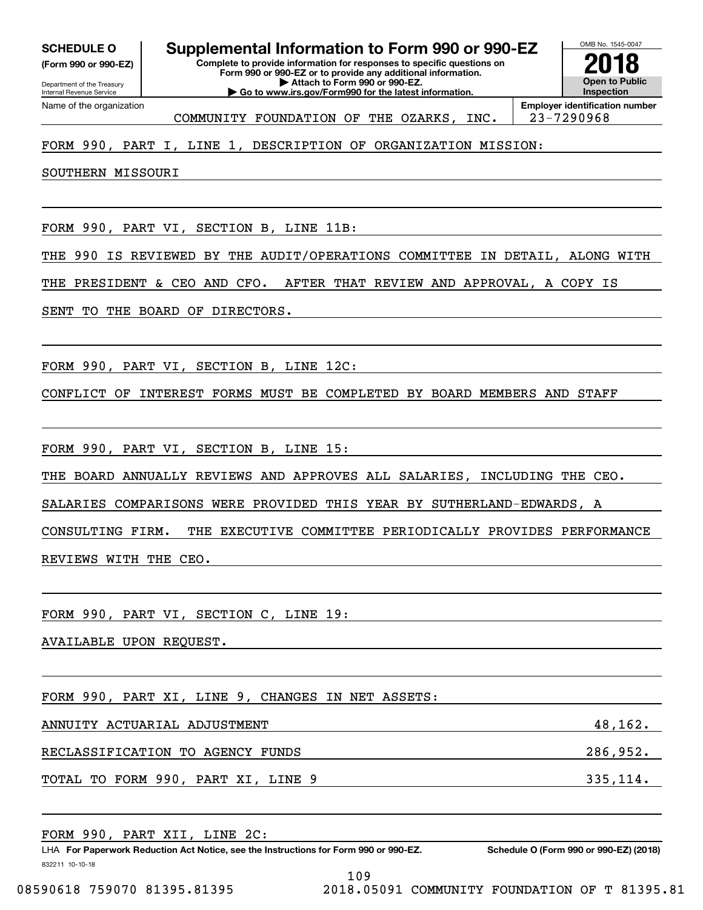**(Form 990 or 990-EZ)**

Department of the Treasury Internal Revenue Service Name of the organization

**Complete to provide information for responses to specific questions on Form 990 or 990-EZ or to provide any additional information. | Attach to Form 990 or 990-EZ. | Go to www.irs.gov/Form990 for the latest information. SCHEDULE O Supplemental Information to Form 990 or 990-EZ**



COMMUNITY FOUNDATION OF THE OZARKS, INC. | 23-7290968

### FORM 990, PART I, LINE 1, DESCRIPTION OF ORGANIZATION MISSION:

SOUTHERN MISSOURI

FORM 990, PART VI, SECTION B, LINE 11B:

THE 990 IS REVIEWED BY THE AUDIT/OPERATIONS COMMITTEE IN DETAIL, ALONG WITH

THE PRESIDENT & CEO AND CFO. AFTER THAT REVIEW AND APPROVAL, A COPY IS

SENT TO THE BOARD OF DIRECTORS.

FORM 990, PART VI, SECTION B, LINE 12C:

CONFLICT OF INTEREST FORMS MUST BE COMPLETED BY BOARD MEMBERS AND STAFF

FORM 990, PART VI, SECTION B, LINE 15:

THE BOARD ANNUALLY REVIEWS AND APPROVES ALL SALARIES, INCLUDING THE CEO.

SALARIES COMPARISONS WERE PROVIDED THIS YEAR BY SUTHERLAND-EDWARDS, A

CONSULTING FIRM. THE EXECUTIVE COMMITTEE PERIODICALLY PROVIDES PERFORMANCE REVIEWS WITH THE CEO.

FORM 990, PART VI, SECTION C, LINE 19:

AVAILABLE UPON REQUEST.

FORM 990, PART XI, LINE 9, CHANGES IN NET ASSETS:

ANNUITY ACTUARIAL ADJUSTMENT 48,162.

RECLASSIFICATION TO AGENCY FUNDS 286,952.

TOTAL TO FORM 990, PART XI, LINE 9  $335,114$ .

LHA For Paperwork Reduction Act Notice, see the Instructions for Form 990 or 990-EZ. Schedule O (Form 990 or 990-EZ) (2018) FORM 990, PART XII, LINE 2C:

109

832211 10-10-18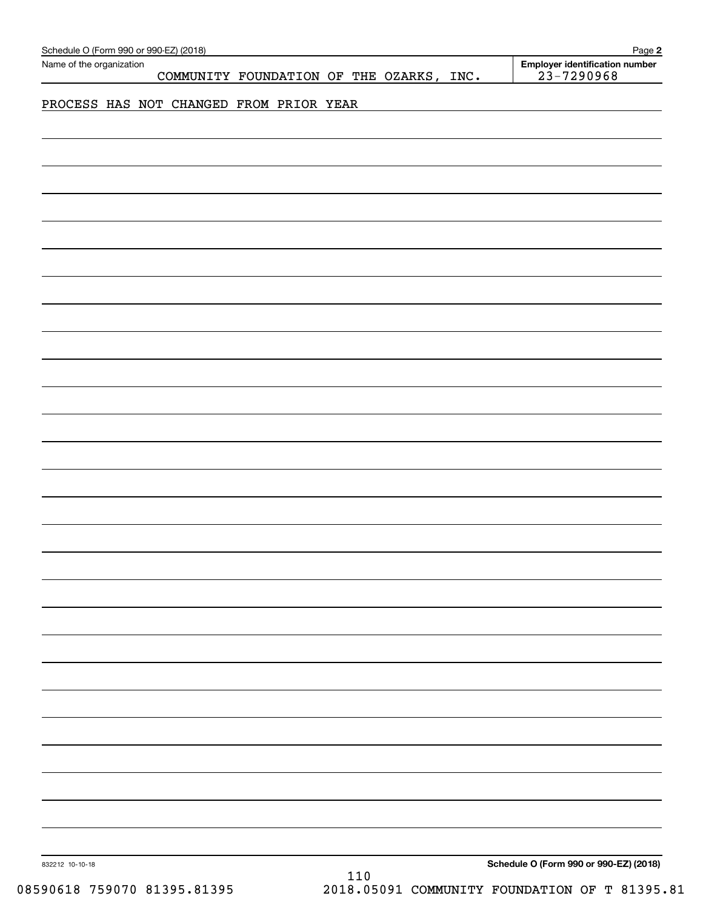| Name of the organization                | COMMUNITY FOUNDATION OF THE OZARKS, INC. |  | <b>Employer identification number</b><br>23-7290968 |
|-----------------------------------------|------------------------------------------|--|-----------------------------------------------------|
|                                         |                                          |  |                                                     |
| PROCESS HAS NOT CHANGED FROM PRIOR YEAR |                                          |  |                                                     |
|                                         |                                          |  |                                                     |
|                                         |                                          |  |                                                     |
|                                         |                                          |  |                                                     |
|                                         |                                          |  |                                                     |
|                                         |                                          |  |                                                     |
|                                         |                                          |  |                                                     |
|                                         |                                          |  |                                                     |
|                                         |                                          |  |                                                     |
|                                         |                                          |  |                                                     |
|                                         |                                          |  |                                                     |
|                                         |                                          |  |                                                     |
|                                         |                                          |  |                                                     |
|                                         |                                          |  |                                                     |
|                                         |                                          |  |                                                     |
|                                         |                                          |  |                                                     |
|                                         |                                          |  |                                                     |
|                                         |                                          |  |                                                     |
|                                         |                                          |  |                                                     |
|                                         |                                          |  |                                                     |
|                                         |                                          |  |                                                     |
|                                         |                                          |  |                                                     |
|                                         |                                          |  |                                                     |
|                                         |                                          |  |                                                     |
|                                         |                                          |  |                                                     |
|                                         |                                          |  |                                                     |
|                                         |                                          |  |                                                     |
|                                         |                                          |  |                                                     |
|                                         |                                          |  |                                                     |
|                                         |                                          |  |                                                     |
|                                         |                                          |  |                                                     |
|                                         |                                          |  |                                                     |
|                                         |                                          |  |                                                     |
|                                         |                                          |  |                                                     |
|                                         |                                          |  |                                                     |
|                                         |                                          |  |                                                     |
|                                         |                                          |  |                                                     |

08590618 759070 81395.81395 2018.05091 COMMUNITY FOUNDATION OF T 81395.81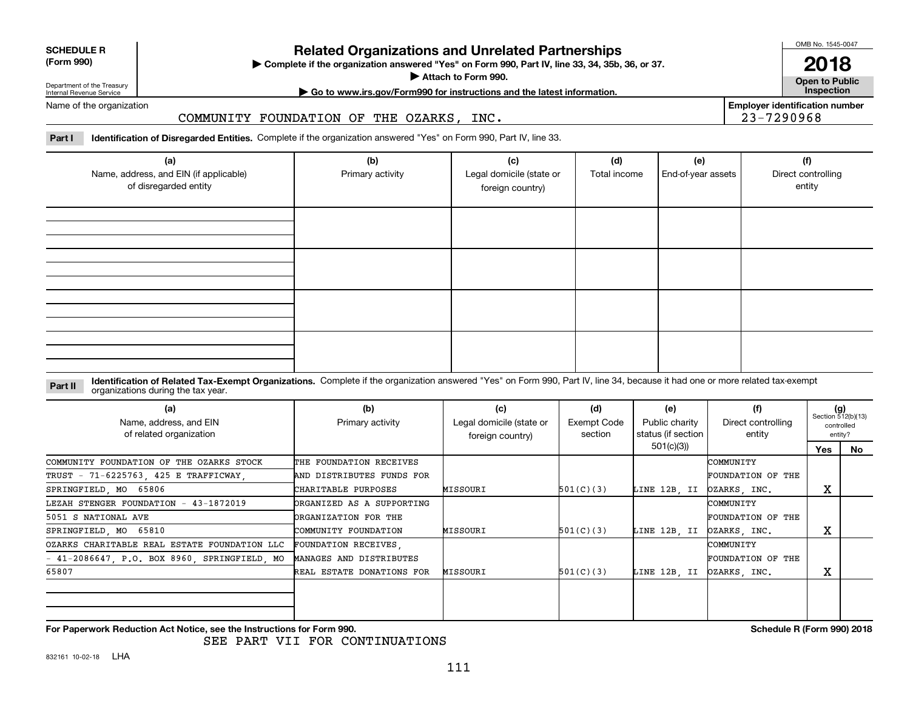| <b>SCHEDULE R</b>                          |  |
|--------------------------------------------|--|
| $\mathbf{r}$ , $\mathbf{r}$ , $\mathbf{r}$ |  |

#### **(Form 990)**

# **Related Organizations and Unrelated Partnerships**

**Complete if the organization answered "Yes" on Form 990, Part IV, line 33, 34, 35b, 36, or 37.** |

**Attach to Form 990.**  |

OMB No. 1545-0047

**Open to Public 2018**

**Employer identification number**

23-7290968

Department of the Treasury Internal Revenue Service Name of the organization

# **| Go to www.irs.gov/Form990 for instructions and the latest information. Inspection**

## COMMUNITY FOUNDATION OF THE OZARKS, INC.

**Part I Identification of Disregarded Entities.**  Complete if the organization answered "Yes" on Form 990, Part IV, line 33.

| (a)<br>Name, address, and EIN (if applicable)<br>of disregarded entity | (b)<br>Primary activity | (c)<br>Legal domicile (state or<br>foreign country) | (d)<br>Total income | (e)<br>End-of-year assets | (f)<br>Direct controlling<br>entity |
|------------------------------------------------------------------------|-------------------------|-----------------------------------------------------|---------------------|---------------------------|-------------------------------------|
|                                                                        |                         |                                                     |                     |                           |                                     |
|                                                                        |                         |                                                     |                     |                           |                                     |
|                                                                        |                         |                                                     |                     |                           |                                     |
|                                                                        |                         |                                                     |                     |                           |                                     |

#### **Identification of Related Tax-Exempt Organizations.** Complete if the organization answered "Yes" on Form 990, Part IV, line 34, because it had one or more related tax-exempt **Part II** organizations during the tax year.

| (a)<br>Name, address, and EIN<br>of related organization | (b)<br>Primary activity   | (c)<br>Legal domicile (state or<br>foreign country) | (d)<br>Exempt Code<br>section | (e)<br>Public charity<br>status (if section | (f)<br>Direct controlling<br>entity | $(g)$<br>Section 512(b)(13) | controlled<br>entity? |
|----------------------------------------------------------|---------------------------|-----------------------------------------------------|-------------------------------|---------------------------------------------|-------------------------------------|-----------------------------|-----------------------|
|                                                          |                           |                                                     |                               | 501(c)(3))                                  |                                     | Yes                         | No                    |
| COMMUNITY FOUNDATION OF THE OZARKS STOCK                 | THE FOUNDATION RECEIVES   |                                                     |                               |                                             | COMMUNITY                           |                             |                       |
| TRUST - 71-6225763, 425 E TRAFFICWAY,                    | AND DISTRIBUTES FUNDS FOR |                                                     |                               |                                             | FOUNDATION OF THE                   |                             |                       |
| SPRINGFIELD, MO 65806                                    | CHARITABLE PURPOSES       | MISSOURI                                            | 501(C)(3)                     | LINE 12B, II                                | DZARKS, INC.                        | х                           |                       |
| LEZAH STENGER FOUNDATION - 43-1872019                    | ORGANIZED AS A SUPPORTING |                                                     |                               |                                             | COMMUNITY                           |                             |                       |
| 5051 S NATIONAL AVE                                      | ORGANIZATION FOR THE      |                                                     |                               |                                             | FOUNDATION OF THE                   |                             |                       |
| SPRINGFIELD, MO 65810                                    | COMMUNITY FOUNDATION      | MISSOURI                                            | 501(C)(3)                     | LINE 12B. II                                | DZARKS, INC.                        | A                           |                       |
| OZARKS CHARITABLE REAL ESTATE FOUNDATION LLC             | FOUNDATION RECEIVES,      |                                                     |                               |                                             | COMMUNITY                           |                             |                       |
| $-41-2086647$ , P.O. BOX 8960, SPRINGFIELD, MO           | MANAGES AND DISTRIBUTES   |                                                     |                               |                                             | FOUNDATION OF THE                   |                             |                       |
| 65807                                                    | REAL ESTATE DONATIONS FOR | MISSOURI                                            | 501(C)(3)                     | LINE 12B. II                                | OZARKS, INC.                        | A                           |                       |
|                                                          |                           |                                                     |                               |                                             |                                     |                             |                       |
|                                                          |                           |                                                     |                               |                                             |                                     |                             |                       |

**For Paperwork Reduction Act Notice, see the Instructions for Form 990. Schedule R (Form 990) 2018**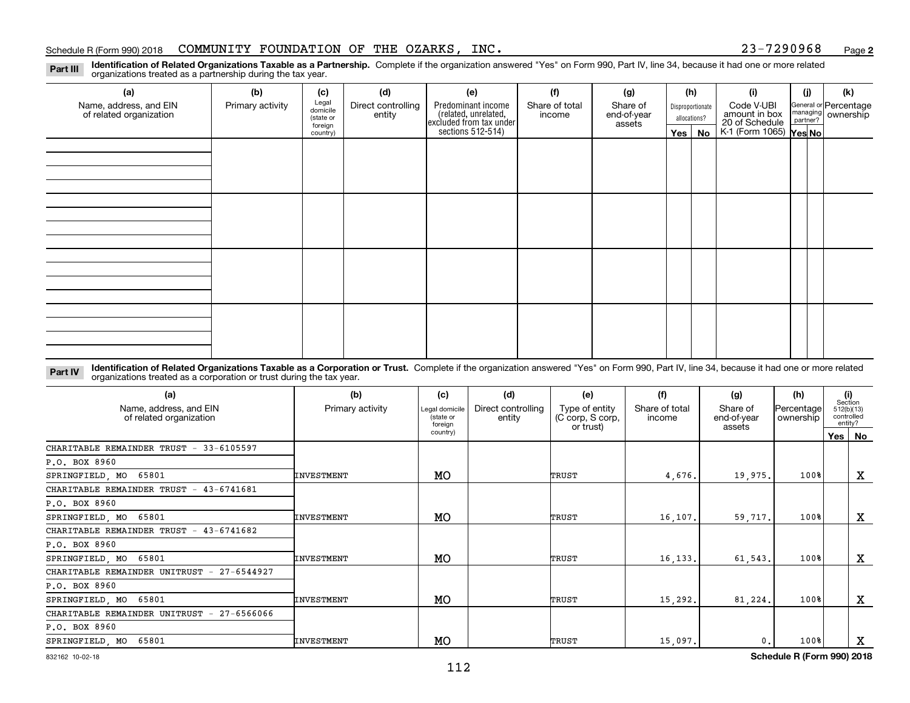#### Schedule R (Form 990) 2018 Page COMMUNITY FOUNDATION OF THE OZARKS, INC. 23-7290968

**2**

**Identification of Related Organizations Taxable as a Partnership.** Complete if the organization answered "Yes" on Form 990, Part IV, line 34, because it had one or more related **Part III** organizations treated as a partnership during the tax year.

| (a)                                               | (b)              | (c)                  | (d)                          | (e)                                                                 | (f)    | (g)                   |              | (h)            | (i)                                      | (i) | (k)              |                             |  |                                                         |
|---------------------------------------------------|------------------|----------------------|------------------------------|---------------------------------------------------------------------|--------|-----------------------|--------------|----------------|------------------------------------------|-----|------------------|-----------------------------|--|---------------------------------------------------------|
| Name, address, and EIN<br>of related organization | Primary activity | Legal<br>domicile    | Direct controlling<br>entity | Predominant income                                                  |        |                       |              | Share of total | Share of                                 |     | Disproportionate | Code V-UBI<br>amount in box |  | General or Percentage<br>managing ownership<br>partner? |
|                                                   |                  | (state or<br>foreign |                              | related, unrelated,<br>excluded from tax under<br>sections 512-514) | income | end-of-year<br>assets | allocations? |                |                                          |     |                  |                             |  |                                                         |
|                                                   |                  | country)             |                              |                                                                     |        |                       |              | Yes   No       | 20 of Schedule<br>K-1 (Form 1065) Yes No |     |                  |                             |  |                                                         |
|                                                   |                  |                      |                              |                                                                     |        |                       |              |                |                                          |     |                  |                             |  |                                                         |
|                                                   |                  |                      |                              |                                                                     |        |                       |              |                |                                          |     |                  |                             |  |                                                         |
|                                                   |                  |                      |                              |                                                                     |        |                       |              |                |                                          |     |                  |                             |  |                                                         |
|                                                   |                  |                      |                              |                                                                     |        |                       |              |                |                                          |     |                  |                             |  |                                                         |
|                                                   |                  |                      |                              |                                                                     |        |                       |              |                |                                          |     |                  |                             |  |                                                         |
|                                                   |                  |                      |                              |                                                                     |        |                       |              |                |                                          |     |                  |                             |  |                                                         |
|                                                   |                  |                      |                              |                                                                     |        |                       |              |                |                                          |     |                  |                             |  |                                                         |
|                                                   |                  |                      |                              |                                                                     |        |                       |              |                |                                          |     |                  |                             |  |                                                         |
|                                                   |                  |                      |                              |                                                                     |        |                       |              |                |                                          |     |                  |                             |  |                                                         |
|                                                   |                  |                      |                              |                                                                     |        |                       |              |                |                                          |     |                  |                             |  |                                                         |
|                                                   |                  |                      |                              |                                                                     |        |                       |              |                |                                          |     |                  |                             |  |                                                         |
|                                                   |                  |                      |                              |                                                                     |        |                       |              |                |                                          |     |                  |                             |  |                                                         |
|                                                   |                  |                      |                              |                                                                     |        |                       |              |                |                                          |     |                  |                             |  |                                                         |
|                                                   |                  |                      |                              |                                                                     |        |                       |              |                |                                          |     |                  |                             |  |                                                         |
|                                                   |                  |                      |                              |                                                                     |        |                       |              |                |                                          |     |                  |                             |  |                                                         |
|                                                   |                  |                      |                              |                                                                     |        |                       |              |                |                                          |     |                  |                             |  |                                                         |
|                                                   |                  |                      |                              |                                                                     |        |                       |              |                |                                          |     |                  |                             |  |                                                         |

**Identification of Related Organizations Taxable as a Corporation or Trust.** Complete if the organization answered "Yes" on Form 990, Part IV, line 34, because it had one or more related **Part IV** organizations treated as a corporation or trust during the tax year.

| (a)<br>Name, address, and EIN<br>of related organization | (b)<br>(c)<br>Primary activity<br>Legal domicile<br>(state or<br>foreian |          | (d)<br>Direct controlling<br>entity | (e)<br>Type of entity<br>(C corp, S corp,<br>or trust) | (f)<br>Share of total<br>income | (g)<br>Share of<br>end-of-year<br>assets | (h)<br><b>Percentage</b><br>ownership | (i)<br>Section<br>512(b)(13)<br>entity? | controlled |
|----------------------------------------------------------|--------------------------------------------------------------------------|----------|-------------------------------------|--------------------------------------------------------|---------------------------------|------------------------------------------|---------------------------------------|-----------------------------------------|------------|
|                                                          |                                                                          | country) |                                     |                                                        |                                 |                                          |                                       | Yes                                     | No         |
| CHARITABLE REMAINDER TRUST - 33-6105597                  |                                                                          |          |                                     |                                                        |                                 |                                          |                                       |                                         |            |
| P.O. BOX 8960                                            |                                                                          |          |                                     |                                                        |                                 |                                          |                                       |                                         |            |
| SPRINGFIELD, MO 65801                                    | <b>INVESTMENT</b>                                                        | MO.      |                                     | TRUST                                                  | 4,676.                          | 19,975.                                  | 100%                                  |                                         | x          |
| CHARITABLE REMAINDER TRUST - 43-6741681                  |                                                                          |          |                                     |                                                        |                                 |                                          |                                       |                                         |            |
| P.O. BOX 8960                                            |                                                                          |          |                                     |                                                        |                                 |                                          |                                       |                                         |            |
| 65801<br>SPRINGFIELD, MO                                 | <b>INVESTMENT</b>                                                        | MO.      |                                     | TRUST                                                  | 16,107.                         | 59,717.                                  | 100%                                  |                                         | X          |
| CHARITABLE REMAINDER TRUST - 43-6741682                  |                                                                          |          |                                     |                                                        |                                 |                                          |                                       |                                         |            |
| P.O. BOX 8960                                            |                                                                          |          |                                     |                                                        |                                 |                                          |                                       |                                         |            |
| SPRINGFIELD, MO 65801                                    | <b>INVESTMENT</b>                                                        | MO       |                                     | TRUST                                                  | 16, 133.                        | 61,543.                                  | 100%                                  |                                         | X          |
| CHARITABLE REMAINDER UNITRUST - 27-6544927               |                                                                          |          |                                     |                                                        |                                 |                                          |                                       |                                         |            |
| P.O. BOX 8960                                            |                                                                          |          |                                     |                                                        |                                 |                                          |                                       |                                         |            |
| 65801<br>SPRINGFIELD, MO                                 | <b>INVESTMENT</b>                                                        | MO.      |                                     | TRUST                                                  | 15,292.                         | 81,224.                                  | 100%                                  |                                         | X          |
| CHARITABLE REMAINDER UNITRUST - 27-6566066               |                                                                          |          |                                     |                                                        |                                 |                                          |                                       |                                         |            |
| P.O. BOX 8960                                            |                                                                          |          |                                     |                                                        |                                 |                                          |                                       |                                         |            |
| 65801<br>SPRINGFIELD, MO                                 | <b>INVESTMENT</b>                                                        | MO.      |                                     | TRUST                                                  | 15,097.                         | 0.                                       | 100%                                  |                                         | x          |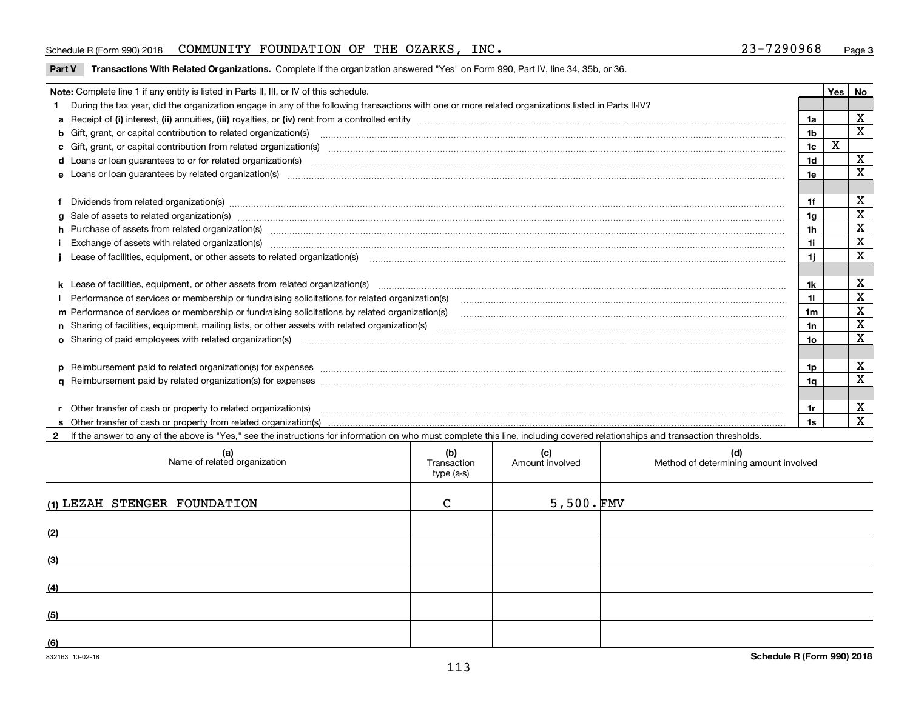#### Schedule R (Form 990) 2018 Page COMMUNITY FOUNDATION OF THE OZARKS, INC. 23-7290968

**Part V** T**ransactions With Related Organizations.** Complete if the organization answered "Yes" on Form 990, Part IV, line 34, 35b, or 36.

| Note: Complete line 1 if any entity is listed in Parts II, III, or IV of this schedule. |                                                                                                                                                                                                                                |     |   |             |  |  |
|-----------------------------------------------------------------------------------------|--------------------------------------------------------------------------------------------------------------------------------------------------------------------------------------------------------------------------------|-----|---|-------------|--|--|
|                                                                                         | 1 During the tax year, did the organization engage in any of the following transactions with one or more related organizations listed in Parts II-IV?                                                                          |     |   |             |  |  |
|                                                                                         |                                                                                                                                                                                                                                | 1a  |   | $\mathbf X$ |  |  |
|                                                                                         | <b>b</b> Gift, grant, or capital contribution to related organization(s)                                                                                                                                                       | 1b  |   | X           |  |  |
|                                                                                         | <b>c</b> Gift, grant, or capital contribution from related organization(s)                                                                                                                                                     | 1c  | X |             |  |  |
|                                                                                         |                                                                                                                                                                                                                                | 1d  |   | х           |  |  |
|                                                                                         | <b>e</b> Loans or loan quarantees by related organization(s)                                                                                                                                                                   | 1e  |   | X           |  |  |
|                                                                                         |                                                                                                                                                                                                                                |     |   |             |  |  |
|                                                                                         |                                                                                                                                                                                                                                |     |   | х           |  |  |
|                                                                                         |                                                                                                                                                                                                                                | 1a  |   | $\mathbf X$ |  |  |
|                                                                                         | h Purchase of assets from related organization(s) manufactured and content to the content of the content of the content of the content of the content of the content of the content of the content of the content of the conte | 1h  |   | X           |  |  |
|                                                                                         | Exchange of assets with related organization(s) www.assettion.com/www.assettion.com/www.assettion.com/www.assettion.com/www.assettion.com/www.assettion.com/www.assettion.com/www.assettion.com/www.assettion.com/www.assettio | 1i. |   | $\mathbf X$ |  |  |
|                                                                                         |                                                                                                                                                                                                                                | 1i. |   | X           |  |  |
|                                                                                         |                                                                                                                                                                                                                                |     |   |             |  |  |
|                                                                                         |                                                                                                                                                                                                                                | 1k  |   | X           |  |  |
|                                                                                         | Performance of services or membership or fundraising solicitations for related organization(s)                                                                                                                                 | 11. |   | $\mathbf X$ |  |  |
|                                                                                         | m Performance of services or membership or fundraising solicitations by related organization(s)                                                                                                                                | 1m  |   | X           |  |  |
|                                                                                         |                                                                                                                                                                                                                                | 1n  |   | $\mathbf X$ |  |  |
|                                                                                         | <b>o</b> Sharing of paid employees with related organization(s)                                                                                                                                                                | 10  |   | X           |  |  |
|                                                                                         |                                                                                                                                                                                                                                |     |   |             |  |  |
|                                                                                         |                                                                                                                                                                                                                                | 1p. |   | х           |  |  |
|                                                                                         |                                                                                                                                                                                                                                | 1a  |   | X           |  |  |
|                                                                                         |                                                                                                                                                                                                                                |     |   |             |  |  |
|                                                                                         |                                                                                                                                                                                                                                |     |   | X           |  |  |
|                                                                                         |                                                                                                                                                                                                                                | 1s  |   | X           |  |  |

832163 10-02-18 **2**If the answer to any of the above is "Yes," see the instructions for information on who must complete this line, including covered relationships and transaction thresholds. **(a) (b) (c) (d) (1)**LEZAH STENGER FOUNDATION C 5,500. **(2)(3)(4)(5)(6)Schedule R (Form 990) 2018** Name of related organization  $\vert$  Transaction type (a-s) Amount involved letter and Method of determining amount involved  $5,500.\text{FMV}$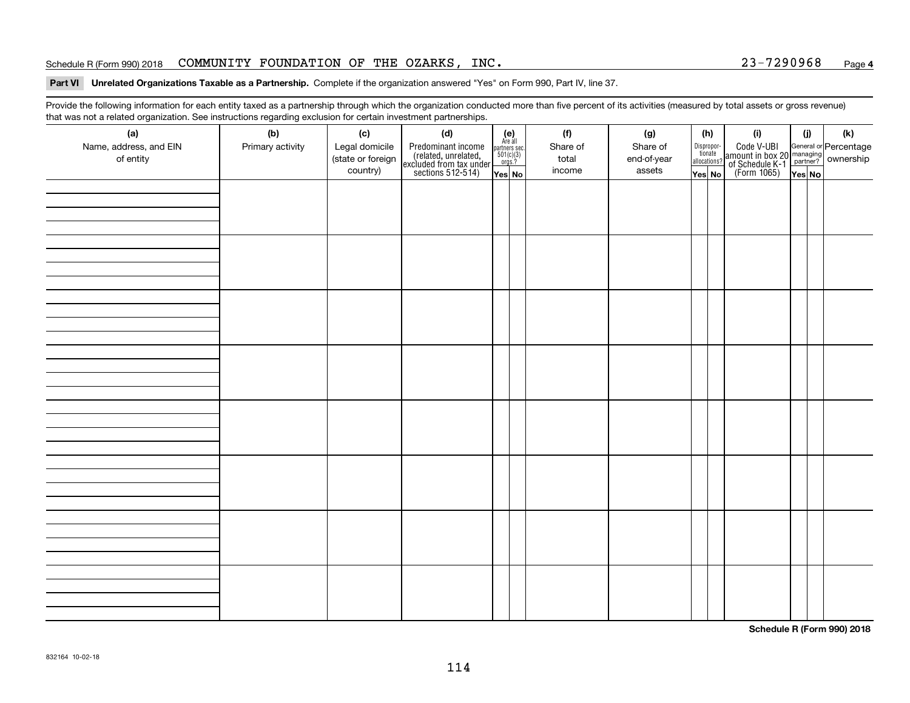#### Schedule R (Form 990) 2018 Page COMMUNITY FOUNDATION OF THE OZARKS, INC. 23-7290968

#### **Part VI Unrelated Organizations Taxable as a Partnership. Complete if the organization answered "Yes" on Form 990, Part IV, line 37.**

Provide the following information for each entity taxed as a partnership through which the organization conducted more than five percent of its activities (measured by total assets or gross revenue) that was not a related organization. See instructions regarding exclusion for certain investment partnerships.

| ັ                                   | ັ<br>ັ           |                                     |                                                                                            |                                                                                             |                   |                         |                                       |                                                                                                                                       |        |     |
|-------------------------------------|------------------|-------------------------------------|--------------------------------------------------------------------------------------------|---------------------------------------------------------------------------------------------|-------------------|-------------------------|---------------------------------------|---------------------------------------------------------------------------------------------------------------------------------------|--------|-----|
| (a)                                 | (b)              | (c)                                 | (d)                                                                                        | (e)<br>Are all                                                                              | (f)               | (g)                     | (h)                                   | (i)                                                                                                                                   | (i)    | (k) |
| Name, address, and EIN<br>of entity | Primary activity | Legal domicile<br>(state or foreign | Predominant income<br>(related, unrelated,<br>excluded from tax under<br>sections 512-514) | $\begin{array}{c}\n\text{partners} \text{ sec.} \\ 501(c)(3) \\ \text{orgs.?}\n\end{array}$ | Share of<br>total | Share of<br>end-of-year | Dispropor-<br>tionate<br>allocations? | Code V-UBI<br>  amount in box 20 managing<br>  of Schedule K-1 partner? ownership<br>  of Schedule K-1 partner? ownership<br>  Yes No |        |     |
|                                     |                  | country)                            |                                                                                            |                                                                                             | income            | assets                  |                                       |                                                                                                                                       |        |     |
|                                     |                  |                                     |                                                                                            | Yes No                                                                                      |                   |                         | Yes No                                |                                                                                                                                       | Yes No |     |
|                                     |                  |                                     |                                                                                            |                                                                                             |                   |                         |                                       |                                                                                                                                       |        |     |
|                                     |                  |                                     |                                                                                            |                                                                                             |                   |                         |                                       |                                                                                                                                       |        |     |
|                                     |                  |                                     |                                                                                            |                                                                                             |                   |                         |                                       |                                                                                                                                       |        |     |
|                                     |                  |                                     |                                                                                            |                                                                                             |                   |                         |                                       |                                                                                                                                       |        |     |
|                                     |                  |                                     |                                                                                            |                                                                                             |                   |                         |                                       |                                                                                                                                       |        |     |
|                                     |                  |                                     |                                                                                            |                                                                                             |                   |                         |                                       |                                                                                                                                       |        |     |
|                                     |                  |                                     |                                                                                            |                                                                                             |                   |                         |                                       |                                                                                                                                       |        |     |
|                                     |                  |                                     |                                                                                            |                                                                                             |                   |                         |                                       |                                                                                                                                       |        |     |
|                                     |                  |                                     |                                                                                            |                                                                                             |                   |                         |                                       |                                                                                                                                       |        |     |
|                                     |                  |                                     |                                                                                            |                                                                                             |                   |                         |                                       |                                                                                                                                       |        |     |
|                                     |                  |                                     |                                                                                            |                                                                                             |                   |                         |                                       |                                                                                                                                       |        |     |
|                                     |                  |                                     |                                                                                            |                                                                                             |                   |                         |                                       |                                                                                                                                       |        |     |
|                                     |                  |                                     |                                                                                            |                                                                                             |                   |                         |                                       |                                                                                                                                       |        |     |
|                                     |                  |                                     |                                                                                            |                                                                                             |                   |                         |                                       |                                                                                                                                       |        |     |
|                                     |                  |                                     |                                                                                            |                                                                                             |                   |                         |                                       |                                                                                                                                       |        |     |
|                                     |                  |                                     |                                                                                            |                                                                                             |                   |                         |                                       |                                                                                                                                       |        |     |
|                                     |                  |                                     |                                                                                            |                                                                                             |                   |                         |                                       |                                                                                                                                       |        |     |
|                                     |                  |                                     |                                                                                            |                                                                                             |                   |                         |                                       |                                                                                                                                       |        |     |
|                                     |                  |                                     |                                                                                            |                                                                                             |                   |                         |                                       |                                                                                                                                       |        |     |
|                                     |                  |                                     |                                                                                            |                                                                                             |                   |                         |                                       |                                                                                                                                       |        |     |
|                                     |                  |                                     |                                                                                            |                                                                                             |                   |                         |                                       |                                                                                                                                       |        |     |
|                                     |                  |                                     |                                                                                            |                                                                                             |                   |                         |                                       |                                                                                                                                       |        |     |
|                                     |                  |                                     |                                                                                            |                                                                                             |                   |                         |                                       |                                                                                                                                       |        |     |
|                                     |                  |                                     |                                                                                            |                                                                                             |                   |                         |                                       |                                                                                                                                       |        |     |
|                                     |                  |                                     |                                                                                            |                                                                                             |                   |                         |                                       |                                                                                                                                       |        |     |
|                                     |                  |                                     |                                                                                            |                                                                                             |                   |                         |                                       |                                                                                                                                       |        |     |
|                                     |                  |                                     |                                                                                            |                                                                                             |                   |                         |                                       |                                                                                                                                       |        |     |
|                                     |                  |                                     |                                                                                            |                                                                                             |                   |                         |                                       |                                                                                                                                       |        |     |
|                                     |                  |                                     |                                                                                            |                                                                                             |                   |                         |                                       |                                                                                                                                       |        |     |
|                                     |                  |                                     |                                                                                            |                                                                                             |                   |                         |                                       |                                                                                                                                       |        |     |
|                                     |                  |                                     |                                                                                            |                                                                                             |                   |                         |                                       |                                                                                                                                       |        |     |
|                                     |                  |                                     |                                                                                            |                                                                                             |                   |                         |                                       |                                                                                                                                       |        |     |
|                                     |                  |                                     |                                                                                            |                                                                                             |                   |                         |                                       |                                                                                                                                       |        |     |
|                                     |                  |                                     |                                                                                            |                                                                                             |                   |                         |                                       |                                                                                                                                       |        |     |
|                                     |                  |                                     |                                                                                            |                                                                                             |                   |                         |                                       |                                                                                                                                       |        |     |

**Schedule R (Form 990) 2018**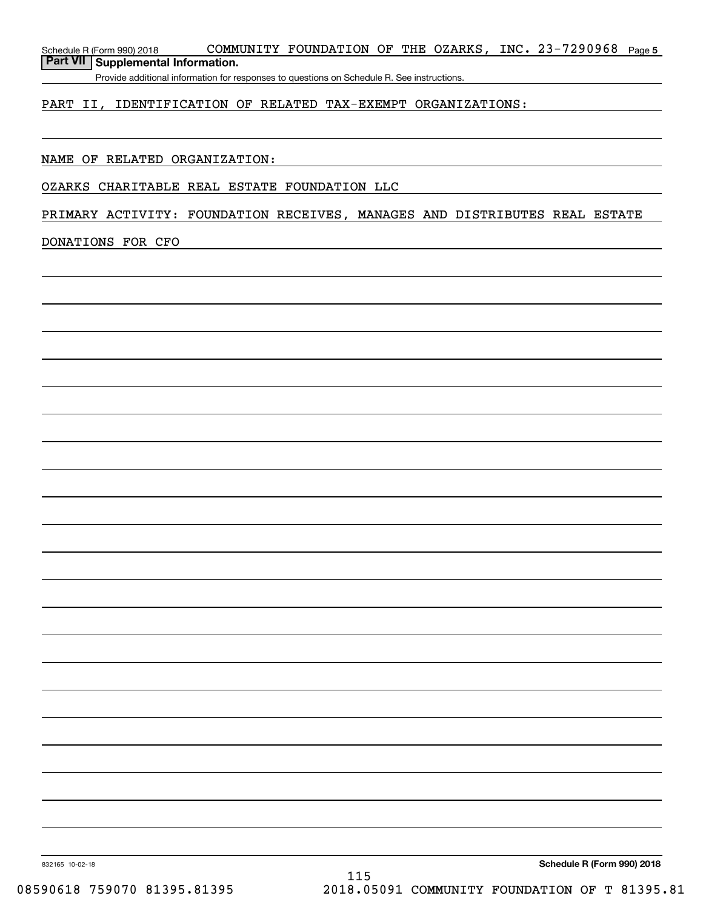Schedule R (Form 990) 2018 CO**MMUNITY FOUNDATION OF THE OZARKS, INC.23-7290968** Page **5 Part VII Supplemental Information.**

Provide additional information for responses to questions on Schedule R. See instructions.

#### PART II, IDENTIFICATION OF RELATED TAX-EXEMPT ORGANIZATIONS:

#### NAME OF RELATED ORGANIZATION:

#### OZARKS CHARITABLE REAL ESTATE FOUNDATION LLC

#### PRIMARY ACTIVITY: FOUNDATION RECEIVES, MANAGES AND DISTRIBUTES REAL ESTATE

#### DONATIONS FOR CFO

**Schedule R (Form 990) 2018**

832165 10-02-18